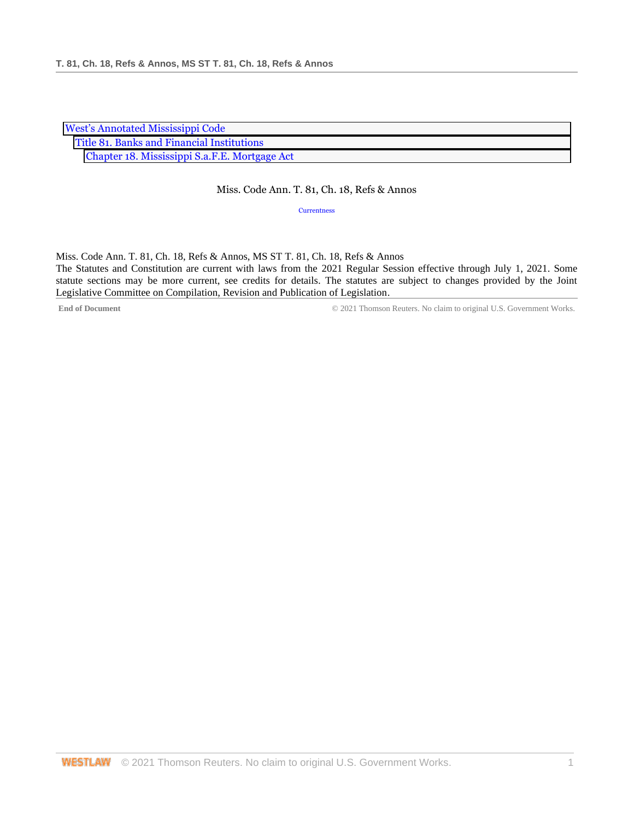| <b>West's Annotated Mississippi Code</b>      |  |
|-----------------------------------------------|--|
| Title 81. Banks and Financial Institutions    |  |
| Chapter 18. Mississippi S.a.F.E. Mortgage Act |  |

## Miss. Code Ann. T. 81, Ch. 18, Refs & Annos

**[Currentness](#page-0-0)** 

<span id="page-0-0"></span>Miss. Code Ann. T. 81, Ch. 18, Refs & Annos, MS ST T. 81, Ch. 18, Refs & Annos The Statutes and Constitution are current with laws from the 2021 Regular Session effective through July 1, 2021. Some statute sections may be more current, see credits for details. The statutes are subject to changes provided by the Joint Legislative Committee on Compilation, Revision and Publication of Legislation.

**End of Document** © 2021 Thomson Reuters. No claim to original U.S. Government Works.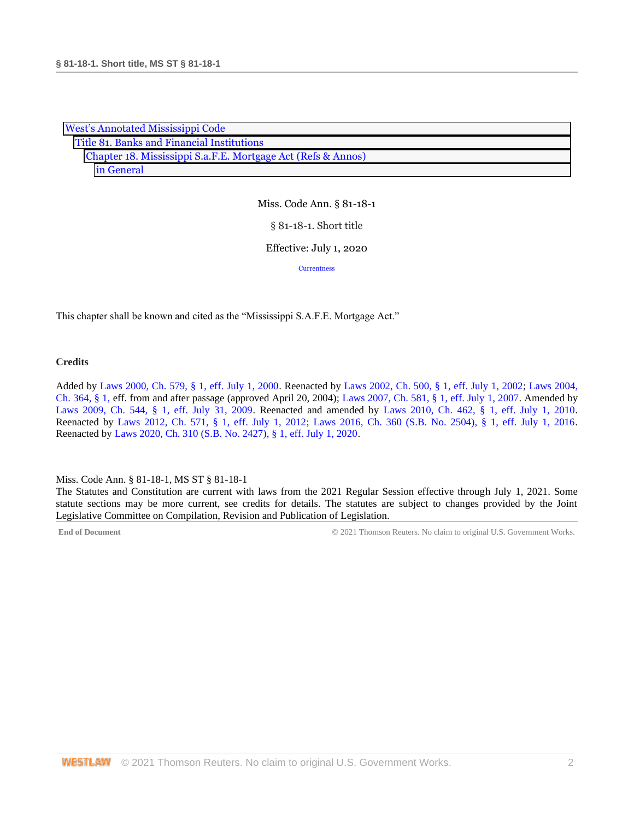| <b>West's Annotated Mississippi Code</b>                     |  |  |
|--------------------------------------------------------------|--|--|
| Title 81. Banks and Financial Institutions                   |  |  |
| Chapter 18. Mississippi S.a.F.E. Mortgage Act (Refs & Annos) |  |  |
| in General                                                   |  |  |

§ 81-18-1. Short title

## Effective: July 1, 2020

**[Currentness](#page-1-0)** 

This chapter shall be known and cited as the "Mississippi S.A.F.E. Mortgage Act."

## **Credits**

Added by [Laws 2000, Ch. 579, § 1, eff. July 1, 2000.](http://www.westlaw.com/Link/Document/FullText?findType=l&pubNum=1077005&cite=UUID(I666224EA7B-2340539E179-70BFA9B4119)&originatingDoc=NC1D1AF50B68D11EAA6FAB66043C66295&refType=SL&originationContext=document&vr=3.0&rs=cblt1.0&transitionType=DocumentItem&contextData=(sc.DocLink)) Reenacted by [Laws 2002, Ch. 500, § 1, eff. July 1, 2002;](http://www.westlaw.com/Link/Document/FullText?findType=l&pubNum=1077005&cite=UUID(I0EA02C6CD8-4E40E791A61-A62FFEE7CFB)&originatingDoc=NC1D1AF50B68D11EAA6FAB66043C66295&refType=SL&originationContext=document&vr=3.0&rs=cblt1.0&transitionType=DocumentItem&contextData=(sc.DocLink)) [Laws 2004,](http://www.westlaw.com/Link/Document/FullText?findType=l&pubNum=1077005&cite=UUID(I5A3C4370BA-B711D8A74D8-7B95E93B7F0)&originatingDoc=NC1D1AF50B68D11EAA6FAB66043C66295&refType=SL&originationContext=document&vr=3.0&rs=cblt1.0&transitionType=DocumentItem&contextData=(sc.DocLink))  [Ch. 364, § 1, e](http://www.westlaw.com/Link/Document/FullText?findType=l&pubNum=1077005&cite=UUID(I5A3C4370BA-B711D8A74D8-7B95E93B7F0)&originatingDoc=NC1D1AF50B68D11EAA6FAB66043C66295&refType=SL&originationContext=document&vr=3.0&rs=cblt1.0&transitionType=DocumentItem&contextData=(sc.DocLink))ff. from and after passage (approved April 20, 2004); [Laws 2007, Ch. 581, § 1, eff. July 1, 2007.](http://www.westlaw.com/Link/Document/FullText?findType=l&pubNum=1077005&cite=UUID(I23A0B94005-5F11DC8554E-A5201DEAAD3)&originatingDoc=NC1D1AF50B68D11EAA6FAB66043C66295&refType=SL&originationContext=document&vr=3.0&rs=cblt1.0&transitionType=DocumentItem&contextData=(sc.DocLink)) Amended by [Laws 2009, Ch. 544, § 1, eff. July 31, 2009.](http://www.westlaw.com/Link/Document/FullText?findType=l&pubNum=1077005&cite=UUID(I757F0D3033-2911DE82ACD-E6A56952C30)&originatingDoc=NC1D1AF50B68D11EAA6FAB66043C66295&refType=SL&originationContext=document&vr=3.0&rs=cblt1.0&transitionType=DocumentItem&contextData=(sc.DocLink)) Reenacted and amended by [Laws 2010, Ch. 462, § 1, eff. July 1, 2010.](http://www.westlaw.com/Link/Document/FullText?findType=l&pubNum=1077005&cite=UUID(IC5DE906042-3D11DFAFC4E-5BB03694993)&originatingDoc=NC1D1AF50B68D11EAA6FAB66043C66295&refType=SL&originationContext=document&vr=3.0&rs=cblt1.0&transitionType=DocumentItem&contextData=(sc.DocLink)) Reenacted by [Laws 2012, Ch. 571, § 1, eff. July 1, 2012;](http://www.westlaw.com/Link/Document/FullText?findType=l&pubNum=1077005&cite=UUID(I164C6DB0A6-6911E18520C-4BFF71C7E68)&originatingDoc=NC1D1AF50B68D11EAA6FAB66043C66295&refType=SL&originationContext=document&vr=3.0&rs=cblt1.0&transitionType=DocumentItem&contextData=(sc.DocLink)) [Laws 2016, Ch. 360 \(S.B. No. 2504\), § 1, eff. July 1, 2016.](http://www.westlaw.com/Link/Document/FullText?findType=l&pubNum=1077005&cite=UUID(ICC55B560FC-D911E580D7A-145FA49B0D0)&originatingDoc=NC1D1AF50B68D11EAA6FAB66043C66295&refType=SL&originationContext=document&vr=3.0&rs=cblt1.0&transitionType=DocumentItem&contextData=(sc.DocLink)) Reenacted b[y Laws 2020, Ch. 310 \(S.B. No. 2427\), § 1, eff. July 1, 2020.](http://www.westlaw.com/Link/Document/FullText?findType=l&pubNum=1077005&cite=UUID(I1D2E4B20AF-C611EABCEF8-D197FAE2E99)&originatingDoc=NC1D1AF50B68D11EAA6FAB66043C66295&refType=SL&originationContext=document&vr=3.0&rs=cblt1.0&transitionType=DocumentItem&contextData=(sc.DocLink))

## <span id="page-1-0"></span>Miss. Code Ann. § 81-18-1, MS ST § 81-18-1

The Statutes and Constitution are current with laws from the 2021 Regular Session effective through July 1, 2021. Some statute sections may be more current, see credits for details. The statutes are subject to changes provided by the Joint Legislative Committee on Compilation, Revision and Publication of Legislation.

**End of Document** C 2021 Thomson Reuters. No claim to original U.S. Government Works.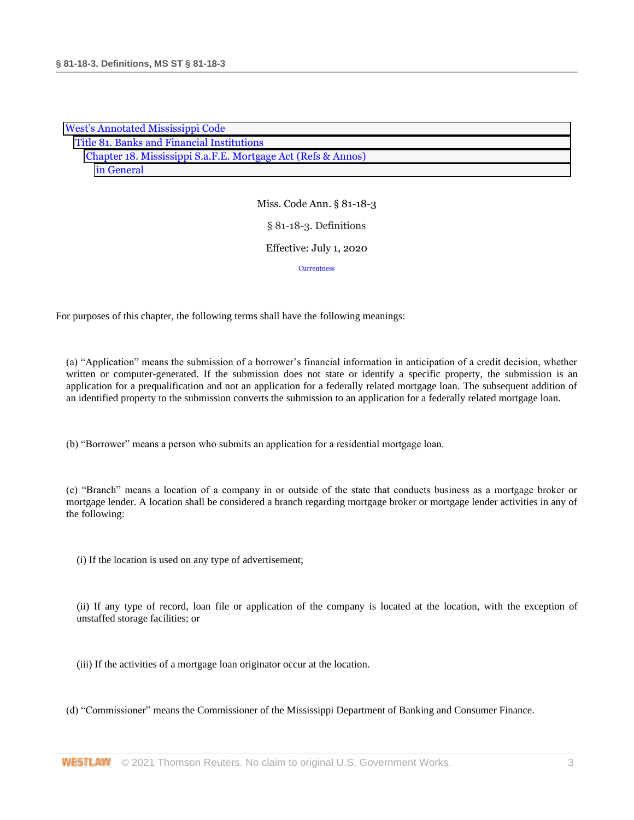| <b>West's Annotated Mississippi Code</b>                     |  |  |
|--------------------------------------------------------------|--|--|
| Title 81. Banks and Financial Institutions                   |  |  |
| Chapter 18. Mississippi S.a.F.E. Mortgage Act (Refs & Annos) |  |  |
| in General                                                   |  |  |

## Miss. Code Ann. § 81-18-3 § 81-18-3. Definitions Effective: July 1, 2020 **[Currentness](#page-8-0)**

For purposes of this chapter, the following terms shall have the following meanings:

(a) "Application" means the submission of a borrower's financial information in anticipation of a credit decision, whether written or computer-generated. If the submission does not state or identify a specific property, the submission is an application for a prequalification and not an application for a federally related mortgage loan. The subsequent addition of an identified property to the submission converts the submission to an application for a federally related mortgage loan.

(b) "Borrower" means a person who submits an application for a residential mortgage loan.

(c) "Branch" means a location of a company in or outside of the state that conducts business as a mortgage broker or mortgage lender. A location shall be considered a branch regarding mortgage broker or mortgage lender activities in any of the following:

(i) If the location is used on any type of advertisement;

(ii) If any type of record, loan file or application of the company is located at the location, with the exception of unstaffed storage facilities; or

- (iii) If the activities of a mortgage loan originator occur at the location.
- (d) "Commissioner" means the Commissioner of the Mississippi Department of Banking and Consumer Finance.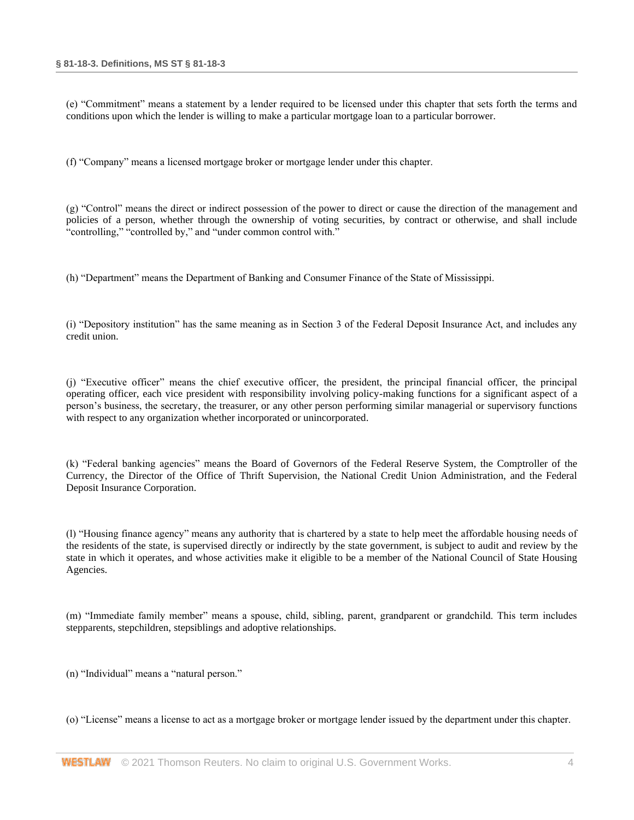(e) "Commitment" means a statement by a lender required to be licensed under this chapter that sets forth the terms and conditions upon which the lender is willing to make a particular mortgage loan to a particular borrower.

(f) "Company" means a licensed mortgage broker or mortgage lender under this chapter.

(g) "Control" means the direct or indirect possession of the power to direct or cause the direction of the management and policies of a person, whether through the ownership of voting securities, by contract or otherwise, and shall include "controlling," "controlled by," and "under common control with."

(h) "Department" means the Department of Banking and Consumer Finance of the State of Mississippi.

(i) "Depository institution" has the same meaning as in Section 3 of the Federal Deposit Insurance Act, and includes any credit union.

(j) "Executive officer" means the chief executive officer, the president, the principal financial officer, the principal operating officer, each vice president with responsibility involving policy-making functions for a significant aspect of a person's business, the secretary, the treasurer, or any other person performing similar managerial or supervisory functions with respect to any organization whether incorporated or unincorporated.

(k) "Federal banking agencies" means the Board of Governors of the Federal Reserve System, the Comptroller of the Currency, the Director of the Office of Thrift Supervision, the National Credit Union Administration, and the Federal Deposit Insurance Corporation.

(l) "Housing finance agency" means any authority that is chartered by a state to help meet the affordable housing needs of the residents of the state, is supervised directly or indirectly by the state government, is subject to audit and review by the state in which it operates, and whose activities make it eligible to be a member of the National Council of State Housing Agencies.

(m) "Immediate family member" means a spouse, child, sibling, parent, grandparent or grandchild. This term includes stepparents, stepchildren, stepsiblings and adoptive relationships.

(n) "Individual" means a "natural person."

(o) "License" means a license to act as a mortgage broker or mortgage lender issued by the department under this chapter.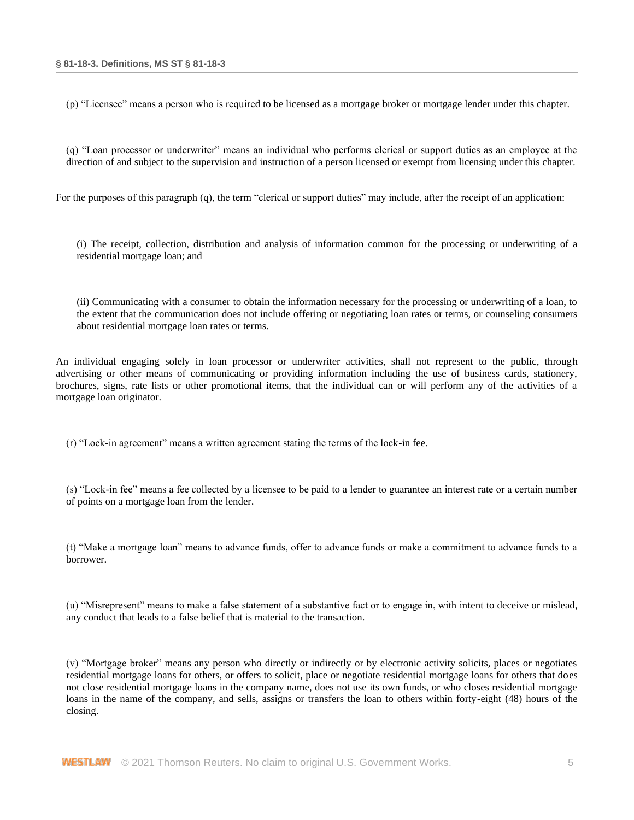(p) "Licensee" means a person who is required to be licensed as a mortgage broker or mortgage lender under this chapter.

(q) "Loan processor or underwriter" means an individual who performs clerical or support duties as an employee at the direction of and subject to the supervision and instruction of a person licensed or exempt from licensing under this chapter.

For the purposes of this paragraph (q), the term "clerical or support duties" may include, after the receipt of an application:

(i) The receipt, collection, distribution and analysis of information common for the processing or underwriting of a residential mortgage loan; and

(ii) Communicating with a consumer to obtain the information necessary for the processing or underwriting of a loan, to the extent that the communication does not include offering or negotiating loan rates or terms, or counseling consumers about residential mortgage loan rates or terms.

An individual engaging solely in loan processor or underwriter activities, shall not represent to the public, through advertising or other means of communicating or providing information including the use of business cards, stationery, brochures, signs, rate lists or other promotional items, that the individual can or will perform any of the activities of a mortgage loan originator.

(r) "Lock-in agreement" means a written agreement stating the terms of the lock-in fee.

(s) "Lock-in fee" means a fee collected by a licensee to be paid to a lender to guarantee an interest rate or a certain number of points on a mortgage loan from the lender.

(t) "Make a mortgage loan" means to advance funds, offer to advance funds or make a commitment to advance funds to a borrower.

(u) "Misrepresent" means to make a false statement of a substantive fact or to engage in, with intent to deceive or mislead, any conduct that leads to a false belief that is material to the transaction.

(v) "Mortgage broker" means any person who directly or indirectly or by electronic activity solicits, places or negotiates residential mortgage loans for others, or offers to solicit, place or negotiate residential mortgage loans for others that does not close residential mortgage loans in the company name, does not use its own funds, or who closes residential mortgage loans in the name of the company, and sells, assigns or transfers the loan to others within forty-eight (48) hours of the closing.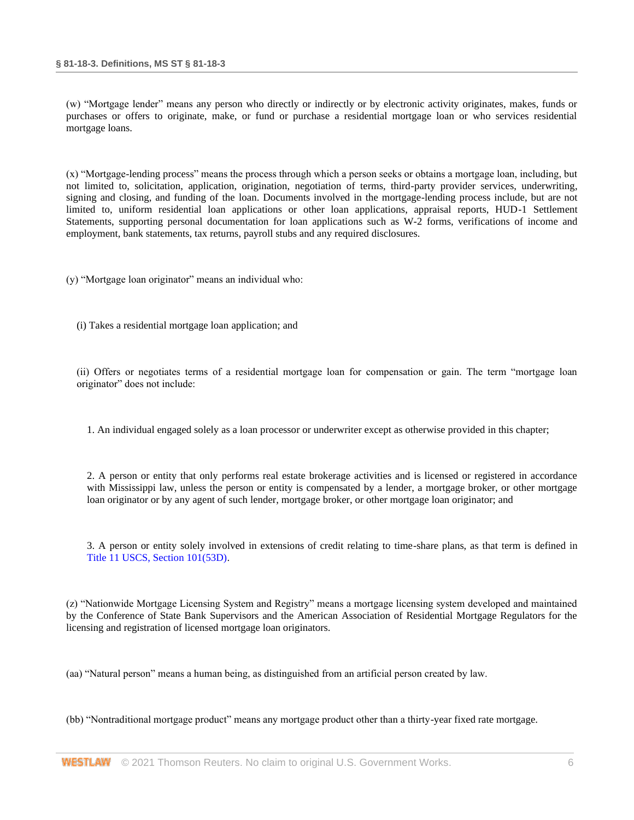(w) "Mortgage lender" means any person who directly or indirectly or by electronic activity originates, makes, funds or purchases or offers to originate, make, or fund or purchase a residential mortgage loan or who services residential mortgage loans.

(x) "Mortgage-lending process" means the process through which a person seeks or obtains a mortgage loan, including, but not limited to, solicitation, application, origination, negotiation of terms, third-party provider services, underwriting, signing and closing, and funding of the loan. Documents involved in the mortgage-lending process include, but are not limited to, uniform residential loan applications or other loan applications, appraisal reports, HUD-1 Settlement Statements, supporting personal documentation for loan applications such as W-2 forms, verifications of income and employment, bank statements, tax returns, payroll stubs and any required disclosures.

(y) "Mortgage loan originator" means an individual who:

(i) Takes a residential mortgage loan application; and

(ii) Offers or negotiates terms of a residential mortgage loan for compensation or gain. The term "mortgage loan originator" does not include:

1. An individual engaged solely as a loan processor or underwriter except as otherwise provided in this chapter;

2. A person or entity that only performs real estate brokerage activities and is licensed or registered in accordance with Mississippi law, unless the person or entity is compensated by a lender, a mortgage broker, or other mortgage loan originator or by any agent of such lender, mortgage broker, or other mortgage loan originator; and

3. A person or entity solely involved in extensions of credit relating to time-share plans, as that term is defined in [Title 11 USCS, Section 101\(53D\).](http://www.westlaw.com/Link/Document/FullText?findType=L&pubNum=1000546&cite=11USCAS101&originatingDoc=NB94285D0B68D11EA9025ED556D3F5AA4&refType=SP&originationContext=document&vr=3.0&rs=cblt1.0&transitionType=DocumentItem&contextData=(sc.DocLink)#co_pp_1bb70000853a1)

(z) "Nationwide Mortgage Licensing System and Registry" means a mortgage licensing system developed and maintained by the Conference of State Bank Supervisors and the American Association of Residential Mortgage Regulators for the licensing and registration of licensed mortgage loan originators.

(aa) "Natural person" means a human being, as distinguished from an artificial person created by law.

(bb) "Nontraditional mortgage product" means any mortgage product other than a thirty-year fixed rate mortgage.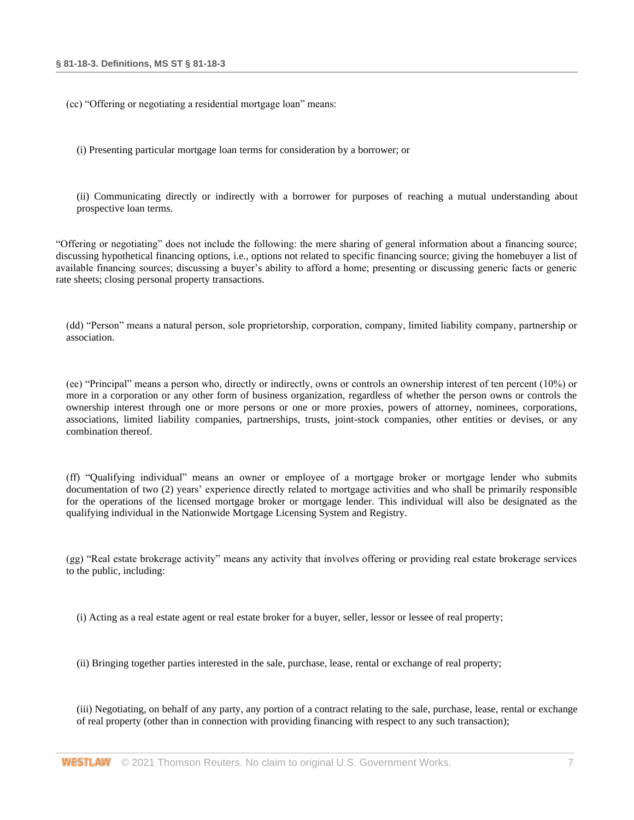(cc) "Offering or negotiating a residential mortgage loan" means:

(i) Presenting particular mortgage loan terms for consideration by a borrower; or

(ii) Communicating directly or indirectly with a borrower for purposes of reaching a mutual understanding about prospective loan terms.

"Offering or negotiating" does not include the following: the mere sharing of general information about a financing source; discussing hypothetical financing options, i.e., options not related to specific financing source; giving the homebuyer a list of available financing sources; discussing a buyer's ability to afford a home; presenting or discussing generic facts or generic rate sheets; closing personal property transactions.

(dd) "Person" means a natural person, sole proprietorship, corporation, company, limited liability company, partnership or association.

(ee) "Principal" means a person who, directly or indirectly, owns or controls an ownership interest of ten percent (10%) or more in a corporation or any other form of business organization, regardless of whether the person owns or controls the ownership interest through one or more persons or one or more proxies, powers of attorney, nominees, corporations, associations, limited liability companies, partnerships, trusts, joint-stock companies, other entities or devises, or any combination thereof.

(ff) "Qualifying individual" means an owner or employee of a mortgage broker or mortgage lender who submits documentation of two (2) years' experience directly related to mortgage activities and who shall be primarily responsible for the operations of the licensed mortgage broker or mortgage lender. This individual will also be designated as the qualifying individual in the Nationwide Mortgage Licensing System and Registry.

(gg) "Real estate brokerage activity" means any activity that involves offering or providing real estate brokerage services to the public, including:

(i) Acting as a real estate agent or real estate broker for a buyer, seller, lessor or lessee of real property;

(ii) Bringing together parties interested in the sale, purchase, lease, rental or exchange of real property;

(iii) Negotiating, on behalf of any party, any portion of a contract relating to the sale, purchase, lease, rental or exchange of real property (other than in connection with providing financing with respect to any such transaction);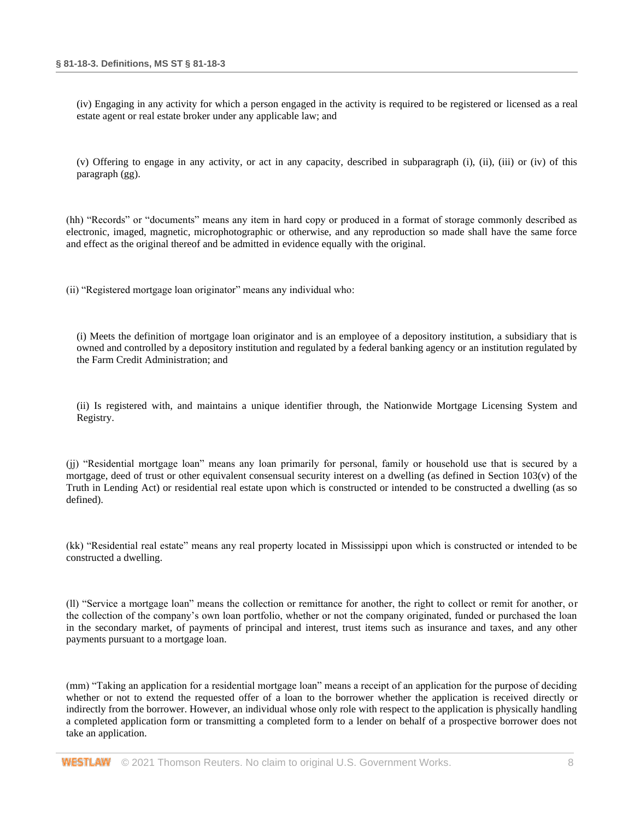(iv) Engaging in any activity for which a person engaged in the activity is required to be registered or licensed as a real estate agent or real estate broker under any applicable law; and

(v) Offering to engage in any activity, or act in any capacity, described in subparagraph (i), (ii), (iii) or (iv) of this paragraph (gg).

(hh) "Records" or "documents" means any item in hard copy or produced in a format of storage commonly described as electronic, imaged, magnetic, microphotographic or otherwise, and any reproduction so made shall have the same force and effect as the original thereof and be admitted in evidence equally with the original.

(ii) "Registered mortgage loan originator" means any individual who:

(i) Meets the definition of mortgage loan originator and is an employee of a depository institution, a subsidiary that is owned and controlled by a depository institution and regulated by a federal banking agency or an institution regulated by the Farm Credit Administration; and

(ii) Is registered with, and maintains a unique identifier through, the Nationwide Mortgage Licensing System and Registry.

(jj) "Residential mortgage loan" means any loan primarily for personal, family or household use that is secured by a mortgage, deed of trust or other equivalent consensual security interest on a dwelling (as defined in Section  $103(v)$ ) of the Truth in Lending Act) or residential real estate upon which is constructed or intended to be constructed a dwelling (as so defined).

(kk) "Residential real estate" means any real property located in Mississippi upon which is constructed or intended to be constructed a dwelling.

(ll) "Service a mortgage loan" means the collection or remittance for another, the right to collect or remit for another, or the collection of the company's own loan portfolio, whether or not the company originated, funded or purchased the loan in the secondary market, of payments of principal and interest, trust items such as insurance and taxes, and any other payments pursuant to a mortgage loan.

(mm) "Taking an application for a residential mortgage loan" means a receipt of an application for the purpose of deciding whether or not to extend the requested offer of a loan to the borrower whether the application is received directly or indirectly from the borrower. However, an individual whose only role with respect to the application is physically handling a completed application form or transmitting a completed form to a lender on behalf of a prospective borrower does not take an application.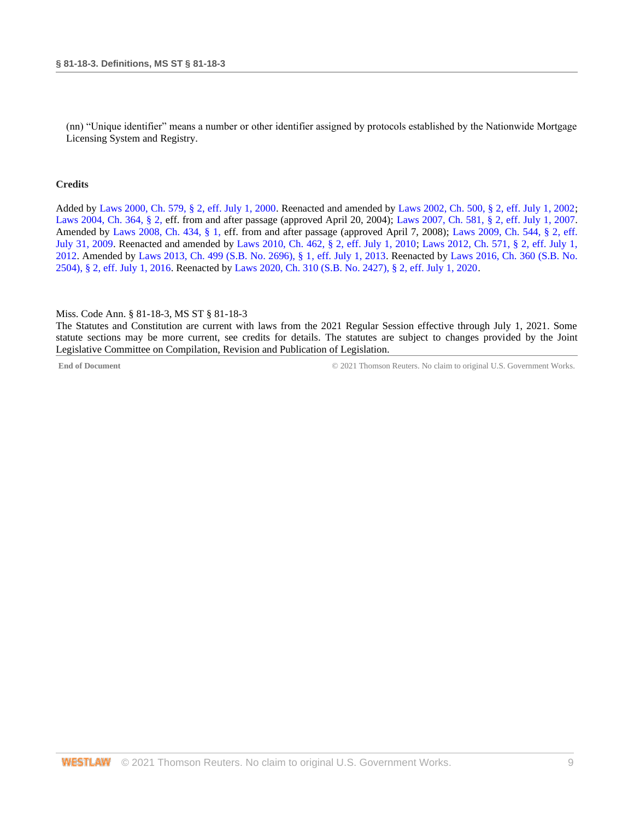(nn) "Unique identifier" means a number or other identifier assigned by protocols established by the Nationwide Mortgage Licensing System and Registry.

#### **Credits**

Added by [Laws 2000, Ch. 579, § 2, eff. July 1, 2000.](http://www.westlaw.com/Link/Document/FullText?findType=l&pubNum=1077005&cite=UUID(I666224EA7B-2340539E179-70BFA9B4119)&originatingDoc=NB94285D0B68D11EA9025ED556D3F5AA4&refType=SL&originationContext=document&vr=3.0&rs=cblt1.0&transitionType=DocumentItem&contextData=(sc.DocLink)) Reenacted and amended b[y Laws 2002, Ch. 500, § 2, eff. July 1, 2002;](http://www.westlaw.com/Link/Document/FullText?findType=l&pubNum=1077005&cite=UUID(I0EA02C6CD8-4E40E791A61-A62FFEE7CFB)&originatingDoc=NB94285D0B68D11EA9025ED556D3F5AA4&refType=SL&originationContext=document&vr=3.0&rs=cblt1.0&transitionType=DocumentItem&contextData=(sc.DocLink)) [Laws 2004, Ch. 364, § 2, e](http://www.westlaw.com/Link/Document/FullText?findType=l&pubNum=1077005&cite=UUID(I5A3C4370BA-B711D8A74D8-7B95E93B7F0)&originatingDoc=NB94285D0B68D11EA9025ED556D3F5AA4&refType=SL&originationContext=document&vr=3.0&rs=cblt1.0&transitionType=DocumentItem&contextData=(sc.DocLink))ff. from and after passage (approved April 20, 2004); [Laws 2007, Ch. 581, § 2, eff. July 1, 2007.](http://www.westlaw.com/Link/Document/FullText?findType=l&pubNum=1077005&cite=UUID(I23A0B94005-5F11DC8554E-A5201DEAAD3)&originatingDoc=NB94285D0B68D11EA9025ED556D3F5AA4&refType=SL&originationContext=document&vr=3.0&rs=cblt1.0&transitionType=DocumentItem&contextData=(sc.DocLink)) Amended by [Laws 2008, Ch. 434, § 1, e](http://www.westlaw.com/Link/Document/FullText?findType=l&pubNum=1077005&cite=UUID(I09A0DBB013-1911DD9225D-723D81EADB4)&originatingDoc=NB94285D0B68D11EA9025ED556D3F5AA4&refType=SL&originationContext=document&vr=3.0&rs=cblt1.0&transitionType=DocumentItem&contextData=(sc.DocLink))ff. from and after passage (approved April 7, 2008); [Laws 2009, Ch. 544, § 2, eff.](http://www.westlaw.com/Link/Document/FullText?findType=l&pubNum=1077005&cite=UUID(I757F0D3033-2911DE82ACD-E6A56952C30)&originatingDoc=NB94285D0B68D11EA9025ED556D3F5AA4&refType=SL&originationContext=document&vr=3.0&rs=cblt1.0&transitionType=DocumentItem&contextData=(sc.DocLink))  [July 31, 2009.](http://www.westlaw.com/Link/Document/FullText?findType=l&pubNum=1077005&cite=UUID(I757F0D3033-2911DE82ACD-E6A56952C30)&originatingDoc=NB94285D0B68D11EA9025ED556D3F5AA4&refType=SL&originationContext=document&vr=3.0&rs=cblt1.0&transitionType=DocumentItem&contextData=(sc.DocLink)) Reenacted and amended by [Laws 2010, Ch. 462, § 2, eff. July 1, 2010;](http://www.westlaw.com/Link/Document/FullText?findType=l&pubNum=1077005&cite=UUID(IC5DE906042-3D11DFAFC4E-5BB03694993)&originatingDoc=NB94285D0B68D11EA9025ED556D3F5AA4&refType=SL&originationContext=document&vr=3.0&rs=cblt1.0&transitionType=DocumentItem&contextData=(sc.DocLink)) [Laws 2012, Ch. 571, § 2, eff. July 1,](http://www.westlaw.com/Link/Document/FullText?findType=l&pubNum=1077005&cite=UUID(I164C6DB0A6-6911E18520C-4BFF71C7E68)&originatingDoc=NB94285D0B68D11EA9025ED556D3F5AA4&refType=SL&originationContext=document&vr=3.0&rs=cblt1.0&transitionType=DocumentItem&contextData=(sc.DocLink))  [2012.](http://www.westlaw.com/Link/Document/FullText?findType=l&pubNum=1077005&cite=UUID(I164C6DB0A6-6911E18520C-4BFF71C7E68)&originatingDoc=NB94285D0B68D11EA9025ED556D3F5AA4&refType=SL&originationContext=document&vr=3.0&rs=cblt1.0&transitionType=DocumentItem&contextData=(sc.DocLink)) Amended by [Laws 2013, Ch. 499 \(S.B. No. 2696\), § 1, eff. July 1, 2013.](http://www.westlaw.com/Link/Document/FullText?findType=l&pubNum=1077005&cite=UUID(I09608A10AE-7311E2A8B9E-56D0281D8F2)&originatingDoc=NB94285D0B68D11EA9025ED556D3F5AA4&refType=SL&originationContext=document&vr=3.0&rs=cblt1.0&transitionType=DocumentItem&contextData=(sc.DocLink)) Reenacted by [Laws 2016, Ch. 360 \(S.B. No.](http://www.westlaw.com/Link/Document/FullText?findType=l&pubNum=1077005&cite=UUID(ICC55B560FC-D911E580D7A-145FA49B0D0)&originatingDoc=NB94285D0B68D11EA9025ED556D3F5AA4&refType=SL&originationContext=document&vr=3.0&rs=cblt1.0&transitionType=DocumentItem&contextData=(sc.DocLink))  [2504\), § 2, eff. July 1, 2016.](http://www.westlaw.com/Link/Document/FullText?findType=l&pubNum=1077005&cite=UUID(ICC55B560FC-D911E580D7A-145FA49B0D0)&originatingDoc=NB94285D0B68D11EA9025ED556D3F5AA4&refType=SL&originationContext=document&vr=3.0&rs=cblt1.0&transitionType=DocumentItem&contextData=(sc.DocLink)) Reenacted b[y Laws 2020, Ch. 310 \(S.B. No. 2427\), § 2, eff. July 1, 2020.](http://www.westlaw.com/Link/Document/FullText?findType=l&pubNum=1077005&cite=UUID(I1D2E4B20AF-C611EABCEF8-D197FAE2E99)&originatingDoc=NB94285D0B68D11EA9025ED556D3F5AA4&refType=SL&originationContext=document&vr=3.0&rs=cblt1.0&transitionType=DocumentItem&contextData=(sc.DocLink))

#### <span id="page-8-0"></span>Miss. Code Ann. § 81-18-3, MS ST § 81-18-3

The Statutes and Constitution are current with laws from the 2021 Regular Session effective through July 1, 2021. Some statute sections may be more current, see credits for details. The statutes are subject to changes provided by the Joint Legislative Committee on Compilation, Revision and Publication of Legislation.

**End of Document** C 2021 Thomson Reuters. No claim to original U.S. Government Works.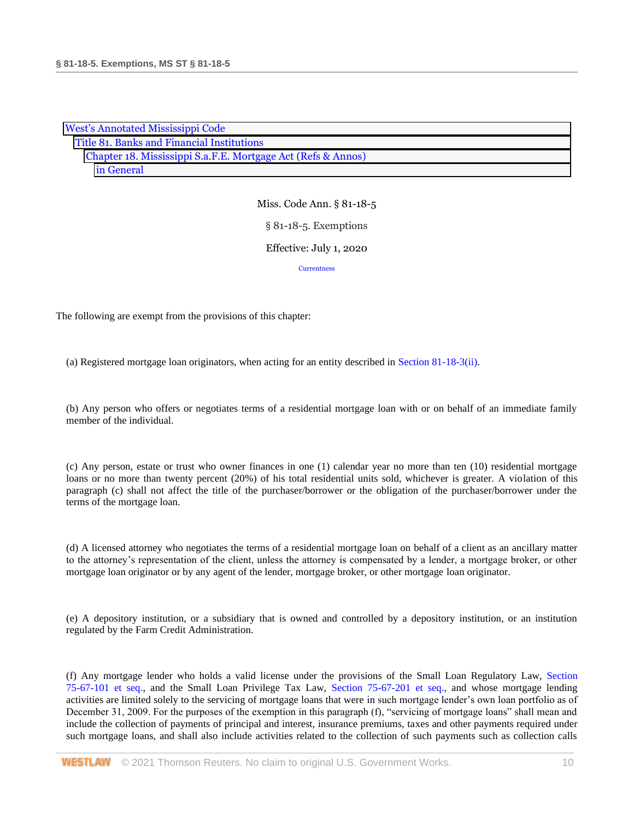| <b>West's Annotated Mississippi Code</b>                     |  |
|--------------------------------------------------------------|--|
| Title 81. Banks and Financial Institutions                   |  |
| Chapter 18. Mississippi S.a.F.E. Mortgage Act (Refs & Annos) |  |
| in General                                                   |  |

Miss. Code Ann. § 81-18-5 § 81-18-5. Exemptions Effective: July 1, 2020 **[Currentness](#page-11-0)** 

The following are exempt from the provisions of this chapter:

(a) Registered mortgage loan originators, when acting for an entity described in [Section 81-18-3\(ii\).](http://www.westlaw.com/Link/Document/FullText?findType=L&pubNum=1000933&cite=MSSTS81-18-3&originatingDoc=NCCFF2A60B68D11EA805DA9FF6FD729F2&refType=SP&originationContext=document&vr=3.0&rs=cblt1.0&transitionType=DocumentItem&contextData=(sc.DocLink)#co_pp_8d080000c5814)

(b) Any person who offers or negotiates terms of a residential mortgage loan with or on behalf of an immediate family member of the individual.

(c) Any person, estate or trust who owner finances in one (1) calendar year no more than ten (10) residential mortgage loans or no more than twenty percent (20%) of his total residential units sold, whichever is greater. A violation of this paragraph (c) shall not affect the title of the purchaser/borrower or the obligation of the purchaser/borrower under the terms of the mortgage loan.

(d) A licensed attorney who negotiates the terms of a residential mortgage loan on behalf of a client as an ancillary matter to the attorney's representation of the client, unless the attorney is compensated by a lender, a mortgage broker, or other mortgage loan originator or by any agent of the lender, mortgage broker, or other mortgage loan originator.

(e) A depository institution, or a subsidiary that is owned and controlled by a depository institution, or an institution regulated by the Farm Credit Administration.

(f) Any mortgage lender who holds a valid license under the provisions of the Small Loan Regulatory Law, [Section](http://www.westlaw.com/Link/Document/FullText?findType=L&pubNum=1000933&cite=MSSTS75-67-101&originatingDoc=NCCFF2A60B68D11EA805DA9FF6FD729F2&refType=LQ&originationContext=document&vr=3.0&rs=cblt1.0&transitionType=DocumentItem&contextData=(sc.DocLink))  [75-67-101 et seq.,](http://www.westlaw.com/Link/Document/FullText?findType=L&pubNum=1000933&cite=MSSTS75-67-101&originatingDoc=NCCFF2A60B68D11EA805DA9FF6FD729F2&refType=LQ&originationContext=document&vr=3.0&rs=cblt1.0&transitionType=DocumentItem&contextData=(sc.DocLink)) and the Small Loan Privilege Tax Law, [Section 75-67-201 et seq.,](http://www.westlaw.com/Link/Document/FullText?findType=L&pubNum=1000933&cite=MSSTS75-67-201&originatingDoc=NCCFF2A60B68D11EA805DA9FF6FD729F2&refType=LQ&originationContext=document&vr=3.0&rs=cblt1.0&transitionType=DocumentItem&contextData=(sc.DocLink)) and whose mortgage lending activities are limited solely to the servicing of mortgage loans that were in such mortgage lender's own loan portfolio as of December 31, 2009. For the purposes of the exemption in this paragraph (f), "servicing of mortgage loans" shall mean and include the collection of payments of principal and interest, insurance premiums, taxes and other payments required under such mortgage loans, and shall also include activities related to the collection of such payments such as collection calls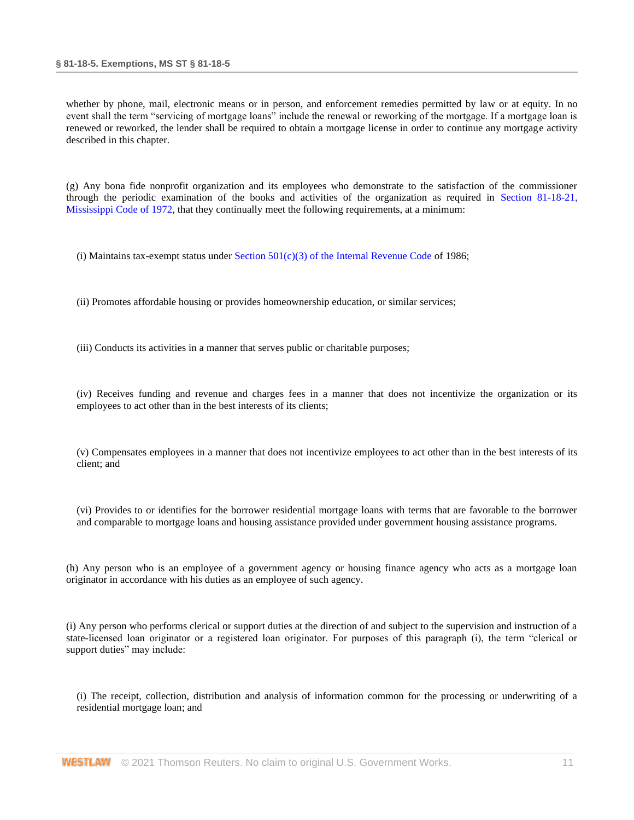whether by phone, mail, electronic means or in person, and enforcement remedies permitted by law or at equity. In no event shall the term "servicing of mortgage loans" include the renewal or reworking of the mortgage. If a mortgage loan is renewed or reworked, the lender shall be required to obtain a mortgage license in order to continue any mortgage activity described in this chapter.

(g) Any bona fide nonprofit organization and its employees who demonstrate to the satisfaction of the commissioner through the periodic examination of the books and activities of the organization as required in [Section 81-18-21,](http://www.westlaw.com/Link/Document/FullText?findType=L&pubNum=1000933&cite=MSSTS81-18-21&originatingDoc=NCCFF2A60B68D11EA805DA9FF6FD729F2&refType=LQ&originationContext=document&vr=3.0&rs=cblt1.0&transitionType=DocumentItem&contextData=(sc.DocLink))  [Mississippi Code of 1972,](http://www.westlaw.com/Link/Document/FullText?findType=L&pubNum=1000933&cite=MSSTS81-18-21&originatingDoc=NCCFF2A60B68D11EA805DA9FF6FD729F2&refType=LQ&originationContext=document&vr=3.0&rs=cblt1.0&transitionType=DocumentItem&contextData=(sc.DocLink)) that they continually meet the following requirements, at a minimum:

(i) Maintains tax-exempt status under Section  $501(c)(3)$  of the Internal Revenue Code of 1986;

(ii) Promotes affordable housing or provides homeownership education, or similar services;

(iii) Conducts its activities in a manner that serves public or charitable purposes;

(iv) Receives funding and revenue and charges fees in a manner that does not incentivize the organization or its employees to act other than in the best interests of its clients;

(v) Compensates employees in a manner that does not incentivize employees to act other than in the best interests of its client; and

(vi) Provides to or identifies for the borrower residential mortgage loans with terms that are favorable to the borrower and comparable to mortgage loans and housing assistance provided under government housing assistance programs.

(h) Any person who is an employee of a government agency or housing finance agency who acts as a mortgage loan originator in accordance with his duties as an employee of such agency.

(i) Any person who performs clerical or support duties at the direction of and subject to the supervision and instruction of a state-licensed loan originator or a registered loan originator. For purposes of this paragraph (i), the term "clerical or support duties" may include:

(i) The receipt, collection, distribution and analysis of information common for the processing or underwriting of a residential mortgage loan; and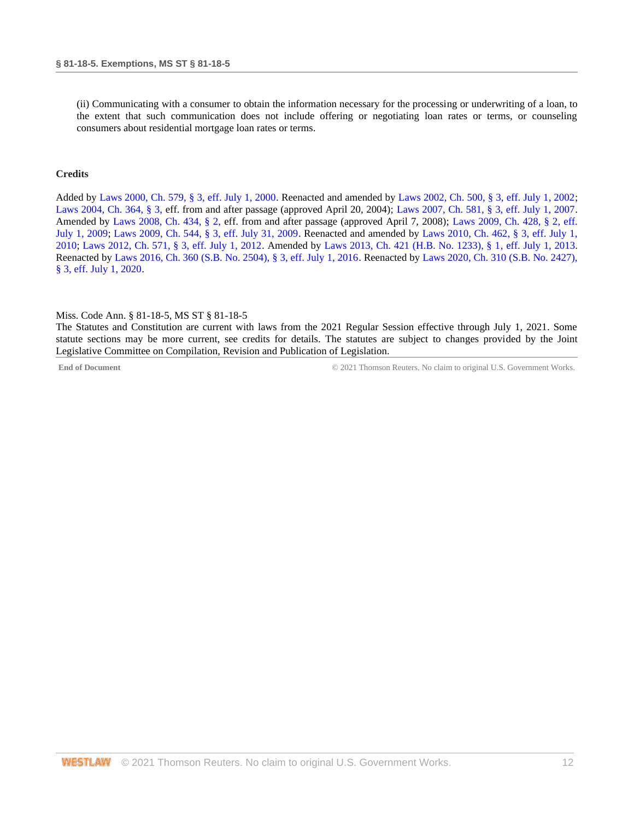(ii) Communicating with a consumer to obtain the information necessary for the processing or underwriting of a loan, to the extent that such communication does not include offering or negotiating loan rates or terms, or counseling consumers about residential mortgage loan rates or terms.

#### **Credits**

Added by [Laws 2000, Ch. 579, § 3, eff. July 1, 2000.](http://www.westlaw.com/Link/Document/FullText?findType=l&pubNum=1077005&cite=UUID(I666224EA7B-2340539E179-70BFA9B4119)&originatingDoc=NCCFF2A60B68D11EA805DA9FF6FD729F2&refType=SL&originationContext=document&vr=3.0&rs=cblt1.0&transitionType=DocumentItem&contextData=(sc.DocLink)) Reenacted and amended b[y Laws 2002, Ch. 500, § 3, eff. July 1, 2002;](http://www.westlaw.com/Link/Document/FullText?findType=l&pubNum=1077005&cite=UUID(I0EA02C6CD8-4E40E791A61-A62FFEE7CFB)&originatingDoc=NCCFF2A60B68D11EA805DA9FF6FD729F2&refType=SL&originationContext=document&vr=3.0&rs=cblt1.0&transitionType=DocumentItem&contextData=(sc.DocLink)) [Laws 2004, Ch. 364, § 3, e](http://www.westlaw.com/Link/Document/FullText?findType=l&pubNum=1077005&cite=UUID(I5A3C4370BA-B711D8A74D8-7B95E93B7F0)&originatingDoc=NCCFF2A60B68D11EA805DA9FF6FD729F2&refType=SL&originationContext=document&vr=3.0&rs=cblt1.0&transitionType=DocumentItem&contextData=(sc.DocLink))ff. from and after passage (approved April 20, 2004); [Laws 2007, Ch. 581, § 3, eff. July 1, 2007.](http://www.westlaw.com/Link/Document/FullText?findType=l&pubNum=1077005&cite=UUID(I23A0B94005-5F11DC8554E-A5201DEAAD3)&originatingDoc=NCCFF2A60B68D11EA805DA9FF6FD729F2&refType=SL&originationContext=document&vr=3.0&rs=cblt1.0&transitionType=DocumentItem&contextData=(sc.DocLink)) Amended by [Laws 2008, Ch. 434, § 2, e](http://www.westlaw.com/Link/Document/FullText?findType=l&pubNum=1077005&cite=UUID(I09A0DBB013-1911DD9225D-723D81EADB4)&originatingDoc=NCCFF2A60B68D11EA805DA9FF6FD729F2&refType=SL&originationContext=document&vr=3.0&rs=cblt1.0&transitionType=DocumentItem&contextData=(sc.DocLink))ff. from and after passage (approved April 7, 2008); [Laws 2009, Ch. 428, § 2, eff.](http://www.westlaw.com/Link/Document/FullText?findType=l&pubNum=1077005&cite=UUID(IA216AAC01F-9B11DEAEAAF-6524E8BA50E)&originatingDoc=NCCFF2A60B68D11EA805DA9FF6FD729F2&refType=SL&originationContext=document&vr=3.0&rs=cblt1.0&transitionType=DocumentItem&contextData=(sc.DocLink))  [July 1, 2009;](http://www.westlaw.com/Link/Document/FullText?findType=l&pubNum=1077005&cite=UUID(IA216AAC01F-9B11DEAEAAF-6524E8BA50E)&originatingDoc=NCCFF2A60B68D11EA805DA9FF6FD729F2&refType=SL&originationContext=document&vr=3.0&rs=cblt1.0&transitionType=DocumentItem&contextData=(sc.DocLink)) [Laws 2009, Ch. 544, § 3, eff. July 31, 2009.](http://www.westlaw.com/Link/Document/FullText?findType=l&pubNum=1077005&cite=UUID(I757F0D3033-2911DE82ACD-E6A56952C30)&originatingDoc=NCCFF2A60B68D11EA805DA9FF6FD729F2&refType=SL&originationContext=document&vr=3.0&rs=cblt1.0&transitionType=DocumentItem&contextData=(sc.DocLink)) Reenacted and amended by [Laws 2010, Ch. 462, § 3, eff. July 1,](http://www.westlaw.com/Link/Document/FullText?findType=l&pubNum=1077005&cite=UUID(IC5DE906042-3D11DFAFC4E-5BB03694993)&originatingDoc=NCCFF2A60B68D11EA805DA9FF6FD729F2&refType=SL&originationContext=document&vr=3.0&rs=cblt1.0&transitionType=DocumentItem&contextData=(sc.DocLink))  [2010;](http://www.westlaw.com/Link/Document/FullText?findType=l&pubNum=1077005&cite=UUID(IC5DE906042-3D11DFAFC4E-5BB03694993)&originatingDoc=NCCFF2A60B68D11EA805DA9FF6FD729F2&refType=SL&originationContext=document&vr=3.0&rs=cblt1.0&transitionType=DocumentItem&contextData=(sc.DocLink)) [Laws 2012, Ch. 571, § 3, eff. July 1, 2012.](http://www.westlaw.com/Link/Document/FullText?findType=l&pubNum=1077005&cite=UUID(I164C6DB0A6-6911E18520C-4BFF71C7E68)&originatingDoc=NCCFF2A60B68D11EA805DA9FF6FD729F2&refType=SL&originationContext=document&vr=3.0&rs=cblt1.0&transitionType=DocumentItem&contextData=(sc.DocLink)) Amended by [Laws 2013, Ch. 421 \(H.B. No. 1233\), § 1, eff. July 1, 2013.](http://www.westlaw.com/Link/Document/FullText?findType=l&pubNum=1077005&cite=UUID(I49E54E909C-4411E28042C-FEC46A85638)&originatingDoc=NCCFF2A60B68D11EA805DA9FF6FD729F2&refType=SL&originationContext=document&vr=3.0&rs=cblt1.0&transitionType=DocumentItem&contextData=(sc.DocLink)) Reenacted by [Laws 2016, Ch. 360 \(S.B. No. 2504\), § 3, eff. July 1, 2016.](http://www.westlaw.com/Link/Document/FullText?findType=l&pubNum=1077005&cite=UUID(ICC55B560FC-D911E580D7A-145FA49B0D0)&originatingDoc=NCCFF2A60B68D11EA805DA9FF6FD729F2&refType=SL&originationContext=document&vr=3.0&rs=cblt1.0&transitionType=DocumentItem&contextData=(sc.DocLink)) Reenacted by [Laws 2020, Ch. 310 \(S.B. No. 2427\),](http://www.westlaw.com/Link/Document/FullText?findType=l&pubNum=1077005&cite=UUID(I1D2E4B20AF-C611EABCEF8-D197FAE2E99)&originatingDoc=NCCFF2A60B68D11EA805DA9FF6FD729F2&refType=SL&originationContext=document&vr=3.0&rs=cblt1.0&transitionType=DocumentItem&contextData=(sc.DocLink))  [§ 3, eff. July 1, 2020.](http://www.westlaw.com/Link/Document/FullText?findType=l&pubNum=1077005&cite=UUID(I1D2E4B20AF-C611EABCEF8-D197FAE2E99)&originatingDoc=NCCFF2A60B68D11EA805DA9FF6FD729F2&refType=SL&originationContext=document&vr=3.0&rs=cblt1.0&transitionType=DocumentItem&contextData=(sc.DocLink))

#### <span id="page-11-0"></span>Miss. Code Ann. § 81-18-5, MS ST § 81-18-5

The Statutes and Constitution are current with laws from the 2021 Regular Session effective through July 1, 2021. Some statute sections may be more current, see credits for details. The statutes are subject to changes provided by the Joint Legislative Committee on Compilation, Revision and Publication of Legislation.

**End of Document** © 2021 Thomson Reuters. No claim to original U.S. Government Works.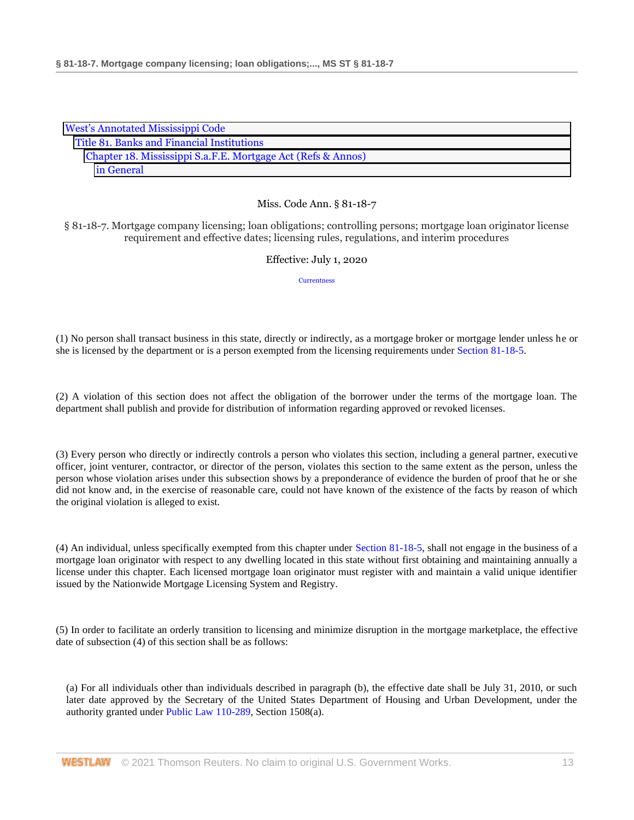| <b>West's Annotated Mississippi Code</b>                     |  |
|--------------------------------------------------------------|--|
| Title 81. Banks and Financial Institutions                   |  |
| Chapter 18. Mississippi S.a.F.E. Mortgage Act (Refs & Annos) |  |
| in General                                                   |  |

§ 81-18-7. Mortgage company licensing; loan obligations; controlling persons; mortgage loan originator license requirement and effective dates; licensing rules, regulations, and interim procedures

## Effective: July 1, 2020

**[Currentness](#page-13-0)** 

(1) No person shall transact business in this state, directly or indirectly, as a mortgage broker or mortgage lender unless he or she is licensed by the department or is a person exempted from the licensing requirements unde[r Section 81-18-5.](http://www.westlaw.com/Link/Document/FullText?findType=L&pubNum=1000933&cite=MSSTS81-18-5&originatingDoc=NC549E620B68D11EA8981875C7C0D3914&refType=LQ&originationContext=document&vr=3.0&rs=cblt1.0&transitionType=DocumentItem&contextData=(sc.DocLink))

(2) A violation of this section does not affect the obligation of the borrower under the terms of the mortgage loan. The department shall publish and provide for distribution of information regarding approved or revoked licenses.

(3) Every person who directly or indirectly controls a person who violates this section, including a general partner, executive officer, joint venturer, contractor, or director of the person, violates this section to the same extent as the person, unless the person whose violation arises under this subsection shows by a preponderance of evidence the burden of proof that he or she did not know and, in the exercise of reasonable care, could not have known of the existence of the facts by reason of which the original violation is alleged to exist.

(4) An individual, unless specifically exempted from this chapter under [Section 81-18-5,](http://www.westlaw.com/Link/Document/FullText?findType=L&pubNum=1000933&cite=MSSTS81-18-5&originatingDoc=NC549E620B68D11EA8981875C7C0D3914&refType=LQ&originationContext=document&vr=3.0&rs=cblt1.0&transitionType=DocumentItem&contextData=(sc.DocLink)) shall not engage in the business of a mortgage loan originator with respect to any dwelling located in this state without first obtaining and maintaining annually a license under this chapter. Each licensed mortgage loan originator must register with and maintain a valid unique identifier issued by the Nationwide Mortgage Licensing System and Registry.

(5) In order to facilitate an orderly transition to licensing and minimize disruption in the mortgage marketplace, the effective date of subsection (4) of this section shall be as follows:

(a) For all individuals other than individuals described in paragraph (b), the effective date shall be July 31, 2010, or such later date approved by the Secretary of the United States Department of Housing and Urban Development, under the authority granted under [Public Law 110-289,](http://www.westlaw.com/Link/Document/FullText?findType=l&pubNum=1077005&cite=UUID(I1CF0A6205E-F311DDA059D-0DABD4D37C3)&originatingDoc=NC549E620B68D11EA8981875C7C0D3914&refType=SL&originationContext=document&vr=3.0&rs=cblt1.0&transitionType=DocumentItem&contextData=(sc.DocLink)) Section 1508(a).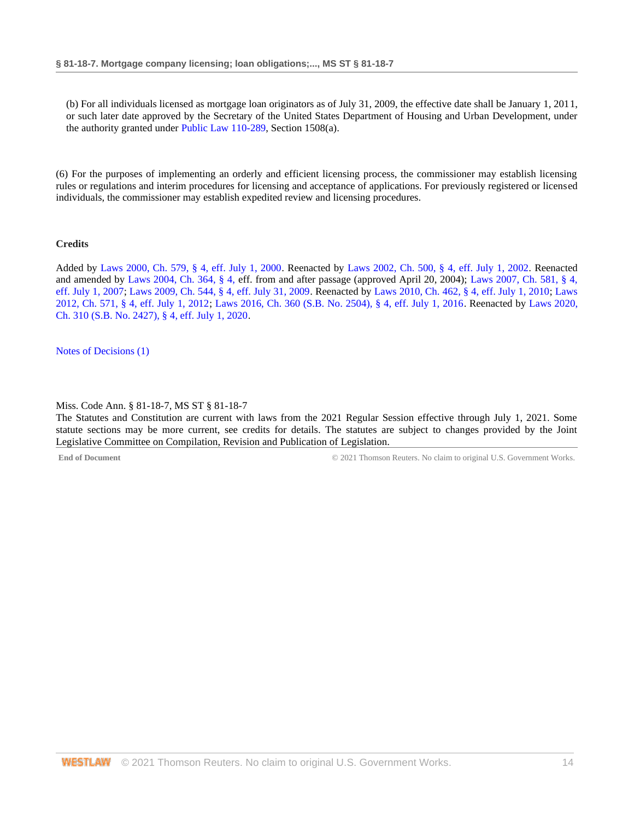(b) For all individuals licensed as mortgage loan originators as of July 31, 2009, the effective date shall be January 1, 2011, or such later date approved by the Secretary of the United States Department of Housing and Urban Development, under the authority granted under [Public Law 110-289,](http://www.westlaw.com/Link/Document/FullText?findType=l&pubNum=1077005&cite=UUID(I1CF0A6205E-F311DDA059D-0DABD4D37C3)&originatingDoc=NC549E620B68D11EA8981875C7C0D3914&refType=SL&originationContext=document&vr=3.0&rs=cblt1.0&transitionType=DocumentItem&contextData=(sc.DocLink)) Section 1508(a).

(6) For the purposes of implementing an orderly and efficient licensing process, the commissioner may establish licensing rules or regulations and interim procedures for licensing and acceptance of applications. For previously registered or licensed individuals, the commissioner may establish expedited review and licensing procedures.

## **Credits**

Added by [Laws 2000, Ch. 579, § 4, eff. July 1, 2000.](http://www.westlaw.com/Link/Document/FullText?findType=l&pubNum=1077005&cite=UUID(I666224EA7B-2340539E179-70BFA9B4119)&originatingDoc=NC549E620B68D11EA8981875C7C0D3914&refType=SL&originationContext=document&vr=3.0&rs=cblt1.0&transitionType=DocumentItem&contextData=(sc.DocLink)) Reenacted by [Laws 2002, Ch. 500, §](http://www.westlaw.com/Link/Document/FullText?findType=l&pubNum=1077005&cite=UUID(I0EA02C6CD8-4E40E791A61-A62FFEE7CFB)&originatingDoc=NC549E620B68D11EA8981875C7C0D3914&refType=SL&originationContext=document&vr=3.0&rs=cblt1.0&transitionType=DocumentItem&contextData=(sc.DocLink)) 4, eff. July 1, 2002. Reenacted and amended by [Laws 2004, Ch. 364, § 4, e](http://www.westlaw.com/Link/Document/FullText?findType=l&pubNum=1077005&cite=UUID(I5A3C4370BA-B711D8A74D8-7B95E93B7F0)&originatingDoc=NC549E620B68D11EA8981875C7C0D3914&refType=SL&originationContext=document&vr=3.0&rs=cblt1.0&transitionType=DocumentItem&contextData=(sc.DocLink))ff. from and after passage (approved April 20, 2004); [Laws 2007, Ch. 581, § 4,](http://www.westlaw.com/Link/Document/FullText?findType=l&pubNum=1077005&cite=UUID(I23A0B94005-5F11DC8554E-A5201DEAAD3)&originatingDoc=NC549E620B68D11EA8981875C7C0D3914&refType=SL&originationContext=document&vr=3.0&rs=cblt1.0&transitionType=DocumentItem&contextData=(sc.DocLink))  [eff. July 1, 2007;](http://www.westlaw.com/Link/Document/FullText?findType=l&pubNum=1077005&cite=UUID(I23A0B94005-5F11DC8554E-A5201DEAAD3)&originatingDoc=NC549E620B68D11EA8981875C7C0D3914&refType=SL&originationContext=document&vr=3.0&rs=cblt1.0&transitionType=DocumentItem&contextData=(sc.DocLink)) [Laws 2009, Ch. 544, § 4, eff. July 31, 2009.](http://www.westlaw.com/Link/Document/FullText?findType=l&pubNum=1077005&cite=UUID(I757F0D3033-2911DE82ACD-E6A56952C30)&originatingDoc=NC549E620B68D11EA8981875C7C0D3914&refType=SL&originationContext=document&vr=3.0&rs=cblt1.0&transitionType=DocumentItem&contextData=(sc.DocLink)) Reenacted by [Laws 2010, Ch. 462, § 4, eff. July 1, 2010;](http://www.westlaw.com/Link/Document/FullText?findType=l&pubNum=1077005&cite=UUID(IC5DE906042-3D11DFAFC4E-5BB03694993)&originatingDoc=NC549E620B68D11EA8981875C7C0D3914&refType=SL&originationContext=document&vr=3.0&rs=cblt1.0&transitionType=DocumentItem&contextData=(sc.DocLink)) [Laws](http://www.westlaw.com/Link/Document/FullText?findType=l&pubNum=1077005&cite=UUID(I164C6DB0A6-6911E18520C-4BFF71C7E68)&originatingDoc=NC549E620B68D11EA8981875C7C0D3914&refType=SL&originationContext=document&vr=3.0&rs=cblt1.0&transitionType=DocumentItem&contextData=(sc.DocLink))  [2012, Ch. 571, § 4, eff. July 1, 2012;](http://www.westlaw.com/Link/Document/FullText?findType=l&pubNum=1077005&cite=UUID(I164C6DB0A6-6911E18520C-4BFF71C7E68)&originatingDoc=NC549E620B68D11EA8981875C7C0D3914&refType=SL&originationContext=document&vr=3.0&rs=cblt1.0&transitionType=DocumentItem&contextData=(sc.DocLink)) [Laws 2016, Ch. 360 \(S.B. No. 2504\), § 4, eff. July 1, 2016.](http://www.westlaw.com/Link/Document/FullText?findType=l&pubNum=1077005&cite=UUID(ICC55B560FC-D911E580D7A-145FA49B0D0)&originatingDoc=NC549E620B68D11EA8981875C7C0D3914&refType=SL&originationContext=document&vr=3.0&rs=cblt1.0&transitionType=DocumentItem&contextData=(sc.DocLink)) Reenacted by [Laws 2020,](http://www.westlaw.com/Link/Document/FullText?findType=l&pubNum=1077005&cite=UUID(I1D2E4B20AF-C611EABCEF8-D197FAE2E99)&originatingDoc=NC549E620B68D11EA8981875C7C0D3914&refType=SL&originationContext=document&vr=3.0&rs=cblt1.0&transitionType=DocumentItem&contextData=(sc.DocLink))  [Ch. 310 \(S.B. No. 2427\), § 4, eff. July 1, 2020.](http://www.westlaw.com/Link/Document/FullText?findType=l&pubNum=1077005&cite=UUID(I1D2E4B20AF-C611EABCEF8-D197FAE2E99)&originatingDoc=NC549E620B68D11EA8981875C7C0D3914&refType=SL&originationContext=document&vr=3.0&rs=cblt1.0&transitionType=DocumentItem&contextData=(sc.DocLink))

#### <span id="page-13-0"></span>[Notes of Decisions \(1\)](http://www.westlaw.com/Link/RelatedInformation/NotesofDecisions?docGuid=NC549E620B68D11EA8981875C7C0D3914&originationContext=document&vr=3.0&rs=cblt1.0&transitionType=NotesOfDecision&contextData=(sc.DocLink))

#### Miss. Code Ann. § 81-18-7, MS ST § 81-18-7

The Statutes and Constitution are current with laws from the 2021 Regular Session effective through July 1, 2021. Some statute sections may be more current, see credits for details. The statutes are subject to changes provided by the Joint Legislative Committee on Compilation, Revision and Publication of Legislation.

**End of Document** C 2021 Thomson Reuters. No claim to original U.S. Government Works.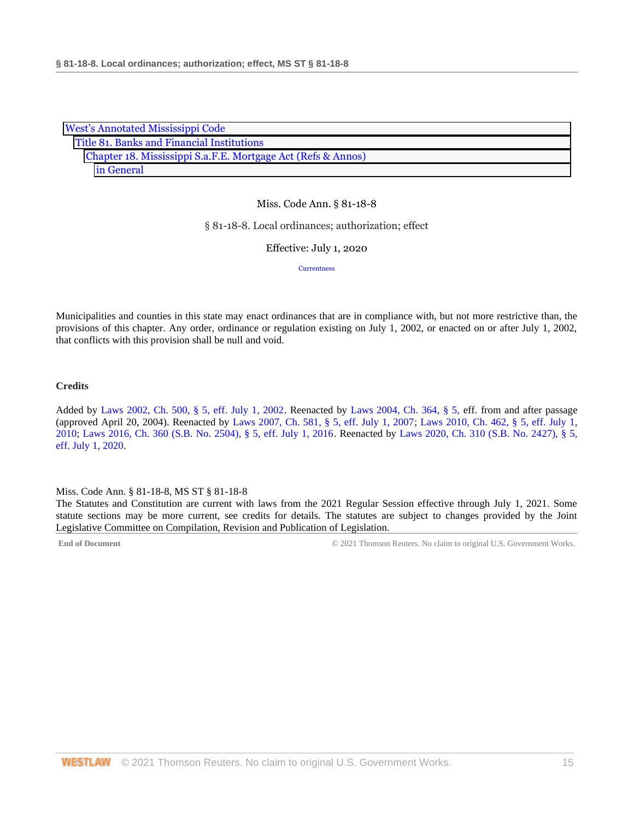| <b>West's Annotated Mississippi Code</b>                     |  |
|--------------------------------------------------------------|--|
| Title 81. Banks and Financial Institutions                   |  |
| Chapter 18. Mississippi S.a.F.E. Mortgage Act (Refs & Annos) |  |
| in General                                                   |  |

#### § 81-18-8. Local ordinances; authorization; effect

Effective: July 1, 2020

**[Currentness](#page-14-0)** 

Municipalities and counties in this state may enact ordinances that are in compliance with, but not more restrictive than, the provisions of this chapter. Any order, ordinance or regulation existing on July 1, 2002, or enacted on or after July 1, 2002, that conflicts with this provision shall be null and void.

#### **Credits**

Added by [Laws 2002, Ch. 500, § 5, eff. July 1, 2002.](http://www.westlaw.com/Link/Document/FullText?findType=l&pubNum=1077005&cite=UUID(I0EA02C6CD8-4E40E791A61-A62FFEE7CFB)&originatingDoc=ND68732D0B68D11EAA6FAB66043C66295&refType=SL&originationContext=document&vr=3.0&rs=cblt1.0&transitionType=DocumentItem&contextData=(sc.DocLink)) Reenacted by [Laws 2004, Ch. 364, § 5, e](http://www.westlaw.com/Link/Document/FullText?findType=l&pubNum=1077005&cite=UUID(I5A3C4370BA-B711D8A74D8-7B95E93B7F0)&originatingDoc=ND68732D0B68D11EAA6FAB66043C66295&refType=SL&originationContext=document&vr=3.0&rs=cblt1.0&transitionType=DocumentItem&contextData=(sc.DocLink))ff. from and after passage (approved April 20, 2004). Reenacted by [Laws 2007, Ch. 581, § 5, eff. July 1, 2007;](http://www.westlaw.com/Link/Document/FullText?findType=l&pubNum=1077005&cite=UUID(I23A0B94005-5F11DC8554E-A5201DEAAD3)&originatingDoc=ND68732D0B68D11EAA6FAB66043C66295&refType=SL&originationContext=document&vr=3.0&rs=cblt1.0&transitionType=DocumentItem&contextData=(sc.DocLink)) [Laws 2010, Ch. 462, § 5, eff. July 1,](http://www.westlaw.com/Link/Document/FullText?findType=l&pubNum=1077005&cite=UUID(IC5DE906042-3D11DFAFC4E-5BB03694993)&originatingDoc=ND68732D0B68D11EAA6FAB66043C66295&refType=SL&originationContext=document&vr=3.0&rs=cblt1.0&transitionType=DocumentItem&contextData=(sc.DocLink))  [2010;](http://www.westlaw.com/Link/Document/FullText?findType=l&pubNum=1077005&cite=UUID(IC5DE906042-3D11DFAFC4E-5BB03694993)&originatingDoc=ND68732D0B68D11EAA6FAB66043C66295&refType=SL&originationContext=document&vr=3.0&rs=cblt1.0&transitionType=DocumentItem&contextData=(sc.DocLink)) [Laws 2016, Ch. 360 \(S.B. No. 2504\), § 5, eff. July 1, 2016.](http://www.westlaw.com/Link/Document/FullText?findType=l&pubNum=1077005&cite=UUID(ICC55B560FC-D911E580D7A-145FA49B0D0)&originatingDoc=ND68732D0B68D11EAA6FAB66043C66295&refType=SL&originationContext=document&vr=3.0&rs=cblt1.0&transitionType=DocumentItem&contextData=(sc.DocLink)) Reenacted by [Laws 2020, Ch. 310 \(S.B. No. 2427\), § 5,](http://www.westlaw.com/Link/Document/FullText?findType=l&pubNum=1077005&cite=UUID(I1D2E4B20AF-C611EABCEF8-D197FAE2E99)&originatingDoc=ND68732D0B68D11EAA6FAB66043C66295&refType=SL&originationContext=document&vr=3.0&rs=cblt1.0&transitionType=DocumentItem&contextData=(sc.DocLink))  [eff. July 1, 2020.](http://www.westlaw.com/Link/Document/FullText?findType=l&pubNum=1077005&cite=UUID(I1D2E4B20AF-C611EABCEF8-D197FAE2E99)&originatingDoc=ND68732D0B68D11EAA6FAB66043C66295&refType=SL&originationContext=document&vr=3.0&rs=cblt1.0&transitionType=DocumentItem&contextData=(sc.DocLink))

#### <span id="page-14-0"></span>Miss. Code Ann. § 81-18-8, MS ST § 81-18-8

The Statutes and Constitution are current with laws from the 2021 Regular Session effective through July 1, 2021. Some statute sections may be more current, see credits for details. The statutes are subject to changes provided by the Joint Legislative Committee on Compilation, Revision and Publication of Legislation.

**End of Document** C 2021 Thomson Reuters. No claim to original U.S. Government Works.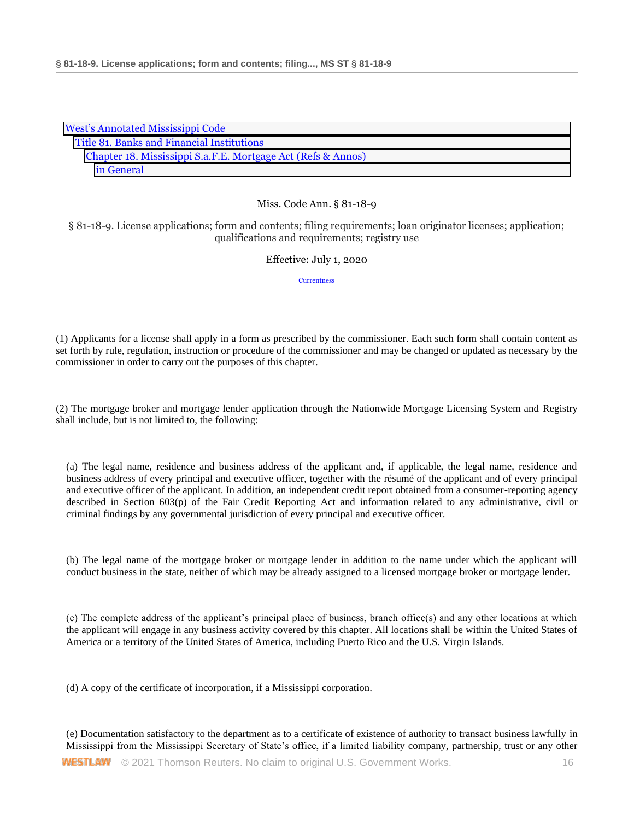| <b>West's Annotated Mississippi Code</b>                     |  |  |
|--------------------------------------------------------------|--|--|
| Title 81. Banks and Financial Institutions                   |  |  |
| Chapter 18. Mississippi S.a.F.E. Mortgage Act (Refs & Annos) |  |  |
| in General                                                   |  |  |

§ 81-18-9. License applications; form and contents; filing requirements; loan originator licenses; application; qualifications and requirements; registry use

## Effective: July 1, 2020

**[Currentness](#page-20-0)** 

(1) Applicants for a license shall apply in a form as prescribed by the commissioner. Each such form shall contain content as set forth by rule, regulation, instruction or procedure of the commissioner and may be changed or updated as necessary by the commissioner in order to carry out the purposes of this chapter.

(2) The mortgage broker and mortgage lender application through the Nationwide Mortgage Licensing System and Registry shall include, but is not limited to, the following:

(a) The legal name, residence and business address of the applicant and, if applicable, the legal name, residence and business address of every principal and executive officer, together with the résumé of the applicant and of every principal and executive officer of the applicant. In addition, an independent credit report obtained from a consumer-reporting agency described in Section 603(p) of the Fair Credit Reporting Act and information related to any administrative, civil or criminal findings by any governmental jurisdiction of every principal and executive officer.

(b) The legal name of the mortgage broker or mortgage lender in addition to the name under which the applicant will conduct business in the state, neither of which may be already assigned to a licensed mortgage broker or mortgage lender.

(c) The complete address of the applicant's principal place of business, branch office(s) and any other locations at which the applicant will engage in any business activity covered by this chapter. All locations shall be within the United States of America or a territory of the United States of America, including Puerto Rico and the U.S. Virgin Islands.

(d) A copy of the certificate of incorporation, if a Mississippi corporation.

(e) Documentation satisfactory to the department as to a certificate of existence of authority to transact business lawfully in Mississippi from the Mississippi Secretary of State's office, if a limited liability company, partnership, trust or any other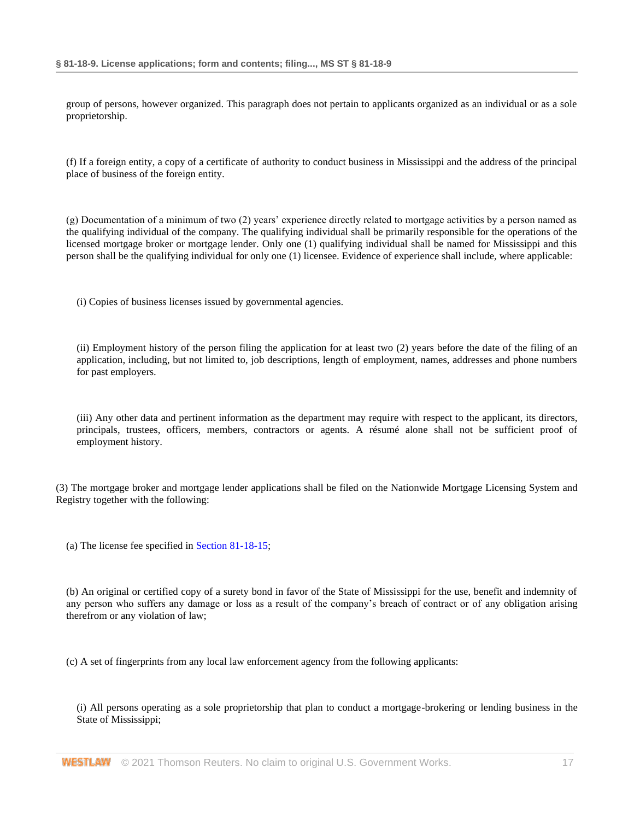group of persons, however organized. This paragraph does not pertain to applicants organized as an individual or as a sole proprietorship.

(f) If a foreign entity, a copy of a certificate of authority to conduct business in Mississippi and the address of the principal place of business of the foreign entity.

(g) Documentation of a minimum of two (2) years' experience directly related to mortgage activities by a person named as the qualifying individual of the company. The qualifying individual shall be primarily responsible for the operations of the licensed mortgage broker or mortgage lender. Only one (1) qualifying individual shall be named for Mississippi and this person shall be the qualifying individual for only one (1) licensee. Evidence of experience shall include, where applicable:

(i) Copies of business licenses issued by governmental agencies.

(ii) Employment history of the person filing the application for at least two (2) years before the date of the filing of an application, including, but not limited to, job descriptions, length of employment, names, addresses and phone numbers for past employers.

(iii) Any other data and pertinent information as the department may require with respect to the applicant, its directors, principals, trustees, officers, members, contractors or agents. A résumé alone shall not be sufficient proof of employment history.

(3) The mortgage broker and mortgage lender applications shall be filed on the Nationwide Mortgage Licensing System and Registry together with the following:

(a) The license fee specified in [Section 81-18-15;](http://www.westlaw.com/Link/Document/FullText?findType=L&pubNum=1000933&cite=MSSTS81-18-15&originatingDoc=NB8431730B68D11EAA6FAB66043C66295&refType=LQ&originationContext=document&vr=3.0&rs=cblt1.0&transitionType=DocumentItem&contextData=(sc.DocLink))

(b) An original or certified copy of a surety bond in favor of the State of Mississippi for the use, benefit and indemnity of any person who suffers any damage or loss as a result of the company's breach of contract or of any obligation arising therefrom or any violation of law;

(c) A set of fingerprints from any local law enforcement agency from the following applicants:

(i) All persons operating as a sole proprietorship that plan to conduct a mortgage-brokering or lending business in the State of Mississippi;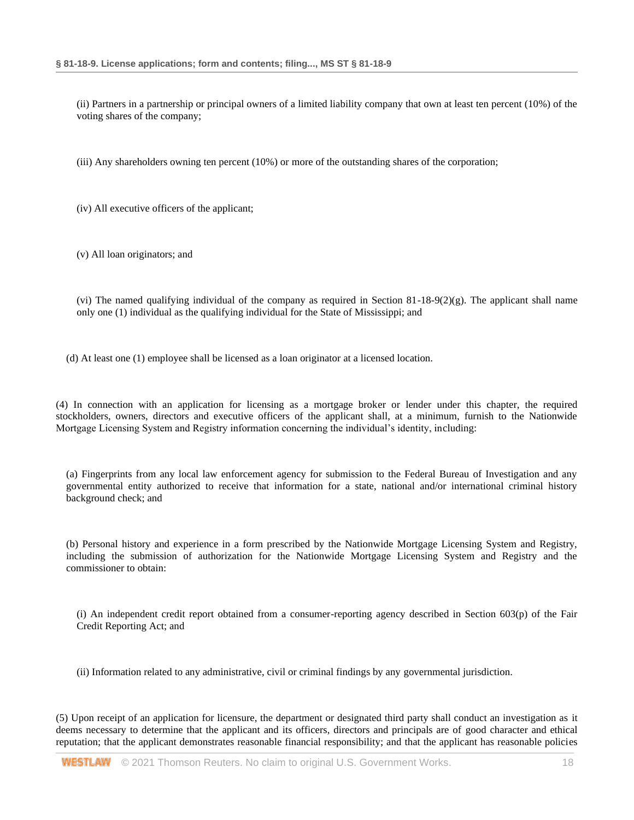(ii) Partners in a partnership or principal owners of a limited liability company that own at least ten percent (10%) of the voting shares of the company;

(iii) Any shareholders owning ten percent (10%) or more of the outstanding shares of the corporation;

(iv) All executive officers of the applicant;

(v) All loan originators; and

(vi) The named qualifying individual of the company as required in Section  $81-18-9(2)(g)$ . The applicant shall name only one (1) individual as the qualifying individual for the State of Mississippi; and

(d) At least one (1) employee shall be licensed as a loan originator at a licensed location.

(4) In connection with an application for licensing as a mortgage broker or lender under this chapter, the required stockholders, owners, directors and executive officers of the applicant shall, at a minimum, furnish to the Nationwide Mortgage Licensing System and Registry information concerning the individual's identity, including:

(a) Fingerprints from any local law enforcement agency for submission to the Federal Bureau of Investigation and any governmental entity authorized to receive that information for a state, national and/or international criminal history background check; and

(b) Personal history and experience in a form prescribed by the Nationwide Mortgage Licensing System and Registry, including the submission of authorization for the Nationwide Mortgage Licensing System and Registry and the commissioner to obtain:

(i) An independent credit report obtained from a consumer-reporting agency described in Section 603(p) of the Fair Credit Reporting Act; and

(ii) Information related to any administrative, civil or criminal findings by any governmental jurisdiction.

(5) Upon receipt of an application for licensure, the department or designated third party shall conduct an investigation as it deems necessary to determine that the applicant and its officers, directors and principals are of good character and ethical reputation; that the applicant demonstrates reasonable financial responsibility; and that the applicant has reasonable policies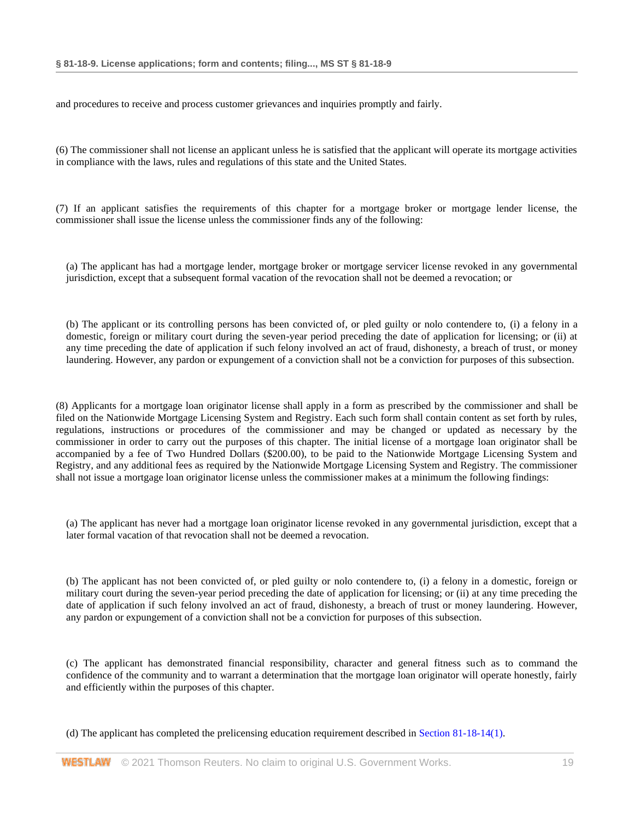and procedures to receive and process customer grievances and inquiries promptly and fairly.

(6) The commissioner shall not license an applicant unless he is satisfied that the applicant will operate its mortgage activities in compliance with the laws, rules and regulations of this state and the United States.

(7) If an applicant satisfies the requirements of this chapter for a mortgage broker or mortgage lender license, the commissioner shall issue the license unless the commissioner finds any of the following:

(a) The applicant has had a mortgage lender, mortgage broker or mortgage servicer license revoked in any governmental jurisdiction, except that a subsequent formal vacation of the revocation shall not be deemed a revocation; or

(b) The applicant or its controlling persons has been convicted of, or pled guilty or nolo contendere to, (i) a felony in a domestic, foreign or military court during the seven-year period preceding the date of application for licensing; or (ii) at any time preceding the date of application if such felony involved an act of fraud, dishonesty, a breach of trust, or money laundering. However, any pardon or expungement of a conviction shall not be a conviction for purposes of this subsection.

(8) Applicants for a mortgage loan originator license shall apply in a form as prescribed by the commissioner and shall be filed on the Nationwide Mortgage Licensing System and Registry. Each such form shall contain content as set forth by rules, regulations, instructions or procedures of the commissioner and may be changed or updated as necessary by the commissioner in order to carry out the purposes of this chapter. The initial license of a mortgage loan originator shall be accompanied by a fee of Two Hundred Dollars (\$200.00), to be paid to the Nationwide Mortgage Licensing System and Registry, and any additional fees as required by the Nationwide Mortgage Licensing System and Registry. The commissioner shall not issue a mortgage loan originator license unless the commissioner makes at a minimum the following findings:

(a) The applicant has never had a mortgage loan originator license revoked in any governmental jurisdiction, except that a later formal vacation of that revocation shall not be deemed a revocation.

(b) The applicant has not been convicted of, or pled guilty or nolo contendere to, (i) a felony in a domestic, foreign or military court during the seven-year period preceding the date of application for licensing; or (ii) at any time preceding the date of application if such felony involved an act of fraud, dishonesty, a breach of trust or money laundering. However, any pardon or expungement of a conviction shall not be a conviction for purposes of this subsection.

(c) The applicant has demonstrated financial responsibility, character and general fitness such as to command the confidence of the community and to warrant a determination that the mortgage loan originator will operate honestly, fairly and efficiently within the purposes of this chapter.

(d) The applicant has completed the prelicensing education requirement described i[n Section 81-18-14\(1\).](http://www.westlaw.com/Link/Document/FullText?findType=L&pubNum=1000933&cite=MSSTS81-18-14&originatingDoc=NB8431730B68D11EAA6FAB66043C66295&refType=SP&originationContext=document&vr=3.0&rs=cblt1.0&transitionType=DocumentItem&contextData=(sc.DocLink)#co_pp_f1c50000821b0)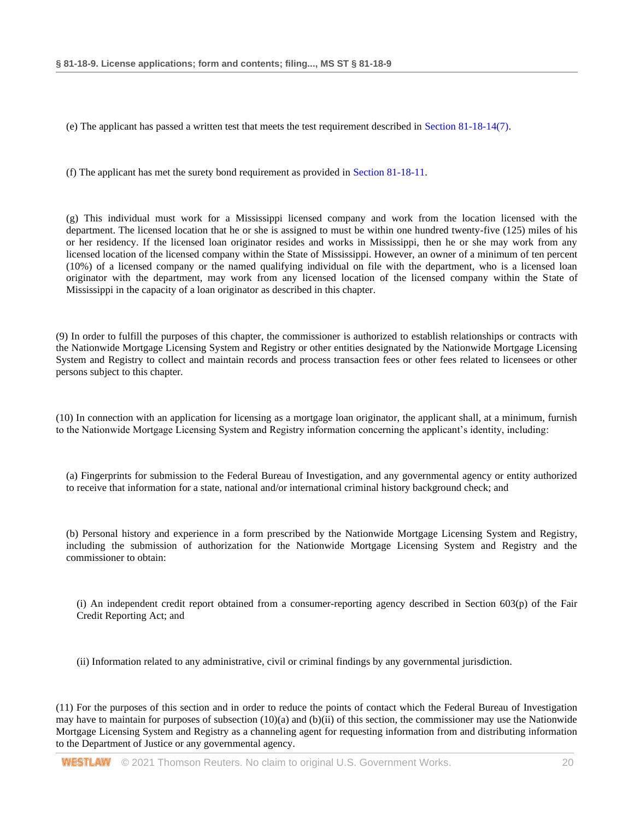(e) The applicant has passed a written test that meets the test requirement described in [Section 81-18-14\(7\).](http://www.westlaw.com/Link/Document/FullText?findType=L&pubNum=1000933&cite=MSSTS81-18-14&originatingDoc=NB8431730B68D11EAA6FAB66043C66295&refType=SP&originationContext=document&vr=3.0&rs=cblt1.0&transitionType=DocumentItem&contextData=(sc.DocLink)#co_pp_794b00004e3d1)

(f) The applicant has met the surety bond requirement as provided in [Section 81-18-11.](http://www.westlaw.com/Link/Document/FullText?findType=L&pubNum=1000933&cite=MSSTS81-18-11&originatingDoc=NB8431730B68D11EAA6FAB66043C66295&refType=LQ&originationContext=document&vr=3.0&rs=cblt1.0&transitionType=DocumentItem&contextData=(sc.DocLink))

(g) This individual must work for a Mississippi licensed company and work from the location licensed with the department. The licensed location that he or she is assigned to must be within one hundred twenty-five (125) miles of his or her residency. If the licensed loan originator resides and works in Mississippi, then he or she may work from any licensed location of the licensed company within the State of Mississippi. However, an owner of a minimum of ten percent (10%) of a licensed company or the named qualifying individual on file with the department, who is a licensed loan originator with the department, may work from any licensed location of the licensed company within the State of Mississippi in the capacity of a loan originator as described in this chapter.

(9) In order to fulfill the purposes of this chapter, the commissioner is authorized to establish relationships or contracts with the Nationwide Mortgage Licensing System and Registry or other entities designated by the Nationwide Mortgage Licensing System and Registry to collect and maintain records and process transaction fees or other fees related to licensees or other persons subject to this chapter.

(10) In connection with an application for licensing as a mortgage loan originator, the applicant shall, at a minimum, furnish to the Nationwide Mortgage Licensing System and Registry information concerning the applicant's identity, including:

(a) Fingerprints for submission to the Federal Bureau of Investigation, and any governmental agency or entity authorized to receive that information for a state, national and/or international criminal history background check; and

(b) Personal history and experience in a form prescribed by the Nationwide Mortgage Licensing System and Registry, including the submission of authorization for the Nationwide Mortgage Licensing System and Registry and the commissioner to obtain:

(i) An independent credit report obtained from a consumer-reporting agency described in Section 603(p) of the Fair Credit Reporting Act; and

(ii) Information related to any administrative, civil or criminal findings by any governmental jurisdiction.

(11) For the purposes of this section and in order to reduce the points of contact which the Federal Bureau of Investigation may have to maintain for purposes of subsection  $(10)(a)$  and  $(b)(ii)$  of this section, the commissioner may use the Nationwide Mortgage Licensing System and Registry as a channeling agent for requesting information from and distributing information to the Department of Justice or any governmental agency.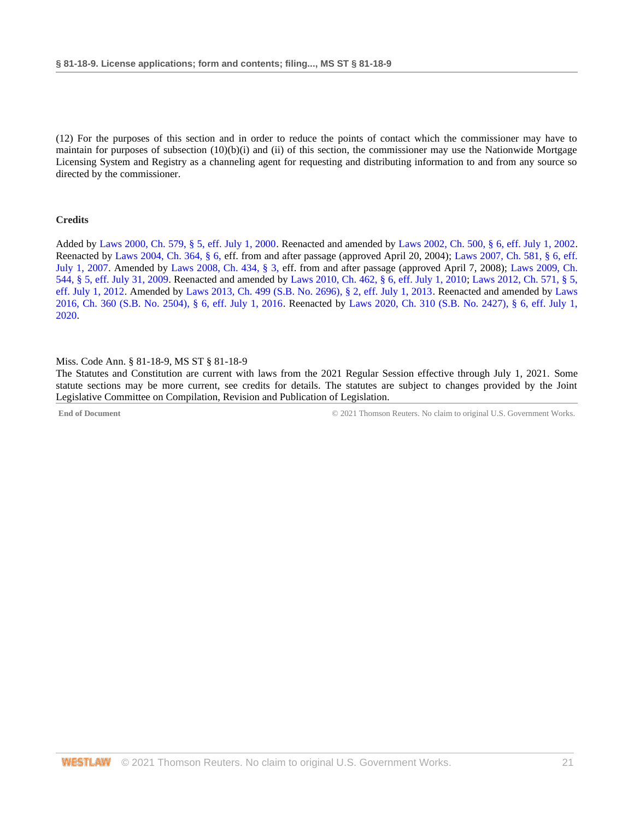(12) For the purposes of this section and in order to reduce the points of contact which the commissioner may have to maintain for purposes of subsection (10)(b)(i) and (ii) of this section, the commissioner may use the Nationwide Mortgage Licensing System and Registry as a channeling agent for requesting and distributing information to and from any source so directed by the commissioner.

## **Credits**

Added by [Laws 2000, Ch. 579, § 5, eff. July 1, 2000.](http://www.westlaw.com/Link/Document/FullText?findType=l&pubNum=1077005&cite=UUID(I666224EA7B-2340539E179-70BFA9B4119)&originatingDoc=NB8431730B68D11EAA6FAB66043C66295&refType=SL&originationContext=document&vr=3.0&rs=cblt1.0&transitionType=DocumentItem&contextData=(sc.DocLink)) Reenacted and amended by [Laws 2002, Ch. 500, § 6, eff. July 1, 2002.](http://www.westlaw.com/Link/Document/FullText?findType=l&pubNum=1077005&cite=UUID(I0EA02C6CD8-4E40E791A61-A62FFEE7CFB)&originatingDoc=NB8431730B68D11EAA6FAB66043C66295&refType=SL&originationContext=document&vr=3.0&rs=cblt1.0&transitionType=DocumentItem&contextData=(sc.DocLink)) Reenacted by [Laws 2004, Ch. 364, § 6, e](http://www.westlaw.com/Link/Document/FullText?findType=l&pubNum=1077005&cite=UUID(I5A3C4370BA-B711D8A74D8-7B95E93B7F0)&originatingDoc=NB8431730B68D11EAA6FAB66043C66295&refType=SL&originationContext=document&vr=3.0&rs=cblt1.0&transitionType=DocumentItem&contextData=(sc.DocLink))ff. from and after passage (approved April 20, 2004); [Laws 2007, Ch. 581, § 6, eff.](http://www.westlaw.com/Link/Document/FullText?findType=l&pubNum=1077005&cite=UUID(I23A0B94005-5F11DC8554E-A5201DEAAD3)&originatingDoc=NB8431730B68D11EAA6FAB66043C66295&refType=SL&originationContext=document&vr=3.0&rs=cblt1.0&transitionType=DocumentItem&contextData=(sc.DocLink))  [July 1, 2007.](http://www.westlaw.com/Link/Document/FullText?findType=l&pubNum=1077005&cite=UUID(I23A0B94005-5F11DC8554E-A5201DEAAD3)&originatingDoc=NB8431730B68D11EAA6FAB66043C66295&refType=SL&originationContext=document&vr=3.0&rs=cblt1.0&transitionType=DocumentItem&contextData=(sc.DocLink)) Amended by [Laws 2008, Ch. 434, § 3, e](http://www.westlaw.com/Link/Document/FullText?findType=l&pubNum=1077005&cite=UUID(I09A0DBB013-1911DD9225D-723D81EADB4)&originatingDoc=NB8431730B68D11EAA6FAB66043C66295&refType=SL&originationContext=document&vr=3.0&rs=cblt1.0&transitionType=DocumentItem&contextData=(sc.DocLink))ff. from and after passage (approved April 7, 2008); [Laws 2009, Ch.](http://www.westlaw.com/Link/Document/FullText?findType=l&pubNum=1077005&cite=UUID(I757F0D3033-2911DE82ACD-E6A56952C30)&originatingDoc=NB8431730B68D11EAA6FAB66043C66295&refType=SL&originationContext=document&vr=3.0&rs=cblt1.0&transitionType=DocumentItem&contextData=(sc.DocLink))  [544, § 5, eff. July 31, 2009.](http://www.westlaw.com/Link/Document/FullText?findType=l&pubNum=1077005&cite=UUID(I757F0D3033-2911DE82ACD-E6A56952C30)&originatingDoc=NB8431730B68D11EAA6FAB66043C66295&refType=SL&originationContext=document&vr=3.0&rs=cblt1.0&transitionType=DocumentItem&contextData=(sc.DocLink)) Reenacted and amended by [Laws 2010, Ch. 462, § 6, eff. July 1, 2010;](http://www.westlaw.com/Link/Document/FullText?findType=l&pubNum=1077005&cite=UUID(IC5DE906042-3D11DFAFC4E-5BB03694993)&originatingDoc=NB8431730B68D11EAA6FAB66043C66295&refType=SL&originationContext=document&vr=3.0&rs=cblt1.0&transitionType=DocumentItem&contextData=(sc.DocLink)) [Laws 2012, Ch. 571, § 5,](http://www.westlaw.com/Link/Document/FullText?findType=l&pubNum=1077005&cite=UUID(I164C6DB0A6-6911E18520C-4BFF71C7E68)&originatingDoc=NB8431730B68D11EAA6FAB66043C66295&refType=SL&originationContext=document&vr=3.0&rs=cblt1.0&transitionType=DocumentItem&contextData=(sc.DocLink))  [eff. July 1, 2012.](http://www.westlaw.com/Link/Document/FullText?findType=l&pubNum=1077005&cite=UUID(I164C6DB0A6-6911E18520C-4BFF71C7E68)&originatingDoc=NB8431730B68D11EAA6FAB66043C66295&refType=SL&originationContext=document&vr=3.0&rs=cblt1.0&transitionType=DocumentItem&contextData=(sc.DocLink)) Amended by [Laws 2013, Ch. 499 \(S.B. No. 2696\), § 2, eff. July 1, 2013.](http://www.westlaw.com/Link/Document/FullText?findType=l&pubNum=1077005&cite=UUID(I09608A10AE-7311E2A8B9E-56D0281D8F2)&originatingDoc=NB8431730B68D11EAA6FAB66043C66295&refType=SL&originationContext=document&vr=3.0&rs=cblt1.0&transitionType=DocumentItem&contextData=(sc.DocLink)) Reenacted and amended by [Laws](http://www.westlaw.com/Link/Document/FullText?findType=l&pubNum=1077005&cite=UUID(ICC55B560FC-D911E580D7A-145FA49B0D0)&originatingDoc=NB8431730B68D11EAA6FAB66043C66295&refType=SL&originationContext=document&vr=3.0&rs=cblt1.0&transitionType=DocumentItem&contextData=(sc.DocLink))  [2016, Ch. 360 \(S.B. No. 2504\), § 6, eff. July 1, 2016.](http://www.westlaw.com/Link/Document/FullText?findType=l&pubNum=1077005&cite=UUID(ICC55B560FC-D911E580D7A-145FA49B0D0)&originatingDoc=NB8431730B68D11EAA6FAB66043C66295&refType=SL&originationContext=document&vr=3.0&rs=cblt1.0&transitionType=DocumentItem&contextData=(sc.DocLink)) Reenacted by [Laws 2020, Ch. 310 \(S.B. No. 2427\), § 6, eff. July 1,](http://www.westlaw.com/Link/Document/FullText?findType=l&pubNum=1077005&cite=UUID(I1D2E4B20AF-C611EABCEF8-D197FAE2E99)&originatingDoc=NB8431730B68D11EAA6FAB66043C66295&refType=SL&originationContext=document&vr=3.0&rs=cblt1.0&transitionType=DocumentItem&contextData=(sc.DocLink))  [2020.](http://www.westlaw.com/Link/Document/FullText?findType=l&pubNum=1077005&cite=UUID(I1D2E4B20AF-C611EABCEF8-D197FAE2E99)&originatingDoc=NB8431730B68D11EAA6FAB66043C66295&refType=SL&originationContext=document&vr=3.0&rs=cblt1.0&transitionType=DocumentItem&contextData=(sc.DocLink))

#### <span id="page-20-0"></span>Miss. Code Ann. § 81-18-9, MS ST § 81-18-9

The Statutes and Constitution are current with laws from the 2021 Regular Session effective through July 1, 2021. Some statute sections may be more current, see credits for details. The statutes are subject to changes provided by the Joint Legislative Committee on Compilation, Revision and Publication of Legislation.

**End of Document** C 2021 Thomson Reuters. No claim to original U.S. Government Works.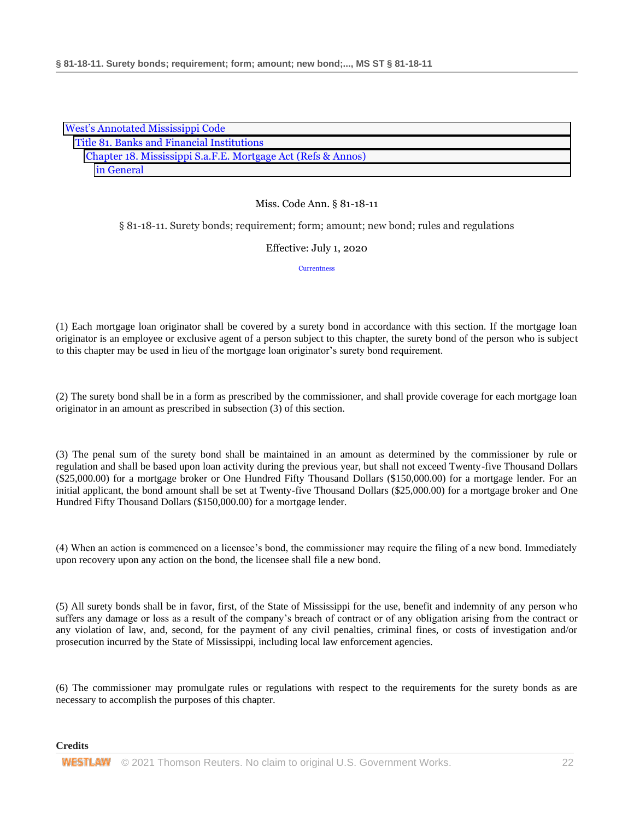| <b>West's Annotated Mississippi Code</b>                     |
|--------------------------------------------------------------|
| Title 81. Banks and Financial Institutions                   |
| Chapter 18. Mississippi S.a.F.E. Mortgage Act (Refs & Annos) |
| in General                                                   |

§ 81-18-11. Surety bonds; requirement; form; amount; new bond; rules and regulations

Effective: July 1, 2020

**[Currentness](#page-22-0)** 

(1) Each mortgage loan originator shall be covered by a surety bond in accordance with this section. If the mortgage loan originator is an employee or exclusive agent of a person subject to this chapter, the surety bond of the person who is subject to this chapter may be used in lieu of the mortgage loan originator's surety bond requirement.

(2) The surety bond shall be in a form as prescribed by the commissioner, and shall provide coverage for each mortgage loan originator in an amount as prescribed in subsection (3) of this section.

(3) The penal sum of the surety bond shall be maintained in an amount as determined by the commissioner by rule or regulation and shall be based upon loan activity during the previous year, but shall not exceed Twenty-five Thousand Dollars (\$25,000.00) for a mortgage broker or One Hundred Fifty Thousand Dollars (\$150,000.00) for a mortgage lender. For an initial applicant, the bond amount shall be set at Twenty-five Thousand Dollars (\$25,000.00) for a mortgage broker and One Hundred Fifty Thousand Dollars (\$150,000.00) for a mortgage lender.

(4) When an action is commenced on a licensee's bond, the commissioner may require the filing of a new bond. Immediately upon recovery upon any action on the bond, the licensee shall file a new bond.

(5) All surety bonds shall be in favor, first, of the State of Mississippi for the use, benefit and indemnity of any person who suffers any damage or loss as a result of the company's breach of contract or of any obligation arising from the contract or any violation of law, and, second, for the payment of any civil penalties, criminal fines, or costs of investigation and/or prosecution incurred by the State of Mississippi, including local law enforcement agencies.

(6) The commissioner may promulgate rules or regulations with respect to the requirements for the surety bonds as are necessary to accomplish the purposes of this chapter.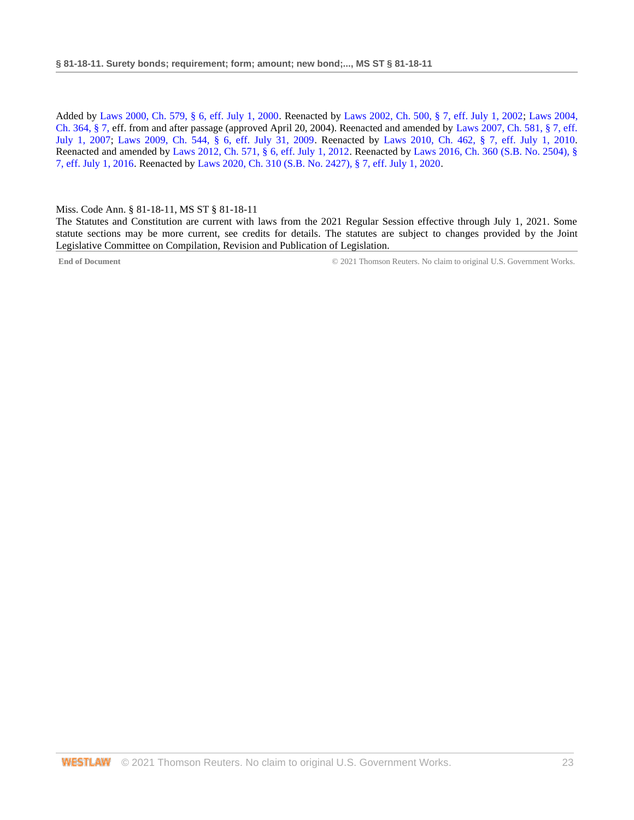Added by [Laws 2000, Ch. 579, § 6, eff. July 1, 2000.](http://www.westlaw.com/Link/Document/FullText?findType=l&pubNum=1077005&cite=UUID(I666224EA7B-2340539E179-70BFA9B4119)&originatingDoc=NC6CBCB30B68D11EA9025ED556D3F5AA4&refType=SL&originationContext=document&vr=3.0&rs=cblt1.0&transitionType=DocumentItem&contextData=(sc.DocLink)) Reenacted by [Laws 2002, Ch. 500, § 7, eff. July 1, 2002;](http://www.westlaw.com/Link/Document/FullText?findType=l&pubNum=1077005&cite=UUID(I0EA02C6CD8-4E40E791A61-A62FFEE7CFB)&originatingDoc=NC6CBCB30B68D11EA9025ED556D3F5AA4&refType=SL&originationContext=document&vr=3.0&rs=cblt1.0&transitionType=DocumentItem&contextData=(sc.DocLink)) [Laws 2004,](http://www.westlaw.com/Link/Document/FullText?findType=l&pubNum=1077005&cite=UUID(I5A3C4370BA-B711D8A74D8-7B95E93B7F0)&originatingDoc=NC6CBCB30B68D11EA9025ED556D3F5AA4&refType=SL&originationContext=document&vr=3.0&rs=cblt1.0&transitionType=DocumentItem&contextData=(sc.DocLink))  [Ch. 364, § 7, e](http://www.westlaw.com/Link/Document/FullText?findType=l&pubNum=1077005&cite=UUID(I5A3C4370BA-B711D8A74D8-7B95E93B7F0)&originatingDoc=NC6CBCB30B68D11EA9025ED556D3F5AA4&refType=SL&originationContext=document&vr=3.0&rs=cblt1.0&transitionType=DocumentItem&contextData=(sc.DocLink))ff. from and after passage (approved April 20, 2004). Reenacted and amended by [Laws 2007, Ch. 581, § 7, eff.](http://www.westlaw.com/Link/Document/FullText?findType=l&pubNum=1077005&cite=UUID(I23A0B94005-5F11DC8554E-A5201DEAAD3)&originatingDoc=NC6CBCB30B68D11EA9025ED556D3F5AA4&refType=SL&originationContext=document&vr=3.0&rs=cblt1.0&transitionType=DocumentItem&contextData=(sc.DocLink))  [July 1, 2007;](http://www.westlaw.com/Link/Document/FullText?findType=l&pubNum=1077005&cite=UUID(I23A0B94005-5F11DC8554E-A5201DEAAD3)&originatingDoc=NC6CBCB30B68D11EA9025ED556D3F5AA4&refType=SL&originationContext=document&vr=3.0&rs=cblt1.0&transitionType=DocumentItem&contextData=(sc.DocLink)) [Laws 2009, Ch. 544, § 6, eff. July 31, 2009.](http://www.westlaw.com/Link/Document/FullText?findType=l&pubNum=1077005&cite=UUID(I757F0D3033-2911DE82ACD-E6A56952C30)&originatingDoc=NC6CBCB30B68D11EA9025ED556D3F5AA4&refType=SL&originationContext=document&vr=3.0&rs=cblt1.0&transitionType=DocumentItem&contextData=(sc.DocLink)) Reenacted by [Laws 2010, Ch. 462, § 7, eff. July 1, 2010.](http://www.westlaw.com/Link/Document/FullText?findType=l&pubNum=1077005&cite=UUID(IC5DE906042-3D11DFAFC4E-5BB03694993)&originatingDoc=NC6CBCB30B68D11EA9025ED556D3F5AA4&refType=SL&originationContext=document&vr=3.0&rs=cblt1.0&transitionType=DocumentItem&contextData=(sc.DocLink)) Reenacted and amended by [Laws 2012, Ch. 571, § 6, eff. July 1, 2012.](http://www.westlaw.com/Link/Document/FullText?findType=l&pubNum=1077005&cite=UUID(I164C6DB0A6-6911E18520C-4BFF71C7E68)&originatingDoc=NC6CBCB30B68D11EA9025ED556D3F5AA4&refType=SL&originationContext=document&vr=3.0&rs=cblt1.0&transitionType=DocumentItem&contextData=(sc.DocLink)) Reenacted b[y Laws 2016, Ch. 360 \(S.B. No. 2504\), §](http://www.westlaw.com/Link/Document/FullText?findType=l&pubNum=1077005&cite=UUID(ICC55B560FC-D911E580D7A-145FA49B0D0)&originatingDoc=NC6CBCB30B68D11EA9025ED556D3F5AA4&refType=SL&originationContext=document&vr=3.0&rs=cblt1.0&transitionType=DocumentItem&contextData=(sc.DocLink))  [7, eff. July 1, 2016.](http://www.westlaw.com/Link/Document/FullText?findType=l&pubNum=1077005&cite=UUID(ICC55B560FC-D911E580D7A-145FA49B0D0)&originatingDoc=NC6CBCB30B68D11EA9025ED556D3F5AA4&refType=SL&originationContext=document&vr=3.0&rs=cblt1.0&transitionType=DocumentItem&contextData=(sc.DocLink)) Reenacted by [Laws 2020, Ch. 310 \(S.B. No. 2427\), § 7, eff. July 1, 2020.](http://www.westlaw.com/Link/Document/FullText?findType=l&pubNum=1077005&cite=UUID(I1D2E4B20AF-C611EABCEF8-D197FAE2E99)&originatingDoc=NC6CBCB30B68D11EA9025ED556D3F5AA4&refType=SL&originationContext=document&vr=3.0&rs=cblt1.0&transitionType=DocumentItem&contextData=(sc.DocLink))

#### <span id="page-22-0"></span>Miss. Code Ann. § 81-18-11, MS ST § 81-18-11

The Statutes and Constitution are current with laws from the 2021 Regular Session effective through July 1, 2021. Some statute sections may be more current, see credits for details. The statutes are subject to changes provided by the Joint Legislative Committee on Compilation, Revision and Publication of Legislation.

**End of Document** © 2021 Thomson Reuters. No claim to original U.S. Government Works.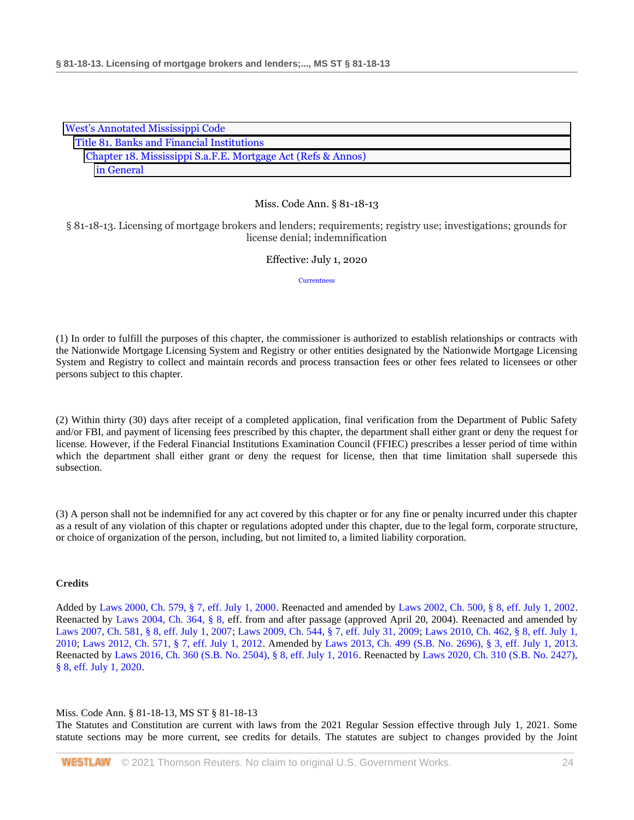| <b>West's Annotated Mississippi Code</b>                     |  |  |  |
|--------------------------------------------------------------|--|--|--|
| Title 81. Banks and Financial Institutions                   |  |  |  |
| Chapter 18. Mississippi S.a.F.E. Mortgage Act (Refs & Annos) |  |  |  |
| in General                                                   |  |  |  |

§ 81-18-13. Licensing of mortgage brokers and lenders; requirements; registry use; investigations; grounds for license denial; indemnification

#### Effective: July 1, 2020

**[Currentness](#page-23-0)** 

(1) In order to fulfill the purposes of this chapter, the commissioner is authorized to establish relationships or contracts with the Nationwide Mortgage Licensing System and Registry or other entities designated by the Nationwide Mortgage Licensing System and Registry to collect and maintain records and process transaction fees or other fees related to licensees or other persons subject to this chapter.

(2) Within thirty (30) days after receipt of a completed application, final verification from the Department of Public Safety and/or FBI, and payment of licensing fees prescribed by this chapter, the department shall either grant or deny the request for license. However, if the Federal Financial Institutions Examination Council (FFIEC) prescribes a lesser period of time within which the department shall either grant or deny the request for license, then that time limitation shall supersede this subsection.

(3) A person shall not be indemnified for any act covered by this chapter or for any fine or penalty incurred under this chapter as a result of any violation of this chapter or regulations adopted under this chapter, due to the legal form, corporate structure, or choice of organization of the person, including, but not limited to, a limited liability corporation.

## **Credits**

Added by [Laws 2000, Ch. 579, § 7, eff. July 1, 2000.](http://www.westlaw.com/Link/Document/FullText?findType=l&pubNum=1077005&cite=UUID(I666224EA7B-2340539E179-70BFA9B4119)&originatingDoc=NC01EF640B68D11EA8981875C7C0D3914&refType=SL&originationContext=document&vr=3.0&rs=cblt1.0&transitionType=DocumentItem&contextData=(sc.DocLink)) Reenacted and amended by [Laws 2002, Ch. 500, § 8, eff. July 1, 2002.](http://www.westlaw.com/Link/Document/FullText?findType=l&pubNum=1077005&cite=UUID(I0EA02C6CD8-4E40E791A61-A62FFEE7CFB)&originatingDoc=NC01EF640B68D11EA8981875C7C0D3914&refType=SL&originationContext=document&vr=3.0&rs=cblt1.0&transitionType=DocumentItem&contextData=(sc.DocLink)) Reenacted by [Laws 2004, Ch. 364, § 8, e](http://www.westlaw.com/Link/Document/FullText?findType=l&pubNum=1077005&cite=UUID(I5A3C4370BA-B711D8A74D8-7B95E93B7F0)&originatingDoc=NC01EF640B68D11EA8981875C7C0D3914&refType=SL&originationContext=document&vr=3.0&rs=cblt1.0&transitionType=DocumentItem&contextData=(sc.DocLink))ff. from and after passage (approved April 20, 2004). Reenacted and amended by [Laws 2007, Ch. 581, § 8, eff. July 1, 2007;](http://www.westlaw.com/Link/Document/FullText?findType=l&pubNum=1077005&cite=UUID(I23A0B94005-5F11DC8554E-A5201DEAAD3)&originatingDoc=NC01EF640B68D11EA8981875C7C0D3914&refType=SL&originationContext=document&vr=3.0&rs=cblt1.0&transitionType=DocumentItem&contextData=(sc.DocLink)) [Laws 2009, Ch. 544, § 7, eff. July 31, 2009;](http://www.westlaw.com/Link/Document/FullText?findType=l&pubNum=1077005&cite=UUID(I757F0D3033-2911DE82ACD-E6A56952C30)&originatingDoc=NC01EF640B68D11EA8981875C7C0D3914&refType=SL&originationContext=document&vr=3.0&rs=cblt1.0&transitionType=DocumentItem&contextData=(sc.DocLink)) [Laws 2010, Ch. 462, § 8, eff. July 1,](http://www.westlaw.com/Link/Document/FullText?findType=l&pubNum=1077005&cite=UUID(IC5DE906042-3D11DFAFC4E-5BB03694993)&originatingDoc=NC01EF640B68D11EA8981875C7C0D3914&refType=SL&originationContext=document&vr=3.0&rs=cblt1.0&transitionType=DocumentItem&contextData=(sc.DocLink))  [2010;](http://www.westlaw.com/Link/Document/FullText?findType=l&pubNum=1077005&cite=UUID(IC5DE906042-3D11DFAFC4E-5BB03694993)&originatingDoc=NC01EF640B68D11EA8981875C7C0D3914&refType=SL&originationContext=document&vr=3.0&rs=cblt1.0&transitionType=DocumentItem&contextData=(sc.DocLink)) [Laws 2012, Ch. 571, § 7, eff. July 1, 2012.](http://www.westlaw.com/Link/Document/FullText?findType=l&pubNum=1077005&cite=UUID(I164C6DB0A6-6911E18520C-4BFF71C7E68)&originatingDoc=NC01EF640B68D11EA8981875C7C0D3914&refType=SL&originationContext=document&vr=3.0&rs=cblt1.0&transitionType=DocumentItem&contextData=(sc.DocLink)) Amended by [Laws 2013, Ch. 499 \(S.B. No. 2696\), § 3, eff. July 1, 2013.](http://www.westlaw.com/Link/Document/FullText?findType=l&pubNum=1077005&cite=UUID(I09608A10AE-7311E2A8B9E-56D0281D8F2)&originatingDoc=NC01EF640B68D11EA8981875C7C0D3914&refType=SL&originationContext=document&vr=3.0&rs=cblt1.0&transitionType=DocumentItem&contextData=(sc.DocLink)) Reenacted by [Laws 2016, Ch. 360 \(S.B. No. 2504\), § 8, eff. July 1, 2016.](http://www.westlaw.com/Link/Document/FullText?findType=l&pubNum=1077005&cite=UUID(ICC55B560FC-D911E580D7A-145FA49B0D0)&originatingDoc=NC01EF640B68D11EA8981875C7C0D3914&refType=SL&originationContext=document&vr=3.0&rs=cblt1.0&transitionType=DocumentItem&contextData=(sc.DocLink)) Reenacted by [Laws 2020, Ch. 310 \(S.B. No. 2427\),](http://www.westlaw.com/Link/Document/FullText?findType=l&pubNum=1077005&cite=UUID(I1D2E4B20AF-C611EABCEF8-D197FAE2E99)&originatingDoc=NC01EF640B68D11EA8981875C7C0D3914&refType=SL&originationContext=document&vr=3.0&rs=cblt1.0&transitionType=DocumentItem&contextData=(sc.DocLink))  [§ 8, eff. July 1, 2020.](http://www.westlaw.com/Link/Document/FullText?findType=l&pubNum=1077005&cite=UUID(I1D2E4B20AF-C611EABCEF8-D197FAE2E99)&originatingDoc=NC01EF640B68D11EA8981875C7C0D3914&refType=SL&originationContext=document&vr=3.0&rs=cblt1.0&transitionType=DocumentItem&contextData=(sc.DocLink))

#### <span id="page-23-0"></span>Miss. Code Ann. § 81-18-13, MS ST § 81-18-13

The Statutes and Constitution are current with laws from the 2021 Regular Session effective through July 1, 2021. Some statute sections may be more current, see credits for details. The statutes are subject to changes provided by the Joint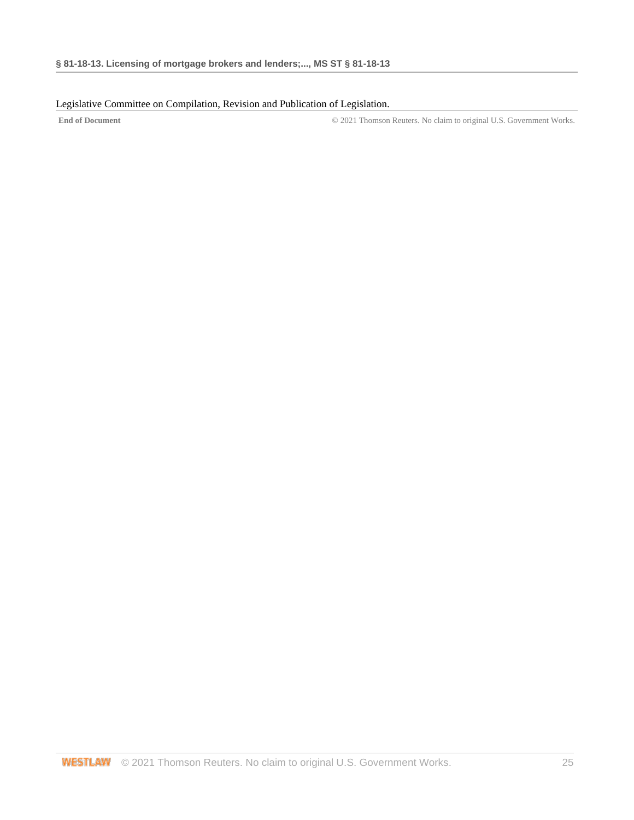## Legislative Committee on Compilation, Revision and Publication of Legislation.

**End of Document** © 2021 Thomson Reuters. No claim to original U.S. Government Works.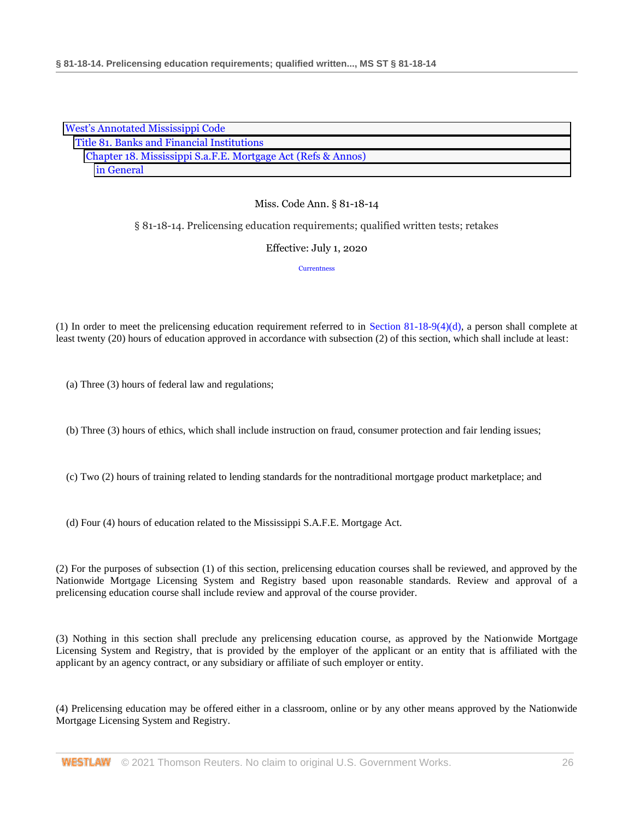| <b>West's Annotated Mississippi Code</b>                     |  |
|--------------------------------------------------------------|--|
| Title 81. Banks and Financial Institutions                   |  |
| Chapter 18. Mississippi S.a.F.E. Mortgage Act (Refs & Annos) |  |
| in General                                                   |  |

§ 81-18-14. Prelicensing education requirements; qualified written tests; retakes

Effective: July 1, 2020

**[Currentness](#page-27-0)** 

(1) In order to meet the prelicensing education requirement referred to in [Section 81-18-9\(4\)\(d\),](http://www.westlaw.com/Link/Document/FullText?findType=L&pubNum=1000933&cite=MSSTS81-18-9&originatingDoc=NB29FF4A0B68E11EA8981875C7C0D3914&refType=SP&originationContext=document&vr=3.0&rs=cblt1.0&transitionType=DocumentItem&contextData=(sc.DocLink)#co_pp_0bd500007a412) a person shall complete at least twenty (20) hours of education approved in accordance with subsection (2) of this section, which shall include at least:

(a) Three (3) hours of federal law and regulations;

(b) Three (3) hours of ethics, which shall include instruction on fraud, consumer protection and fair lending issues;

(c) Two (2) hours of training related to lending standards for the nontraditional mortgage product marketplace; and

(d) Four (4) hours of education related to the Mississippi S.A.F.E. Mortgage Act.

(2) For the purposes of subsection (1) of this section, prelicensing education courses shall be reviewed, and approved by the Nationwide Mortgage Licensing System and Registry based upon reasonable standards. Review and approval of a prelicensing education course shall include review and approval of the course provider.

(3) Nothing in this section shall preclude any prelicensing education course, as approved by the Nationwide Mortgage Licensing System and Registry, that is provided by the employer of the applicant or an entity that is affiliated with the applicant by an agency contract, or any subsidiary or affiliate of such employer or entity.

(4) Prelicensing education may be offered either in a classroom, online or by any other means approved by the Nationwide Mortgage Licensing System and Registry.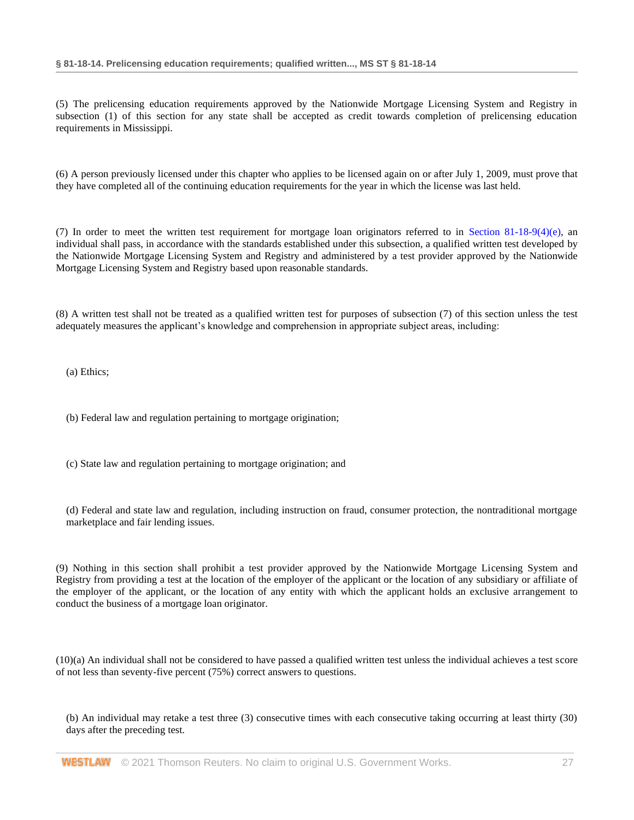(5) The prelicensing education requirements approved by the Nationwide Mortgage Licensing System and Registry in subsection (1) of this section for any state shall be accepted as credit towards completion of prelicensing education requirements in Mississippi.

(6) A person previously licensed under this chapter who applies to be licensed again on or after July 1, 2009, must prove that they have completed all of the continuing education requirements for the year in which the license was last held.

(7) In order to meet the written test requirement for mortgage loan originators referred to in [Section 81-18-9\(4\)\(e\),](http://www.westlaw.com/Link/Document/FullText?findType=L&pubNum=1000933&cite=MSSTS81-18-9&originatingDoc=NB29FF4A0B68E11EA8981875C7C0D3914&refType=SP&originationContext=document&vr=3.0&rs=cblt1.0&transitionType=DocumentItem&contextData=(sc.DocLink)#co_pp_0bd500007a412) an individual shall pass, in accordance with the standards established under this subsection, a qualified written test developed by the Nationwide Mortgage Licensing System and Registry and administered by a test provider approved by the Nationwide Mortgage Licensing System and Registry based upon reasonable standards.

(8) A written test shall not be treated as a qualified written test for purposes of subsection (7) of this section unless the test adequately measures the applicant's knowledge and comprehension in appropriate subject areas, including:

(a) Ethics;

- (b) Federal law and regulation pertaining to mortgage origination;
- (c) State law and regulation pertaining to mortgage origination; and

(d) Federal and state law and regulation, including instruction on fraud, consumer protection, the nontraditional mortgage marketplace and fair lending issues.

(9) Nothing in this section shall prohibit a test provider approved by the Nationwide Mortgage Licensing System and Registry from providing a test at the location of the employer of the applicant or the location of any subsidiary or affiliate of the employer of the applicant, or the location of any entity with which the applicant holds an exclusive arrangement to conduct the business of a mortgage loan originator.

(10)(a) An individual shall not be considered to have passed a qualified written test unless the individual achieves a test score of not less than seventy-five percent (75%) correct answers to questions.

(b) An individual may retake a test three (3) consecutive times with each consecutive taking occurring at least thirty (30) days after the preceding test.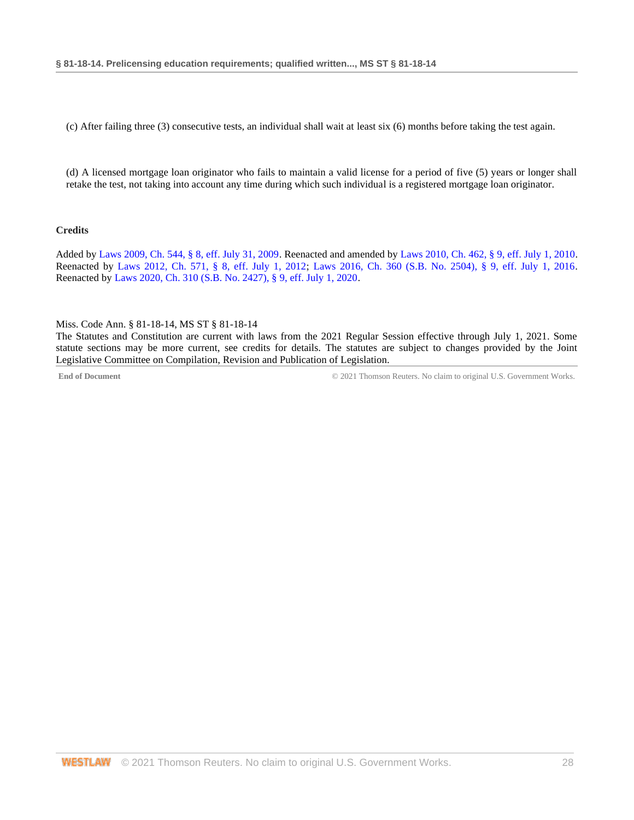(c) After failing three (3) consecutive tests, an individual shall wait at least six (6) months before taking the test again.

(d) A licensed mortgage loan originator who fails to maintain a valid license for a period of five (5) years or longer shall retake the test, not taking into account any time during which such individual is a registered mortgage loan originator.

#### **Credits**

Added b[y Laws 2009, Ch. 544, § 8, eff. July 31, 2009.](http://www.westlaw.com/Link/Document/FullText?findType=l&pubNum=1077005&cite=UUID(I757F0D3033-2911DE82ACD-E6A56952C30)&originatingDoc=NB29FF4A0B68E11EA8981875C7C0D3914&refType=SL&originationContext=document&vr=3.0&rs=cblt1.0&transitionType=DocumentItem&contextData=(sc.DocLink)) Reenacted and amended b[y Laws 2010, Ch. 462, § 9, eff. July 1, 2010.](http://www.westlaw.com/Link/Document/FullText?findType=l&pubNum=1077005&cite=UUID(IC5DE906042-3D11DFAFC4E-5BB03694993)&originatingDoc=NB29FF4A0B68E11EA8981875C7C0D3914&refType=SL&originationContext=document&vr=3.0&rs=cblt1.0&transitionType=DocumentItem&contextData=(sc.DocLink)) Reenacted by [Laws 2012, Ch. 571, § 8, eff. July 1, 2012;](http://www.westlaw.com/Link/Document/FullText?findType=l&pubNum=1077005&cite=UUID(I164C6DB0A6-6911E18520C-4BFF71C7E68)&originatingDoc=NB29FF4A0B68E11EA8981875C7C0D3914&refType=SL&originationContext=document&vr=3.0&rs=cblt1.0&transitionType=DocumentItem&contextData=(sc.DocLink)) [Laws 2016, Ch. 360 \(S.B. No. 2504\), § 9, eff. July 1, 2016.](http://www.westlaw.com/Link/Document/FullText?findType=l&pubNum=1077005&cite=UUID(ICC55B560FC-D911E580D7A-145FA49B0D0)&originatingDoc=NB29FF4A0B68E11EA8981875C7C0D3914&refType=SL&originationContext=document&vr=3.0&rs=cblt1.0&transitionType=DocumentItem&contextData=(sc.DocLink)) Reenacted b[y Laws 2020, Ch. 310 \(S.B. No. 2427\), § 9, eff. July 1, 2020.](http://www.westlaw.com/Link/Document/FullText?findType=l&pubNum=1077005&cite=UUID(I1D2E4B20AF-C611EABCEF8-D197FAE2E99)&originatingDoc=NB29FF4A0B68E11EA8981875C7C0D3914&refType=SL&originationContext=document&vr=3.0&rs=cblt1.0&transitionType=DocumentItem&contextData=(sc.DocLink))

#### <span id="page-27-0"></span>Miss. Code Ann. § 81-18-14, MS ST § 81-18-14

The Statutes and Constitution are current with laws from the 2021 Regular Session effective through July 1, 2021. Some statute sections may be more current, see credits for details. The statutes are subject to changes provided by the Joint Legislative Committee on Compilation, Revision and Publication of Legislation.

**End of Document** © 2021 Thomson Reuters. No claim to original U.S. Government Works.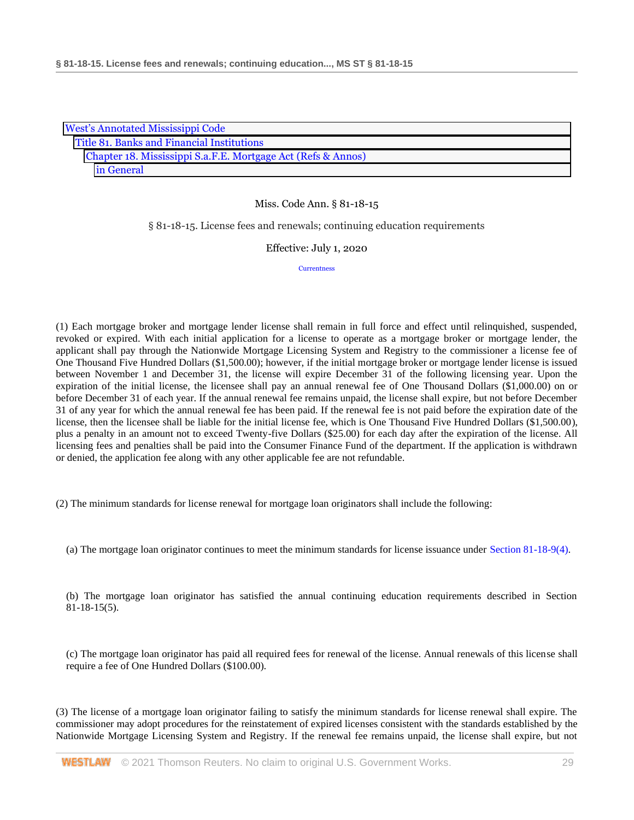| <b>West's Annotated Mississippi Code</b>                     |  |  |
|--------------------------------------------------------------|--|--|
| Title 81. Banks and Financial Institutions                   |  |  |
| Chapter 18. Mississippi S.a.F.E. Mortgage Act (Refs & Annos) |  |  |
| in General                                                   |  |  |

§ 81-18-15. License fees and renewals; continuing education requirements

Effective: July 1, 2020

**[Currentness](#page-30-0)** 

(1) Each mortgage broker and mortgage lender license shall remain in full force and effect until relinquished, suspended, revoked or expired. With each initial application for a license to operate as a mortgage broker or mortgage lender, the applicant shall pay through the Nationwide Mortgage Licensing System and Registry to the commissioner a license fee of One Thousand Five Hundred Dollars (\$1,500.00); however, if the initial mortgage broker or mortgage lender license is issued between November 1 and December 31, the license will expire December 31 of the following licensing year. Upon the expiration of the initial license, the licensee shall pay an annual renewal fee of One Thousand Dollars (\$1,000.00) on or before December 31 of each year. If the annual renewal fee remains unpaid, the license shall expire, but not before December 31 of any year for which the annual renewal fee has been paid. If the renewal fee is not paid before the expiration date of the license, then the licensee shall be liable for the initial license fee, which is One Thousand Five Hundred Dollars (\$1,500.00), plus a penalty in an amount not to exceed Twenty-five Dollars (\$25.00) for each day after the expiration of the license. All licensing fees and penalties shall be paid into the Consumer Finance Fund of the department. If the application is withdrawn or denied, the application fee along with any other applicable fee are not refundable.

(2) The minimum standards for license renewal for mortgage loan originators shall include the following:

(a) The mortgage loan originator continues to meet the minimum standards for license issuance under [Section 81-18-9\(4\).](http://www.westlaw.com/Link/Document/FullText?findType=L&pubNum=1000933&cite=MSSTS81-18-9&originatingDoc=NB9AF0DD0B68E11EA8981875C7C0D3914&refType=SP&originationContext=document&vr=3.0&rs=cblt1.0&transitionType=DocumentItem&contextData=(sc.DocLink)#co_pp_0bd500007a412)

(b) The mortgage loan originator has satisfied the annual continuing education requirements described in Section 81-18-15(5).

(c) The mortgage loan originator has paid all required fees for renewal of the license. Annual renewals of this license shall require a fee of One Hundred Dollars (\$100.00).

(3) The license of a mortgage loan originator failing to satisfy the minimum standards for license renewal shall expire. The commissioner may adopt procedures for the reinstatement of expired licenses consistent with the standards established by the Nationwide Mortgage Licensing System and Registry. If the renewal fee remains unpaid, the license shall expire, but not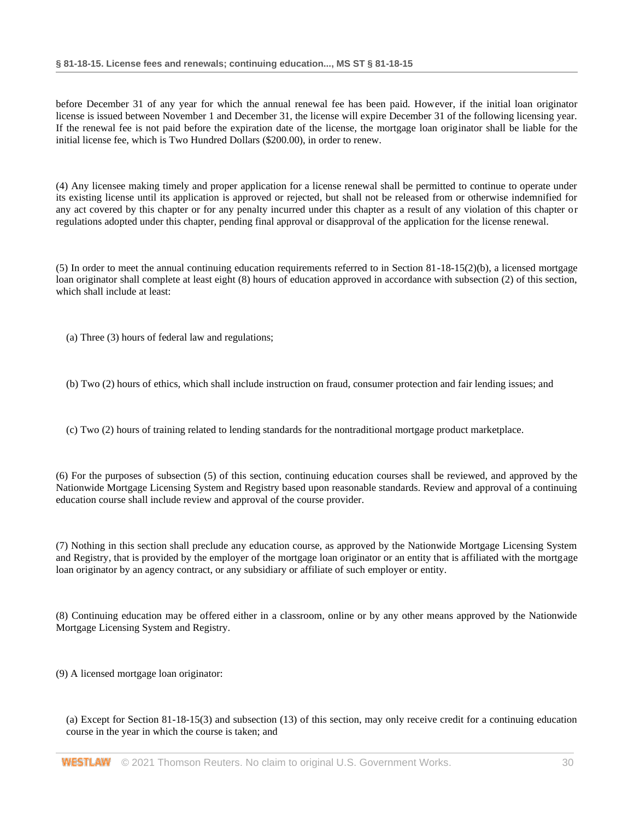before December 31 of any year for which the annual renewal fee has been paid. However, if the initial loan originator license is issued between November 1 and December 31, the license will expire December 31 of the following licensing year. If the renewal fee is not paid before the expiration date of the license, the mortgage loan originator shall be liable for the initial license fee, which is Two Hundred Dollars (\$200.00), in order to renew.

(4) Any licensee making timely and proper application for a license renewal shall be permitted to continue to operate under its existing license until its application is approved or rejected, but shall not be released from or otherwise indemnified for any act covered by this chapter or for any penalty incurred under this chapter as a result of any violation of this chapter or regulations adopted under this chapter, pending final approval or disapproval of the application for the license renewal.

(5) In order to meet the annual continuing education requirements referred to in Section 81-18-15(2)(b), a licensed mortgage loan originator shall complete at least eight (8) hours of education approved in accordance with subsection (2) of this section, which shall include at least:

(a) Three (3) hours of federal law and regulations;

(b) Two (2) hours of ethics, which shall include instruction on fraud, consumer protection and fair lending issues; and

(c) Two (2) hours of training related to lending standards for the nontraditional mortgage product marketplace.

(6) For the purposes of subsection (5) of this section, continuing education courses shall be reviewed, and approved by the Nationwide Mortgage Licensing System and Registry based upon reasonable standards. Review and approval of a continuing education course shall include review and approval of the course provider.

(7) Nothing in this section shall preclude any education course, as approved by the Nationwide Mortgage Licensing System and Registry, that is provided by the employer of the mortgage loan originator or an entity that is affiliated with the mortgage loan originator by an agency contract, or any subsidiary or affiliate of such employer or entity.

(8) Continuing education may be offered either in a classroom, online or by any other means approved by the Nationwide Mortgage Licensing System and Registry.

(9) A licensed mortgage loan originator:

(a) Except for Section 81-18-15(3) and subsection (13) of this section, may only receive credit for a continuing education course in the year in which the course is taken; and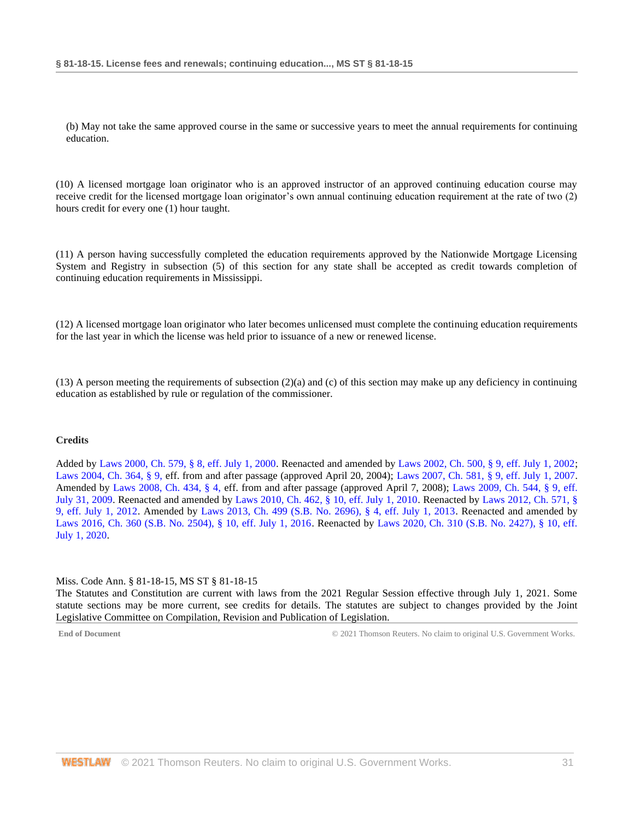(b) May not take the same approved course in the same or successive years to meet the annual requirements for continuing education.

(10) A licensed mortgage loan originator who is an approved instructor of an approved continuing education course may receive credit for the licensed mortgage loan originator's own annual continuing education requirement at the rate of two (2) hours credit for every one (1) hour taught.

(11) A person having successfully completed the education requirements approved by the Nationwide Mortgage Licensing System and Registry in subsection (5) of this section for any state shall be accepted as credit towards completion of continuing education requirements in Mississippi.

(12) A licensed mortgage loan originator who later becomes unlicensed must complete the continuing education requirements for the last year in which the license was held prior to issuance of a new or renewed license.

 $(13)$  A person meeting the requirements of subsection  $(2)(a)$  and  $(c)$  of this section may make up any deficiency in continuing education as established by rule or regulation of the commissioner.

#### **Credits**

Added by [Laws 2000, Ch. 579, § 8, eff. July 1, 2000.](http://www.westlaw.com/Link/Document/FullText?findType=l&pubNum=1077005&cite=UUID(I666224EA7B-2340539E179-70BFA9B4119)&originatingDoc=NB9AF0DD0B68E11EA8981875C7C0D3914&refType=SL&originationContext=document&vr=3.0&rs=cblt1.0&transitionType=DocumentItem&contextData=(sc.DocLink)) Reenacted and amended b[y Laws 2002, Ch. 500, § 9, eff. July 1, 2002;](http://www.westlaw.com/Link/Document/FullText?findType=l&pubNum=1077005&cite=UUID(I0EA02C6CD8-4E40E791A61-A62FFEE7CFB)&originatingDoc=NB9AF0DD0B68E11EA8981875C7C0D3914&refType=SL&originationContext=document&vr=3.0&rs=cblt1.0&transitionType=DocumentItem&contextData=(sc.DocLink)) [Laws 2004, Ch. 364, § 9, e](http://www.westlaw.com/Link/Document/FullText?findType=l&pubNum=1077005&cite=UUID(I5A3C4370BA-B711D8A74D8-7B95E93B7F0)&originatingDoc=NB9AF0DD0B68E11EA8981875C7C0D3914&refType=SL&originationContext=document&vr=3.0&rs=cblt1.0&transitionType=DocumentItem&contextData=(sc.DocLink))ff. from and after passage (approved April 20, 2004); [Laws 2007, Ch. 581, § 9, eff. July 1, 2007.](http://www.westlaw.com/Link/Document/FullText?findType=l&pubNum=1077005&cite=UUID(I23A0B94005-5F11DC8554E-A5201DEAAD3)&originatingDoc=NB9AF0DD0B68E11EA8981875C7C0D3914&refType=SL&originationContext=document&vr=3.0&rs=cblt1.0&transitionType=DocumentItem&contextData=(sc.DocLink)) Amended by [Laws 2008, Ch. 434, § 4, e](http://www.westlaw.com/Link/Document/FullText?findType=l&pubNum=1077005&cite=UUID(I09A0DBB013-1911DD9225D-723D81EADB4)&originatingDoc=NB9AF0DD0B68E11EA8981875C7C0D3914&refType=SL&originationContext=document&vr=3.0&rs=cblt1.0&transitionType=DocumentItem&contextData=(sc.DocLink))ff. from and after passage (approved April 7, 2008); [Laws 2009, Ch. 544, § 9, eff.](http://www.westlaw.com/Link/Document/FullText?findType=l&pubNum=1077005&cite=UUID(I757F0D3033-2911DE82ACD-E6A56952C30)&originatingDoc=NB9AF0DD0B68E11EA8981875C7C0D3914&refType=SL&originationContext=document&vr=3.0&rs=cblt1.0&transitionType=DocumentItem&contextData=(sc.DocLink))  [July 31, 2009.](http://www.westlaw.com/Link/Document/FullText?findType=l&pubNum=1077005&cite=UUID(I757F0D3033-2911DE82ACD-E6A56952C30)&originatingDoc=NB9AF0DD0B68E11EA8981875C7C0D3914&refType=SL&originationContext=document&vr=3.0&rs=cblt1.0&transitionType=DocumentItem&contextData=(sc.DocLink)) Reenacted and amended by [Laws 2010, Ch. 462, § 10, eff. July 1, 2010.](http://www.westlaw.com/Link/Document/FullText?findType=l&pubNum=1077005&cite=UUID(IC5DE906042-3D11DFAFC4E-5BB03694993)&originatingDoc=NB9AF0DD0B68E11EA8981875C7C0D3914&refType=SL&originationContext=document&vr=3.0&rs=cblt1.0&transitionType=DocumentItem&contextData=(sc.DocLink)) Reenacted by [Laws 2012, Ch. 571, §](http://www.westlaw.com/Link/Document/FullText?findType=l&pubNum=1077005&cite=UUID(I164C6DB0A6-6911E18520C-4BFF71C7E68)&originatingDoc=NB9AF0DD0B68E11EA8981875C7C0D3914&refType=SL&originationContext=document&vr=3.0&rs=cblt1.0&transitionType=DocumentItem&contextData=(sc.DocLink))  [9, eff. July 1, 2012.](http://www.westlaw.com/Link/Document/FullText?findType=l&pubNum=1077005&cite=UUID(I164C6DB0A6-6911E18520C-4BFF71C7E68)&originatingDoc=NB9AF0DD0B68E11EA8981875C7C0D3914&refType=SL&originationContext=document&vr=3.0&rs=cblt1.0&transitionType=DocumentItem&contextData=(sc.DocLink)) Amended by [Laws 2013, Ch. 499 \(S.B. No. 2696\), § 4, eff. July 1, 2013.](http://www.westlaw.com/Link/Document/FullText?findType=l&pubNum=1077005&cite=UUID(I09608A10AE-7311E2A8B9E-56D0281D8F2)&originatingDoc=NB9AF0DD0B68E11EA8981875C7C0D3914&refType=SL&originationContext=document&vr=3.0&rs=cblt1.0&transitionType=DocumentItem&contextData=(sc.DocLink)) Reenacted and amended by [Laws 2016, Ch. 360 \(S.B. No. 2504\), § 10, eff. July 1, 2016.](http://www.westlaw.com/Link/Document/FullText?findType=l&pubNum=1077005&cite=UUID(ICC55B560FC-D911E580D7A-145FA49B0D0)&originatingDoc=NB9AF0DD0B68E11EA8981875C7C0D3914&refType=SL&originationContext=document&vr=3.0&rs=cblt1.0&transitionType=DocumentItem&contextData=(sc.DocLink)) Reenacted by [Laws 2020, Ch. 310 \(S.B. No. 2427\), § 10, eff.](http://www.westlaw.com/Link/Document/FullText?findType=l&pubNum=1077005&cite=UUID(I1D2E4B20AF-C611EABCEF8-D197FAE2E99)&originatingDoc=NB9AF0DD0B68E11EA8981875C7C0D3914&refType=SL&originationContext=document&vr=3.0&rs=cblt1.0&transitionType=DocumentItem&contextData=(sc.DocLink)) [July 1, 2020.](http://www.westlaw.com/Link/Document/FullText?findType=l&pubNum=1077005&cite=UUID(I1D2E4B20AF-C611EABCEF8-D197FAE2E99)&originatingDoc=NB9AF0DD0B68E11EA8981875C7C0D3914&refType=SL&originationContext=document&vr=3.0&rs=cblt1.0&transitionType=DocumentItem&contextData=(sc.DocLink))

#### <span id="page-30-0"></span>Miss. Code Ann. § 81-18-15, MS ST § 81-18-15

The Statutes and Constitution are current with laws from the 2021 Regular Session effective through July 1, 2021. Some statute sections may be more current, see credits for details. The statutes are subject to changes provided by the Joint Legislative Committee on Compilation, Revision and Publication of Legislation.

**End of Document** C 2021 Thomson Reuters. No claim to original U.S. Government Works.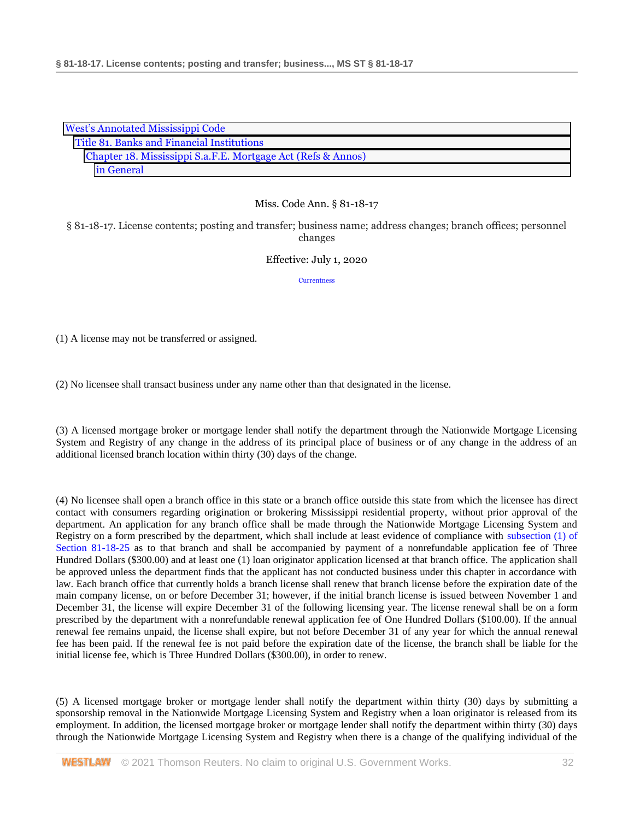| <b>West's Annotated Mississippi Code</b>                     |
|--------------------------------------------------------------|
| Title 81. Banks and Financial Institutions                   |
| Chapter 18. Mississippi S.a.F.E. Mortgage Act (Refs & Annos) |
| in General                                                   |

§ 81-18-17. License contents; posting and transfer; business name; address changes; branch offices; personnel changes

## Effective: July 1, 2020

**[Currentness](#page-32-0)** 

(1) A license may not be transferred or assigned.

(2) No licensee shall transact business under any name other than that designated in the license.

(3) A licensed mortgage broker or mortgage lender shall notify the department through the Nationwide Mortgage Licensing System and Registry of any change in the address of its principal place of business or of any change in the address of an additional licensed branch location within thirty (30) days of the change.

(4) No licensee shall open a branch office in this state or a branch office outside this state from which the licensee has direct contact with consumers regarding origination or brokering Mississippi residential property, without prior approval of the department. An application for any branch office shall be made through the Nationwide Mortgage Licensing System and Registry on a form prescribed by the department, which shall include at least evidence of compliance with [subsection \(1\) of](http://www.westlaw.com/Link/Document/FullText?findType=L&pubNum=1000933&cite=MSSTS81-18-25&originatingDoc=NB3887FE0B68E11EA8025DD4A6D9396B9&refType=SP&originationContext=document&vr=3.0&rs=cblt1.0&transitionType=DocumentItem&contextData=(sc.DocLink)#co_pp_f1c50000821b0)  [Section 81-18-25](http://www.westlaw.com/Link/Document/FullText?findType=L&pubNum=1000933&cite=MSSTS81-18-25&originatingDoc=NB3887FE0B68E11EA8025DD4A6D9396B9&refType=SP&originationContext=document&vr=3.0&rs=cblt1.0&transitionType=DocumentItem&contextData=(sc.DocLink)#co_pp_f1c50000821b0) as to that branch and shall be accompanied by payment of a nonrefundable application fee of Three Hundred Dollars (\$300.00) and at least one (1) loan originator application licensed at that branch office. The application shall be approved unless the department finds that the applicant has not conducted business under this chapter in accordance with law. Each branch office that currently holds a branch license shall renew that branch license before the expiration date of the main company license, on or before December 31; however, if the initial branch license is issued between November 1 and December 31, the license will expire December 31 of the following licensing year. The license renewal shall be on a form prescribed by the department with a nonrefundable renewal application fee of One Hundred Dollars (\$100.00). If the annual renewal fee remains unpaid, the license shall expire, but not before December 31 of any year for which the annual renewal fee has been paid. If the renewal fee is not paid before the expiration date of the license, the branch shall be liable for the initial license fee, which is Three Hundred Dollars (\$300.00), in order to renew.

(5) A licensed mortgage broker or mortgage lender shall notify the department within thirty (30) days by submitting a sponsorship removal in the Nationwide Mortgage Licensing System and Registry when a loan originator is released from its employment. In addition, the licensed mortgage broker or mortgage lender shall notify the department within thirty (30) days through the Nationwide Mortgage Licensing System and Registry when there is a change of the qualifying individual of the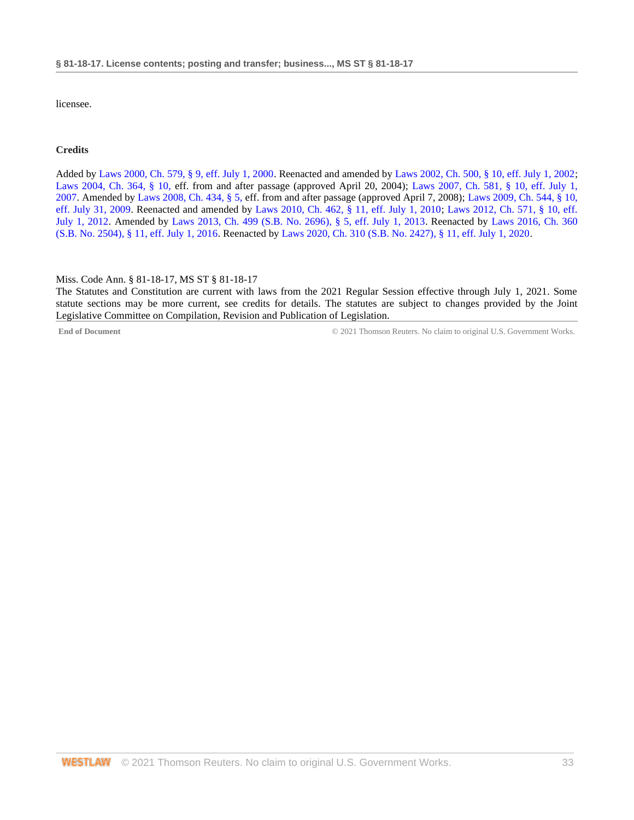licensee.

## **Credits**

Added b[y Laws 2000, Ch. 579, § 9, eff. July 1, 2000.](http://www.westlaw.com/Link/Document/FullText?findType=l&pubNum=1077005&cite=UUID(I666224EA7B-2340539E179-70BFA9B4119)&originatingDoc=NB3887FE0B68E11EA8025DD4A6D9396B9&refType=SL&originationContext=document&vr=3.0&rs=cblt1.0&transitionType=DocumentItem&contextData=(sc.DocLink)) Reenacted and amended b[y Laws 2002, Ch. 500, § 10, eff. July 1, 2002;](http://www.westlaw.com/Link/Document/FullText?findType=l&pubNum=1077005&cite=UUID(I0EA02C6CD8-4E40E791A61-A62FFEE7CFB)&originatingDoc=NB3887FE0B68E11EA8025DD4A6D9396B9&refType=SL&originationContext=document&vr=3.0&rs=cblt1.0&transitionType=DocumentItem&contextData=(sc.DocLink)) [Laws 2004, Ch. 364, § 10, e](http://www.westlaw.com/Link/Document/FullText?findType=l&pubNum=1077005&cite=UUID(I5A3C4370BA-B711D8A74D8-7B95E93B7F0)&originatingDoc=NB3887FE0B68E11EA8025DD4A6D9396B9&refType=SL&originationContext=document&vr=3.0&rs=cblt1.0&transitionType=DocumentItem&contextData=(sc.DocLink))ff. from and after passage (approved April 20, 2004); [Laws 2007, Ch. 581, § 10, eff. July 1,](http://www.westlaw.com/Link/Document/FullText?findType=l&pubNum=1077005&cite=UUID(I23A0B94005-5F11DC8554E-A5201DEAAD3)&originatingDoc=NB3887FE0B68E11EA8025DD4A6D9396B9&refType=SL&originationContext=document&vr=3.0&rs=cblt1.0&transitionType=DocumentItem&contextData=(sc.DocLink))  [2007.](http://www.westlaw.com/Link/Document/FullText?findType=l&pubNum=1077005&cite=UUID(I23A0B94005-5F11DC8554E-A5201DEAAD3)&originatingDoc=NB3887FE0B68E11EA8025DD4A6D9396B9&refType=SL&originationContext=document&vr=3.0&rs=cblt1.0&transitionType=DocumentItem&contextData=(sc.DocLink)) Amended by [Laws 2008, Ch. 434, § 5, e](http://www.westlaw.com/Link/Document/FullText?findType=l&pubNum=1077005&cite=UUID(I09A0DBB013-1911DD9225D-723D81EADB4)&originatingDoc=NB3887FE0B68E11EA8025DD4A6D9396B9&refType=SL&originationContext=document&vr=3.0&rs=cblt1.0&transitionType=DocumentItem&contextData=(sc.DocLink))ff. from and after passage (approved April 7, 2008); [Laws 2009, Ch. 544, § 10,](http://www.westlaw.com/Link/Document/FullText?findType=l&pubNum=1077005&cite=UUID(I757F0D3033-2911DE82ACD-E6A56952C30)&originatingDoc=NB3887FE0B68E11EA8025DD4A6D9396B9&refType=SL&originationContext=document&vr=3.0&rs=cblt1.0&transitionType=DocumentItem&contextData=(sc.DocLink))  [eff. July 31, 2009.](http://www.westlaw.com/Link/Document/FullText?findType=l&pubNum=1077005&cite=UUID(I757F0D3033-2911DE82ACD-E6A56952C30)&originatingDoc=NB3887FE0B68E11EA8025DD4A6D9396B9&refType=SL&originationContext=document&vr=3.0&rs=cblt1.0&transitionType=DocumentItem&contextData=(sc.DocLink)) Reenacted and amended by [Laws 2010, Ch. 462, § 11, eff. July 1, 2010;](http://www.westlaw.com/Link/Document/FullText?findType=l&pubNum=1077005&cite=UUID(IC5DE906042-3D11DFAFC4E-5BB03694993)&originatingDoc=NB3887FE0B68E11EA8025DD4A6D9396B9&refType=SL&originationContext=document&vr=3.0&rs=cblt1.0&transitionType=DocumentItem&contextData=(sc.DocLink)) [Laws 2012, Ch. 571, § 10, eff.](http://www.westlaw.com/Link/Document/FullText?findType=l&pubNum=1077005&cite=UUID(I164C6DB0A6-6911E18520C-4BFF71C7E68)&originatingDoc=NB3887FE0B68E11EA8025DD4A6D9396B9&refType=SL&originationContext=document&vr=3.0&rs=cblt1.0&transitionType=DocumentItem&contextData=(sc.DocLink))  [July 1, 2012.](http://www.westlaw.com/Link/Document/FullText?findType=l&pubNum=1077005&cite=UUID(I164C6DB0A6-6911E18520C-4BFF71C7E68)&originatingDoc=NB3887FE0B68E11EA8025DD4A6D9396B9&refType=SL&originationContext=document&vr=3.0&rs=cblt1.0&transitionType=DocumentItem&contextData=(sc.DocLink)) Amended by [Laws 2013, Ch. 499 \(S.B. No. 2696\), § 5, eff. July 1, 2013.](http://www.westlaw.com/Link/Document/FullText?findType=l&pubNum=1077005&cite=UUID(I09608A10AE-7311E2A8B9E-56D0281D8F2)&originatingDoc=NB3887FE0B68E11EA8025DD4A6D9396B9&refType=SL&originationContext=document&vr=3.0&rs=cblt1.0&transitionType=DocumentItem&contextData=(sc.DocLink)) Reenacted by [Laws 2016, Ch. 360](http://www.westlaw.com/Link/Document/FullText?findType=l&pubNum=1077005&cite=UUID(ICC55B560FC-D911E580D7A-145FA49B0D0)&originatingDoc=NB3887FE0B68E11EA8025DD4A6D9396B9&refType=SL&originationContext=document&vr=3.0&rs=cblt1.0&transitionType=DocumentItem&contextData=(sc.DocLink))  [\(S.B. No. 2504\), § 11, eff. July 1, 2016.](http://www.westlaw.com/Link/Document/FullText?findType=l&pubNum=1077005&cite=UUID(ICC55B560FC-D911E580D7A-145FA49B0D0)&originatingDoc=NB3887FE0B68E11EA8025DD4A6D9396B9&refType=SL&originationContext=document&vr=3.0&rs=cblt1.0&transitionType=DocumentItem&contextData=(sc.DocLink)) Reenacted by [Laws 2020, Ch. 310 \(S.B. No. 2427\), § 11, eff. July 1, 2020.](http://www.westlaw.com/Link/Document/FullText?findType=l&pubNum=1077005&cite=UUID(I1D2E4B20AF-C611EABCEF8-D197FAE2E99)&originatingDoc=NB3887FE0B68E11EA8025DD4A6D9396B9&refType=SL&originationContext=document&vr=3.0&rs=cblt1.0&transitionType=DocumentItem&contextData=(sc.DocLink))

#### <span id="page-32-0"></span>Miss. Code Ann. § 81-18-17, MS ST § 81-18-17

The Statutes and Constitution are current with laws from the 2021 Regular Session effective through July 1, 2021. Some statute sections may be more current, see credits for details. The statutes are subject to changes provided by the Joint Legislative Committee on Compilation, Revision and Publication of Legislation.

**End of Document** C 2021 Thomson Reuters. No claim to original U.S. Government Works.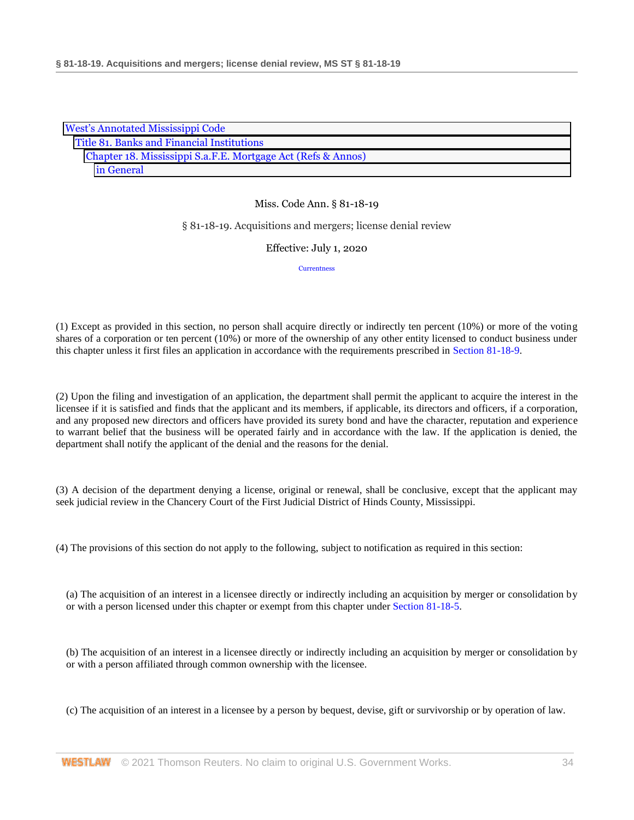| <b>West's Annotated Mississippi Code</b>                     |  |
|--------------------------------------------------------------|--|
| Title 81. Banks and Financial Institutions                   |  |
| Chapter 18. Mississippi S.a.F.E. Mortgage Act (Refs & Annos) |  |
| in General                                                   |  |

#### § 81-18-19. Acquisitions and mergers; license denial review

Effective: July 1, 2020

**[Currentness](#page-34-0)** 

(1) Except as provided in this section, no person shall acquire directly or indirectly ten percent (10%) or more of the voting shares of a corporation or ten percent (10%) or more of the ownership of any other entity licensed to conduct business under this chapter unless it first files an application in accordance with the requirements prescribed in [Section 81-18-9.](http://www.westlaw.com/Link/Document/FullText?findType=L&pubNum=1000933&cite=MSSTS81-18-9&originatingDoc=NA67DB950B68E11EA9025ED556D3F5AA4&refType=LQ&originationContext=document&vr=3.0&rs=cblt1.0&transitionType=DocumentItem&contextData=(sc.DocLink))

(2) Upon the filing and investigation of an application, the department shall permit the applicant to acquire the interest in the licensee if it is satisfied and finds that the applicant and its members, if applicable, its directors and officers, if a corporation, and any proposed new directors and officers have provided its surety bond and have the character, reputation and experience to warrant belief that the business will be operated fairly and in accordance with the law. If the application is denied, the department shall notify the applicant of the denial and the reasons for the denial.

(3) A decision of the department denying a license, original or renewal, shall be conclusive, except that the applicant may seek judicial review in the Chancery Court of the First Judicial District of Hinds County, Mississippi.

(4) The provisions of this section do not apply to the following, subject to notification as required in this section:

(a) The acquisition of an interest in a licensee directly or indirectly including an acquisition by merger or consolidation by or with a person licensed under this chapter or exempt from this chapter unde[r Section 81-18-5.](http://www.westlaw.com/Link/Document/FullText?findType=L&pubNum=1000933&cite=MSSTS81-18-5&originatingDoc=NA67DB950B68E11EA9025ED556D3F5AA4&refType=LQ&originationContext=document&vr=3.0&rs=cblt1.0&transitionType=DocumentItem&contextData=(sc.DocLink))

(b) The acquisition of an interest in a licensee directly or indirectly including an acquisition by merger or consolidation by or with a person affiliated through common ownership with the licensee.

(c) The acquisition of an interest in a licensee by a person by bequest, devise, gift or survivorship or by operation of law.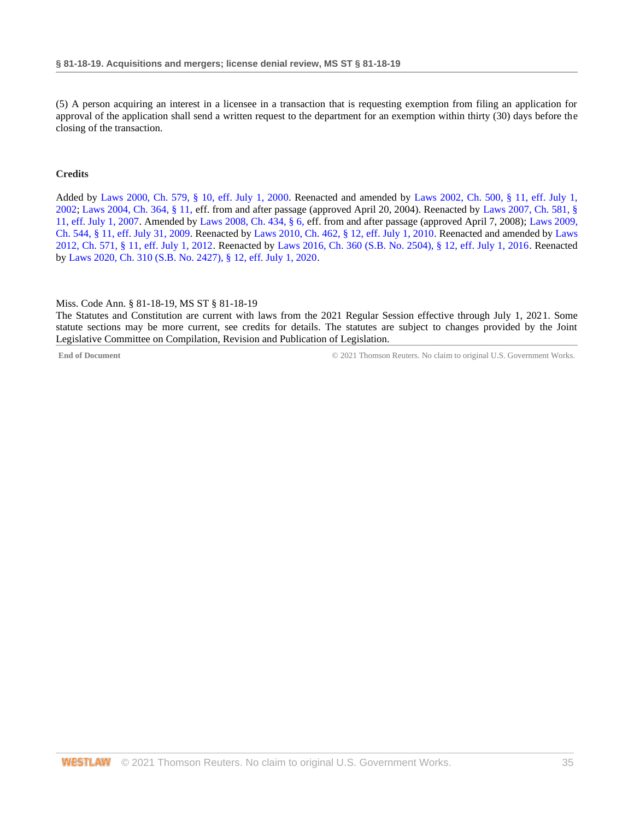(5) A person acquiring an interest in a licensee in a transaction that is requesting exemption from filing an application for approval of the application shall send a written request to the department for an exemption within thirty (30) days before the closing of the transaction.

## **Credits**

Added by [Laws 2000, Ch. 579, § 10, eff. July 1, 2000.](http://www.westlaw.com/Link/Document/FullText?findType=l&pubNum=1077005&cite=UUID(I666224EA7B-2340539E179-70BFA9B4119)&originatingDoc=NA67DB950B68E11EA9025ED556D3F5AA4&refType=SL&originationContext=document&vr=3.0&rs=cblt1.0&transitionType=DocumentItem&contextData=(sc.DocLink)) Reenacted and amended by [Laws 2002, Ch. 500, § 11, eff. July 1,](http://www.westlaw.com/Link/Document/FullText?findType=l&pubNum=1077005&cite=UUID(I0EA02C6CD8-4E40E791A61-A62FFEE7CFB)&originatingDoc=NA67DB950B68E11EA9025ED556D3F5AA4&refType=SL&originationContext=document&vr=3.0&rs=cblt1.0&transitionType=DocumentItem&contextData=(sc.DocLink))  [2002;](http://www.westlaw.com/Link/Document/FullText?findType=l&pubNum=1077005&cite=UUID(I0EA02C6CD8-4E40E791A61-A62FFEE7CFB)&originatingDoc=NA67DB950B68E11EA9025ED556D3F5AA4&refType=SL&originationContext=document&vr=3.0&rs=cblt1.0&transitionType=DocumentItem&contextData=(sc.DocLink)) [Laws 2004, Ch. 364, § 11, e](http://www.westlaw.com/Link/Document/FullText?findType=l&pubNum=1077005&cite=UUID(I5A3C4370BA-B711D8A74D8-7B95E93B7F0)&originatingDoc=NA67DB950B68E11EA9025ED556D3F5AA4&refType=SL&originationContext=document&vr=3.0&rs=cblt1.0&transitionType=DocumentItem&contextData=(sc.DocLink))ff. from and after passage (approved April 20, 2004). Reenacted by [Laws 2007, Ch. 581, §](http://www.westlaw.com/Link/Document/FullText?findType=l&pubNum=1077005&cite=UUID(I23A0B94005-5F11DC8554E-A5201DEAAD3)&originatingDoc=NA67DB950B68E11EA9025ED556D3F5AA4&refType=SL&originationContext=document&vr=3.0&rs=cblt1.0&transitionType=DocumentItem&contextData=(sc.DocLink))  [11, eff. July 1, 2007.](http://www.westlaw.com/Link/Document/FullText?findType=l&pubNum=1077005&cite=UUID(I23A0B94005-5F11DC8554E-A5201DEAAD3)&originatingDoc=NA67DB950B68E11EA9025ED556D3F5AA4&refType=SL&originationContext=document&vr=3.0&rs=cblt1.0&transitionType=DocumentItem&contextData=(sc.DocLink)) Amended by [Laws 2008, Ch. 434, § 6, e](http://www.westlaw.com/Link/Document/FullText?findType=l&pubNum=1077005&cite=UUID(I09A0DBB013-1911DD9225D-723D81EADB4)&originatingDoc=NA67DB950B68E11EA9025ED556D3F5AA4&refType=SL&originationContext=document&vr=3.0&rs=cblt1.0&transitionType=DocumentItem&contextData=(sc.DocLink))ff. from and after passage (approved April 7, 2008); [Laws 2009,](http://www.westlaw.com/Link/Document/FullText?findType=l&pubNum=1077005&cite=UUID(I757F0D3033-2911DE82ACD-E6A56952C30)&originatingDoc=NA67DB950B68E11EA9025ED556D3F5AA4&refType=SL&originationContext=document&vr=3.0&rs=cblt1.0&transitionType=DocumentItem&contextData=(sc.DocLink))  [Ch. 544, § 11, eff. July 31, 2009.](http://www.westlaw.com/Link/Document/FullText?findType=l&pubNum=1077005&cite=UUID(I757F0D3033-2911DE82ACD-E6A56952C30)&originatingDoc=NA67DB950B68E11EA9025ED556D3F5AA4&refType=SL&originationContext=document&vr=3.0&rs=cblt1.0&transitionType=DocumentItem&contextData=(sc.DocLink)) Reenacted by [Laws 2010, Ch. 462, § 12, eff. July 1, 2010.](http://www.westlaw.com/Link/Document/FullText?findType=l&pubNum=1077005&cite=UUID(IC5DE906042-3D11DFAFC4E-5BB03694993)&originatingDoc=NA67DB950B68E11EA9025ED556D3F5AA4&refType=SL&originationContext=document&vr=3.0&rs=cblt1.0&transitionType=DocumentItem&contextData=(sc.DocLink)) Reenacted and amended by [Laws](http://www.westlaw.com/Link/Document/FullText?findType=l&pubNum=1077005&cite=UUID(I164C6DB0A6-6911E18520C-4BFF71C7E68)&originatingDoc=NA67DB950B68E11EA9025ED556D3F5AA4&refType=SL&originationContext=document&vr=3.0&rs=cblt1.0&transitionType=DocumentItem&contextData=(sc.DocLink))  [2012, Ch. 571, § 11, eff. July 1, 2012.](http://www.westlaw.com/Link/Document/FullText?findType=l&pubNum=1077005&cite=UUID(I164C6DB0A6-6911E18520C-4BFF71C7E68)&originatingDoc=NA67DB950B68E11EA9025ED556D3F5AA4&refType=SL&originationContext=document&vr=3.0&rs=cblt1.0&transitionType=DocumentItem&contextData=(sc.DocLink)) Reenacted by [Laws 2016, Ch. 360 \(S.B. No. 2504\), § 12, eff. July 1, 2016.](http://www.westlaw.com/Link/Document/FullText?findType=l&pubNum=1077005&cite=UUID(ICC55B560FC-D911E580D7A-145FA49B0D0)&originatingDoc=NA67DB950B68E11EA9025ED556D3F5AA4&refType=SL&originationContext=document&vr=3.0&rs=cblt1.0&transitionType=DocumentItem&contextData=(sc.DocLink)) Reenacted b[y Laws 2020, Ch. 310 \(S.B. No. 2427\), § 12, eff. July 1, 2020.](http://www.westlaw.com/Link/Document/FullText?findType=l&pubNum=1077005&cite=UUID(I1D2E4B20AF-C611EABCEF8-D197FAE2E99)&originatingDoc=NA67DB950B68E11EA9025ED556D3F5AA4&refType=SL&originationContext=document&vr=3.0&rs=cblt1.0&transitionType=DocumentItem&contextData=(sc.DocLink))

## <span id="page-34-0"></span>Miss. Code Ann. § 81-18-19, MS ST § 81-18-19

The Statutes and Constitution are current with laws from the 2021 Regular Session effective through July 1, 2021. Some statute sections may be more current, see credits for details. The statutes are subject to changes provided by the Joint Legislative Committee on Compilation, Revision and Publication of Legislation.

**End of Document** © 2021 Thomson Reuters. No claim to original U.S. Government Works.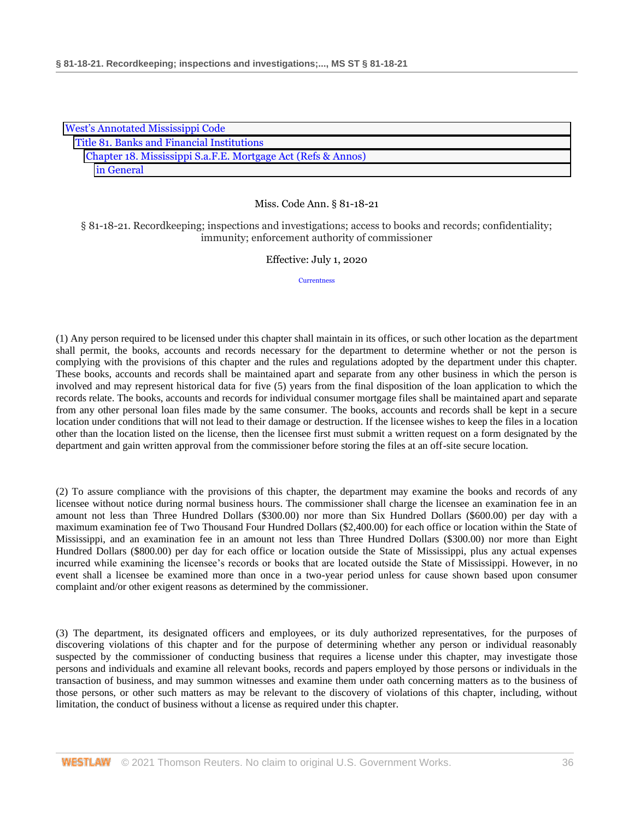| <b>West's Annotated Mississippi Code</b>                     |
|--------------------------------------------------------------|
| Title 81. Banks and Financial Institutions                   |
| Chapter 18. Mississippi S.a.F.E. Mortgage Act (Refs & Annos) |
| in General                                                   |

§ 81-18-21. Recordkeeping; inspections and investigations; access to books and records; confidentiality; immunity; enforcement authority of commissioner

## Effective: July 1, 2020

**[Currentness](#page-37-0)** 

(1) Any person required to be licensed under this chapter shall maintain in its offices, or such other location as the department shall permit, the books, accounts and records necessary for the department to determine whether or not the person is complying with the provisions of this chapter and the rules and regulations adopted by the department under this chapter. These books, accounts and records shall be maintained apart and separate from any other business in which the person is involved and may represent historical data for five (5) years from the final disposition of the loan application to which the records relate. The books, accounts and records for individual consumer mortgage files shall be maintained apart and separate from any other personal loan files made by the same consumer. The books, accounts and records shall be kept in a secure location under conditions that will not lead to their damage or destruction. If the licensee wishes to keep the files in a location other than the location listed on the license, then the licensee first must submit a written request on a form designated by the department and gain written approval from the commissioner before storing the files at an off-site secure location.

(2) To assure compliance with the provisions of this chapter, the department may examine the books and records of any licensee without notice during normal business hours. The commissioner shall charge the licensee an examination fee in an amount not less than Three Hundred Dollars (\$300.00) nor more than Six Hundred Dollars (\$600.00) per day with a maximum examination fee of Two Thousand Four Hundred Dollars (\$2,400.00) for each office or location within the State of Mississippi, and an examination fee in an amount not less than Three Hundred Dollars (\$300.00) nor more than Eight Hundred Dollars (\$800.00) per day for each office or location outside the State of Mississippi, plus any actual expenses incurred while examining the licensee's records or books that are located outside the State of Mississippi. However, in no event shall a licensee be examined more than once in a two-year period unless for cause shown based upon consumer complaint and/or other exigent reasons as determined by the commissioner.

(3) The department, its designated officers and employees, or its duly authorized representatives, for the purposes of discovering violations of this chapter and for the purpose of determining whether any person or individual reasonably suspected by the commissioner of conducting business that requires a license under this chapter, may investigate those persons and individuals and examine all relevant books, records and papers employed by those persons or individuals in the transaction of business, and may summon witnesses and examine them under oath concerning matters as to the business of those persons, or other such matters as may be relevant to the discovery of violations of this chapter, including, without limitation, the conduct of business without a license as required under this chapter.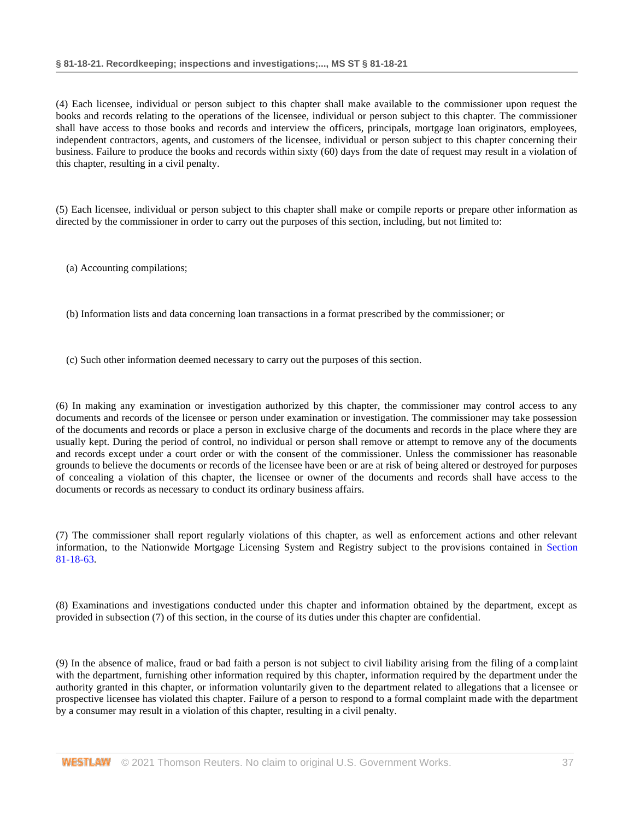(4) Each licensee, individual or person subject to this chapter shall make available to the commissioner upon request the books and records relating to the operations of the licensee, individual or person subject to this chapter. The commissioner shall have access to those books and records and interview the officers, principals, mortgage loan originators, employees, independent contractors, agents, and customers of the licensee, individual or person subject to this chapter concerning their business. Failure to produce the books and records within sixty (60) days from the date of request may result in a violation of this chapter, resulting in a civil penalty.

(5) Each licensee, individual or person subject to this chapter shall make or compile reports or prepare other information as directed by the commissioner in order to carry out the purposes of this section, including, but not limited to:

(a) Accounting compilations;

(b) Information lists and data concerning loan transactions in a format prescribed by the commissioner; or

(c) Such other information deemed necessary to carry out the purposes of this section.

(6) In making any examination or investigation authorized by this chapter, the commissioner may control access to any documents and records of the licensee or person under examination or investigation. The commissioner may take possession of the documents and records or place a person in exclusive charge of the documents and records in the place where they are usually kept. During the period of control, no individual or person shall remove or attempt to remove any of the documents and records except under a court order or with the consent of the commissioner. Unless the commissioner has reasonable grounds to believe the documents or records of the licensee have been or are at risk of being altered or destroyed for purposes of concealing a violation of this chapter, the licensee or owner of the documents and records shall have access to the documents or records as necessary to conduct its ordinary business affairs.

(7) The commissioner shall report regularly violations of this chapter, as well as enforcement actions and other relevant information, to the Nationwide Mortgage Licensing System and Registry subject to the provisions contained in [Section](http://www.westlaw.com/Link/Document/FullText?findType=L&pubNum=1000933&cite=MSSTS81-18-63&originatingDoc=NA79A25D0B68E11EAA6FAB66043C66295&refType=LQ&originationContext=document&vr=3.0&rs=cblt1.0&transitionType=DocumentItem&contextData=(sc.DocLink))  [81-18-63.](http://www.westlaw.com/Link/Document/FullText?findType=L&pubNum=1000933&cite=MSSTS81-18-63&originatingDoc=NA79A25D0B68E11EAA6FAB66043C66295&refType=LQ&originationContext=document&vr=3.0&rs=cblt1.0&transitionType=DocumentItem&contextData=(sc.DocLink))

(8) Examinations and investigations conducted under this chapter and information obtained by the department, except as provided in subsection (7) of this section, in the course of its duties under this chapter are confidential.

(9) In the absence of malice, fraud or bad faith a person is not subject to civil liability arising from the filing of a complaint with the department, furnishing other information required by this chapter, information required by the department under the authority granted in this chapter, or information voluntarily given to the department related to allegations that a licensee or prospective licensee has violated this chapter. Failure of a person to respond to a formal complaint made with the department by a consumer may result in a violation of this chapter, resulting in a civil penalty.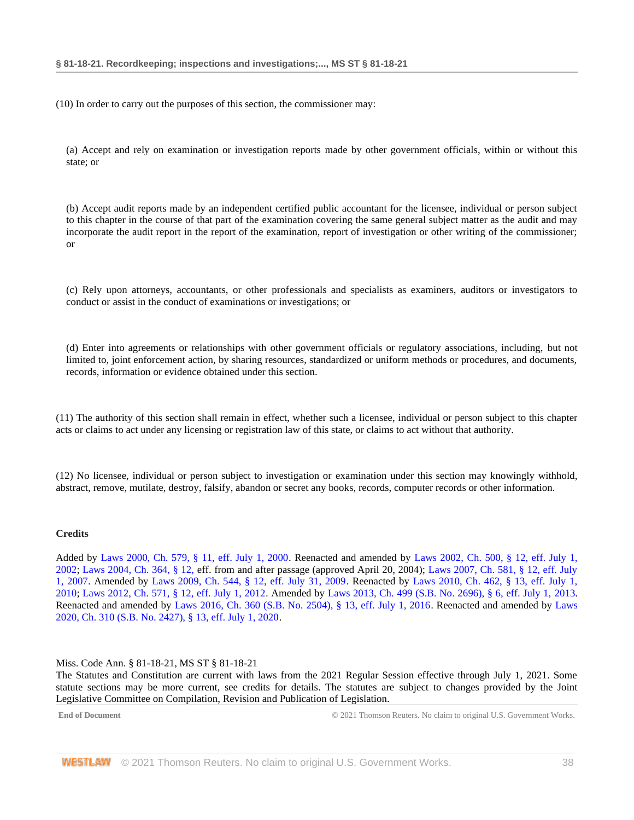(10) In order to carry out the purposes of this section, the commissioner may:

(a) Accept and rely on examination or investigation reports made by other government officials, within or without this state; or

(b) Accept audit reports made by an independent certified public accountant for the licensee, individual or person subject to this chapter in the course of that part of the examination covering the same general subject matter as the audit and may incorporate the audit report in the report of the examination, report of investigation or other writing of the commissioner; or

(c) Rely upon attorneys, accountants, or other professionals and specialists as examiners, auditors or investigators to conduct or assist in the conduct of examinations or investigations; or

(d) Enter into agreements or relationships with other government officials or regulatory associations, including, but not limited to, joint enforcement action, by sharing resources, standardized or uniform methods or procedures, and documents, records, information or evidence obtained under this section.

(11) The authority of this section shall remain in effect, whether such a licensee, individual or person subject to this chapter acts or claims to act under any licensing or registration law of this state, or claims to act without that authority.

(12) No licensee, individual or person subject to investigation or examination under this section may knowingly withhold, abstract, remove, mutilate, destroy, falsify, abandon or secret any books, records, computer records or other information.

#### **Credits**

Added by [Laws 2000, Ch. 579, § 11, eff. July 1, 2000.](http://www.westlaw.com/Link/Document/FullText?findType=l&pubNum=1077005&cite=UUID(I666224EA7B-2340539E179-70BFA9B4119)&originatingDoc=NA79A25D0B68E11EAA6FAB66043C66295&refType=SL&originationContext=document&vr=3.0&rs=cblt1.0&transitionType=DocumentItem&contextData=(sc.DocLink)) Reenacted and amended by [Laws 2002, Ch. 500, § 12, eff. July 1,](http://www.westlaw.com/Link/Document/FullText?findType=l&pubNum=1077005&cite=UUID(I0EA02C6CD8-4E40E791A61-A62FFEE7CFB)&originatingDoc=NA79A25D0B68E11EAA6FAB66043C66295&refType=SL&originationContext=document&vr=3.0&rs=cblt1.0&transitionType=DocumentItem&contextData=(sc.DocLink))  [2002;](http://www.westlaw.com/Link/Document/FullText?findType=l&pubNum=1077005&cite=UUID(I0EA02C6CD8-4E40E791A61-A62FFEE7CFB)&originatingDoc=NA79A25D0B68E11EAA6FAB66043C66295&refType=SL&originationContext=document&vr=3.0&rs=cblt1.0&transitionType=DocumentItem&contextData=(sc.DocLink)) [Laws 2004, Ch. 364, § 12, e](http://www.westlaw.com/Link/Document/FullText?findType=l&pubNum=1077005&cite=UUID(I5A3C4370BA-B711D8A74D8-7B95E93B7F0)&originatingDoc=NA79A25D0B68E11EAA6FAB66043C66295&refType=SL&originationContext=document&vr=3.0&rs=cblt1.0&transitionType=DocumentItem&contextData=(sc.DocLink))ff. from and after passage (approved April 20, 2004); [Laws 2007, Ch. 581, § 12, eff. July](http://www.westlaw.com/Link/Document/FullText?findType=l&pubNum=1077005&cite=UUID(I23A0B94005-5F11DC8554E-A5201DEAAD3)&originatingDoc=NA79A25D0B68E11EAA6FAB66043C66295&refType=SL&originationContext=document&vr=3.0&rs=cblt1.0&transitionType=DocumentItem&contextData=(sc.DocLink))  [1, 2007.](http://www.westlaw.com/Link/Document/FullText?findType=l&pubNum=1077005&cite=UUID(I23A0B94005-5F11DC8554E-A5201DEAAD3)&originatingDoc=NA79A25D0B68E11EAA6FAB66043C66295&refType=SL&originationContext=document&vr=3.0&rs=cblt1.0&transitionType=DocumentItem&contextData=(sc.DocLink)) Amended by [Laws 2009, Ch. 544, § 12, eff. July 31, 2009.](http://www.westlaw.com/Link/Document/FullText?findType=l&pubNum=1077005&cite=UUID(I757F0D3033-2911DE82ACD-E6A56952C30)&originatingDoc=NA79A25D0B68E11EAA6FAB66043C66295&refType=SL&originationContext=document&vr=3.0&rs=cblt1.0&transitionType=DocumentItem&contextData=(sc.DocLink)) Reenacted by [Laws 2010, Ch. 462, § 13, eff. July 1,](http://www.westlaw.com/Link/Document/FullText?findType=l&pubNum=1077005&cite=UUID(IC5DE906042-3D11DFAFC4E-5BB03694993)&originatingDoc=NA79A25D0B68E11EAA6FAB66043C66295&refType=SL&originationContext=document&vr=3.0&rs=cblt1.0&transitionType=DocumentItem&contextData=(sc.DocLink))  [2010;](http://www.westlaw.com/Link/Document/FullText?findType=l&pubNum=1077005&cite=UUID(IC5DE906042-3D11DFAFC4E-5BB03694993)&originatingDoc=NA79A25D0B68E11EAA6FAB66043C66295&refType=SL&originationContext=document&vr=3.0&rs=cblt1.0&transitionType=DocumentItem&contextData=(sc.DocLink)) [Laws 2012, Ch. 571, § 12, eff. July 1, 2012.](http://www.westlaw.com/Link/Document/FullText?findType=l&pubNum=1077005&cite=UUID(I164C6DB0A6-6911E18520C-4BFF71C7E68)&originatingDoc=NA79A25D0B68E11EAA6FAB66043C66295&refType=SL&originationContext=document&vr=3.0&rs=cblt1.0&transitionType=DocumentItem&contextData=(sc.DocLink)) Amended by [Laws 2013, Ch. 499 \(S.B. No. 2696\), § 6, eff. July 1, 2013.](http://www.westlaw.com/Link/Document/FullText?findType=l&pubNum=1077005&cite=UUID(I09608A10AE-7311E2A8B9E-56D0281D8F2)&originatingDoc=NA79A25D0B68E11EAA6FAB66043C66295&refType=SL&originationContext=document&vr=3.0&rs=cblt1.0&transitionType=DocumentItem&contextData=(sc.DocLink)) Reenacted and amended by [Laws 2016, Ch. 360 \(S.B. No. 2504\), § 13, eff. July 1, 2016.](http://www.westlaw.com/Link/Document/FullText?findType=l&pubNum=1077005&cite=UUID(ICC55B560FC-D911E580D7A-145FA49B0D0)&originatingDoc=NA79A25D0B68E11EAA6FAB66043C66295&refType=SL&originationContext=document&vr=3.0&rs=cblt1.0&transitionType=DocumentItem&contextData=(sc.DocLink)) Reenacted and amended by [Laws](http://www.westlaw.com/Link/Document/FullText?findType=l&pubNum=1077005&cite=UUID(I1D2E4B20AF-C611EABCEF8-D197FAE2E99)&originatingDoc=NA79A25D0B68E11EAA6FAB66043C66295&refType=SL&originationContext=document&vr=3.0&rs=cblt1.0&transitionType=DocumentItem&contextData=(sc.DocLink))  [2020, Ch. 310 \(S.B. No. 2427\), § 13, eff. July 1, 2020.](http://www.westlaw.com/Link/Document/FullText?findType=l&pubNum=1077005&cite=UUID(I1D2E4B20AF-C611EABCEF8-D197FAE2E99)&originatingDoc=NA79A25D0B68E11EAA6FAB66043C66295&refType=SL&originationContext=document&vr=3.0&rs=cblt1.0&transitionType=DocumentItem&contextData=(sc.DocLink))

# Miss. Code Ann. § 81-18-21, MS ST § 81-18-21

The Statutes and Constitution are current with laws from the 2021 Regular Session effective through July 1, 2021. Some statute sections may be more current, see credits for details. The statutes are subject to changes provided by the Joint Legislative Committee on Compilation, Revision and Publication of Legislation.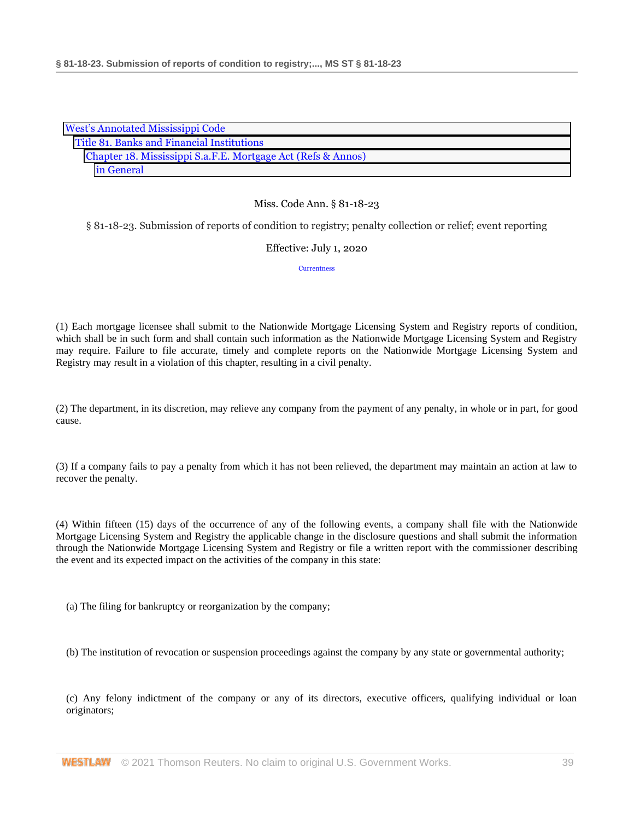| <b>West's Annotated Mississippi Code</b>                     |  |  |
|--------------------------------------------------------------|--|--|
| Title 81. Banks and Financial Institutions                   |  |  |
| Chapter 18. Mississippi S.a.F.E. Mortgage Act (Refs & Annos) |  |  |
| in General                                                   |  |  |

§ 81-18-23. Submission of reports of condition to registry; penalty collection or relief; event reporting

# Effective: July 1, 2020

**[Currentness](#page-39-0)** 

(1) Each mortgage licensee shall submit to the Nationwide Mortgage Licensing System and Registry reports of condition, which shall be in such form and shall contain such information as the Nationwide Mortgage Licensing System and Registry may require. Failure to file accurate, timely and complete reports on the Nationwide Mortgage Licensing System and Registry may result in a violation of this chapter, resulting in a civil penalty.

(2) The department, in its discretion, may relieve any company from the payment of any penalty, in whole or in part, for good cause.

(3) If a company fails to pay a penalty from which it has not been relieved, the department may maintain an action at law to recover the penalty.

(4) Within fifteen (15) days of the occurrence of any of the following events, a company shall file with the Nationwide Mortgage Licensing System and Registry the applicable change in the disclosure questions and shall submit the information through the Nationwide Mortgage Licensing System and Registry or file a written report with the commissioner describing the event and its expected impact on the activities of the company in this state:

(a) The filing for bankruptcy or reorganization by the company;

(b) The institution of revocation or suspension proceedings against the company by any state or governmental authority;

(c) Any felony indictment of the company or any of its directors, executive officers, qualifying individual or loan originators;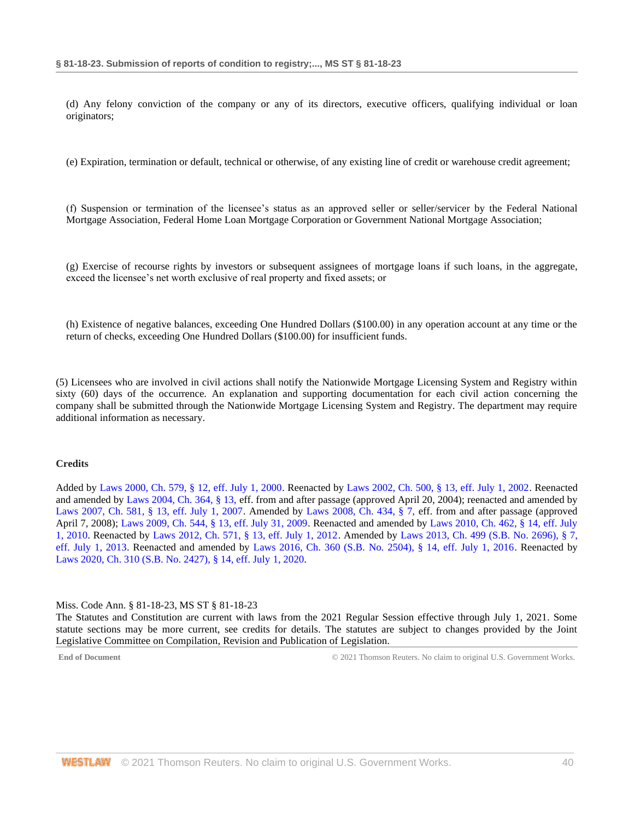(d) Any felony conviction of the company or any of its directors, executive officers, qualifying individual or loan originators;

(e) Expiration, termination or default, technical or otherwise, of any existing line of credit or warehouse credit agreement;

(f) Suspension or termination of the licensee's status as an approved seller or seller/servicer by the Federal National Mortgage Association, Federal Home Loan Mortgage Corporation or Government National Mortgage Association;

(g) Exercise of recourse rights by investors or subsequent assignees of mortgage loans if such loans, in the aggregate, exceed the licensee's net worth exclusive of real property and fixed assets; or

(h) Existence of negative balances, exceeding One Hundred Dollars (\$100.00) in any operation account at any time or the return of checks, exceeding One Hundred Dollars (\$100.00) for insufficient funds.

(5) Licensees who are involved in civil actions shall notify the Nationwide Mortgage Licensing System and Registry within sixty (60) days of the occurrence. An explanation and supporting documentation for each civil action concerning the company shall be submitted through the Nationwide Mortgage Licensing System and Registry. The department may require additional information as necessary.

#### **Credits**

Added by [Laws 2000, Ch. 579, § 12, eff. July 1, 2000.](http://www.westlaw.com/Link/Document/FullText?findType=l&pubNum=1077005&cite=UUID(I666224EA7B-2340539E179-70BFA9B4119)&originatingDoc=NB7A9EF00B68E11EA9025ED556D3F5AA4&refType=SL&originationContext=document&vr=3.0&rs=cblt1.0&transitionType=DocumentItem&contextData=(sc.DocLink)) Reenacted by [Laws 2002, Ch. 500, § 13, eff. July 1, 2002.](http://www.westlaw.com/Link/Document/FullText?findType=l&pubNum=1077005&cite=UUID(I0EA02C6CD8-4E40E791A61-A62FFEE7CFB)&originatingDoc=NB7A9EF00B68E11EA9025ED556D3F5AA4&refType=SL&originationContext=document&vr=3.0&rs=cblt1.0&transitionType=DocumentItem&contextData=(sc.DocLink)) Reenacted and amended by [Laws 2004, Ch. 364, § 13, e](http://www.westlaw.com/Link/Document/FullText?findType=l&pubNum=1077005&cite=UUID(I5A3C4370BA-B711D8A74D8-7B95E93B7F0)&originatingDoc=NB7A9EF00B68E11EA9025ED556D3F5AA4&refType=SL&originationContext=document&vr=3.0&rs=cblt1.0&transitionType=DocumentItem&contextData=(sc.DocLink))ff. from and after passage (approved April 20, 2004); reenacted and amended by [Laws 2007, Ch. 581, § 13, eff. July 1, 2007.](http://www.westlaw.com/Link/Document/FullText?findType=l&pubNum=1077005&cite=UUID(I23A0B94005-5F11DC8554E-A5201DEAAD3)&originatingDoc=NB7A9EF00B68E11EA9025ED556D3F5AA4&refType=SL&originationContext=document&vr=3.0&rs=cblt1.0&transitionType=DocumentItem&contextData=(sc.DocLink)) Amended by [Laws 2008, Ch. 434, § 7, e](http://www.westlaw.com/Link/Document/FullText?findType=l&pubNum=1077005&cite=UUID(I09A0DBB013-1911DD9225D-723D81EADB4)&originatingDoc=NB7A9EF00B68E11EA9025ED556D3F5AA4&refType=SL&originationContext=document&vr=3.0&rs=cblt1.0&transitionType=DocumentItem&contextData=(sc.DocLink))ff. from and after passage (approved April 7, 2008); [Laws 2009, Ch. 544, § 13, eff. July 31, 2009.](http://www.westlaw.com/Link/Document/FullText?findType=l&pubNum=1077005&cite=UUID(I757F0D3033-2911DE82ACD-E6A56952C30)&originatingDoc=NB7A9EF00B68E11EA9025ED556D3F5AA4&refType=SL&originationContext=document&vr=3.0&rs=cblt1.0&transitionType=DocumentItem&contextData=(sc.DocLink)) Reenacted and amended by [Laws 2010, Ch. 462, § 14, eff. July](http://www.westlaw.com/Link/Document/FullText?findType=l&pubNum=1077005&cite=UUID(IC5DE906042-3D11DFAFC4E-5BB03694993)&originatingDoc=NB7A9EF00B68E11EA9025ED556D3F5AA4&refType=SL&originationContext=document&vr=3.0&rs=cblt1.0&transitionType=DocumentItem&contextData=(sc.DocLink))  [1, 2010.](http://www.westlaw.com/Link/Document/FullText?findType=l&pubNum=1077005&cite=UUID(IC5DE906042-3D11DFAFC4E-5BB03694993)&originatingDoc=NB7A9EF00B68E11EA9025ED556D3F5AA4&refType=SL&originationContext=document&vr=3.0&rs=cblt1.0&transitionType=DocumentItem&contextData=(sc.DocLink)) Reenacted by [Laws 2012, Ch. 571, § 13, eff. July 1, 2012.](http://www.westlaw.com/Link/Document/FullText?findType=l&pubNum=1077005&cite=UUID(I164C6DB0A6-6911E18520C-4BFF71C7E68)&originatingDoc=NB7A9EF00B68E11EA9025ED556D3F5AA4&refType=SL&originationContext=document&vr=3.0&rs=cblt1.0&transitionType=DocumentItem&contextData=(sc.DocLink)) Amended by [Laws 2013, Ch. 499 \(S.B. No. 2696\), § 7,](http://www.westlaw.com/Link/Document/FullText?findType=l&pubNum=1077005&cite=UUID(I09608A10AE-7311E2A8B9E-56D0281D8F2)&originatingDoc=NB7A9EF00B68E11EA9025ED556D3F5AA4&refType=SL&originationContext=document&vr=3.0&rs=cblt1.0&transitionType=DocumentItem&contextData=(sc.DocLink))  [eff. July 1, 2013.](http://www.westlaw.com/Link/Document/FullText?findType=l&pubNum=1077005&cite=UUID(I09608A10AE-7311E2A8B9E-56D0281D8F2)&originatingDoc=NB7A9EF00B68E11EA9025ED556D3F5AA4&refType=SL&originationContext=document&vr=3.0&rs=cblt1.0&transitionType=DocumentItem&contextData=(sc.DocLink)) Reenacted and amended by [Laws 2016, Ch. 360 \(S.B. No. 2504\), § 14, eff. July 1, 2016.](http://www.westlaw.com/Link/Document/FullText?findType=l&pubNum=1077005&cite=UUID(ICC55B560FC-D911E580D7A-145FA49B0D0)&originatingDoc=NB7A9EF00B68E11EA9025ED556D3F5AA4&refType=SL&originationContext=document&vr=3.0&rs=cblt1.0&transitionType=DocumentItem&contextData=(sc.DocLink)) Reenacted by [Laws 2020, Ch. 310 \(S.B. No. 2427\), § 14, eff. July](http://www.westlaw.com/Link/Document/FullText?findType=l&pubNum=1077005&cite=UUID(I1D2E4B20AF-C611EABCEF8-D197FAE2E99)&originatingDoc=NB7A9EF00B68E11EA9025ED556D3F5AA4&refType=SL&originationContext=document&vr=3.0&rs=cblt1.0&transitionType=DocumentItem&contextData=(sc.DocLink)) 1, 2020.

#### <span id="page-39-0"></span>Miss. Code Ann. § 81-18-23, MS ST § 81-18-23

The Statutes and Constitution are current with laws from the 2021 Regular Session effective through July 1, 2021. Some statute sections may be more current, see credits for details. The statutes are subject to changes provided by the Joint Legislative Committee on Compilation, Revision and Publication of Legislation.

**End of Document** C 2021 Thomson Reuters. No claim to original U.S. Government Works.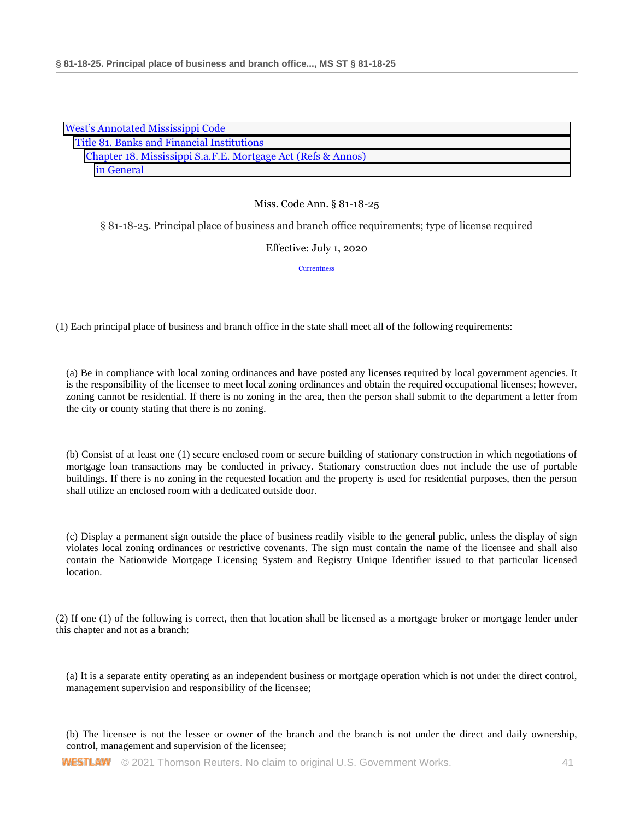| <b>West's Annotated Mississippi Code</b>                     |  |
|--------------------------------------------------------------|--|
| Title 81. Banks and Financial Institutions                   |  |
| Chapter 18. Mississippi S.a.F.E. Mortgage Act (Refs & Annos) |  |
| in General                                                   |  |

§ 81-18-25. Principal place of business and branch office requirements; type of license required

# Effective: July 1, 2020

**[Currentness](#page-41-0)** 

(1) Each principal place of business and branch office in the state shall meet all of the following requirements:

(a) Be in compliance with local zoning ordinances and have posted any licenses required by local government agencies. It is the responsibility of the licensee to meet local zoning ordinances and obtain the required occupational licenses; however, zoning cannot be residential. If there is no zoning in the area, then the person shall submit to the department a letter from the city or county stating that there is no zoning.

(b) Consist of at least one (1) secure enclosed room or secure building of stationary construction in which negotiations of mortgage loan transactions may be conducted in privacy. Stationary construction does not include the use of portable buildings. If there is no zoning in the requested location and the property is used for residential purposes, then the person shall utilize an enclosed room with a dedicated outside door.

(c) Display a permanent sign outside the place of business readily visible to the general public, unless the display of sign violates local zoning ordinances or restrictive covenants. The sign must contain the name of the licensee and shall also contain the Nationwide Mortgage Licensing System and Registry Unique Identifier issued to that particular licensed location.

(2) If one (1) of the following is correct, then that location shall be licensed as a mortgage broker or mortgage lender under this chapter and not as a branch:

(a) It is a separate entity operating as an independent business or mortgage operation which is not under the direct control, management supervision and responsibility of the licensee;

(b) The licensee is not the lessee or owner of the branch and the branch is not under the direct and daily ownership, control, management and supervision of the licensee;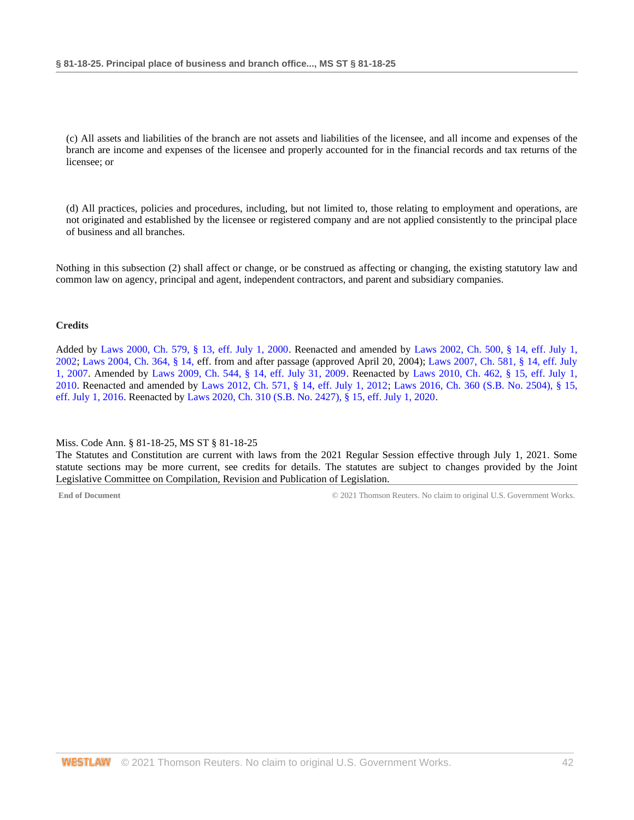(c) All assets and liabilities of the branch are not assets and liabilities of the licensee, and all income and expenses of the branch are income and expenses of the licensee and properly accounted for in the financial records and tax returns of the licensee; or

(d) All practices, policies and procedures, including, but not limited to, those relating to employment and operations, are not originated and established by the licensee or registered company and are not applied consistently to the principal place of business and all branches.

Nothing in this subsection (2) shall affect or change, or be construed as affecting or changing, the existing statutory law and common law on agency, principal and agent, independent contractors, and parent and subsidiary companies.

# **Credits**

Added by [Laws 2000, Ch. 579, § 13, eff. July 1, 2000.](http://www.westlaw.com/Link/Document/FullText?findType=l&pubNum=1077005&cite=UUID(I666224EA7B-2340539E179-70BFA9B4119)&originatingDoc=NA80AC1F0B68E11EA9025ED556D3F5AA4&refType=SL&originationContext=document&vr=3.0&rs=cblt1.0&transitionType=DocumentItem&contextData=(sc.DocLink)) Reenacted and amended by [Laws 2002, Ch. 500, § 14, eff. July 1,](http://www.westlaw.com/Link/Document/FullText?findType=l&pubNum=1077005&cite=UUID(I0EA02C6CD8-4E40E791A61-A62FFEE7CFB)&originatingDoc=NA80AC1F0B68E11EA9025ED556D3F5AA4&refType=SL&originationContext=document&vr=3.0&rs=cblt1.0&transitionType=DocumentItem&contextData=(sc.DocLink))  [2002;](http://www.westlaw.com/Link/Document/FullText?findType=l&pubNum=1077005&cite=UUID(I0EA02C6CD8-4E40E791A61-A62FFEE7CFB)&originatingDoc=NA80AC1F0B68E11EA9025ED556D3F5AA4&refType=SL&originationContext=document&vr=3.0&rs=cblt1.0&transitionType=DocumentItem&contextData=(sc.DocLink)) [Laws 2004, Ch. 364, § 14, e](http://www.westlaw.com/Link/Document/FullText?findType=l&pubNum=1077005&cite=UUID(I5A3C4370BA-B711D8A74D8-7B95E93B7F0)&originatingDoc=NA80AC1F0B68E11EA9025ED556D3F5AA4&refType=SL&originationContext=document&vr=3.0&rs=cblt1.0&transitionType=DocumentItem&contextData=(sc.DocLink))ff. from and after passage (approved April 20, 2004); [Laws 2007, Ch. 581, § 14, eff. July](http://www.westlaw.com/Link/Document/FullText?findType=l&pubNum=1077005&cite=UUID(I23A0B94005-5F11DC8554E-A5201DEAAD3)&originatingDoc=NA80AC1F0B68E11EA9025ED556D3F5AA4&refType=SL&originationContext=document&vr=3.0&rs=cblt1.0&transitionType=DocumentItem&contextData=(sc.DocLink))  [1, 2007.](http://www.westlaw.com/Link/Document/FullText?findType=l&pubNum=1077005&cite=UUID(I23A0B94005-5F11DC8554E-A5201DEAAD3)&originatingDoc=NA80AC1F0B68E11EA9025ED556D3F5AA4&refType=SL&originationContext=document&vr=3.0&rs=cblt1.0&transitionType=DocumentItem&contextData=(sc.DocLink)) Amended by [Laws 2009, Ch. 544, § 14, eff. July 31, 2009.](http://www.westlaw.com/Link/Document/FullText?findType=l&pubNum=1077005&cite=UUID(I757F0D3033-2911DE82ACD-E6A56952C30)&originatingDoc=NA80AC1F0B68E11EA9025ED556D3F5AA4&refType=SL&originationContext=document&vr=3.0&rs=cblt1.0&transitionType=DocumentItem&contextData=(sc.DocLink)) Reenacted by [Laws 2010, Ch. 462, § 15, eff. July 1,](http://www.westlaw.com/Link/Document/FullText?findType=l&pubNum=1077005&cite=UUID(IC5DE906042-3D11DFAFC4E-5BB03694993)&originatingDoc=NA80AC1F0B68E11EA9025ED556D3F5AA4&refType=SL&originationContext=document&vr=3.0&rs=cblt1.0&transitionType=DocumentItem&contextData=(sc.DocLink))  [2010.](http://www.westlaw.com/Link/Document/FullText?findType=l&pubNum=1077005&cite=UUID(IC5DE906042-3D11DFAFC4E-5BB03694993)&originatingDoc=NA80AC1F0B68E11EA9025ED556D3F5AA4&refType=SL&originationContext=document&vr=3.0&rs=cblt1.0&transitionType=DocumentItem&contextData=(sc.DocLink)) Reenacted and amended by [Laws 2012, Ch. 571, § 14, eff. July 1, 2012;](http://www.westlaw.com/Link/Document/FullText?findType=l&pubNum=1077005&cite=UUID(I164C6DB0A6-6911E18520C-4BFF71C7E68)&originatingDoc=NA80AC1F0B68E11EA9025ED556D3F5AA4&refType=SL&originationContext=document&vr=3.0&rs=cblt1.0&transitionType=DocumentItem&contextData=(sc.DocLink)) [Laws 2016, Ch. 360 \(S.B. No. 2504\), § 15,](http://www.westlaw.com/Link/Document/FullText?findType=l&pubNum=1077005&cite=UUID(ICC55B560FC-D911E580D7A-145FA49B0D0)&originatingDoc=NA80AC1F0B68E11EA9025ED556D3F5AA4&refType=SL&originationContext=document&vr=3.0&rs=cblt1.0&transitionType=DocumentItem&contextData=(sc.DocLink))  [eff. July 1, 2016.](http://www.westlaw.com/Link/Document/FullText?findType=l&pubNum=1077005&cite=UUID(ICC55B560FC-D911E580D7A-145FA49B0D0)&originatingDoc=NA80AC1F0B68E11EA9025ED556D3F5AA4&refType=SL&originationContext=document&vr=3.0&rs=cblt1.0&transitionType=DocumentItem&contextData=(sc.DocLink)) Reenacted by [Laws 2020, Ch. 310 \(S.B. No. 2427\), § 15, eff. July 1, 2020.](http://www.westlaw.com/Link/Document/FullText?findType=l&pubNum=1077005&cite=UUID(I1D2E4B20AF-C611EABCEF8-D197FAE2E99)&originatingDoc=NA80AC1F0B68E11EA9025ED556D3F5AA4&refType=SL&originationContext=document&vr=3.0&rs=cblt1.0&transitionType=DocumentItem&contextData=(sc.DocLink))

### <span id="page-41-0"></span>Miss. Code Ann. § 81-18-25, MS ST § 81-18-25

The Statutes and Constitution are current with laws from the 2021 Regular Session effective through July 1, 2021. Some statute sections may be more current, see credits for details. The statutes are subject to changes provided by the Joint Legislative Committee on Compilation, Revision and Publication of Legislation.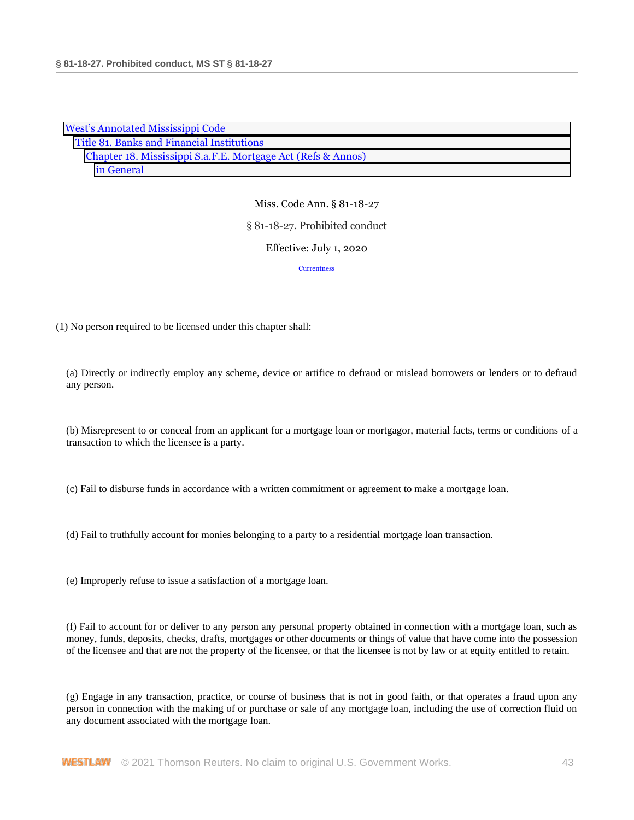| <b>West's Annotated Mississippi Code</b>                     |
|--------------------------------------------------------------|
| Title 81. Banks and Financial Institutions                   |
| Chapter 18. Mississippi S.a.F.E. Mortgage Act (Refs & Annos) |
| in General                                                   |

# Miss. Code Ann. § 81-18-27 § 81-18-27. Prohibited conduct

# Effective: July 1, 2020

#### **[Currentness](#page-46-0)**

(1) No person required to be licensed under this chapter shall:

(a) Directly or indirectly employ any scheme, device or artifice to defraud or mislead borrowers or lenders or to defraud any person.

(b) Misrepresent to or conceal from an applicant for a mortgage loan or mortgagor, material facts, terms or conditions of a transaction to which the licensee is a party.

(c) Fail to disburse funds in accordance with a written commitment or agreement to make a mortgage loan.

(d) Fail to truthfully account for monies belonging to a party to a residential mortgage loan transaction.

(e) Improperly refuse to issue a satisfaction of a mortgage loan.

(f) Fail to account for or deliver to any person any personal property obtained in connection with a mortgage loan, such as money, funds, deposits, checks, drafts, mortgages or other documents or things of value that have come into the possession of the licensee and that are not the property of the licensee, or that the licensee is not by law or at equity entitled to retain.

(g) Engage in any transaction, practice, or course of business that is not in good faith, or that operates a fraud upon any person in connection with the making of or purchase or sale of any mortgage loan, including the use of correction fluid on any document associated with the mortgage loan.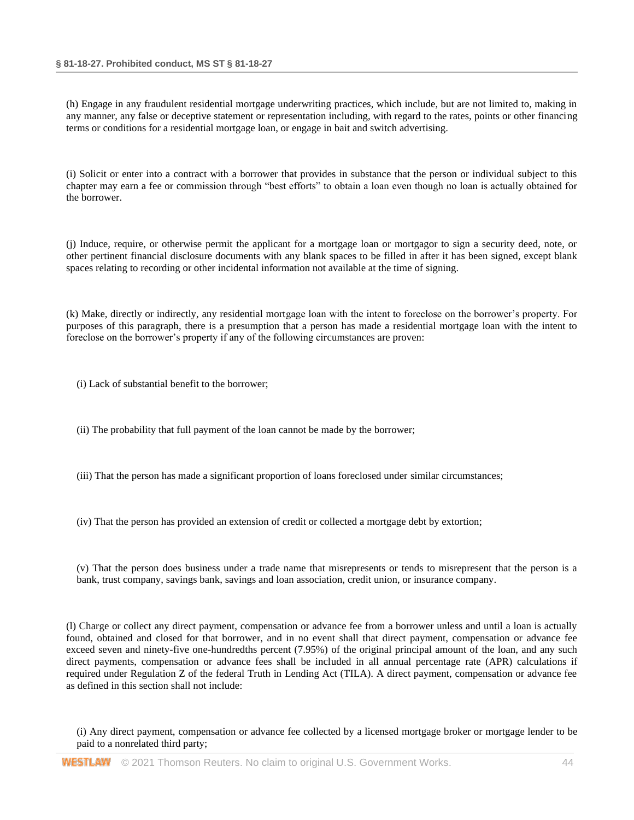(h) Engage in any fraudulent residential mortgage underwriting practices, which include, but are not limited to, making in any manner, any false or deceptive statement or representation including, with regard to the rates, points or other financing terms or conditions for a residential mortgage loan, or engage in bait and switch advertising.

(i) Solicit or enter into a contract with a borrower that provides in substance that the person or individual subject to this chapter may earn a fee or commission through "best efforts" to obtain a loan even though no loan is actually obtained for the borrower.

(j) Induce, require, or otherwise permit the applicant for a mortgage loan or mortgagor to sign a security deed, note, or other pertinent financial disclosure documents with any blank spaces to be filled in after it has been signed, except blank spaces relating to recording or other incidental information not available at the time of signing.

(k) Make, directly or indirectly, any residential mortgage loan with the intent to foreclose on the borrower's property. For purposes of this paragraph, there is a presumption that a person has made a residential mortgage loan with the intent to foreclose on the borrower's property if any of the following circumstances are proven:

(i) Lack of substantial benefit to the borrower;

- (ii) The probability that full payment of the loan cannot be made by the borrower;
- (iii) That the person has made a significant proportion of loans foreclosed under similar circumstances;
- (iv) That the person has provided an extension of credit or collected a mortgage debt by extortion;
- (v) That the person does business under a trade name that misrepresents or tends to misrepresent that the person is a bank, trust company, savings bank, savings and loan association, credit union, or insurance company.

(l) Charge or collect any direct payment, compensation or advance fee from a borrower unless and until a loan is actually found, obtained and closed for that borrower, and in no event shall that direct payment, compensation or advance fee exceed seven and ninety-five one-hundredths percent (7.95%) of the original principal amount of the loan, and any such direct payments, compensation or advance fees shall be included in all annual percentage rate (APR) calculations if required under Regulation Z of the federal Truth in Lending Act (TILA). A direct payment, compensation or advance fee as defined in this section shall not include:

(i) Any direct payment, compensation or advance fee collected by a licensed mortgage broker or mortgage lender to be paid to a nonrelated third party;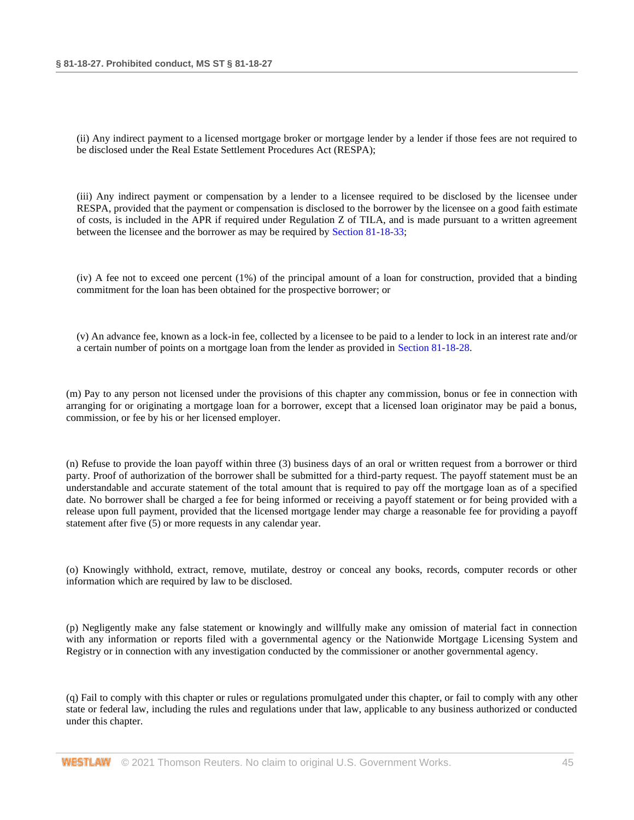(ii) Any indirect payment to a licensed mortgage broker or mortgage lender by a lender if those fees are not required to be disclosed under the Real Estate Settlement Procedures Act (RESPA);

(iii) Any indirect payment or compensation by a lender to a licensee required to be disclosed by the licensee under RESPA, provided that the payment or compensation is disclosed to the borrower by the licensee on a good faith estimate of costs, is included in the APR if required under Regulation Z of TILA, and is made pursuant to a written agreement between the licensee and the borrower as may be required by [Section 81-18-33;](http://www.westlaw.com/Link/Document/FullText?findType=L&pubNum=1000933&cite=MSSTS81-18-33&originatingDoc=NB8155B00B68E11EA8981875C7C0D3914&refType=LQ&originationContext=document&vr=3.0&rs=cblt1.0&transitionType=DocumentItem&contextData=(sc.DocLink))

(iv) A fee not to exceed one percent (1%) of the principal amount of a loan for construction, provided that a binding commitment for the loan has been obtained for the prospective borrower; or

(v) An advance fee, known as a lock-in fee, collected by a licensee to be paid to a lender to lock in an interest rate and/or a certain number of points on a mortgage loan from the lender as provided in [Section 81-18-28.](http://www.westlaw.com/Link/Document/FullText?findType=L&pubNum=1000933&cite=MSSTS81-18-28&originatingDoc=NB8155B00B68E11EA8981875C7C0D3914&refType=LQ&originationContext=document&vr=3.0&rs=cblt1.0&transitionType=DocumentItem&contextData=(sc.DocLink))

(m) Pay to any person not licensed under the provisions of this chapter any commission, bonus or fee in connection with arranging for or originating a mortgage loan for a borrower, except that a licensed loan originator may be paid a bonus, commission, or fee by his or her licensed employer.

(n) Refuse to provide the loan payoff within three (3) business days of an oral or written request from a borrower or third party. Proof of authorization of the borrower shall be submitted for a third-party request. The payoff statement must be an understandable and accurate statement of the total amount that is required to pay off the mortgage loan as of a specified date. No borrower shall be charged a fee for being informed or receiving a payoff statement or for being provided with a release upon full payment, provided that the licensed mortgage lender may charge a reasonable fee for providing a payoff statement after five (5) or more requests in any calendar year.

(o) Knowingly withhold, extract, remove, mutilate, destroy or conceal any books, records, computer records or other information which are required by law to be disclosed.

(p) Negligently make any false statement or knowingly and willfully make any omission of material fact in connection with any information or reports filed with a governmental agency or the Nationwide Mortgage Licensing System and Registry or in connection with any investigation conducted by the commissioner or another governmental agency.

(q) Fail to comply with this chapter or rules or regulations promulgated under this chapter, or fail to comply with any other state or federal law, including the rules and regulations under that law, applicable to any business authorized or conducted under this chapter.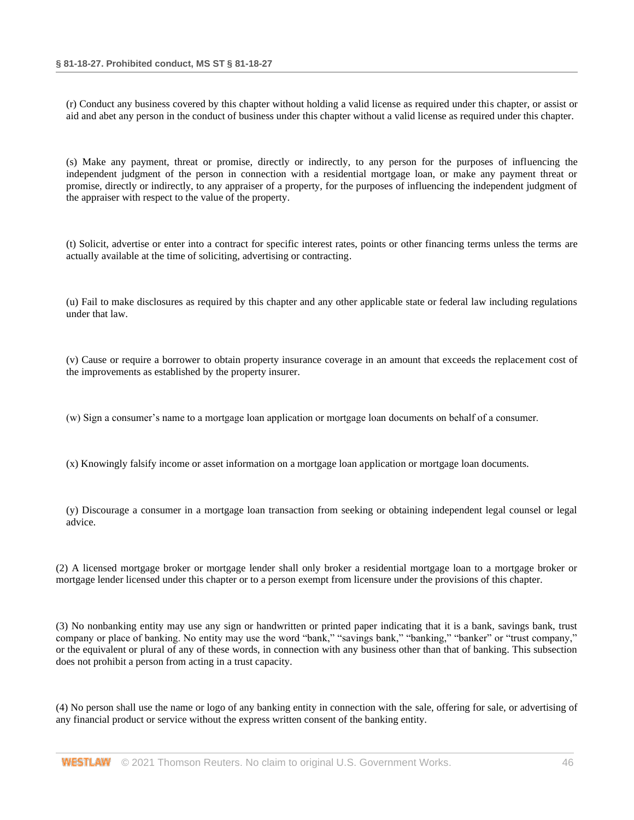(r) Conduct any business covered by this chapter without holding a valid license as required under this chapter, or assist or aid and abet any person in the conduct of business under this chapter without a valid license as required under this chapter.

(s) Make any payment, threat or promise, directly or indirectly, to any person for the purposes of influencing the independent judgment of the person in connection with a residential mortgage loan, or make any payment threat or promise, directly or indirectly, to any appraiser of a property, for the purposes of influencing the independent judgment of the appraiser with respect to the value of the property.

(t) Solicit, advertise or enter into a contract for specific interest rates, points or other financing terms unless the terms are actually available at the time of soliciting, advertising or contracting.

(u) Fail to make disclosures as required by this chapter and any other applicable state or federal law including regulations under that law.

(v) Cause or require a borrower to obtain property insurance coverage in an amount that exceeds the replacement cost of the improvements as established by the property insurer.

(w) Sign a consumer's name to a mortgage loan application or mortgage loan documents on behalf of a consumer.

(x) Knowingly falsify income or asset information on a mortgage loan application or mortgage loan documents.

(y) Discourage a consumer in a mortgage loan transaction from seeking or obtaining independent legal counsel or legal advice.

(2) A licensed mortgage broker or mortgage lender shall only broker a residential mortgage loan to a mortgage broker or mortgage lender licensed under this chapter or to a person exempt from licensure under the provisions of this chapter.

(3) No nonbanking entity may use any sign or handwritten or printed paper indicating that it is a bank, savings bank, trust company or place of banking. No entity may use the word "bank," "savings bank," "banking," "banker" or "trust company," or the equivalent or plural of any of these words, in connection with any business other than that of banking. This subsection does not prohibit a person from acting in a trust capacity.

(4) No person shall use the name or logo of any banking entity in connection with the sale, offering for sale, or advertising of any financial product or service without the express written consent of the banking entity.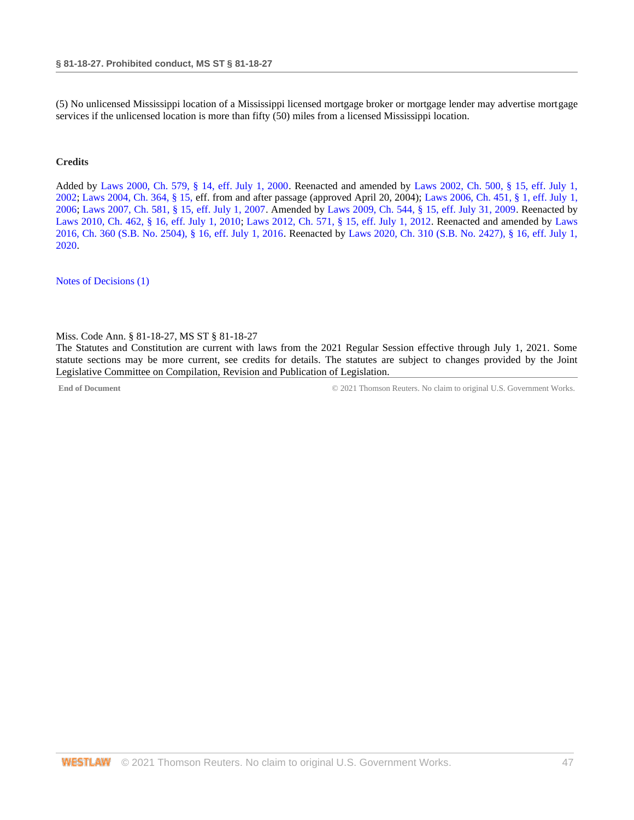(5) No unlicensed Mississippi location of a Mississippi licensed mortgage broker or mortgage lender may advertise mortgage services if the unlicensed location is more than fifty (50) miles from a licensed Mississippi location.

# **Credits**

Added by [Laws 2000, Ch. 579, § 14, eff. July 1, 2000.](http://www.westlaw.com/Link/Document/FullText?findType=l&pubNum=1077005&cite=UUID(I666224EA7B-2340539E179-70BFA9B4119)&originatingDoc=NB8155B00B68E11EA8981875C7C0D3914&refType=SL&originationContext=document&vr=3.0&rs=cblt1.0&transitionType=DocumentItem&contextData=(sc.DocLink)) Reenacted and amended by [Laws 2002, Ch. 500, § 15, eff. July 1,](http://www.westlaw.com/Link/Document/FullText?findType=l&pubNum=1077005&cite=UUID(I0EA02C6CD8-4E40E791A61-A62FFEE7CFB)&originatingDoc=NB8155B00B68E11EA8981875C7C0D3914&refType=SL&originationContext=document&vr=3.0&rs=cblt1.0&transitionType=DocumentItem&contextData=(sc.DocLink))  [2002;](http://www.westlaw.com/Link/Document/FullText?findType=l&pubNum=1077005&cite=UUID(I0EA02C6CD8-4E40E791A61-A62FFEE7CFB)&originatingDoc=NB8155B00B68E11EA8981875C7C0D3914&refType=SL&originationContext=document&vr=3.0&rs=cblt1.0&transitionType=DocumentItem&contextData=(sc.DocLink)) [Laws 2004, Ch. 364, § 15, e](http://www.westlaw.com/Link/Document/FullText?findType=l&pubNum=1077005&cite=UUID(I5A3C4370BA-B711D8A74D8-7B95E93B7F0)&originatingDoc=NB8155B00B68E11EA8981875C7C0D3914&refType=SL&originationContext=document&vr=3.0&rs=cblt1.0&transitionType=DocumentItem&contextData=(sc.DocLink))ff. from and after passage (approved April 20, 2004); [Laws 2006, Ch. 451, § 1, eff. July](http://www.westlaw.com/Link/Document/FullText?findType=l&pubNum=1077005&cite=UUID(I90429B60CF-B711DA8CCBA-153D54DE764)&originatingDoc=NB8155B00B68E11EA8981875C7C0D3914&refType=SL&originationContext=document&vr=3.0&rs=cblt1.0&transitionType=DocumentItem&contextData=(sc.DocLink)) 1, [2006;](http://www.westlaw.com/Link/Document/FullText?findType=l&pubNum=1077005&cite=UUID(I90429B60CF-B711DA8CCBA-153D54DE764)&originatingDoc=NB8155B00B68E11EA8981875C7C0D3914&refType=SL&originationContext=document&vr=3.0&rs=cblt1.0&transitionType=DocumentItem&contextData=(sc.DocLink)) [Laws 2007, Ch. 581, § 15, eff. July 1, 2007.](http://www.westlaw.com/Link/Document/FullText?findType=l&pubNum=1077005&cite=UUID(I23A0B94005-5F11DC8554E-A5201DEAAD3)&originatingDoc=NB8155B00B68E11EA8981875C7C0D3914&refType=SL&originationContext=document&vr=3.0&rs=cblt1.0&transitionType=DocumentItem&contextData=(sc.DocLink)) Amended by [Laws 2009, Ch. 544, § 15, eff. July 31, 2009.](http://www.westlaw.com/Link/Document/FullText?findType=l&pubNum=1077005&cite=UUID(I757F0D3033-2911DE82ACD-E6A56952C30)&originatingDoc=NB8155B00B68E11EA8981875C7C0D3914&refType=SL&originationContext=document&vr=3.0&rs=cblt1.0&transitionType=DocumentItem&contextData=(sc.DocLink)) Reenacted by [Laws 2010, Ch. 462, § 16, eff. July 1, 2010;](http://www.westlaw.com/Link/Document/FullText?findType=l&pubNum=1077005&cite=UUID(IC5DE906042-3D11DFAFC4E-5BB03694993)&originatingDoc=NB8155B00B68E11EA8981875C7C0D3914&refType=SL&originationContext=document&vr=3.0&rs=cblt1.0&transitionType=DocumentItem&contextData=(sc.DocLink)) [Laws 2012, Ch. 571, § 15, eff. July 1, 2012.](http://www.westlaw.com/Link/Document/FullText?findType=l&pubNum=1077005&cite=UUID(I164C6DB0A6-6911E18520C-4BFF71C7E68)&originatingDoc=NB8155B00B68E11EA8981875C7C0D3914&refType=SL&originationContext=document&vr=3.0&rs=cblt1.0&transitionType=DocumentItem&contextData=(sc.DocLink)) Reenacted and amended by [Laws](http://www.westlaw.com/Link/Document/FullText?findType=l&pubNum=1077005&cite=UUID(ICC55B560FC-D911E580D7A-145FA49B0D0)&originatingDoc=NB8155B00B68E11EA8981875C7C0D3914&refType=SL&originationContext=document&vr=3.0&rs=cblt1.0&transitionType=DocumentItem&contextData=(sc.DocLink))  [2016, Ch. 360 \(S.B. No. 2504\), § 16, eff. July 1, 2016.](http://www.westlaw.com/Link/Document/FullText?findType=l&pubNum=1077005&cite=UUID(ICC55B560FC-D911E580D7A-145FA49B0D0)&originatingDoc=NB8155B00B68E11EA8981875C7C0D3914&refType=SL&originationContext=document&vr=3.0&rs=cblt1.0&transitionType=DocumentItem&contextData=(sc.DocLink)) Reenacted by [Laws 2020, Ch. 310 \(S.B. No. 2427\), § 16, eff. July 1,](http://www.westlaw.com/Link/Document/FullText?findType=l&pubNum=1077005&cite=UUID(I1D2E4B20AF-C611EABCEF8-D197FAE2E99)&originatingDoc=NB8155B00B68E11EA8981875C7C0D3914&refType=SL&originationContext=document&vr=3.0&rs=cblt1.0&transitionType=DocumentItem&contextData=(sc.DocLink))  [2020.](http://www.westlaw.com/Link/Document/FullText?findType=l&pubNum=1077005&cite=UUID(I1D2E4B20AF-C611EABCEF8-D197FAE2E99)&originatingDoc=NB8155B00B68E11EA8981875C7C0D3914&refType=SL&originationContext=document&vr=3.0&rs=cblt1.0&transitionType=DocumentItem&contextData=(sc.DocLink))

<span id="page-46-0"></span>[Notes of Decisions \(1\)](http://www.westlaw.com/Link/RelatedInformation/NotesofDecisions?docGuid=NB8155B00B68E11EA8981875C7C0D3914&originationContext=document&vr=3.0&rs=cblt1.0&transitionType=NotesOfDecision&contextData=(sc.DocLink))

Miss. Code Ann. § 81-18-27, MS ST § 81-18-27

The Statutes and Constitution are current with laws from the 2021 Regular Session effective through July 1, 2021. Some statute sections may be more current, see credits for details. The statutes are subject to changes provided by the Joint Legislative Committee on Compilation, Revision and Publication of Legislation.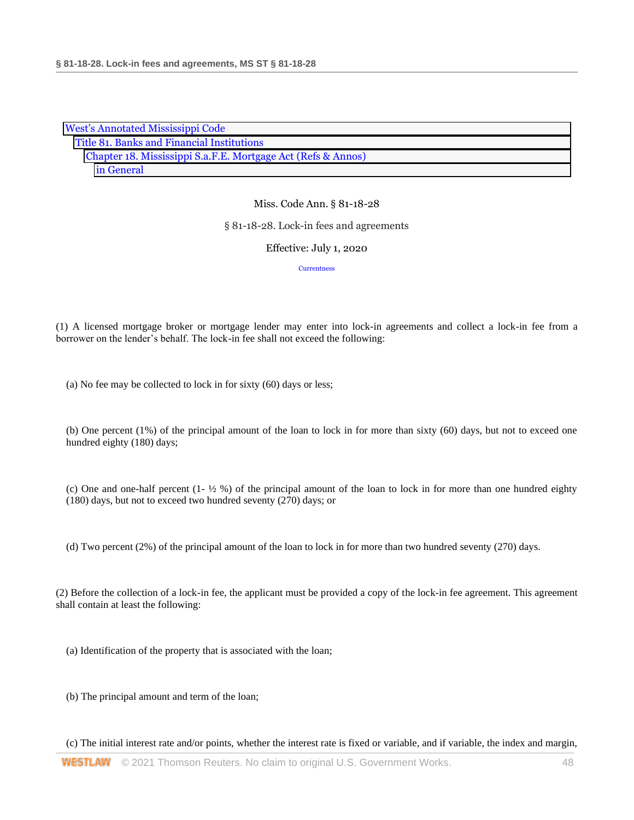| <b>West's Annotated Mississippi Code</b>                     |  |  |  |
|--------------------------------------------------------------|--|--|--|
| Title 81. Banks and Financial Institutions                   |  |  |  |
| Chapter 18. Mississippi S.a.F.E. Mortgage Act (Refs & Annos) |  |  |  |
| in General                                                   |  |  |  |

#### § 81-18-28. Lock-in fees and agreements

#### Effective: July 1, 2020

**[Currentness](#page-48-0)** 

(1) A licensed mortgage broker or mortgage lender may enter into lock-in agreements and collect a lock-in fee from a borrower on the lender's behalf. The lock-in fee shall not exceed the following:

(a) No fee may be collected to lock in for sixty (60) days or less;

(b) One percent (1%) of the principal amount of the loan to lock in for more than sixty (60) days, but not to exceed one hundred eighty (180) days;

(c) One and one-half percent  $(1 - \frac{1}{2} \%)$  of the principal amount of the loan to lock in for more than one hundred eighty (180) days, but not to exceed two hundred seventy (270) days; or

(d) Two percent (2%) of the principal amount of the loan to lock in for more than two hundred seventy (270) days.

(2) Before the collection of a lock-in fee, the applicant must be provided a copy of the lock-in fee agreement. This agreement shall contain at least the following:

(a) Identification of the property that is associated with the loan;

(b) The principal amount and term of the loan;

(c) The initial interest rate and/or points, whether the interest rate is fixed or variable, and if variable, the index and margin,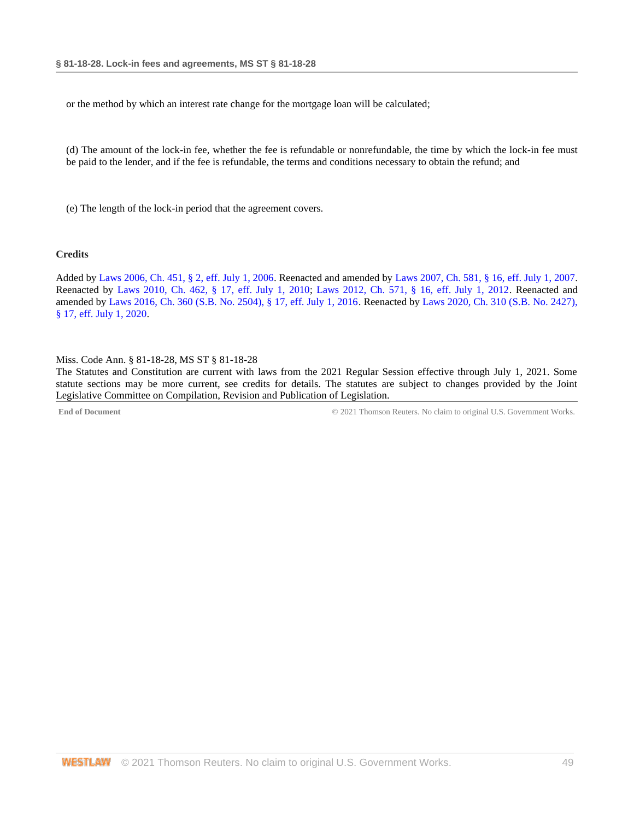or the method by which an interest rate change for the mortgage loan will be calculated;

(d) The amount of the lock-in fee, whether the fee is refundable or nonrefundable, the time by which the lock-in fee must be paid to the lender, and if the fee is refundable, the terms and conditions necessary to obtain the refund; and

(e) The length of the lock-in period that the agreement covers.

#### **Credits**

Added b[y Laws 2006, Ch. 451, § 2, eff. July 1, 2006.](http://www.westlaw.com/Link/Document/FullText?findType=l&pubNum=1077005&cite=UUID(I90429B60CF-B711DA8CCBA-153D54DE764)&originatingDoc=NA71146C0B68E11EA9025ED556D3F5AA4&refType=SL&originationContext=document&vr=3.0&rs=cblt1.0&transitionType=DocumentItem&contextData=(sc.DocLink)) Reenacted and amended b[y Laws 2007, Ch. 581, § 16, eff. July 1, 2007.](http://www.westlaw.com/Link/Document/FullText?findType=l&pubNum=1077005&cite=UUID(I23A0B94005-5F11DC8554E-A5201DEAAD3)&originatingDoc=NA71146C0B68E11EA9025ED556D3F5AA4&refType=SL&originationContext=document&vr=3.0&rs=cblt1.0&transitionType=DocumentItem&contextData=(sc.DocLink)) Reenacted by [Laws 2010, Ch. 462, § 17, eff. July 1, 2010;](http://www.westlaw.com/Link/Document/FullText?findType=l&pubNum=1077005&cite=UUID(IC5DE906042-3D11DFAFC4E-5BB03694993)&originatingDoc=NA71146C0B68E11EA9025ED556D3F5AA4&refType=SL&originationContext=document&vr=3.0&rs=cblt1.0&transitionType=DocumentItem&contextData=(sc.DocLink)) [Laws 2012, Ch. 571, § 16, eff. July 1, 2012.](http://www.westlaw.com/Link/Document/FullText?findType=l&pubNum=1077005&cite=UUID(I164C6DB0A6-6911E18520C-4BFF71C7E68)&originatingDoc=NA71146C0B68E11EA9025ED556D3F5AA4&refType=SL&originationContext=document&vr=3.0&rs=cblt1.0&transitionType=DocumentItem&contextData=(sc.DocLink)) Reenacted and amended by [Laws 2016, Ch. 360 \(S.B. No. 2504\), § 17, eff. July 1, 2016.](http://www.westlaw.com/Link/Document/FullText?findType=l&pubNum=1077005&cite=UUID(ICC55B560FC-D911E580D7A-145FA49B0D0)&originatingDoc=NA71146C0B68E11EA9025ED556D3F5AA4&refType=SL&originationContext=document&vr=3.0&rs=cblt1.0&transitionType=DocumentItem&contextData=(sc.DocLink)) Reenacted by [Laws 2020, Ch. 310 \(S.B. No. 2427\),](http://www.westlaw.com/Link/Document/FullText?findType=l&pubNum=1077005&cite=UUID(I1D2E4B20AF-C611EABCEF8-D197FAE2E99)&originatingDoc=NA71146C0B68E11EA9025ED556D3F5AA4&refType=SL&originationContext=document&vr=3.0&rs=cblt1.0&transitionType=DocumentItem&contextData=(sc.DocLink))  [§ 17, eff. July 1, 2020.](http://www.westlaw.com/Link/Document/FullText?findType=l&pubNum=1077005&cite=UUID(I1D2E4B20AF-C611EABCEF8-D197FAE2E99)&originatingDoc=NA71146C0B68E11EA9025ED556D3F5AA4&refType=SL&originationContext=document&vr=3.0&rs=cblt1.0&transitionType=DocumentItem&contextData=(sc.DocLink))

#### <span id="page-48-0"></span>Miss. Code Ann. § 81-18-28, MS ST § 81-18-28

The Statutes and Constitution are current with laws from the 2021 Regular Session effective through July 1, 2021. Some statute sections may be more current, see credits for details. The statutes are subject to changes provided by the Joint Legislative Committee on Compilation, Revision and Publication of Legislation.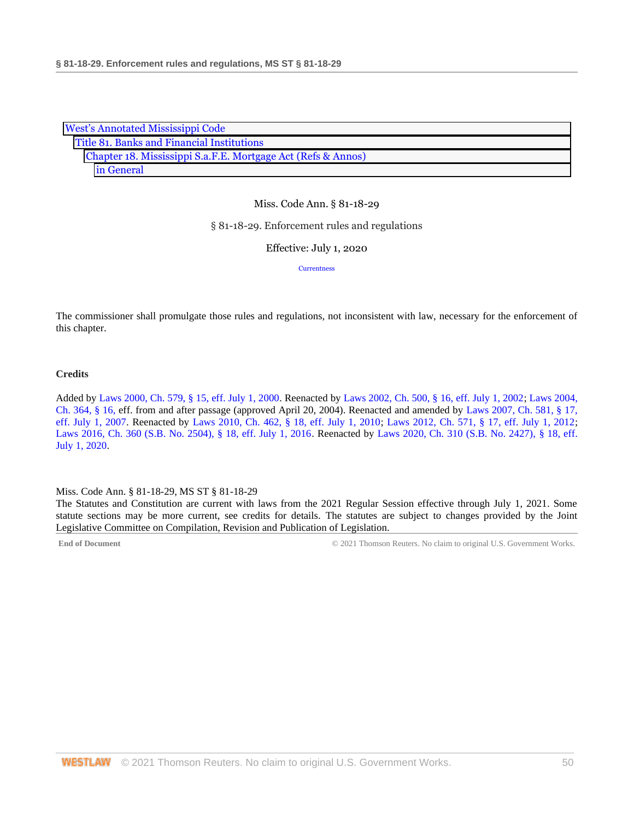| <b>West's Annotated Mississippi Code</b>                     |  |  |  |
|--------------------------------------------------------------|--|--|--|
| Title 81. Banks and Financial Institutions                   |  |  |  |
| Chapter 18. Mississippi S.a.F.E. Mortgage Act (Refs & Annos) |  |  |  |
| in General                                                   |  |  |  |

#### § 81-18-29. Enforcement rules and regulations

Effective: July 1, 2020

**[Currentness](#page-49-0)** 

The commissioner shall promulgate those rules and regulations, not inconsistent with law, necessary for the enforcement of this chapter.

#### **Credits**

Added by [Laws 2000, Ch. 579, § 15, eff. July 1, 2000.](http://www.westlaw.com/Link/Document/FullText?findType=l&pubNum=1077005&cite=UUID(I666224EA7B-2340539E179-70BFA9B4119)&originatingDoc=NB722E4B0B68E11EA805DA9FF6FD729F2&refType=SL&originationContext=document&vr=3.0&rs=cblt1.0&transitionType=DocumentItem&contextData=(sc.DocLink)) Reenacted by [Laws 2002, Ch. 500, § 16, eff. July 1, 2002;](http://www.westlaw.com/Link/Document/FullText?findType=l&pubNum=1077005&cite=UUID(I0EA02C6CD8-4E40E791A61-A62FFEE7CFB)&originatingDoc=NB722E4B0B68E11EA805DA9FF6FD729F2&refType=SL&originationContext=document&vr=3.0&rs=cblt1.0&transitionType=DocumentItem&contextData=(sc.DocLink)) [Laws 2004,](http://www.westlaw.com/Link/Document/FullText?findType=l&pubNum=1077005&cite=UUID(I5A3C4370BA-B711D8A74D8-7B95E93B7F0)&originatingDoc=NB722E4B0B68E11EA805DA9FF6FD729F2&refType=SL&originationContext=document&vr=3.0&rs=cblt1.0&transitionType=DocumentItem&contextData=(sc.DocLink))  [Ch. 364, § 16, e](http://www.westlaw.com/Link/Document/FullText?findType=l&pubNum=1077005&cite=UUID(I5A3C4370BA-B711D8A74D8-7B95E93B7F0)&originatingDoc=NB722E4B0B68E11EA805DA9FF6FD729F2&refType=SL&originationContext=document&vr=3.0&rs=cblt1.0&transitionType=DocumentItem&contextData=(sc.DocLink))ff. from and after passage (approved April 20, 2004). Reenacted and amended by [Laws 2007, Ch. 581, § 17,](http://www.westlaw.com/Link/Document/FullText?findType=l&pubNum=1077005&cite=UUID(I23A0B94005-5F11DC8554E-A5201DEAAD3)&originatingDoc=NB722E4B0B68E11EA805DA9FF6FD729F2&refType=SL&originationContext=document&vr=3.0&rs=cblt1.0&transitionType=DocumentItem&contextData=(sc.DocLink))  [eff. July 1, 2007.](http://www.westlaw.com/Link/Document/FullText?findType=l&pubNum=1077005&cite=UUID(I23A0B94005-5F11DC8554E-A5201DEAAD3)&originatingDoc=NB722E4B0B68E11EA805DA9FF6FD729F2&refType=SL&originationContext=document&vr=3.0&rs=cblt1.0&transitionType=DocumentItem&contextData=(sc.DocLink)) Reenacted by [Laws 2010, Ch. 462, § 18, eff. July 1, 2010;](http://www.westlaw.com/Link/Document/FullText?findType=l&pubNum=1077005&cite=UUID(IC5DE906042-3D11DFAFC4E-5BB03694993)&originatingDoc=NB722E4B0B68E11EA805DA9FF6FD729F2&refType=SL&originationContext=document&vr=3.0&rs=cblt1.0&transitionType=DocumentItem&contextData=(sc.DocLink)) [Laws 2012, Ch. 571, § 17, eff. July 1, 2012;](http://www.westlaw.com/Link/Document/FullText?findType=l&pubNum=1077005&cite=UUID(I164C6DB0A6-6911E18520C-4BFF71C7E68)&originatingDoc=NB722E4B0B68E11EA805DA9FF6FD729F2&refType=SL&originationContext=document&vr=3.0&rs=cblt1.0&transitionType=DocumentItem&contextData=(sc.DocLink)) [Laws 2016, Ch. 360 \(S.B. No. 2504\), § 18, eff. July 1, 2016.](http://www.westlaw.com/Link/Document/FullText?findType=l&pubNum=1077005&cite=UUID(ICC55B560FC-D911E580D7A-145FA49B0D0)&originatingDoc=NB722E4B0B68E11EA805DA9FF6FD729F2&refType=SL&originationContext=document&vr=3.0&rs=cblt1.0&transitionType=DocumentItem&contextData=(sc.DocLink)) Reenacted by [Laws 2020, Ch. 310 \(S.B. No. 2427\),](http://www.westlaw.com/Link/Document/FullText?findType=l&pubNum=1077005&cite=UUID(I1D2E4B20AF-C611EABCEF8-D197FAE2E99)&originatingDoc=NB722E4B0B68E11EA805DA9FF6FD729F2&refType=SL&originationContext=document&vr=3.0&rs=cblt1.0&transitionType=DocumentItem&contextData=(sc.DocLink)) § 18, eff. [July 1, 2020.](http://www.westlaw.com/Link/Document/FullText?findType=l&pubNum=1077005&cite=UUID(I1D2E4B20AF-C611EABCEF8-D197FAE2E99)&originatingDoc=NB722E4B0B68E11EA805DA9FF6FD729F2&refType=SL&originationContext=document&vr=3.0&rs=cblt1.0&transitionType=DocumentItem&contextData=(sc.DocLink))

#### <span id="page-49-0"></span>Miss. Code Ann. § 81-18-29, MS ST § 81-18-29

The Statutes and Constitution are current with laws from the 2021 Regular Session effective through July 1, 2021. Some statute sections may be more current, see credits for details. The statutes are subject to changes provided by the Joint Legislative Committee on Compilation, Revision and Publication of Legislation.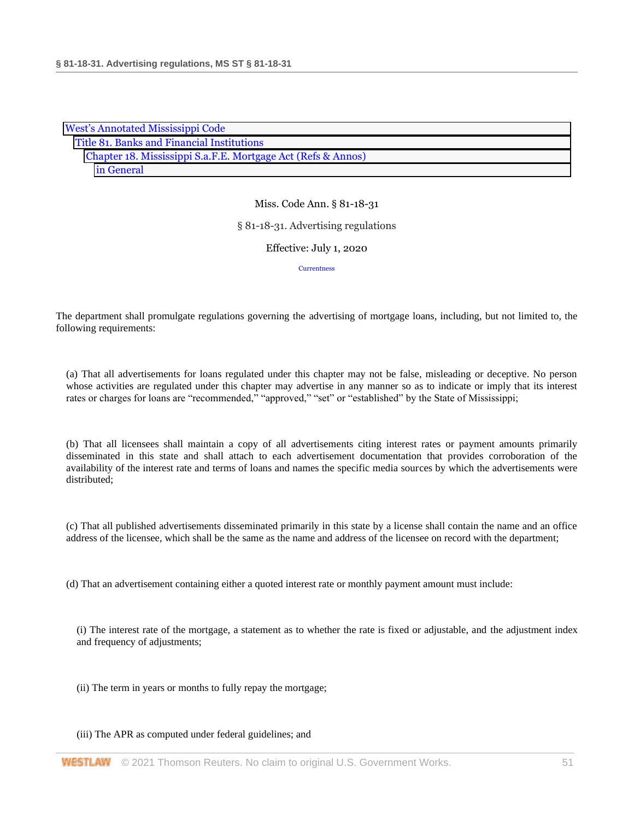| <b>West's Annotated Mississippi Code</b>                     |  |  |
|--------------------------------------------------------------|--|--|
| Title 81. Banks and Financial Institutions                   |  |  |
| Chapter 18. Mississippi S.a.F.E. Mortgage Act (Refs & Annos) |  |  |
| in General                                                   |  |  |

# § 81-18-31. Advertising regulations

# Effective: July 1, 2020

**[Currentness](#page-51-0)** 

The department shall promulgate regulations governing the advertising of mortgage loans, including, but not limited to, the following requirements:

(a) That all advertisements for loans regulated under this chapter may not be false, misleading or deceptive. No person whose activities are regulated under this chapter may advertise in any manner so as to indicate or imply that its interest rates or charges for loans are "recommended," "approved," "set" or "established" by the State of Mississippi;

(b) That all licensees shall maintain a copy of all advertisements citing interest rates or payment amounts primarily disseminated in this state and shall attach to each advertisement documentation that provides corroboration of the availability of the interest rate and terms of loans and names the specific media sources by which the advertisements were distributed;

(c) That all published advertisements disseminated primarily in this state by a license shall contain the name and an office address of the licensee, which shall be the same as the name and address of the licensee on record with the department;

(d) That an advertisement containing either a quoted interest rate or monthly payment amount must include:

(i) The interest rate of the mortgage, a statement as to whether the rate is fixed or adjustable, and the adjustment index and frequency of adjustments;

- (ii) The term in years or months to fully repay the mortgage;
- (iii) The APR as computed under federal guidelines; and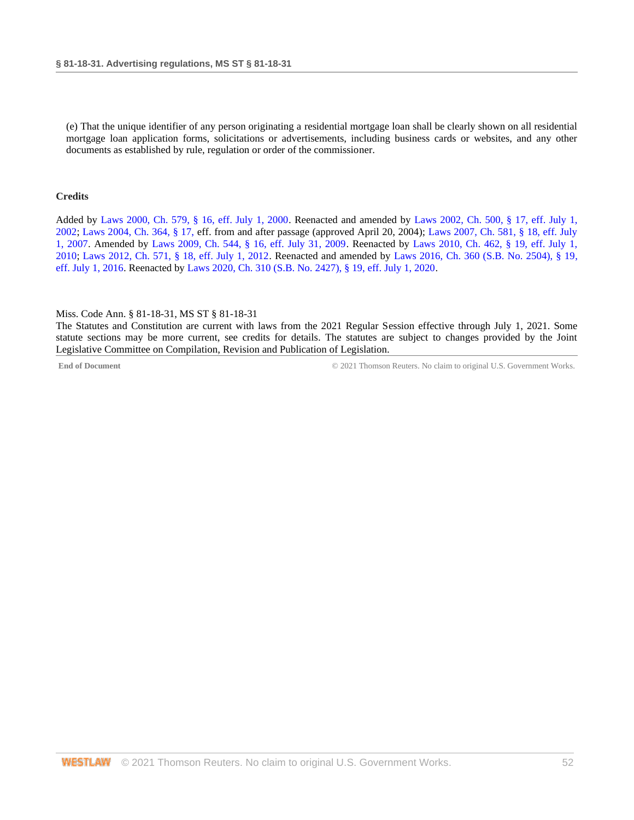(e) That the unique identifier of any person originating a residential mortgage loan shall be clearly shown on all residential mortgage loan application forms, solicitations or advertisements, including business cards or websites, and any other documents as established by rule, regulation or order of the commissioner.

#### **Credits**

Added by [Laws 2000, Ch. 579, § 16, eff. July 1, 2000.](http://www.westlaw.com/Link/Document/FullText?findType=l&pubNum=1077005&cite=UUID(I666224EA7B-2340539E179-70BFA9B4119)&originatingDoc=N32C5E4F0B68F11EA8025DD4A6D9396B9&refType=SL&originationContext=document&vr=3.0&rs=cblt1.0&transitionType=DocumentItem&contextData=(sc.DocLink)) Reenacted and amended by [Laws 2002, Ch. 500, § 17, eff. July 1,](http://www.westlaw.com/Link/Document/FullText?findType=l&pubNum=1077005&cite=UUID(I0EA02C6CD8-4E40E791A61-A62FFEE7CFB)&originatingDoc=N32C5E4F0B68F11EA8025DD4A6D9396B9&refType=SL&originationContext=document&vr=3.0&rs=cblt1.0&transitionType=DocumentItem&contextData=(sc.DocLink))  [2002;](http://www.westlaw.com/Link/Document/FullText?findType=l&pubNum=1077005&cite=UUID(I0EA02C6CD8-4E40E791A61-A62FFEE7CFB)&originatingDoc=N32C5E4F0B68F11EA8025DD4A6D9396B9&refType=SL&originationContext=document&vr=3.0&rs=cblt1.0&transitionType=DocumentItem&contextData=(sc.DocLink)) [Laws 2004, Ch. 364, § 17, e](http://www.westlaw.com/Link/Document/FullText?findType=l&pubNum=1077005&cite=UUID(I5A3C4370BA-B711D8A74D8-7B95E93B7F0)&originatingDoc=N32C5E4F0B68F11EA8025DD4A6D9396B9&refType=SL&originationContext=document&vr=3.0&rs=cblt1.0&transitionType=DocumentItem&contextData=(sc.DocLink))ff. from and after passage (approved April 20, 2004); [Laws 2007, Ch. 581, § 18, eff. July](http://www.westlaw.com/Link/Document/FullText?findType=l&pubNum=1077005&cite=UUID(I23A0B94005-5F11DC8554E-A5201DEAAD3)&originatingDoc=N32C5E4F0B68F11EA8025DD4A6D9396B9&refType=SL&originationContext=document&vr=3.0&rs=cblt1.0&transitionType=DocumentItem&contextData=(sc.DocLink))  [1, 2007.](http://www.westlaw.com/Link/Document/FullText?findType=l&pubNum=1077005&cite=UUID(I23A0B94005-5F11DC8554E-A5201DEAAD3)&originatingDoc=N32C5E4F0B68F11EA8025DD4A6D9396B9&refType=SL&originationContext=document&vr=3.0&rs=cblt1.0&transitionType=DocumentItem&contextData=(sc.DocLink)) Amended by [Laws 2009, Ch. 544, § 16, eff. July 31, 2009.](http://www.westlaw.com/Link/Document/FullText?findType=l&pubNum=1077005&cite=UUID(I757F0D3033-2911DE82ACD-E6A56952C30)&originatingDoc=N32C5E4F0B68F11EA8025DD4A6D9396B9&refType=SL&originationContext=document&vr=3.0&rs=cblt1.0&transitionType=DocumentItem&contextData=(sc.DocLink)) Reenacted by [Laws 2010, Ch. 462, § 19, eff. July 1,](http://www.westlaw.com/Link/Document/FullText?findType=l&pubNum=1077005&cite=UUID(IC5DE906042-3D11DFAFC4E-5BB03694993)&originatingDoc=N32C5E4F0B68F11EA8025DD4A6D9396B9&refType=SL&originationContext=document&vr=3.0&rs=cblt1.0&transitionType=DocumentItem&contextData=(sc.DocLink))  [2010;](http://www.westlaw.com/Link/Document/FullText?findType=l&pubNum=1077005&cite=UUID(IC5DE906042-3D11DFAFC4E-5BB03694993)&originatingDoc=N32C5E4F0B68F11EA8025DD4A6D9396B9&refType=SL&originationContext=document&vr=3.0&rs=cblt1.0&transitionType=DocumentItem&contextData=(sc.DocLink)) [Laws 2012, Ch. 571, § 18, eff. July 1, 2012.](http://www.westlaw.com/Link/Document/FullText?findType=l&pubNum=1077005&cite=UUID(I164C6DB0A6-6911E18520C-4BFF71C7E68)&originatingDoc=N32C5E4F0B68F11EA8025DD4A6D9396B9&refType=SL&originationContext=document&vr=3.0&rs=cblt1.0&transitionType=DocumentItem&contextData=(sc.DocLink)) Reenacted and amended by [Laws 2016, Ch. 360 \(S.B. No. 2504\), § 19,](http://www.westlaw.com/Link/Document/FullText?findType=l&pubNum=1077005&cite=UUID(ICC55B560FC-D911E580D7A-145FA49B0D0)&originatingDoc=N32C5E4F0B68F11EA8025DD4A6D9396B9&refType=SL&originationContext=document&vr=3.0&rs=cblt1.0&transitionType=DocumentItem&contextData=(sc.DocLink))  [eff. July 1, 2016.](http://www.westlaw.com/Link/Document/FullText?findType=l&pubNum=1077005&cite=UUID(ICC55B560FC-D911E580D7A-145FA49B0D0)&originatingDoc=N32C5E4F0B68F11EA8025DD4A6D9396B9&refType=SL&originationContext=document&vr=3.0&rs=cblt1.0&transitionType=DocumentItem&contextData=(sc.DocLink)) Reenacted by [Laws 2020, Ch. 310 \(S.B. No. 2427\), § 19, eff. July 1, 2020.](http://www.westlaw.com/Link/Document/FullText?findType=l&pubNum=1077005&cite=UUID(I1D2E4B20AF-C611EABCEF8-D197FAE2E99)&originatingDoc=N32C5E4F0B68F11EA8025DD4A6D9396B9&refType=SL&originationContext=document&vr=3.0&rs=cblt1.0&transitionType=DocumentItem&contextData=(sc.DocLink))

#### <span id="page-51-0"></span>Miss. Code Ann. § 81-18-31, MS ST § 81-18-31

The Statutes and Constitution are current with laws from the 2021 Regular Session effective through July 1, 2021. Some statute sections may be more current, see credits for details. The statutes are subject to changes provided by the Joint Legislative Committee on Compilation, Revision and Publication of Legislation.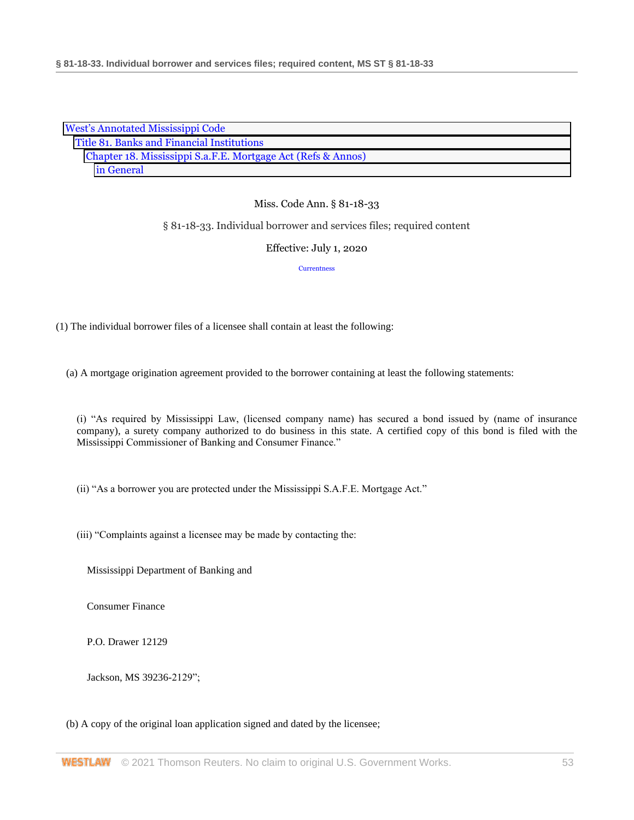| <b>West's Annotated Mississippi Code</b>                     |  |  |
|--------------------------------------------------------------|--|--|
| Title 81. Banks and Financial Institutions                   |  |  |
| Chapter 18. Mississippi S.a.F.E. Mortgage Act (Refs & Annos) |  |  |
| in General                                                   |  |  |

# § 81-18-33. Individual borrower and services files; required content

#### Effective: July 1, 2020

#### **[Currentness](#page-54-0)**

(1) The individual borrower files of a licensee shall contain at least the following:

(a) A mortgage origination agreement provided to the borrower containing at least the following statements:

(i) "As required by Mississippi Law, (licensed company name) has secured a bond issued by (name of insurance company), a surety company authorized to do business in this state. A certified copy of this bond is filed with the Mississippi Commissioner of Banking and Consumer Finance."

(ii) "As a borrower you are protected under the Mississippi S.A.F.E. Mortgage Act."

(iii) "Complaints against a licensee may be made by contacting the:

Mississippi Department of Banking and

Consumer Finance

P.O. Drawer 12129

Jackson, MS 39236-2129";

# (b) A copy of the original loan application signed and dated by the licensee;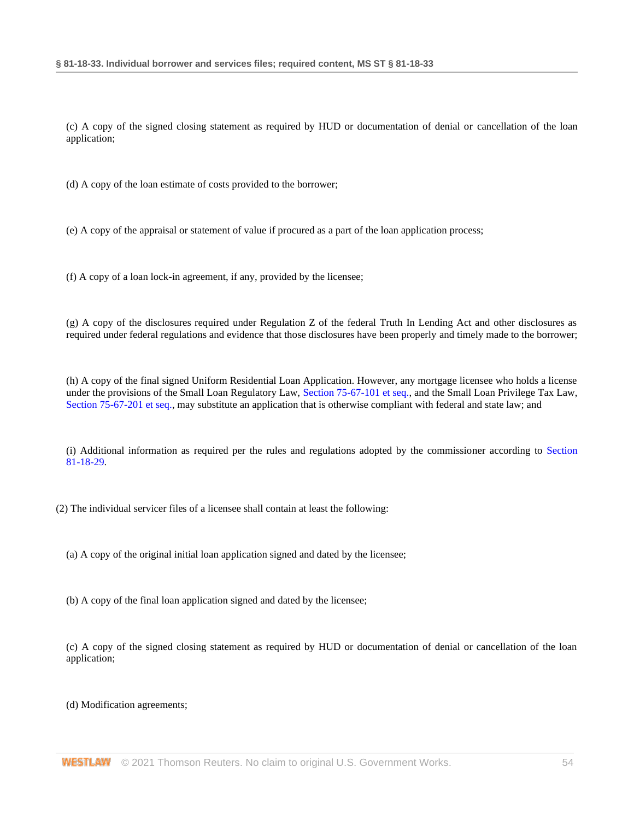(c) A copy of the signed closing statement as required by HUD or documentation of denial or cancellation of the loan application;

(d) A copy of the loan estimate of costs provided to the borrower;

(e) A copy of the appraisal or statement of value if procured as a part of the loan application process;

(f) A copy of a loan lock-in agreement, if any, provided by the licensee;

(g) A copy of the disclosures required under Regulation Z of the federal Truth In Lending Act and other disclosures as required under federal regulations and evidence that those disclosures have been properly and timely made to the borrower;

(h) A copy of the final signed Uniform Residential Loan Application. However, any mortgage licensee who holds a license under the provisions of the Small Loan Regulatory Law, [Section 75-67-101 et seq.,](http://www.westlaw.com/Link/Document/FullText?findType=L&pubNum=1000933&cite=MSSTS75-67-101&originatingDoc=N4A18F6B0B68F11EA9025ED556D3F5AA4&refType=LQ&originationContext=document&vr=3.0&rs=cblt1.0&transitionType=DocumentItem&contextData=(sc.DocLink)) and the Small Loan Privilege Tax Law, [Section 75-67-201 et seq.,](http://www.westlaw.com/Link/Document/FullText?findType=L&pubNum=1000933&cite=MSSTS75-67-201&originatingDoc=N4A18F6B0B68F11EA9025ED556D3F5AA4&refType=LQ&originationContext=document&vr=3.0&rs=cblt1.0&transitionType=DocumentItem&contextData=(sc.DocLink)) may substitute an application that is otherwise compliant with federal and state law; and

(i) Additional information as required per the rules and regulations adopted by the commissioner according to [Section](http://www.westlaw.com/Link/Document/FullText?findType=L&pubNum=1000933&cite=MSSTS81-18-29&originatingDoc=N4A18F6B0B68F11EA9025ED556D3F5AA4&refType=LQ&originationContext=document&vr=3.0&rs=cblt1.0&transitionType=DocumentItem&contextData=(sc.DocLink))  [81-18-29.](http://www.westlaw.com/Link/Document/FullText?findType=L&pubNum=1000933&cite=MSSTS81-18-29&originatingDoc=N4A18F6B0B68F11EA9025ED556D3F5AA4&refType=LQ&originationContext=document&vr=3.0&rs=cblt1.0&transitionType=DocumentItem&contextData=(sc.DocLink))

(2) The individual servicer files of a licensee shall contain at least the following:

(a) A copy of the original initial loan application signed and dated by the licensee;

(b) A copy of the final loan application signed and dated by the licensee;

(c) A copy of the signed closing statement as required by HUD or documentation of denial or cancellation of the loan application;

(d) Modification agreements;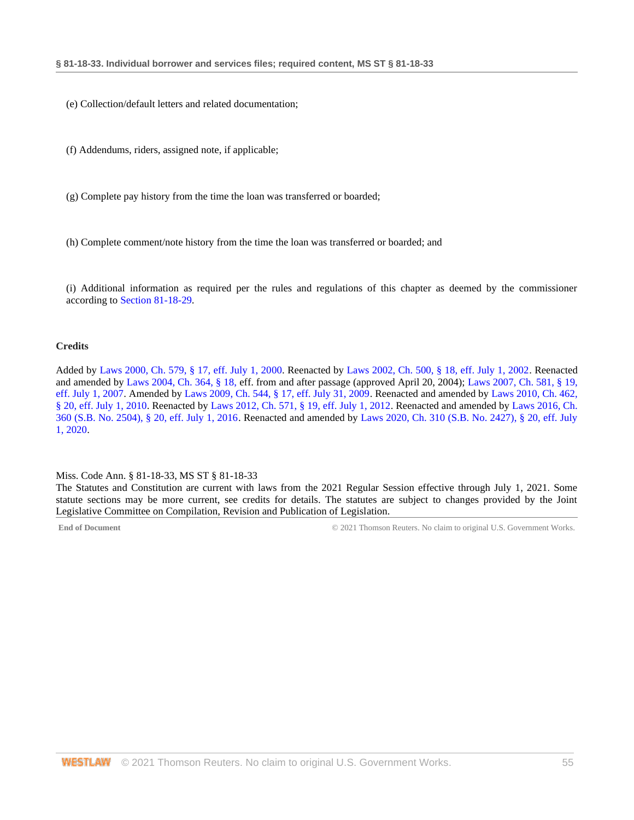- (e) Collection/default letters and related documentation;
- (f) Addendums, riders, assigned note, if applicable;
- (g) Complete pay history from the time the loan was transferred or boarded;
- (h) Complete comment/note history from the time the loan was transferred or boarded; and
- (i) Additional information as required per the rules and regulations of this chapter as deemed by the commissioner according to [Section 81-18-29.](http://www.westlaw.com/Link/Document/FullText?findType=L&pubNum=1000933&cite=MSSTS81-18-29&originatingDoc=N4A18F6B0B68F11EA9025ED556D3F5AA4&refType=LQ&originationContext=document&vr=3.0&rs=cblt1.0&transitionType=DocumentItem&contextData=(sc.DocLink))

#### **Credits**

Added by [Laws 2000, Ch. 579, § 17, eff. July 1, 2000.](http://www.westlaw.com/Link/Document/FullText?findType=l&pubNum=1077005&cite=UUID(I666224EA7B-2340539E179-70BFA9B4119)&originatingDoc=N4A18F6B0B68F11EA9025ED556D3F5AA4&refType=SL&originationContext=document&vr=3.0&rs=cblt1.0&transitionType=DocumentItem&contextData=(sc.DocLink)) Reenacted by [Laws 2002, Ch. 500, § 18, eff. July 1, 2002.](http://www.westlaw.com/Link/Document/FullText?findType=l&pubNum=1077005&cite=UUID(I0EA02C6CD8-4E40E791A61-A62FFEE7CFB)&originatingDoc=N4A18F6B0B68F11EA9025ED556D3F5AA4&refType=SL&originationContext=document&vr=3.0&rs=cblt1.0&transitionType=DocumentItem&contextData=(sc.DocLink)) Reenacted and amended by [Laws 2004, Ch. 364, § 18, e](http://www.westlaw.com/Link/Document/FullText?findType=l&pubNum=1077005&cite=UUID(I5A3C4370BA-B711D8A74D8-7B95E93B7F0)&originatingDoc=N4A18F6B0B68F11EA9025ED556D3F5AA4&refType=SL&originationContext=document&vr=3.0&rs=cblt1.0&transitionType=DocumentItem&contextData=(sc.DocLink))ff. from and after passage (approved April 20, 2004)[; Laws 2007, Ch. 581, § 19,](http://www.westlaw.com/Link/Document/FullText?findType=l&pubNum=1077005&cite=UUID(I23A0B94005-5F11DC8554E-A5201DEAAD3)&originatingDoc=N4A18F6B0B68F11EA9025ED556D3F5AA4&refType=SL&originationContext=document&vr=3.0&rs=cblt1.0&transitionType=DocumentItem&contextData=(sc.DocLink))  [eff. July 1, 2007.](http://www.westlaw.com/Link/Document/FullText?findType=l&pubNum=1077005&cite=UUID(I23A0B94005-5F11DC8554E-A5201DEAAD3)&originatingDoc=N4A18F6B0B68F11EA9025ED556D3F5AA4&refType=SL&originationContext=document&vr=3.0&rs=cblt1.0&transitionType=DocumentItem&contextData=(sc.DocLink)) Amended by [Laws 2009, Ch. 544, § 17, eff. July 31, 2009.](http://www.westlaw.com/Link/Document/FullText?findType=l&pubNum=1077005&cite=UUID(I757F0D3033-2911DE82ACD-E6A56952C30)&originatingDoc=N4A18F6B0B68F11EA9025ED556D3F5AA4&refType=SL&originationContext=document&vr=3.0&rs=cblt1.0&transitionType=DocumentItem&contextData=(sc.DocLink)) Reenacted and amended b[y Laws 2010, Ch. 462,](http://www.westlaw.com/Link/Document/FullText?findType=l&pubNum=1077005&cite=UUID(IC5DE906042-3D11DFAFC4E-5BB03694993)&originatingDoc=N4A18F6B0B68F11EA9025ED556D3F5AA4&refType=SL&originationContext=document&vr=3.0&rs=cblt1.0&transitionType=DocumentItem&contextData=(sc.DocLink))  [§ 20, eff. July 1, 2010.](http://www.westlaw.com/Link/Document/FullText?findType=l&pubNum=1077005&cite=UUID(IC5DE906042-3D11DFAFC4E-5BB03694993)&originatingDoc=N4A18F6B0B68F11EA9025ED556D3F5AA4&refType=SL&originationContext=document&vr=3.0&rs=cblt1.0&transitionType=DocumentItem&contextData=(sc.DocLink)) Reenacted b[y Laws 2012, Ch. 571, § 19, eff. July 1, 2012.](http://www.westlaw.com/Link/Document/FullText?findType=l&pubNum=1077005&cite=UUID(I164C6DB0A6-6911E18520C-4BFF71C7E68)&originatingDoc=N4A18F6B0B68F11EA9025ED556D3F5AA4&refType=SL&originationContext=document&vr=3.0&rs=cblt1.0&transitionType=DocumentItem&contextData=(sc.DocLink)) Reenacted and amended b[y Laws 2016, Ch.](http://www.westlaw.com/Link/Document/FullText?findType=l&pubNum=1077005&cite=UUID(ICC55B560FC-D911E580D7A-145FA49B0D0)&originatingDoc=N4A18F6B0B68F11EA9025ED556D3F5AA4&refType=SL&originationContext=document&vr=3.0&rs=cblt1.0&transitionType=DocumentItem&contextData=(sc.DocLink))  [360 \(S.B. No. 2504\), § 20, eff. July 1, 2016.](http://www.westlaw.com/Link/Document/FullText?findType=l&pubNum=1077005&cite=UUID(ICC55B560FC-D911E580D7A-145FA49B0D0)&originatingDoc=N4A18F6B0B68F11EA9025ED556D3F5AA4&refType=SL&originationContext=document&vr=3.0&rs=cblt1.0&transitionType=DocumentItem&contextData=(sc.DocLink)) Reenacted and amended by [Laws 2020, Ch. 310 \(S.B. No. 2427\), § 20, eff. July](http://www.westlaw.com/Link/Document/FullText?findType=l&pubNum=1077005&cite=UUID(I1D2E4B20AF-C611EABCEF8-D197FAE2E99)&originatingDoc=N4A18F6B0B68F11EA9025ED556D3F5AA4&refType=SL&originationContext=document&vr=3.0&rs=cblt1.0&transitionType=DocumentItem&contextData=(sc.DocLink))  [1, 2020.](http://www.westlaw.com/Link/Document/FullText?findType=l&pubNum=1077005&cite=UUID(I1D2E4B20AF-C611EABCEF8-D197FAE2E99)&originatingDoc=N4A18F6B0B68F11EA9025ED556D3F5AA4&refType=SL&originationContext=document&vr=3.0&rs=cblt1.0&transitionType=DocumentItem&contextData=(sc.DocLink))

#### <span id="page-54-0"></span>Miss. Code Ann. § 81-18-33, MS ST § 81-18-33

The Statutes and Constitution are current with laws from the 2021 Regular Session effective through July 1, 2021. Some statute sections may be more current, see credits for details. The statutes are subject to changes provided by the Joint Legislative Committee on Compilation, Revision and Publication of Legislation.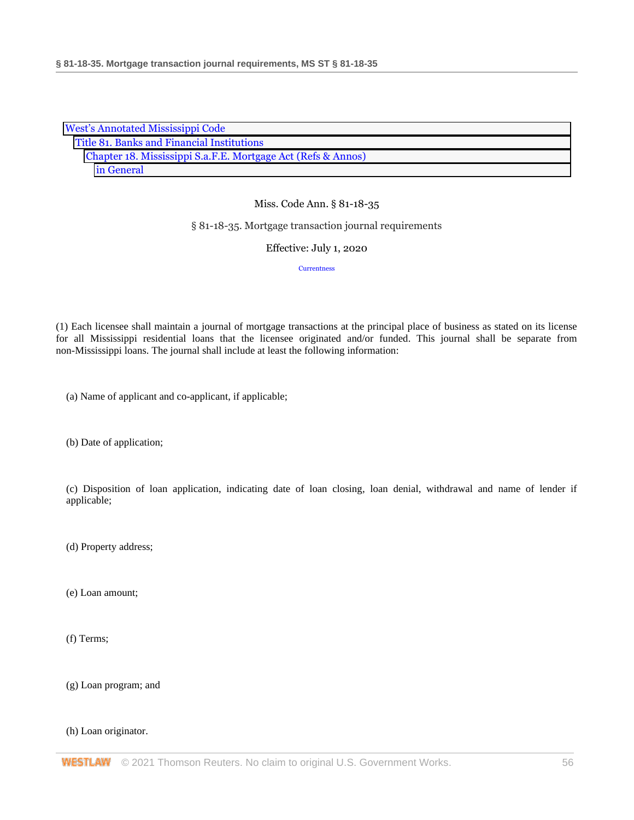| <b>West's Annotated Mississippi Code</b>                     |  |  |
|--------------------------------------------------------------|--|--|
| Title 81. Banks and Financial Institutions                   |  |  |
| Chapter 18. Mississippi S.a.F.E. Mortgage Act (Refs & Annos) |  |  |
| in General                                                   |  |  |

#### § 81-18-35. Mortgage transaction journal requirements

#### Effective: July 1, 2020

**[Currentness](#page-56-0)** 

(1) Each licensee shall maintain a journal of mortgage transactions at the principal place of business as stated on its license for all Mississippi residential loans that the licensee originated and/or funded. This journal shall be separate from non-Mississippi loans. The journal shall include at least the following information:

(a) Name of applicant and co-applicant, if applicable;

(b) Date of application;

(c) Disposition of loan application, indicating date of loan closing, loan denial, withdrawal and name of lender if applicable;

(d) Property address;

(e) Loan amount;

(f) Terms;

(g) Loan program; and

(h) Loan originator.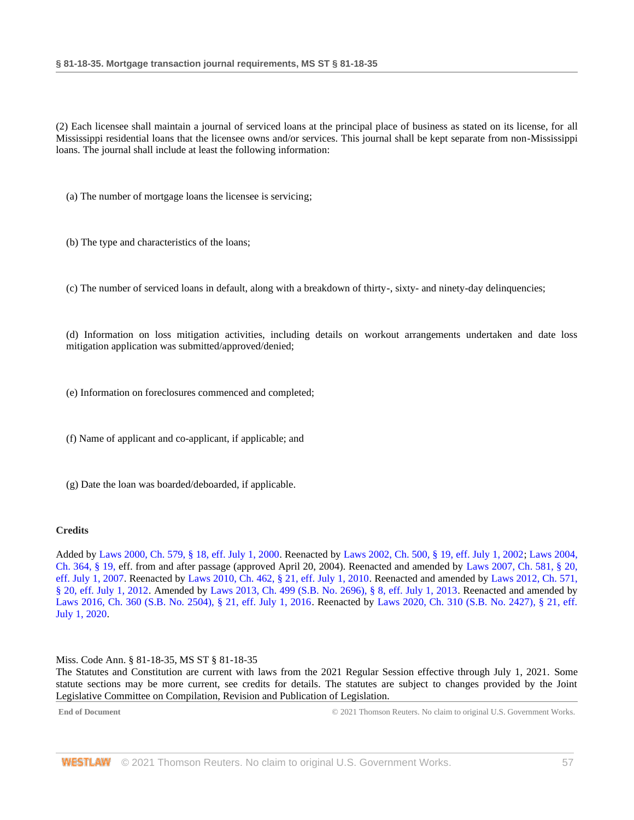(2) Each licensee shall maintain a journal of serviced loans at the principal place of business as stated on its license, for all Mississippi residential loans that the licensee owns and/or services. This journal shall be kept separate from non-Mississippi loans. The journal shall include at least the following information:

(a) The number of mortgage loans the licensee is servicing;

(b) The type and characteristics of the loans;

(c) The number of serviced loans in default, along with a breakdown of thirty-, sixty- and ninety-day delinquencies;

(d) Information on loss mitigation activities, including details on workout arrangements undertaken and date loss mitigation application was submitted/approved/denied;

(e) Information on foreclosures commenced and completed;

(f) Name of applicant and co-applicant, if applicable; and

(g) Date the loan was boarded/deboarded, if applicable.

# **Credits**

Added by [Laws 2000, Ch. 579, § 18, eff. July 1, 2000.](http://www.westlaw.com/Link/Document/FullText?findType=l&pubNum=1077005&cite=UUID(I666224EA7B-2340539E179-70BFA9B4119)&originatingDoc=N32331AD0B68F11EA9025ED556D3F5AA4&refType=SL&originationContext=document&vr=3.0&rs=cblt1.0&transitionType=DocumentItem&contextData=(sc.DocLink)) Reenacted by [Laws 2002, Ch. 500, § 19, eff. July 1, 2002;](http://www.westlaw.com/Link/Document/FullText?findType=l&pubNum=1077005&cite=UUID(I0EA02C6CD8-4E40E791A61-A62FFEE7CFB)&originatingDoc=N32331AD0B68F11EA9025ED556D3F5AA4&refType=SL&originationContext=document&vr=3.0&rs=cblt1.0&transitionType=DocumentItem&contextData=(sc.DocLink)) [Laws 2004,](http://www.westlaw.com/Link/Document/FullText?findType=l&pubNum=1077005&cite=UUID(I5A3C4370BA-B711D8A74D8-7B95E93B7F0)&originatingDoc=N32331AD0B68F11EA9025ED556D3F5AA4&refType=SL&originationContext=document&vr=3.0&rs=cblt1.0&transitionType=DocumentItem&contextData=(sc.DocLink))  [Ch. 364, § 19, e](http://www.westlaw.com/Link/Document/FullText?findType=l&pubNum=1077005&cite=UUID(I5A3C4370BA-B711D8A74D8-7B95E93B7F0)&originatingDoc=N32331AD0B68F11EA9025ED556D3F5AA4&refType=SL&originationContext=document&vr=3.0&rs=cblt1.0&transitionType=DocumentItem&contextData=(sc.DocLink))ff. from and after passage (approved April 20, 2004). Reenacted and amended by [Laws 2007, Ch. 581, § 20,](http://www.westlaw.com/Link/Document/FullText?findType=l&pubNum=1077005&cite=UUID(I23A0B94005-5F11DC8554E-A5201DEAAD3)&originatingDoc=N32331AD0B68F11EA9025ED556D3F5AA4&refType=SL&originationContext=document&vr=3.0&rs=cblt1.0&transitionType=DocumentItem&contextData=(sc.DocLink))  [eff. July 1, 2007.](http://www.westlaw.com/Link/Document/FullText?findType=l&pubNum=1077005&cite=UUID(I23A0B94005-5F11DC8554E-A5201DEAAD3)&originatingDoc=N32331AD0B68F11EA9025ED556D3F5AA4&refType=SL&originationContext=document&vr=3.0&rs=cblt1.0&transitionType=DocumentItem&contextData=(sc.DocLink)) Reenacted b[y Laws 2010, Ch. 462, § 21, eff. July 1, 2010.](http://www.westlaw.com/Link/Document/FullText?findType=l&pubNum=1077005&cite=UUID(IC5DE906042-3D11DFAFC4E-5BB03694993)&originatingDoc=N32331AD0B68F11EA9025ED556D3F5AA4&refType=SL&originationContext=document&vr=3.0&rs=cblt1.0&transitionType=DocumentItem&contextData=(sc.DocLink)) Reenacted and amended by [Laws 2012, Ch. 571,](http://www.westlaw.com/Link/Document/FullText?findType=l&pubNum=1077005&cite=UUID(I164C6DB0A6-6911E18520C-4BFF71C7E68)&originatingDoc=N32331AD0B68F11EA9025ED556D3F5AA4&refType=SL&originationContext=document&vr=3.0&rs=cblt1.0&transitionType=DocumentItem&contextData=(sc.DocLink))  [§ 20, eff. July 1, 2012.](http://www.westlaw.com/Link/Document/FullText?findType=l&pubNum=1077005&cite=UUID(I164C6DB0A6-6911E18520C-4BFF71C7E68)&originatingDoc=N32331AD0B68F11EA9025ED556D3F5AA4&refType=SL&originationContext=document&vr=3.0&rs=cblt1.0&transitionType=DocumentItem&contextData=(sc.DocLink)) Amended by [Laws 2013, Ch. 499 \(S.B. No. 2696\), § 8, eff. July 1, 2013.](http://www.westlaw.com/Link/Document/FullText?findType=l&pubNum=1077005&cite=UUID(I09608A10AE-7311E2A8B9E-56D0281D8F2)&originatingDoc=N32331AD0B68F11EA9025ED556D3F5AA4&refType=SL&originationContext=document&vr=3.0&rs=cblt1.0&transitionType=DocumentItem&contextData=(sc.DocLink)) Reenacted and amended by [Laws 2016, Ch. 360 \(S.B. No. 2504\), § 21, eff. July 1, 2016.](http://www.westlaw.com/Link/Document/FullText?findType=l&pubNum=1077005&cite=UUID(ICC55B560FC-D911E580D7A-145FA49B0D0)&originatingDoc=N32331AD0B68F11EA9025ED556D3F5AA4&refType=SL&originationContext=document&vr=3.0&rs=cblt1.0&transitionType=DocumentItem&contextData=(sc.DocLink)) Reenacted by [Laws 2020, Ch. 310 \(S.B. No. 2427\), § 21, eff.](http://www.westlaw.com/Link/Document/FullText?findType=l&pubNum=1077005&cite=UUID(I1D2E4B20AF-C611EABCEF8-D197FAE2E99)&originatingDoc=N32331AD0B68F11EA9025ED556D3F5AA4&refType=SL&originationContext=document&vr=3.0&rs=cblt1.0&transitionType=DocumentItem&contextData=(sc.DocLink))  [July 1, 2020.](http://www.westlaw.com/Link/Document/FullText?findType=l&pubNum=1077005&cite=UUID(I1D2E4B20AF-C611EABCEF8-D197FAE2E99)&originatingDoc=N32331AD0B68F11EA9025ED556D3F5AA4&refType=SL&originationContext=document&vr=3.0&rs=cblt1.0&transitionType=DocumentItem&contextData=(sc.DocLink))

#### <span id="page-56-0"></span>Miss. Code Ann. § 81-18-35, MS ST § 81-18-35

The Statutes and Constitution are current with laws from the 2021 Regular Session effective through July 1, 2021. Some statute sections may be more current, see credits for details. The statutes are subject to changes provided by the Joint Legislative Committee on Compilation, Revision and Publication of Legislation.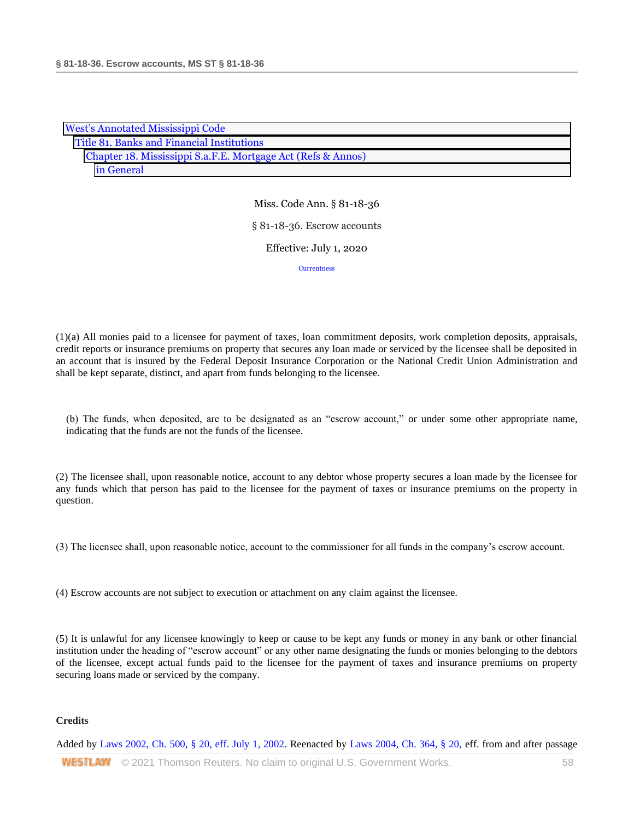|                                                              | <b>West's Annotated Mississippi Code</b>   |  |  |  |
|--------------------------------------------------------------|--------------------------------------------|--|--|--|
|                                                              | Title 81. Banks and Financial Institutions |  |  |  |
| Chapter 18. Mississippi S.a.F.E. Mortgage Act (Refs & Annos) |                                            |  |  |  |
|                                                              | in General                                 |  |  |  |

Miss. Code Ann. § 81-18-36 § 81-18-36. Escrow accounts Effective: July 1, 2020 **[Currentness](#page-58-0)** 

(1)(a) All monies paid to a licensee for payment of taxes, loan commitment deposits, work completion deposits, appraisals, credit reports or insurance premiums on property that secures any loan made or serviced by the licensee shall be deposited in an account that is insured by the Federal Deposit Insurance Corporation or the National Credit Union Administration and shall be kept separate, distinct, and apart from funds belonging to the licensee.

(b) The funds, when deposited, are to be designated as an "escrow account," or under some other appropriate name, indicating that the funds are not the funds of the licensee.

(2) The licensee shall, upon reasonable notice, account to any debtor whose property secures a loan made by the licensee for any funds which that person has paid to the licensee for the payment of taxes or insurance premiums on the property in question.

(3) The licensee shall, upon reasonable notice, account to the commissioner for all funds in the company's escrow account.

(4) Escrow accounts are not subject to execution or attachment on any claim against the licensee.

(5) It is unlawful for any licensee knowingly to keep or cause to be kept any funds or money in any bank or other financial institution under the heading of "escrow account" or any other name designating the funds or monies belonging to the debtors of the licensee, except actual funds paid to the licensee for the payment of taxes and insurance premiums on property securing loans made or serviced by the company.

## **Credits**

Added by [Laws 2002, Ch. 500, § 20, eff. July 1, 2002.](http://www.westlaw.com/Link/Document/FullText?findType=l&pubNum=1077005&cite=UUID(I0EA02C6CD8-4E40E791A61-A62FFEE7CFB)&originatingDoc=N31C9D1B0B68F11EA805DA9FF6FD729F2&refType=SL&originationContext=document&vr=3.0&rs=cblt1.0&transitionType=DocumentItem&contextData=(sc.DocLink)) Reenacted by [Laws 2004, Ch. 364, § 20, e](http://www.westlaw.com/Link/Document/FullText?findType=l&pubNum=1077005&cite=UUID(I5A3C4370BA-B711D8A74D8-7B95E93B7F0)&originatingDoc=N31C9D1B0B68F11EA805DA9FF6FD729F2&refType=SL&originationContext=document&vr=3.0&rs=cblt1.0&transitionType=DocumentItem&contextData=(sc.DocLink))ff. from and after passage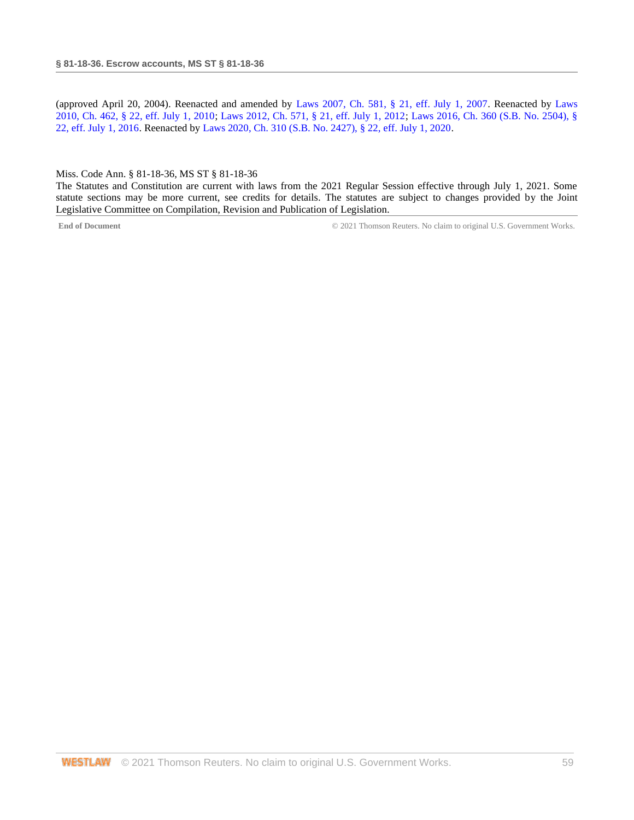(approved April 20, 2004). Reenacted and amended by [Laws 2007, Ch. 581, § 21, eff. July 1, 2007.](http://www.westlaw.com/Link/Document/FullText?findType=l&pubNum=1077005&cite=UUID(I23A0B94005-5F11DC8554E-A5201DEAAD3)&originatingDoc=N31C9D1B0B68F11EA805DA9FF6FD729F2&refType=SL&originationContext=document&vr=3.0&rs=cblt1.0&transitionType=DocumentItem&contextData=(sc.DocLink)) Reenacted by [Laws](http://www.westlaw.com/Link/Document/FullText?findType=l&pubNum=1077005&cite=UUID(IC5DE906042-3D11DFAFC4E-5BB03694993)&originatingDoc=N31C9D1B0B68F11EA805DA9FF6FD729F2&refType=SL&originationContext=document&vr=3.0&rs=cblt1.0&transitionType=DocumentItem&contextData=(sc.DocLink))  [2010, Ch. 462, § 22, eff. July 1, 2010;](http://www.westlaw.com/Link/Document/FullText?findType=l&pubNum=1077005&cite=UUID(IC5DE906042-3D11DFAFC4E-5BB03694993)&originatingDoc=N31C9D1B0B68F11EA805DA9FF6FD729F2&refType=SL&originationContext=document&vr=3.0&rs=cblt1.0&transitionType=DocumentItem&contextData=(sc.DocLink)) [Laws 2012, Ch. 571, § 21, eff. July 1, 2012;](http://www.westlaw.com/Link/Document/FullText?findType=l&pubNum=1077005&cite=UUID(I164C6DB0A6-6911E18520C-4BFF71C7E68)&originatingDoc=N31C9D1B0B68F11EA805DA9FF6FD729F2&refType=SL&originationContext=document&vr=3.0&rs=cblt1.0&transitionType=DocumentItem&contextData=(sc.DocLink)) [Laws 2016, Ch. 360 \(S.B. No. 2504\), §](http://www.westlaw.com/Link/Document/FullText?findType=l&pubNum=1077005&cite=UUID(ICC55B560FC-D911E580D7A-145FA49B0D0)&originatingDoc=N31C9D1B0B68F11EA805DA9FF6FD729F2&refType=SL&originationContext=document&vr=3.0&rs=cblt1.0&transitionType=DocumentItem&contextData=(sc.DocLink))  [22, eff. July 1, 2016.](http://www.westlaw.com/Link/Document/FullText?findType=l&pubNum=1077005&cite=UUID(ICC55B560FC-D911E580D7A-145FA49B0D0)&originatingDoc=N31C9D1B0B68F11EA805DA9FF6FD729F2&refType=SL&originationContext=document&vr=3.0&rs=cblt1.0&transitionType=DocumentItem&contextData=(sc.DocLink)) Reenacted by [Laws 2020, Ch. 310 \(S.B. No. 2427\), § 22, eff. July 1, 2020.](http://www.westlaw.com/Link/Document/FullText?findType=l&pubNum=1077005&cite=UUID(I1D2E4B20AF-C611EABCEF8-D197FAE2E99)&originatingDoc=N31C9D1B0B68F11EA805DA9FF6FD729F2&refType=SL&originationContext=document&vr=3.0&rs=cblt1.0&transitionType=DocumentItem&contextData=(sc.DocLink))

#### <span id="page-58-0"></span>Miss. Code Ann. § 81-18-36, MS ST § 81-18-36

The Statutes and Constitution are current with laws from the 2021 Regular Session effective through July 1, 2021. Some statute sections may be more current, see credits for details. The statutes are subject to changes provided by the Joint Legislative Committee on Compilation, Revision and Publication of Legislation.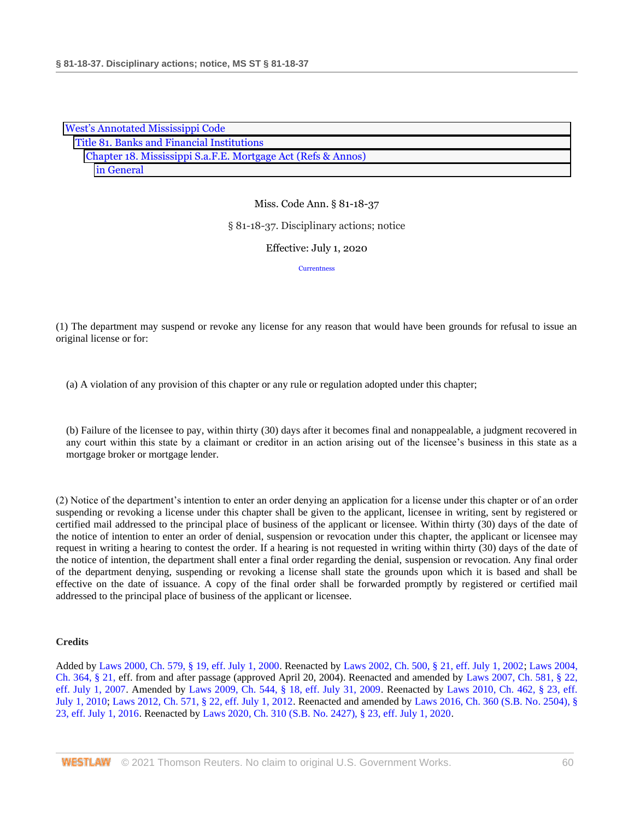| <b>West's Annotated Mississippi Code</b>                     |  |
|--------------------------------------------------------------|--|
| Title 81. Banks and Financial Institutions                   |  |
| Chapter 18. Mississippi S.a.F.E. Mortgage Act (Refs & Annos) |  |
| in General                                                   |  |

§ 81-18-37. Disciplinary actions; notice

Effective: July 1, 2020

**[Currentness](#page-59-0)** 

(1) The department may suspend or revoke any license for any reason that would have been grounds for refusal to issue an original license or for:

(a) A violation of any provision of this chapter or any rule or regulation adopted under this chapter;

(b) Failure of the licensee to pay, within thirty (30) days after it becomes final and nonappealable, a judgment recovered in any court within this state by a claimant or creditor in an action arising out of the licensee's business in this state as a mortgage broker or mortgage lender.

(2) Notice of the department's intention to enter an order denying an application for a license under this chapter or of an order suspending or revoking a license under this chapter shall be given to the applicant, licensee in writing, sent by registered or certified mail addressed to the principal place of business of the applicant or licensee. Within thirty (30) days of the date of the notice of intention to enter an order of denial, suspension or revocation under this chapter, the applicant or licensee may request in writing a hearing to contest the order. If a hearing is not requested in writing within thirty (30) days of the date of the notice of intention, the department shall enter a final order regarding the denial, suspension or revocation. Any final order of the department denying, suspending or revoking a license shall state the grounds upon which it is based and shall be effective on the date of issuance. A copy of the final order shall be forwarded promptly by registered or certified mail addressed to the principal place of business of the applicant or licensee.

#### **Credits**

<span id="page-59-0"></span>Added by [Laws 2000, Ch. 579, § 19, eff. July 1, 2000.](http://www.westlaw.com/Link/Document/FullText?findType=l&pubNum=1077005&cite=UUID(I666224EA7B-2340539E179-70BFA9B4119)&originatingDoc=N3C9E0930B68F11EA8025DD4A6D9396B9&refType=SL&originationContext=document&vr=3.0&rs=cblt1.0&transitionType=DocumentItem&contextData=(sc.DocLink)) Reenacted by [Laws 2002, Ch. 500, § 21, eff. July 1, 2002;](http://www.westlaw.com/Link/Document/FullText?findType=l&pubNum=1077005&cite=UUID(I0EA02C6CD8-4E40E791A61-A62FFEE7CFB)&originatingDoc=N3C9E0930B68F11EA8025DD4A6D9396B9&refType=SL&originationContext=document&vr=3.0&rs=cblt1.0&transitionType=DocumentItem&contextData=(sc.DocLink)) [Laws 2004,](http://www.westlaw.com/Link/Document/FullText?findType=l&pubNum=1077005&cite=UUID(I5A3C4370BA-B711D8A74D8-7B95E93B7F0)&originatingDoc=N3C9E0930B68F11EA8025DD4A6D9396B9&refType=SL&originationContext=document&vr=3.0&rs=cblt1.0&transitionType=DocumentItem&contextData=(sc.DocLink))  [Ch. 364, § 21, e](http://www.westlaw.com/Link/Document/FullText?findType=l&pubNum=1077005&cite=UUID(I5A3C4370BA-B711D8A74D8-7B95E93B7F0)&originatingDoc=N3C9E0930B68F11EA8025DD4A6D9396B9&refType=SL&originationContext=document&vr=3.0&rs=cblt1.0&transitionType=DocumentItem&contextData=(sc.DocLink))ff. from and after passage (approved April 20, 2004). Reenacted and amended by [Laws 2007, Ch. 581, § 22,](http://www.westlaw.com/Link/Document/FullText?findType=l&pubNum=1077005&cite=UUID(I23A0B94005-5F11DC8554E-A5201DEAAD3)&originatingDoc=N3C9E0930B68F11EA8025DD4A6D9396B9&refType=SL&originationContext=document&vr=3.0&rs=cblt1.0&transitionType=DocumentItem&contextData=(sc.DocLink))  [eff. July 1, 2007.](http://www.westlaw.com/Link/Document/FullText?findType=l&pubNum=1077005&cite=UUID(I23A0B94005-5F11DC8554E-A5201DEAAD3)&originatingDoc=N3C9E0930B68F11EA8025DD4A6D9396B9&refType=SL&originationContext=document&vr=3.0&rs=cblt1.0&transitionType=DocumentItem&contextData=(sc.DocLink)) Amended by [Laws 2009, Ch. 544, § 18, eff. July 31, 2009.](http://www.westlaw.com/Link/Document/FullText?findType=l&pubNum=1077005&cite=UUID(I757F0D3033-2911DE82ACD-E6A56952C30)&originatingDoc=N3C9E0930B68F11EA8025DD4A6D9396B9&refType=SL&originationContext=document&vr=3.0&rs=cblt1.0&transitionType=DocumentItem&contextData=(sc.DocLink)) Reenacted by [Laws 2010, Ch. 462, § 23, eff.](http://www.westlaw.com/Link/Document/FullText?findType=l&pubNum=1077005&cite=UUID(IC5DE906042-3D11DFAFC4E-5BB03694993)&originatingDoc=N3C9E0930B68F11EA8025DD4A6D9396B9&refType=SL&originationContext=document&vr=3.0&rs=cblt1.0&transitionType=DocumentItem&contextData=(sc.DocLink))  [July 1, 2010;](http://www.westlaw.com/Link/Document/FullText?findType=l&pubNum=1077005&cite=UUID(IC5DE906042-3D11DFAFC4E-5BB03694993)&originatingDoc=N3C9E0930B68F11EA8025DD4A6D9396B9&refType=SL&originationContext=document&vr=3.0&rs=cblt1.0&transitionType=DocumentItem&contextData=(sc.DocLink)) [Laws 2012, Ch. 571, § 22, eff. July 1, 2012.](http://www.westlaw.com/Link/Document/FullText?findType=l&pubNum=1077005&cite=UUID(I164C6DB0A6-6911E18520C-4BFF71C7E68)&originatingDoc=N3C9E0930B68F11EA8025DD4A6D9396B9&refType=SL&originationContext=document&vr=3.0&rs=cblt1.0&transitionType=DocumentItem&contextData=(sc.DocLink)) Reenacted and amended by [Laws 2016, Ch. 360 \(S.B. No. 2504\), §](http://www.westlaw.com/Link/Document/FullText?findType=l&pubNum=1077005&cite=UUID(ICC55B560FC-D911E580D7A-145FA49B0D0)&originatingDoc=N3C9E0930B68F11EA8025DD4A6D9396B9&refType=SL&originationContext=document&vr=3.0&rs=cblt1.0&transitionType=DocumentItem&contextData=(sc.DocLink))  [23, eff. July 1, 2016.](http://www.westlaw.com/Link/Document/FullText?findType=l&pubNum=1077005&cite=UUID(ICC55B560FC-D911E580D7A-145FA49B0D0)&originatingDoc=N3C9E0930B68F11EA8025DD4A6D9396B9&refType=SL&originationContext=document&vr=3.0&rs=cblt1.0&transitionType=DocumentItem&contextData=(sc.DocLink)) Reenacted by [Laws 2020, Ch. 310 \(S.B. No. 2427\), § 23, eff. July 1, 2020.](http://www.westlaw.com/Link/Document/FullText?findType=l&pubNum=1077005&cite=UUID(I1D2E4B20AF-C611EABCEF8-D197FAE2E99)&originatingDoc=N3C9E0930B68F11EA8025DD4A6D9396B9&refType=SL&originationContext=document&vr=3.0&rs=cblt1.0&transitionType=DocumentItem&contextData=(sc.DocLink))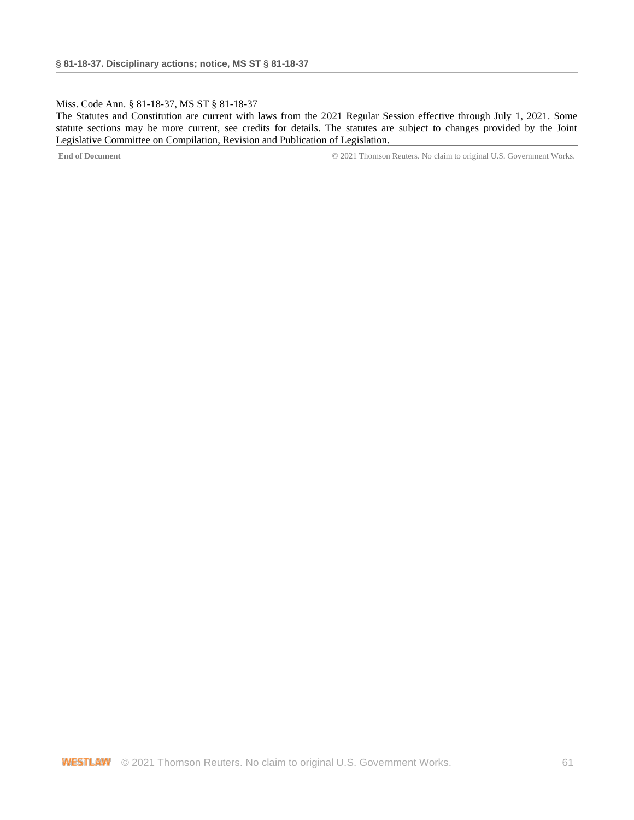### Miss. Code Ann. § 81-18-37, MS ST § 81-18-37

The Statutes and Constitution are current with laws from the 2021 Regular Session effective through July 1, 2021. Some statute sections may be more current, see credits for details. The statutes are subject to changes provided by the Joint Legislative Committee on Compilation, Revision and Publication of Legislation.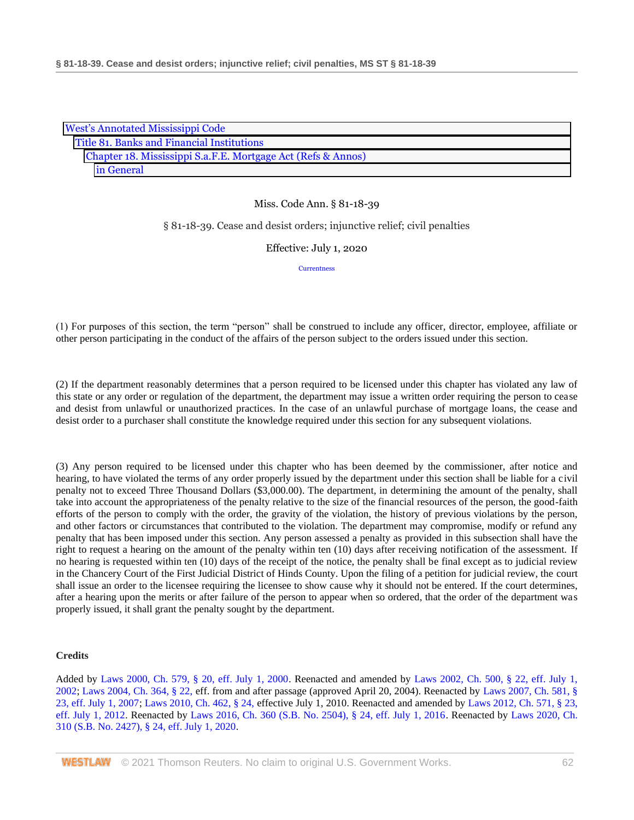|                                                              | <b>West's Annotated Mississippi Code</b> |  |
|--------------------------------------------------------------|------------------------------------------|--|
| Title 81. Banks and Financial Institutions                   |                                          |  |
| Chapter 18. Mississippi S.a.F.E. Mortgage Act (Refs & Annos) |                                          |  |
|                                                              | in General                               |  |

§ 81-18-39. Cease and desist orders; injunctive relief; civil penalties

Effective: July 1, 2020

**[Currentness](#page-62-0)** 

(1) For purposes of this section, the term "person" shall be construed to include any officer, director, employee, affiliate or other person participating in the conduct of the affairs of the person subject to the orders issued under this section.

(2) If the department reasonably determines that a person required to be licensed under this chapter has violated any law of this state or any order or regulation of the department, the department may issue a written order requiring the person to cease and desist from unlawful or unauthorized practices. In the case of an unlawful purchase of mortgage loans, the cease and desist order to a purchaser shall constitute the knowledge required under this section for any subsequent violations.

(3) Any person required to be licensed under this chapter who has been deemed by the commissioner, after notice and hearing, to have violated the terms of any order properly issued by the department under this section shall be liable for a civil penalty not to exceed Three Thousand Dollars (\$3,000.00). The department, in determining the amount of the penalty, shall take into account the appropriateness of the penalty relative to the size of the financial resources of the person, the good-faith efforts of the person to comply with the order, the gravity of the violation, the history of previous violations by the person, and other factors or circumstances that contributed to the violation. The department may compromise, modify or refund any penalty that has been imposed under this section. Any person assessed a penalty as provided in this subsection shall have the right to request a hearing on the amount of the penalty within ten (10) days after receiving notification of the assessment. If no hearing is requested within ten (10) days of the receipt of the notice, the penalty shall be final except as to judicial review in the Chancery Court of the First Judicial District of Hinds County. Upon the filing of a petition for judicial review, the court shall issue an order to the licensee requiring the licensee to show cause why it should not be entered. If the court determines, after a hearing upon the merits or after failure of the person to appear when so ordered, that the order of the department was properly issued, it shall grant the penalty sought by the department.

## **Credits**

Added by [Laws 2000, Ch. 579, § 20, eff. July 1, 2000.](http://www.westlaw.com/Link/Document/FullText?findType=l&pubNum=1077005&cite=UUID(I666224EA7B-2340539E179-70BFA9B4119)&originatingDoc=N3DB1C320B68F11EA9025ED556D3F5AA4&refType=SL&originationContext=document&vr=3.0&rs=cblt1.0&transitionType=DocumentItem&contextData=(sc.DocLink)) Reenacted and amended by [Laws 2002, Ch. 500, § 22, eff. July 1,](http://www.westlaw.com/Link/Document/FullText?findType=l&pubNum=1077005&cite=UUID(I0EA02C6CD8-4E40E791A61-A62FFEE7CFB)&originatingDoc=N3DB1C320B68F11EA9025ED556D3F5AA4&refType=SL&originationContext=document&vr=3.0&rs=cblt1.0&transitionType=DocumentItem&contextData=(sc.DocLink))  [2002;](http://www.westlaw.com/Link/Document/FullText?findType=l&pubNum=1077005&cite=UUID(I0EA02C6CD8-4E40E791A61-A62FFEE7CFB)&originatingDoc=N3DB1C320B68F11EA9025ED556D3F5AA4&refType=SL&originationContext=document&vr=3.0&rs=cblt1.0&transitionType=DocumentItem&contextData=(sc.DocLink)) [Laws 2004, Ch. 364, § 22, e](http://www.westlaw.com/Link/Document/FullText?findType=l&pubNum=1077005&cite=UUID(I5A3C4370BA-B711D8A74D8-7B95E93B7F0)&originatingDoc=N3DB1C320B68F11EA9025ED556D3F5AA4&refType=SL&originationContext=document&vr=3.0&rs=cblt1.0&transitionType=DocumentItem&contextData=(sc.DocLink))ff. from and after passage (approved April 20, 2004). Reenacted by [Laws 2007, Ch. 581, §](http://www.westlaw.com/Link/Document/FullText?findType=l&pubNum=1077005&cite=UUID(I23A0B94005-5F11DC8554E-A5201DEAAD3)&originatingDoc=N3DB1C320B68F11EA9025ED556D3F5AA4&refType=SL&originationContext=document&vr=3.0&rs=cblt1.0&transitionType=DocumentItem&contextData=(sc.DocLink))  [23, eff. July 1, 2007;](http://www.westlaw.com/Link/Document/FullText?findType=l&pubNum=1077005&cite=UUID(I23A0B94005-5F11DC8554E-A5201DEAAD3)&originatingDoc=N3DB1C320B68F11EA9025ED556D3F5AA4&refType=SL&originationContext=document&vr=3.0&rs=cblt1.0&transitionType=DocumentItem&contextData=(sc.DocLink)) [Laws 2010, Ch. 462, § 24, e](http://www.westlaw.com/Link/Document/FullText?findType=l&pubNum=1077005&cite=UUID(IC5DE906042-3D11DFAFC4E-5BB03694993)&originatingDoc=N3DB1C320B68F11EA9025ED556D3F5AA4&refType=SL&originationContext=document&vr=3.0&rs=cblt1.0&transitionType=DocumentItem&contextData=(sc.DocLink))ffective July 1, 2010. Reenacted and amended by [Laws 2012, Ch. 571, § 23,](http://www.westlaw.com/Link/Document/FullText?findType=l&pubNum=1077005&cite=UUID(I164C6DB0A6-6911E18520C-4BFF71C7E68)&originatingDoc=N3DB1C320B68F11EA9025ED556D3F5AA4&refType=SL&originationContext=document&vr=3.0&rs=cblt1.0&transitionType=DocumentItem&contextData=(sc.DocLink))  [eff. July 1, 2012.](http://www.westlaw.com/Link/Document/FullText?findType=l&pubNum=1077005&cite=UUID(I164C6DB0A6-6911E18520C-4BFF71C7E68)&originatingDoc=N3DB1C320B68F11EA9025ED556D3F5AA4&refType=SL&originationContext=document&vr=3.0&rs=cblt1.0&transitionType=DocumentItem&contextData=(sc.DocLink)) Reenacted by [Laws 2016, Ch. 360 \(S.B. No. 2504\), § 24, eff. July 1, 2016.](http://www.westlaw.com/Link/Document/FullText?findType=l&pubNum=1077005&cite=UUID(ICC55B560FC-D911E580D7A-145FA49B0D0)&originatingDoc=N3DB1C320B68F11EA9025ED556D3F5AA4&refType=SL&originationContext=document&vr=3.0&rs=cblt1.0&transitionType=DocumentItem&contextData=(sc.DocLink)) Reenacted by [Laws 2020, Ch.](http://www.westlaw.com/Link/Document/FullText?findType=l&pubNum=1077005&cite=UUID(I1D2E4B20AF-C611EABCEF8-D197FAE2E99)&originatingDoc=N3DB1C320B68F11EA9025ED556D3F5AA4&refType=SL&originationContext=document&vr=3.0&rs=cblt1.0&transitionType=DocumentItem&contextData=(sc.DocLink))  [310 \(S.B. No. 2427\), § 24, eff. July 1, 2020.](http://www.westlaw.com/Link/Document/FullText?findType=l&pubNum=1077005&cite=UUID(I1D2E4B20AF-C611EABCEF8-D197FAE2E99)&originatingDoc=N3DB1C320B68F11EA9025ED556D3F5AA4&refType=SL&originationContext=document&vr=3.0&rs=cblt1.0&transitionType=DocumentItem&contextData=(sc.DocLink))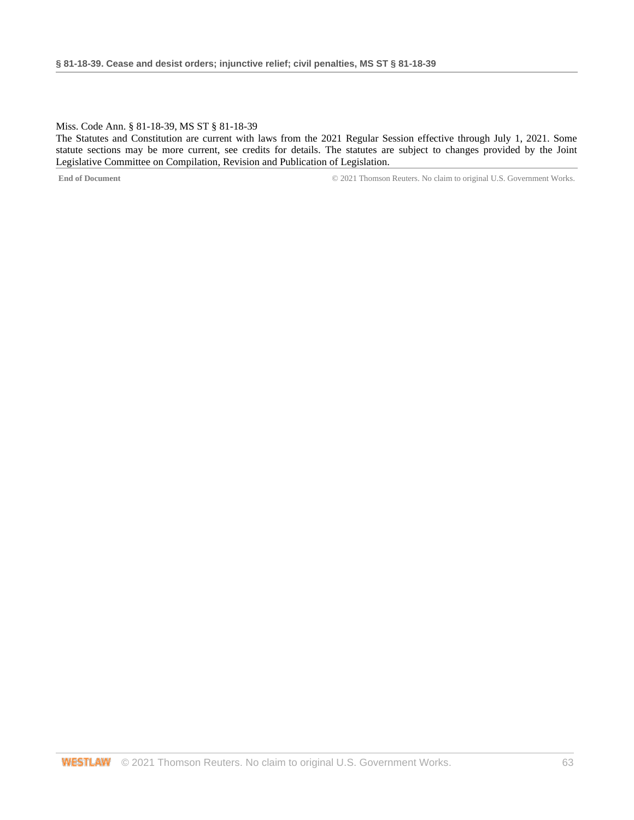#### <span id="page-62-0"></span>Miss. Code Ann. § 81-18-39, MS ST § 81-18-39

The Statutes and Constitution are current with laws from the 2021 Regular Session effective through July 1, 2021. Some statute sections may be more current, see credits for details. The statutes are subject to changes provided by the Joint Legislative Committee on Compilation, Revision and Publication of Legislation.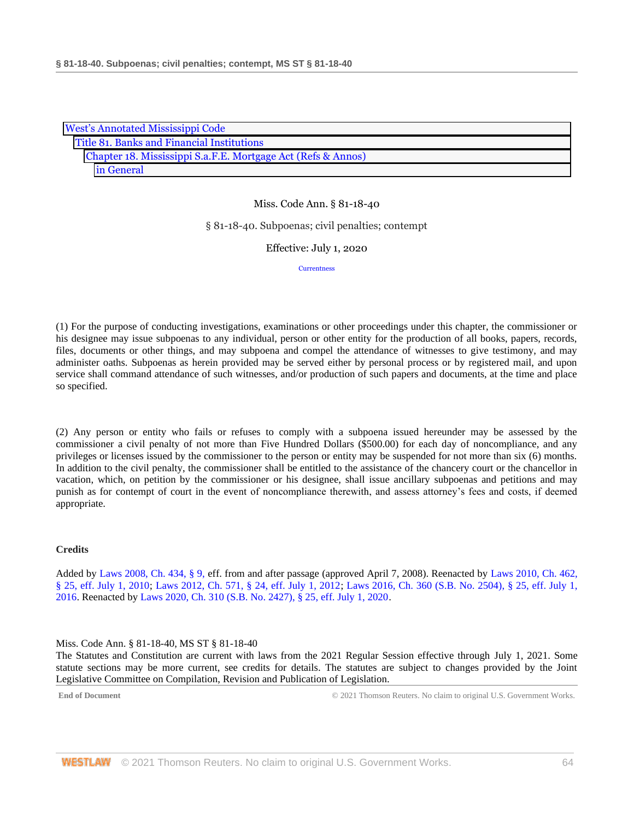| <b>West's Annotated Mississippi Code</b>                     |  |  |
|--------------------------------------------------------------|--|--|
| Title 81. Banks and Financial Institutions                   |  |  |
| Chapter 18. Mississippi S.a.F.E. Mortgage Act (Refs & Annos) |  |  |
| in General                                                   |  |  |

#### § 81-18-40. Subpoenas; civil penalties; contempt

Effective: July 1, 2020

**[Currentness](#page-63-0)** 

(1) For the purpose of conducting investigations, examinations or other proceedings under this chapter, the commissioner or his designee may issue subpoenas to any individual, person or other entity for the production of all books, papers, records, files, documents or other things, and may subpoena and compel the attendance of witnesses to give testimony, and may administer oaths. Subpoenas as herein provided may be served either by personal process or by registered mail, and upon service shall command attendance of such witnesses, and/or production of such papers and documents, at the time and place so specified.

(2) Any person or entity who fails or refuses to comply with a subpoena issued hereunder may be assessed by the commissioner a civil penalty of not more than Five Hundred Dollars (\$500.00) for each day of noncompliance, and any privileges or licenses issued by the commissioner to the person or entity may be suspended for not more than six (6) months. In addition to the civil penalty, the commissioner shall be entitled to the assistance of the chancery court or the chancellor in vacation, which, on petition by the commissioner or his designee, shall issue ancillary subpoenas and petitions and may punish as for contempt of court in the event of noncompliance therewith, and assess attorney's fees and costs, if deemed appropriate.

#### **Credits**

Added by [Laws 2008, Ch. 434, § 9, e](http://www.westlaw.com/Link/Document/FullText?findType=l&pubNum=1077005&cite=UUID(I09A0DBB013-1911DD9225D-723D81EADB4)&originatingDoc=N50814890B68F11EA8025DD4A6D9396B9&refType=SL&originationContext=document&vr=3.0&rs=cblt1.0&transitionType=DocumentItem&contextData=(sc.DocLink))ff. from and after passage (approved April 7, 2008). Reenacted by [Laws 2010, Ch. 462,](http://www.westlaw.com/Link/Document/FullText?findType=l&pubNum=1077005&cite=UUID(IC5DE906042-3D11DFAFC4E-5BB03694993)&originatingDoc=N50814890B68F11EA8025DD4A6D9396B9&refType=SL&originationContext=document&vr=3.0&rs=cblt1.0&transitionType=DocumentItem&contextData=(sc.DocLink))  [§ 25, eff. July 1, 2010;](http://www.westlaw.com/Link/Document/FullText?findType=l&pubNum=1077005&cite=UUID(IC5DE906042-3D11DFAFC4E-5BB03694993)&originatingDoc=N50814890B68F11EA8025DD4A6D9396B9&refType=SL&originationContext=document&vr=3.0&rs=cblt1.0&transitionType=DocumentItem&contextData=(sc.DocLink)) [Laws 2012, Ch. 571, § 24, eff. July 1, 2012;](http://www.westlaw.com/Link/Document/FullText?findType=l&pubNum=1077005&cite=UUID(I164C6DB0A6-6911E18520C-4BFF71C7E68)&originatingDoc=N50814890B68F11EA8025DD4A6D9396B9&refType=SL&originationContext=document&vr=3.0&rs=cblt1.0&transitionType=DocumentItem&contextData=(sc.DocLink)) [Laws 2016, Ch. 360 \(S.B. No. 2504\), § 25, eff. July 1,](http://www.westlaw.com/Link/Document/FullText?findType=l&pubNum=1077005&cite=UUID(ICC55B560FC-D911E580D7A-145FA49B0D0)&originatingDoc=N50814890B68F11EA8025DD4A6D9396B9&refType=SL&originationContext=document&vr=3.0&rs=cblt1.0&transitionType=DocumentItem&contextData=(sc.DocLink))  [2016.](http://www.westlaw.com/Link/Document/FullText?findType=l&pubNum=1077005&cite=UUID(ICC55B560FC-D911E580D7A-145FA49B0D0)&originatingDoc=N50814890B68F11EA8025DD4A6D9396B9&refType=SL&originationContext=document&vr=3.0&rs=cblt1.0&transitionType=DocumentItem&contextData=(sc.DocLink)) Reenacted b[y Laws 2020, Ch. 310 \(S.B. No. 2427\), § 25, eff. July 1, 2020.](http://www.westlaw.com/Link/Document/FullText?findType=l&pubNum=1077005&cite=UUID(I1D2E4B20AF-C611EABCEF8-D197FAE2E99)&originatingDoc=N50814890B68F11EA8025DD4A6D9396B9&refType=SL&originationContext=document&vr=3.0&rs=cblt1.0&transitionType=DocumentItem&contextData=(sc.DocLink))

<span id="page-63-0"></span>Miss. Code Ann. § 81-18-40, MS ST § 81-18-40

The Statutes and Constitution are current with laws from the 2021 Regular Session effective through July 1, 2021. Some statute sections may be more current, see credits for details. The statutes are subject to changes provided by the Joint Legislative Committee on Compilation, Revision and Publication of Legislation.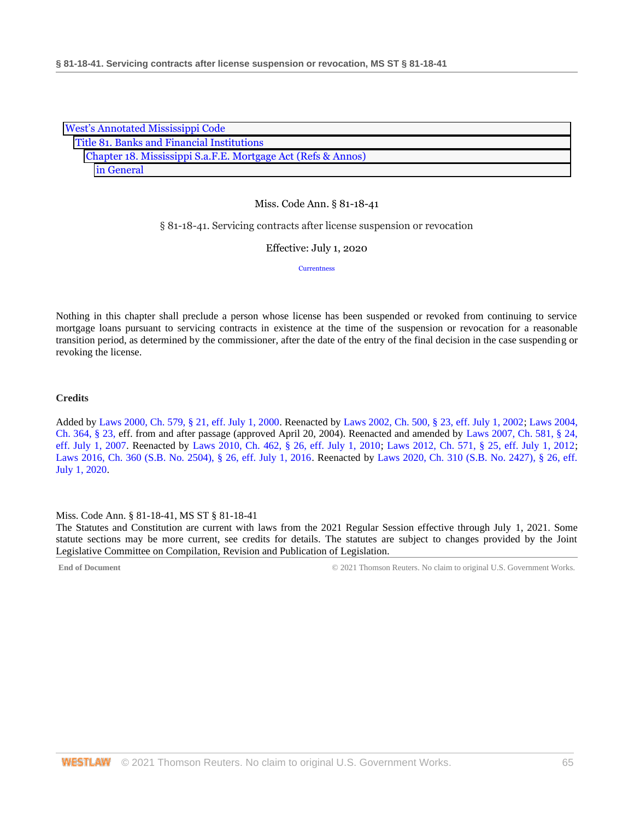| <b>West's Annotated Mississippi Code</b>                     |
|--------------------------------------------------------------|
| Title 81. Banks and Financial Institutions                   |
| Chapter 18. Mississippi S.a.F.E. Mortgage Act (Refs & Annos) |
| in General                                                   |

#### § 81-18-41. Servicing contracts after license suspension or revocation

Effective: July 1, 2020

**[Currentness](#page-64-0)** 

Nothing in this chapter shall preclude a person whose license has been suspended or revoked from continuing to service mortgage loans pursuant to servicing contracts in existence at the time of the suspension or revocation for a reasonable transition period, as determined by the commissioner, after the date of the entry of the final decision in the case suspending or revoking the license.

### **Credits**

Added by [Laws 2000, Ch. 579, § 21, eff. July 1, 2000.](http://www.westlaw.com/Link/Document/FullText?findType=l&pubNum=1077005&cite=UUID(I666224EA7B-2340539E179-70BFA9B4119)&originatingDoc=N3EC61950B68F11EA8981875C7C0D3914&refType=SL&originationContext=document&vr=3.0&rs=cblt1.0&transitionType=DocumentItem&contextData=(sc.DocLink)) Reenacted by [Laws 2002, Ch. 500, § 23, eff. July 1, 2002;](http://www.westlaw.com/Link/Document/FullText?findType=l&pubNum=1077005&cite=UUID(I0EA02C6CD8-4E40E791A61-A62FFEE7CFB)&originatingDoc=N3EC61950B68F11EA8981875C7C0D3914&refType=SL&originationContext=document&vr=3.0&rs=cblt1.0&transitionType=DocumentItem&contextData=(sc.DocLink)) [Laws 2004,](http://www.westlaw.com/Link/Document/FullText?findType=l&pubNum=1077005&cite=UUID(I5A3C4370BA-B711D8A74D8-7B95E93B7F0)&originatingDoc=N3EC61950B68F11EA8981875C7C0D3914&refType=SL&originationContext=document&vr=3.0&rs=cblt1.0&transitionType=DocumentItem&contextData=(sc.DocLink))  [Ch. 364, § 23, e](http://www.westlaw.com/Link/Document/FullText?findType=l&pubNum=1077005&cite=UUID(I5A3C4370BA-B711D8A74D8-7B95E93B7F0)&originatingDoc=N3EC61950B68F11EA8981875C7C0D3914&refType=SL&originationContext=document&vr=3.0&rs=cblt1.0&transitionType=DocumentItem&contextData=(sc.DocLink))ff. from and after passage (approved April 20, 2004). Reenacted and amended by [Laws 2007, Ch. 581, § 24,](http://www.westlaw.com/Link/Document/FullText?findType=l&pubNum=1077005&cite=UUID(I23A0B94005-5F11DC8554E-A5201DEAAD3)&originatingDoc=N3EC61950B68F11EA8981875C7C0D3914&refType=SL&originationContext=document&vr=3.0&rs=cblt1.0&transitionType=DocumentItem&contextData=(sc.DocLink))  [eff. July 1, 2007.](http://www.westlaw.com/Link/Document/FullText?findType=l&pubNum=1077005&cite=UUID(I23A0B94005-5F11DC8554E-A5201DEAAD3)&originatingDoc=N3EC61950B68F11EA8981875C7C0D3914&refType=SL&originationContext=document&vr=3.0&rs=cblt1.0&transitionType=DocumentItem&contextData=(sc.DocLink)) Reenacted by [Laws 2010, Ch. 462, § 26, eff. July 1, 2010;](http://www.westlaw.com/Link/Document/FullText?findType=l&pubNum=1077005&cite=UUID(IC5DE906042-3D11DFAFC4E-5BB03694993)&originatingDoc=N3EC61950B68F11EA8981875C7C0D3914&refType=SL&originationContext=document&vr=3.0&rs=cblt1.0&transitionType=DocumentItem&contextData=(sc.DocLink)) [Laws 2012, Ch. 571, § 25, eff. July 1, 2012;](http://www.westlaw.com/Link/Document/FullText?findType=l&pubNum=1077005&cite=UUID(I164C6DB0A6-6911E18520C-4BFF71C7E68)&originatingDoc=N3EC61950B68F11EA8981875C7C0D3914&refType=SL&originationContext=document&vr=3.0&rs=cblt1.0&transitionType=DocumentItem&contextData=(sc.DocLink)) [Laws 2016, Ch. 360 \(S.B. No. 2504\), § 26, eff. July 1, 2016.](http://www.westlaw.com/Link/Document/FullText?findType=l&pubNum=1077005&cite=UUID(ICC55B560FC-D911E580D7A-145FA49B0D0)&originatingDoc=N3EC61950B68F11EA8981875C7C0D3914&refType=SL&originationContext=document&vr=3.0&rs=cblt1.0&transitionType=DocumentItem&contextData=(sc.DocLink)) Reenacted by [Laws 2020, Ch. 310 \(S.B. No. 2427\), § 26, eff.](http://www.westlaw.com/Link/Document/FullText?findType=l&pubNum=1077005&cite=UUID(I1D2E4B20AF-C611EABCEF8-D197FAE2E99)&originatingDoc=N3EC61950B68F11EA8981875C7C0D3914&refType=SL&originationContext=document&vr=3.0&rs=cblt1.0&transitionType=DocumentItem&contextData=(sc.DocLink))  [July 1, 2020.](http://www.westlaw.com/Link/Document/FullText?findType=l&pubNum=1077005&cite=UUID(I1D2E4B20AF-C611EABCEF8-D197FAE2E99)&originatingDoc=N3EC61950B68F11EA8981875C7C0D3914&refType=SL&originationContext=document&vr=3.0&rs=cblt1.0&transitionType=DocumentItem&contextData=(sc.DocLink))

<span id="page-64-0"></span>Miss. Code Ann. § 81-18-41, MS ST § 81-18-41

The Statutes and Constitution are current with laws from the 2021 Regular Session effective through July 1, 2021. Some statute sections may be more current, see credits for details. The statutes are subject to changes provided by the Joint Legislative Committee on Compilation, Revision and Publication of Legislation.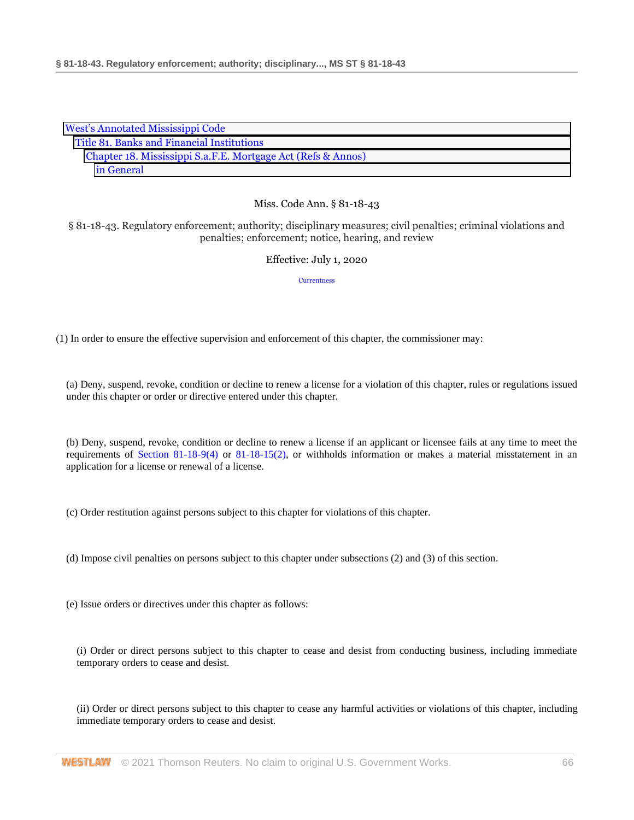| <b>West's Annotated Mississippi Code</b>                     |
|--------------------------------------------------------------|
| Title 81. Banks and Financial Institutions                   |
| Chapter 18. Mississippi S.a.F.E. Mortgage Act (Refs & Annos) |
| in General                                                   |

§ 81-18-43. Regulatory enforcement; authority; disciplinary measures; civil penalties; criminal violations and penalties; enforcement; notice, hearing, and review

# Effective: July 1, 2020

**[Currentness](#page-67-0)** 

(1) In order to ensure the effective supervision and enforcement of this chapter, the commissioner may:

(a) Deny, suspend, revoke, condition or decline to renew a license for a violation of this chapter, rules or regulations issued under this chapter or order or directive entered under this chapter.

(b) Deny, suspend, revoke, condition or decline to renew a license if an applicant or licensee fails at any time to meet the requirements of [Section 81-18-9\(4\)](http://www.westlaw.com/Link/Document/FullText?findType=L&pubNum=1000933&cite=MSSTS81-18-9&originatingDoc=N75E08B50B68F11EA8981875C7C0D3914&refType=SP&originationContext=document&vr=3.0&rs=cblt1.0&transitionType=DocumentItem&contextData=(sc.DocLink)#co_pp_0bd500007a412) or [81-18-15\(2\),](http://www.westlaw.com/Link/Document/FullText?findType=L&pubNum=1000933&cite=MSSTS81-18-15&originatingDoc=N75E08B50B68F11EA8981875C7C0D3914&refType=SP&originationContext=document&vr=3.0&rs=cblt1.0&transitionType=DocumentItem&contextData=(sc.DocLink)#co_pp_58730000872b1) or withholds information or makes a material misstatement in an application for a license or renewal of a license.

(c) Order restitution against persons subject to this chapter for violations of this chapter.

(d) Impose civil penalties on persons subject to this chapter under subsections (2) and (3) of this section.

(e) Issue orders or directives under this chapter as follows:

(i) Order or direct persons subject to this chapter to cease and desist from conducting business, including immediate temporary orders to cease and desist.

(ii) Order or direct persons subject to this chapter to cease any harmful activities or violations of this chapter, including immediate temporary orders to cease and desist.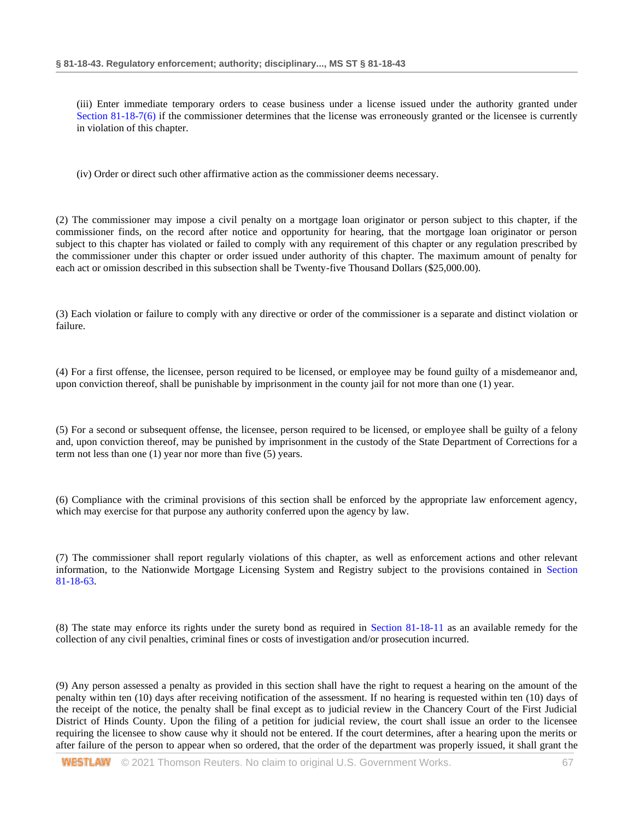(iii) Enter immediate temporary orders to cease business under a license issued under the authority granted under [Section 81-18-7\(6\)](http://www.westlaw.com/Link/Document/FullText?findType=L&pubNum=1000933&cite=MSSTS81-18-7&originatingDoc=N75E08B50B68F11EA8981875C7C0D3914&refType=SP&originationContext=document&vr=3.0&rs=cblt1.0&transitionType=DocumentItem&contextData=(sc.DocLink)#co_pp_1e9a0000fd6a3) if the commissioner determines that the license was erroneously granted or the licensee is currently in violation of this chapter.

(iv) Order or direct such other affirmative action as the commissioner deems necessary.

(2) The commissioner may impose a civil penalty on a mortgage loan originator or person subject to this chapter, if the commissioner finds, on the record after notice and opportunity for hearing, that the mortgage loan originator or person subject to this chapter has violated or failed to comply with any requirement of this chapter or any regulation prescribed by the commissioner under this chapter or order issued under authority of this chapter. The maximum amount of penalty for each act or omission described in this subsection shall be Twenty-five Thousand Dollars (\$25,000.00).

(3) Each violation or failure to comply with any directive or order of the commissioner is a separate and distinct violation or failure.

(4) For a first offense, the licensee, person required to be licensed, or employee may be found guilty of a misdemeanor and, upon conviction thereof, shall be punishable by imprisonment in the county jail for not more than one (1) year.

(5) For a second or subsequent offense, the licensee, person required to be licensed, or employee shall be guilty of a felony and, upon conviction thereof, may be punished by imprisonment in the custody of the State Department of Corrections for a term not less than one (1) year nor more than five (5) years.

(6) Compliance with the criminal provisions of this section shall be enforced by the appropriate law enforcement agency, which may exercise for that purpose any authority conferred upon the agency by law.

(7) The commissioner shall report regularly violations of this chapter, as well as enforcement actions and other relevant information, to the Nationwide Mortgage Licensing System and Registry subject to the provisions contained in [Section](http://www.westlaw.com/Link/Document/FullText?findType=L&pubNum=1000933&cite=MSSTS81-18-63&originatingDoc=N75E08B50B68F11EA8981875C7C0D3914&refType=LQ&originationContext=document&vr=3.0&rs=cblt1.0&transitionType=DocumentItem&contextData=(sc.DocLink))  [81-18-63.](http://www.westlaw.com/Link/Document/FullText?findType=L&pubNum=1000933&cite=MSSTS81-18-63&originatingDoc=N75E08B50B68F11EA8981875C7C0D3914&refType=LQ&originationContext=document&vr=3.0&rs=cblt1.0&transitionType=DocumentItem&contextData=(sc.DocLink))

(8) The state may enforce its rights under the surety bond as required in [Section 81-18-11](http://www.westlaw.com/Link/Document/FullText?findType=L&pubNum=1000933&cite=MSSTS81-18-11&originatingDoc=N75E08B50B68F11EA8981875C7C0D3914&refType=LQ&originationContext=document&vr=3.0&rs=cblt1.0&transitionType=DocumentItem&contextData=(sc.DocLink)) as an available remedy for the collection of any civil penalties, criminal fines or costs of investigation and/or prosecution incurred.

(9) Any person assessed a penalty as provided in this section shall have the right to request a hearing on the amount of the penalty within ten (10) days after receiving notification of the assessment. If no hearing is requested within ten (10) days of the receipt of the notice, the penalty shall be final except as to judicial review in the Chancery Court of the First Judicial District of Hinds County. Upon the filing of a petition for judicial review, the court shall issue an order to the licensee requiring the licensee to show cause why it should not be entered. If the court determines, after a hearing upon the merits or after failure of the person to appear when so ordered, that the order of the department was properly issued, it shall grant the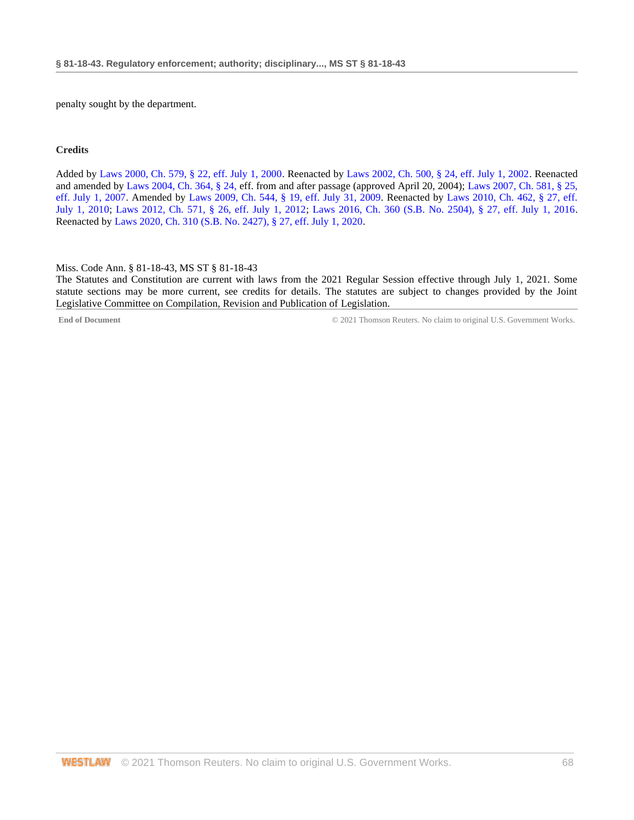penalty sought by the department.

#### **Credits**

Added by [Laws 2000, Ch. 579, § 22, eff. July 1, 2000.](http://www.westlaw.com/Link/Document/FullText?findType=l&pubNum=1077005&cite=UUID(I666224EA7B-2340539E179-70BFA9B4119)&originatingDoc=N75E08B50B68F11EA8981875C7C0D3914&refType=SL&originationContext=document&vr=3.0&rs=cblt1.0&transitionType=DocumentItem&contextData=(sc.DocLink)) Reenacted by [Laws 2002, Ch. 500, § 24, eff. July 1, 2002.](http://www.westlaw.com/Link/Document/FullText?findType=l&pubNum=1077005&cite=UUID(I0EA02C6CD8-4E40E791A61-A62FFEE7CFB)&originatingDoc=N75E08B50B68F11EA8981875C7C0D3914&refType=SL&originationContext=document&vr=3.0&rs=cblt1.0&transitionType=DocumentItem&contextData=(sc.DocLink)) Reenacted and amended by [Laws 2004, Ch. 364, § 24, e](http://www.westlaw.com/Link/Document/FullText?findType=l&pubNum=1077005&cite=UUID(I5A3C4370BA-B711D8A74D8-7B95E93B7F0)&originatingDoc=N75E08B50B68F11EA8981875C7C0D3914&refType=SL&originationContext=document&vr=3.0&rs=cblt1.0&transitionType=DocumentItem&contextData=(sc.DocLink))ff. from and after passage (approved April 20, 2004)[; Laws 2007, Ch. 581, § 25,](http://www.westlaw.com/Link/Document/FullText?findType=l&pubNum=1077005&cite=UUID(I23A0B94005-5F11DC8554E-A5201DEAAD3)&originatingDoc=N75E08B50B68F11EA8981875C7C0D3914&refType=SL&originationContext=document&vr=3.0&rs=cblt1.0&transitionType=DocumentItem&contextData=(sc.DocLink))  [eff. July 1, 2007.](http://www.westlaw.com/Link/Document/FullText?findType=l&pubNum=1077005&cite=UUID(I23A0B94005-5F11DC8554E-A5201DEAAD3)&originatingDoc=N75E08B50B68F11EA8981875C7C0D3914&refType=SL&originationContext=document&vr=3.0&rs=cblt1.0&transitionType=DocumentItem&contextData=(sc.DocLink)) Amended by [Laws 2009, Ch. 544, § 19, eff. July 31, 2009.](http://www.westlaw.com/Link/Document/FullText?findType=l&pubNum=1077005&cite=UUID(I757F0D3033-2911DE82ACD-E6A56952C30)&originatingDoc=N75E08B50B68F11EA8981875C7C0D3914&refType=SL&originationContext=document&vr=3.0&rs=cblt1.0&transitionType=DocumentItem&contextData=(sc.DocLink)) Reenacted by [Laws 2010, Ch. 462, § 27, eff.](http://www.westlaw.com/Link/Document/FullText?findType=l&pubNum=1077005&cite=UUID(IC5DE906042-3D11DFAFC4E-5BB03694993)&originatingDoc=N75E08B50B68F11EA8981875C7C0D3914&refType=SL&originationContext=document&vr=3.0&rs=cblt1.0&transitionType=DocumentItem&contextData=(sc.DocLink))  [July 1, 2010;](http://www.westlaw.com/Link/Document/FullText?findType=l&pubNum=1077005&cite=UUID(IC5DE906042-3D11DFAFC4E-5BB03694993)&originatingDoc=N75E08B50B68F11EA8981875C7C0D3914&refType=SL&originationContext=document&vr=3.0&rs=cblt1.0&transitionType=DocumentItem&contextData=(sc.DocLink)) [Laws 2012, Ch. 571, § 26, eff. July 1, 2012;](http://www.westlaw.com/Link/Document/FullText?findType=l&pubNum=1077005&cite=UUID(I164C6DB0A6-6911E18520C-4BFF71C7E68)&originatingDoc=N75E08B50B68F11EA8981875C7C0D3914&refType=SL&originationContext=document&vr=3.0&rs=cblt1.0&transitionType=DocumentItem&contextData=(sc.DocLink)) [Laws 2016, Ch. 360 \(S.B. No. 2504\), § 27, eff. July 1, 2016.](http://www.westlaw.com/Link/Document/FullText?findType=l&pubNum=1077005&cite=UUID(ICC55B560FC-D911E580D7A-145FA49B0D0)&originatingDoc=N75E08B50B68F11EA8981875C7C0D3914&refType=SL&originationContext=document&vr=3.0&rs=cblt1.0&transitionType=DocumentItem&contextData=(sc.DocLink)) Reenacted b[y Laws 2020, Ch. 310 \(S.B. No. 2427\), § 27, eff. July 1, 2020.](http://www.westlaw.com/Link/Document/FullText?findType=l&pubNum=1077005&cite=UUID(I1D2E4B20AF-C611EABCEF8-D197FAE2E99)&originatingDoc=N75E08B50B68F11EA8981875C7C0D3914&refType=SL&originationContext=document&vr=3.0&rs=cblt1.0&transitionType=DocumentItem&contextData=(sc.DocLink))

<span id="page-67-0"></span>Miss. Code Ann. § 81-18-43, MS ST § 81-18-43

The Statutes and Constitution are current with laws from the 2021 Regular Session effective through July 1, 2021. Some statute sections may be more current, see credits for details. The statutes are subject to changes provided by the Joint Legislative Committee on Compilation, Revision and Publication of Legislation.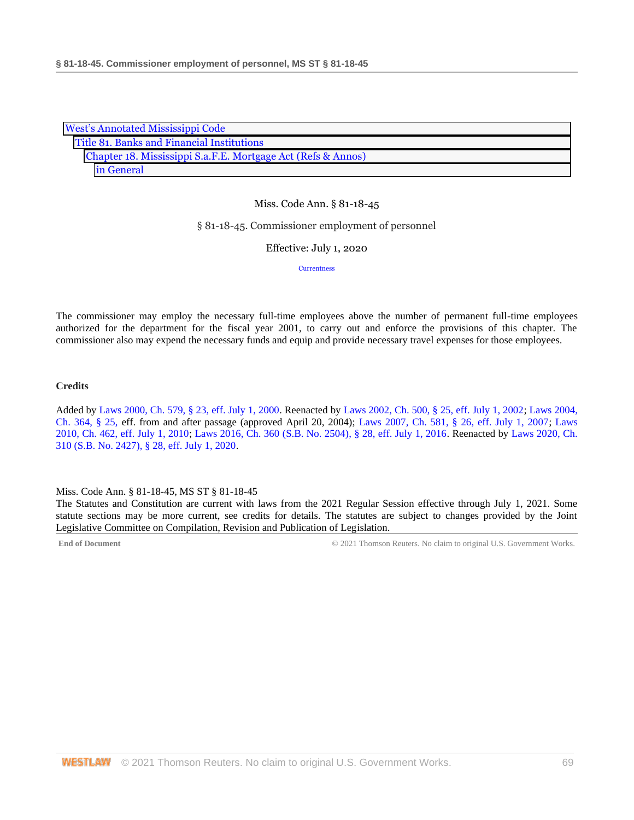| <b>West's Annotated Mississippi Code</b>                     |
|--------------------------------------------------------------|
| Title 81. Banks and Financial Institutions                   |
| Chapter 18. Mississippi S.a.F.E. Mortgage Act (Refs & Annos) |
| in General                                                   |

#### § 81-18-45. Commissioner employment of personnel

Effective: July 1, 2020

**[Currentness](#page-68-0)** 

The commissioner may employ the necessary full-time employees above the number of permanent full-time employees authorized for the department for the fiscal year 2001, to carry out and enforce the provisions of this chapter. The commissioner also may expend the necessary funds and equip and provide necessary travel expenses for those employees.

### **Credits**

Added by [Laws 2000, Ch. 579, § 23, eff. July 1, 2000.](http://www.westlaw.com/Link/Document/FullText?findType=l&pubNum=1077005&cite=UUID(I666224EA7B-2340539E179-70BFA9B4119)&originatingDoc=N7A9CB3D0B68F11EA8025DD4A6D9396B9&refType=SL&originationContext=document&vr=3.0&rs=cblt1.0&transitionType=DocumentItem&contextData=(sc.DocLink)) Reenacted by [Laws 2002, Ch. 500, § 25, eff. July 1, 2002;](http://www.westlaw.com/Link/Document/FullText?findType=l&pubNum=1077005&cite=UUID(I0EA02C6CD8-4E40E791A61-A62FFEE7CFB)&originatingDoc=N7A9CB3D0B68F11EA8025DD4A6D9396B9&refType=SL&originationContext=document&vr=3.0&rs=cblt1.0&transitionType=DocumentItem&contextData=(sc.DocLink)) [Laws 2004,](http://www.westlaw.com/Link/Document/FullText?findType=l&pubNum=1077005&cite=UUID(I5A3C4370BA-B711D8A74D8-7B95E93B7F0)&originatingDoc=N7A9CB3D0B68F11EA8025DD4A6D9396B9&refType=SL&originationContext=document&vr=3.0&rs=cblt1.0&transitionType=DocumentItem&contextData=(sc.DocLink))  [Ch. 364, § 25, e](http://www.westlaw.com/Link/Document/FullText?findType=l&pubNum=1077005&cite=UUID(I5A3C4370BA-B711D8A74D8-7B95E93B7F0)&originatingDoc=N7A9CB3D0B68F11EA8025DD4A6D9396B9&refType=SL&originationContext=document&vr=3.0&rs=cblt1.0&transitionType=DocumentItem&contextData=(sc.DocLink))ff. from and after passage (approved April 20, 2004); [Laws 2007, Ch. 581, § 26, eff. July 1, 2007;](http://www.westlaw.com/Link/Document/FullText?findType=l&pubNum=1077005&cite=UUID(I23A0B94005-5F11DC8554E-A5201DEAAD3)&originatingDoc=N7A9CB3D0B68F11EA8025DD4A6D9396B9&refType=SL&originationContext=document&vr=3.0&rs=cblt1.0&transitionType=DocumentItem&contextData=(sc.DocLink)) [Laws](http://www.westlaw.com/Link/Document/FullText?findType=l&pubNum=1077005&cite=UUID(IC5DE906042-3D11DFAFC4E-5BB03694993)&originatingDoc=N7A9CB3D0B68F11EA8025DD4A6D9396B9&refType=SL&originationContext=document&vr=3.0&rs=cblt1.0&transitionType=DocumentItem&contextData=(sc.DocLink))  [2010, Ch. 462, eff. July 1, 2010;](http://www.westlaw.com/Link/Document/FullText?findType=l&pubNum=1077005&cite=UUID(IC5DE906042-3D11DFAFC4E-5BB03694993)&originatingDoc=N7A9CB3D0B68F11EA8025DD4A6D9396B9&refType=SL&originationContext=document&vr=3.0&rs=cblt1.0&transitionType=DocumentItem&contextData=(sc.DocLink)) Laws 2016, Ch. 360 [\(S.B. No. 2504\), § 28, eff. July 1, 2016.](http://www.westlaw.com/Link/Document/FullText?findType=l&pubNum=1077005&cite=UUID(ICC55B560FC-D911E580D7A-145FA49B0D0)&originatingDoc=N7A9CB3D0B68F11EA8025DD4A6D9396B9&refType=SL&originationContext=document&vr=3.0&rs=cblt1.0&transitionType=DocumentItem&contextData=(sc.DocLink)) Reenacted by [Laws 2020, Ch.](http://www.westlaw.com/Link/Document/FullText?findType=l&pubNum=1077005&cite=UUID(I1D2E4B20AF-C611EABCEF8-D197FAE2E99)&originatingDoc=N7A9CB3D0B68F11EA8025DD4A6D9396B9&refType=SL&originationContext=document&vr=3.0&rs=cblt1.0&transitionType=DocumentItem&contextData=(sc.DocLink))  [310 \(S.B. No. 2427\), § 28, eff. July 1, 2020.](http://www.westlaw.com/Link/Document/FullText?findType=l&pubNum=1077005&cite=UUID(I1D2E4B20AF-C611EABCEF8-D197FAE2E99)&originatingDoc=N7A9CB3D0B68F11EA8025DD4A6D9396B9&refType=SL&originationContext=document&vr=3.0&rs=cblt1.0&transitionType=DocumentItem&contextData=(sc.DocLink))

#### <span id="page-68-0"></span>Miss. Code Ann. § 81-18-45, MS ST § 81-18-45

The Statutes and Constitution are current with laws from the 2021 Regular Session effective through July 1, 2021. Some statute sections may be more current, see credits for details. The statutes are subject to changes provided by the Joint Legislative Committee on Compilation, Revision and Publication of Legislation.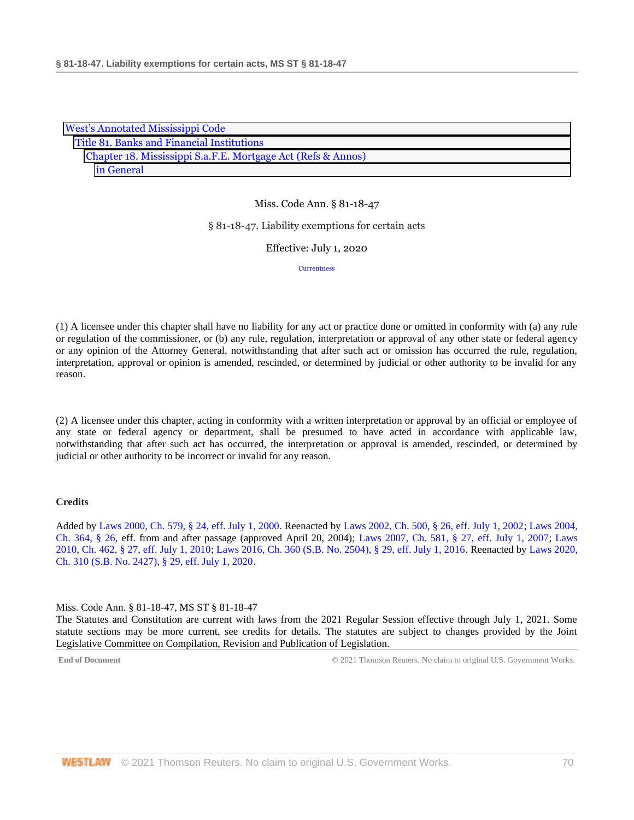| <b>West's Annotated Mississippi Code</b>                     |
|--------------------------------------------------------------|
| Title 81. Banks and Financial Institutions                   |
| Chapter 18. Mississippi S.a.F.E. Mortgage Act (Refs & Annos) |
| in General                                                   |

#### § 81-18-47. Liability exemptions for certain acts

Effective: July 1, 2020

**[Currentness](#page-69-0)** 

(1) A licensee under this chapter shall have no liability for any act or practice done or omitted in conformity with (a) any rule or regulation of the commissioner, or (b) any rule, regulation, interpretation or approval of any other state or federal agency or any opinion of the Attorney General, notwithstanding that after such act or omission has occurred the rule, regulation, interpretation, approval or opinion is amended, rescinded, or determined by judicial or other authority to be invalid for any reason.

(2) A licensee under this chapter, acting in conformity with a written interpretation or approval by an official or employee of any state or federal agency or department, shall be presumed to have acted in accordance with applicable law, notwithstanding that after such act has occurred, the interpretation or approval is amended, rescinded, or determined by judicial or other authority to be incorrect or invalid for any reason.

## **Credits**

Added by [Laws 2000, Ch. 579, § 24, eff. July 1, 2000.](http://www.westlaw.com/Link/Document/FullText?findType=l&pubNum=1077005&cite=UUID(I666224EA7B-2340539E179-70BFA9B4119)&originatingDoc=N7493C000B68F11EA8981875C7C0D3914&refType=SL&originationContext=document&vr=3.0&rs=cblt1.0&transitionType=DocumentItem&contextData=(sc.DocLink)) Reenacted by [Laws 2002, Ch. 500, § 26, eff. July 1, 2002;](http://www.westlaw.com/Link/Document/FullText?findType=l&pubNum=1077005&cite=UUID(I0EA02C6CD8-4E40E791A61-A62FFEE7CFB)&originatingDoc=N7493C000B68F11EA8981875C7C0D3914&refType=SL&originationContext=document&vr=3.0&rs=cblt1.0&transitionType=DocumentItem&contextData=(sc.DocLink)) [Laws 2004,](http://www.westlaw.com/Link/Document/FullText?findType=l&pubNum=1077005&cite=UUID(I5A3C4370BA-B711D8A74D8-7B95E93B7F0)&originatingDoc=N7493C000B68F11EA8981875C7C0D3914&refType=SL&originationContext=document&vr=3.0&rs=cblt1.0&transitionType=DocumentItem&contextData=(sc.DocLink))  [Ch. 364, § 26, e](http://www.westlaw.com/Link/Document/FullText?findType=l&pubNum=1077005&cite=UUID(I5A3C4370BA-B711D8A74D8-7B95E93B7F0)&originatingDoc=N7493C000B68F11EA8981875C7C0D3914&refType=SL&originationContext=document&vr=3.0&rs=cblt1.0&transitionType=DocumentItem&contextData=(sc.DocLink))ff. from and after passage (approved April 20, 2004); [Laws 2007, Ch. 581, § 27, eff. July 1, 2007;](http://www.westlaw.com/Link/Document/FullText?findType=l&pubNum=1077005&cite=UUID(I23A0B94005-5F11DC8554E-A5201DEAAD3)&originatingDoc=N7493C000B68F11EA8981875C7C0D3914&refType=SL&originationContext=document&vr=3.0&rs=cblt1.0&transitionType=DocumentItem&contextData=(sc.DocLink)) [Laws](http://www.westlaw.com/Link/Document/FullText?findType=l&pubNum=1077005&cite=UUID(IC5DE906042-3D11DFAFC4E-5BB03694993)&originatingDoc=N7493C000B68F11EA8981875C7C0D3914&refType=SL&originationContext=document&vr=3.0&rs=cblt1.0&transitionType=DocumentItem&contextData=(sc.DocLink))  [2010, Ch. 462, § 27, eff. July 1, 2010;](http://www.westlaw.com/Link/Document/FullText?findType=l&pubNum=1077005&cite=UUID(IC5DE906042-3D11DFAFC4E-5BB03694993)&originatingDoc=N7493C000B68F11EA8981875C7C0D3914&refType=SL&originationContext=document&vr=3.0&rs=cblt1.0&transitionType=DocumentItem&contextData=(sc.DocLink)) [Laws 2016, Ch. 360 \(S.B. No. 2504\), § 29, eff. July 1, 2016.](http://www.westlaw.com/Link/Document/FullText?findType=l&pubNum=1077005&cite=UUID(ICC55B560FC-D911E580D7A-145FA49B0D0)&originatingDoc=N7493C000B68F11EA8981875C7C0D3914&refType=SL&originationContext=document&vr=3.0&rs=cblt1.0&transitionType=DocumentItem&contextData=(sc.DocLink)) Reenacted by [Laws 2020,](http://www.westlaw.com/Link/Document/FullText?findType=l&pubNum=1077005&cite=UUID(I1D2E4B20AF-C611EABCEF8-D197FAE2E99)&originatingDoc=N7493C000B68F11EA8981875C7C0D3914&refType=SL&originationContext=document&vr=3.0&rs=cblt1.0&transitionType=DocumentItem&contextData=(sc.DocLink))  [Ch. 310 \(S.B. No. 2427\), § 29, eff. July 1, 2020.](http://www.westlaw.com/Link/Document/FullText?findType=l&pubNum=1077005&cite=UUID(I1D2E4B20AF-C611EABCEF8-D197FAE2E99)&originatingDoc=N7493C000B68F11EA8981875C7C0D3914&refType=SL&originationContext=document&vr=3.0&rs=cblt1.0&transitionType=DocumentItem&contextData=(sc.DocLink))

<span id="page-69-0"></span>Miss. Code Ann. § 81-18-47, MS ST § 81-18-47

The Statutes and Constitution are current with laws from the 2021 Regular Session effective through July 1, 2021. Some statute sections may be more current, see credits for details. The statutes are subject to changes provided by the Joint Legislative Committee on Compilation, Revision and Publication of Legislation.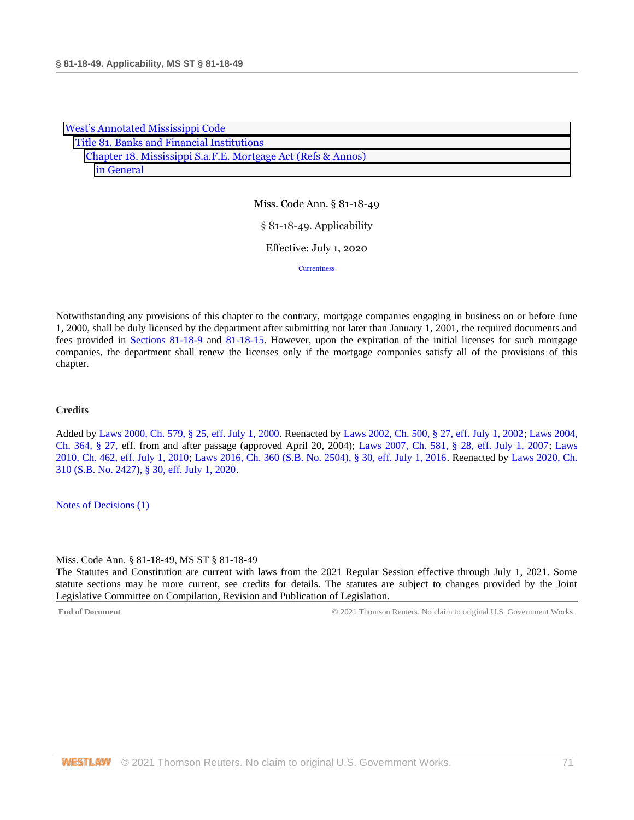| <b>West's Annotated Mississippi Code</b> |                                                              |  |  |  |
|------------------------------------------|--------------------------------------------------------------|--|--|--|
|                                          | Title 81. Banks and Financial Institutions                   |  |  |  |
|                                          | Chapter 18. Mississippi S.a.F.E. Mortgage Act (Refs & Annos) |  |  |  |
|                                          | in General                                                   |  |  |  |

Miss. Code Ann. § 81-18-49 § 81-18-49. Applicability Effective: July 1, 2020 **[Currentness](#page-70-0)** 

Notwithstanding any provisions of this chapter to the contrary, mortgage companies engaging in business on or before June 1, 2000, shall be duly licensed by the department after submitting not later than January 1, 2001, the required documents and fees provided in [Sections 81-18-9](http://www.westlaw.com/Link/Document/FullText?findType=L&pubNum=1000933&cite=MSSTS81-18-9&originatingDoc=N768D1F00B68F11EAA6FAB66043C66295&refType=LQ&originationContext=document&vr=3.0&rs=cblt1.0&transitionType=DocumentItem&contextData=(sc.DocLink)) and [81-18-15.](http://www.westlaw.com/Link/Document/FullText?findType=L&pubNum=1000933&cite=MSSTS81-18-15&originatingDoc=N768D1F00B68F11EAA6FAB66043C66295&refType=LQ&originationContext=document&vr=3.0&rs=cblt1.0&transitionType=DocumentItem&contextData=(sc.DocLink)) However, upon the expiration of the initial licenses for such mortgage companies, the department shall renew the licenses only if the mortgage companies satisfy all of the provisions of this chapter.

# **Credits**

Added by [Laws 2000, Ch. 579, § 25, eff. July 1, 2000.](http://www.westlaw.com/Link/Document/FullText?findType=l&pubNum=1077005&cite=UUID(I666224EA7B-2340539E179-70BFA9B4119)&originatingDoc=N768D1F00B68F11EAA6FAB66043C66295&refType=SL&originationContext=document&vr=3.0&rs=cblt1.0&transitionType=DocumentItem&contextData=(sc.DocLink)) Reenacted by [Laws 2002, Ch. 500, § 27, eff. July 1, 2002;](http://www.westlaw.com/Link/Document/FullText?findType=l&pubNum=1077005&cite=UUID(I0EA02C6CD8-4E40E791A61-A62FFEE7CFB)&originatingDoc=N768D1F00B68F11EAA6FAB66043C66295&refType=SL&originationContext=document&vr=3.0&rs=cblt1.0&transitionType=DocumentItem&contextData=(sc.DocLink)) [Laws 2004,](http://www.westlaw.com/Link/Document/FullText?findType=l&pubNum=1077005&cite=UUID(I5A3C4370BA-B711D8A74D8-7B95E93B7F0)&originatingDoc=N768D1F00B68F11EAA6FAB66043C66295&refType=SL&originationContext=document&vr=3.0&rs=cblt1.0&transitionType=DocumentItem&contextData=(sc.DocLink))  [Ch. 364, § 27, e](http://www.westlaw.com/Link/Document/FullText?findType=l&pubNum=1077005&cite=UUID(I5A3C4370BA-B711D8A74D8-7B95E93B7F0)&originatingDoc=N768D1F00B68F11EAA6FAB66043C66295&refType=SL&originationContext=document&vr=3.0&rs=cblt1.0&transitionType=DocumentItem&contextData=(sc.DocLink))ff. from and after passage (approved April 20, 2004); [Laws 2007, Ch. 581, § 28, eff. July 1, 2007;](http://www.westlaw.com/Link/Document/FullText?findType=l&pubNum=1077005&cite=UUID(I23A0B94005-5F11DC8554E-A5201DEAAD3)&originatingDoc=N768D1F00B68F11EAA6FAB66043C66295&refType=SL&originationContext=document&vr=3.0&rs=cblt1.0&transitionType=DocumentItem&contextData=(sc.DocLink)) [Laws](http://www.westlaw.com/Link/Document/FullText?findType=l&pubNum=1077005&cite=UUID(IC5DE906042-3D11DFAFC4E-5BB03694993)&originatingDoc=N768D1F00B68F11EAA6FAB66043C66295&refType=SL&originationContext=document&vr=3.0&rs=cblt1.0&transitionType=DocumentItem&contextData=(sc.DocLink))  [2010, Ch. 462, eff. July 1, 2010;](http://www.westlaw.com/Link/Document/FullText?findType=l&pubNum=1077005&cite=UUID(IC5DE906042-3D11DFAFC4E-5BB03694993)&originatingDoc=N768D1F00B68F11EAA6FAB66043C66295&refType=SL&originationContext=document&vr=3.0&rs=cblt1.0&transitionType=DocumentItem&contextData=(sc.DocLink)) [Laws 2016, Ch. 360 \(S.B. No. 2504\), § 30, eff. July 1, 2016.](http://www.westlaw.com/Link/Document/FullText?findType=l&pubNum=1077005&cite=UUID(ICC55B560FC-D911E580D7A-145FA49B0D0)&originatingDoc=N768D1F00B68F11EAA6FAB66043C66295&refType=SL&originationContext=document&vr=3.0&rs=cblt1.0&transitionType=DocumentItem&contextData=(sc.DocLink)) Reenacted by [Laws 2020, Ch.](http://www.westlaw.com/Link/Document/FullText?findType=l&pubNum=1077005&cite=UUID(I1D2E4B20AF-C611EABCEF8-D197FAE2E99)&originatingDoc=N768D1F00B68F11EAA6FAB66043C66295&refType=SL&originationContext=document&vr=3.0&rs=cblt1.0&transitionType=DocumentItem&contextData=(sc.DocLink))  [310 \(S.B. No. 2427\), § 30, eff. July 1, 2020.](http://www.westlaw.com/Link/Document/FullText?findType=l&pubNum=1077005&cite=UUID(I1D2E4B20AF-C611EABCEF8-D197FAE2E99)&originatingDoc=N768D1F00B68F11EAA6FAB66043C66295&refType=SL&originationContext=document&vr=3.0&rs=cblt1.0&transitionType=DocumentItem&contextData=(sc.DocLink))

<span id="page-70-0"></span>[Notes of Decisions \(1\)](http://www.westlaw.com/Link/RelatedInformation/NotesofDecisions?docGuid=N768D1F00B68F11EAA6FAB66043C66295&originationContext=document&vr=3.0&rs=cblt1.0&transitionType=NotesOfDecision&contextData=(sc.DocLink))

#### Miss. Code Ann. § 81-18-49, MS ST § 81-18-49

The Statutes and Constitution are current with laws from the 2021 Regular Session effective through July 1, 2021. Some statute sections may be more current, see credits for details. The statutes are subject to changes provided by the Joint Legislative Committee on Compilation, Revision and Publication of Legislation.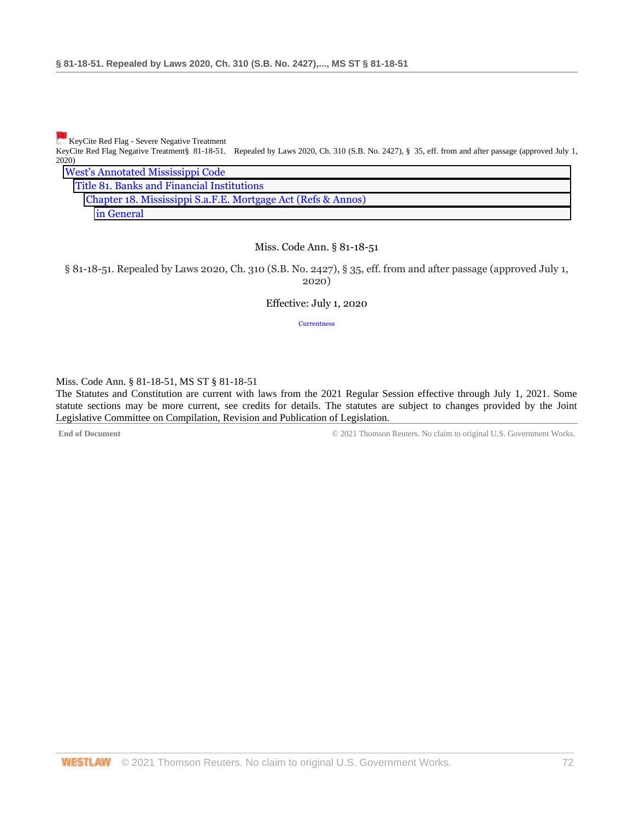[K](https://1.next.westlaw.com/Link/RelatedInformation/Flag?transitionType=Document&originationContext=docHeaderFlag&Rank=0&contextData=(sc.DocLink))eyCite Red Flag - Severe Negative Treatment

KeyCite Red Flag Negative Treatment§ 81-18-51. Repealed by Laws 2020, Ch. 310 (S.B. No. 2427), § 35, eff. from and after passage (approved July 1, 2020) Annotated Mississippi Code

| West's Allholated Mississippi Code                           |
|--------------------------------------------------------------|
| Title 81. Banks and Financial Institutions                   |
| Chapter 18. Mississippi S.a.F.E. Mortgage Act (Refs & Annos) |
| in General                                                   |

### Miss. Code Ann. § 81-18-51

§ 81-18-51. Repealed by Laws 2020, Ch. 310 (S.B. No. 2427), § 35, eff. from and after passage (approved July 1, 2020)

Effective: July 1, 2020

[Currentness](#page-71-0)

<span id="page-71-0"></span>Miss. Code Ann. § 81-18-51, MS ST § 81-18-51

The Statutes and Constitution are current with laws from the 2021 Regular Session effective through July 1, 2021. Some statute sections may be more current, see credits for details. The statutes are subject to changes provided by the Joint Legislative Committee on Compilation, Revision and Publication of Legislation.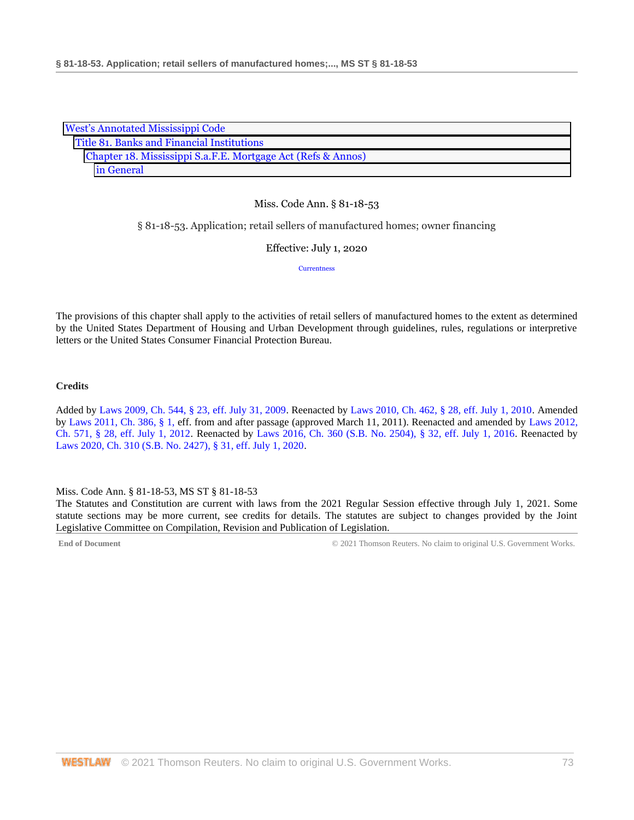| <b>West's Annotated Mississippi Code</b>                     |
|--------------------------------------------------------------|
| Title 81. Banks and Financial Institutions                   |
| Chapter 18. Mississippi S.a.F.E. Mortgage Act (Refs & Annos) |
| in General                                                   |

### § 81-18-53. Application; retail sellers of manufactured homes; owner financing

Effective: July 1, 2020

**[Currentness](#page-72-0)** 

The provisions of this chapter shall apply to the activities of retail sellers of manufactured homes to the extent as determined by the United States Department of Housing and Urban Development through guidelines, rules, regulations or interpretive letters or the United States Consumer Financial Protection Bureau.

### **Credits**

Added by [Laws 2009, Ch. 544, § 23, eff. July 31, 2009.](http://www.westlaw.com/Link/Document/FullText?findType=l&pubNum=1077005&cite=UUID(I757F0D3033-2911DE82ACD-E6A56952C30)&originatingDoc=N6942DE70B68F11EAA6FAB66043C66295&refType=SL&originationContext=document&vr=3.0&rs=cblt1.0&transitionType=DocumentItem&contextData=(sc.DocLink)) Reenacted by [Laws 2010, Ch. 462, § 28, eff. July 1, 2010.](http://www.westlaw.com/Link/Document/FullText?findType=l&pubNum=1077005&cite=UUID(IC5DE906042-3D11DFAFC4E-5BB03694993)&originatingDoc=N6942DE70B68F11EAA6FAB66043C66295&refType=SL&originationContext=document&vr=3.0&rs=cblt1.0&transitionType=DocumentItem&contextData=(sc.DocLink)) Amended b[y Laws 2011, Ch. 386, § 1, e](http://www.westlaw.com/Link/Document/FullText?findType=l&pubNum=1077005&cite=UUID(IB6CB342056-1411E09397F-822AC602FB7)&originatingDoc=N6942DE70B68F11EAA6FAB66043C66295&refType=SL&originationContext=document&vr=3.0&rs=cblt1.0&transitionType=DocumentItem&contextData=(sc.DocLink))ff. from and after passage (approved March 11, 2011). Reenacted and amended by [Laws 2012,](http://www.westlaw.com/Link/Document/FullText?findType=l&pubNum=1077005&cite=UUID(I164C6DB0A6-6911E18520C-4BFF71C7E68)&originatingDoc=N6942DE70B68F11EAA6FAB66043C66295&refType=SL&originationContext=document&vr=3.0&rs=cblt1.0&transitionType=DocumentItem&contextData=(sc.DocLink))  [Ch. 571, § 28, eff. July 1, 2012.](http://www.westlaw.com/Link/Document/FullText?findType=l&pubNum=1077005&cite=UUID(I164C6DB0A6-6911E18520C-4BFF71C7E68)&originatingDoc=N6942DE70B68F11EAA6FAB66043C66295&refType=SL&originationContext=document&vr=3.0&rs=cblt1.0&transitionType=DocumentItem&contextData=(sc.DocLink)) Reenacted by [Laws 2016, Ch. 360 \(S.B. No. 2504\),](http://www.westlaw.com/Link/Document/FullText?findType=l&pubNum=1077005&cite=UUID(ICC55B560FC-D911E580D7A-145FA49B0D0)&originatingDoc=N6942DE70B68F11EAA6FAB66043C66295&refType=SL&originationContext=document&vr=3.0&rs=cblt1.0&transitionType=DocumentItem&contextData=(sc.DocLink)) § 32, eff. July 1, 2016. Reenacted by [Laws 2020, Ch. 310 \(S.B. No. 2427\), § 31, eff. July 1, 2020.](http://www.westlaw.com/Link/Document/FullText?findType=l&pubNum=1077005&cite=UUID(I1D2E4B20AF-C611EABCEF8-D197FAE2E99)&originatingDoc=N6942DE70B68F11EAA6FAB66043C66295&refType=SL&originationContext=document&vr=3.0&rs=cblt1.0&transitionType=DocumentItem&contextData=(sc.DocLink))

<span id="page-72-0"></span>Miss. Code Ann. § 81-18-53, MS ST § 81-18-53

The Statutes and Constitution are current with laws from the 2021 Regular Session effective through July 1, 2021. Some statute sections may be more current, see credits for details. The statutes are subject to changes provided by the Joint Legislative Committee on Compilation, Revision and Publication of Legislation.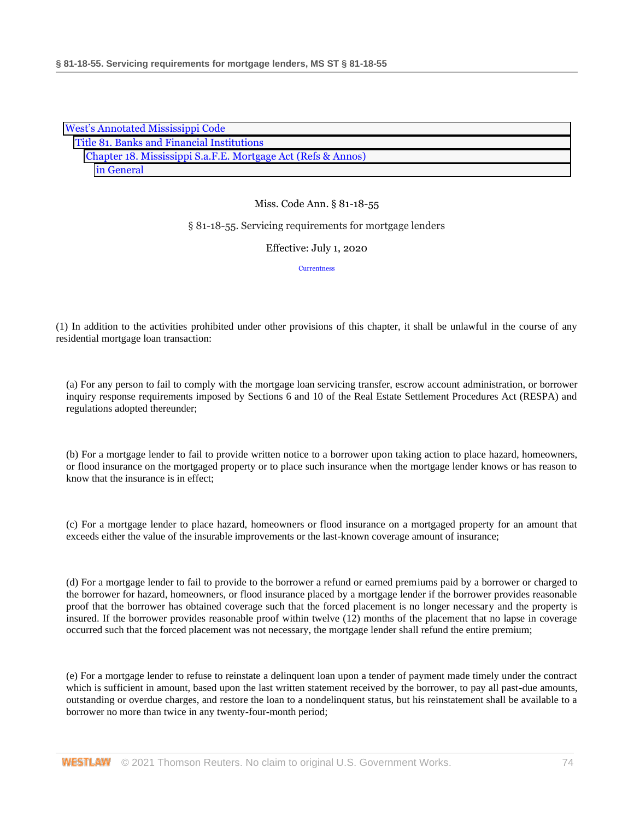| <b>West's Annotated Mississippi Code</b>                     |
|--------------------------------------------------------------|
| Title 81. Banks and Financial Institutions                   |
| Chapter 18. Mississippi S.a.F.E. Mortgage Act (Refs & Annos) |
| in General                                                   |

### § 81-18-55. Servicing requirements for mortgage lenders

#### Effective: July 1, 2020

**[Currentness](#page-77-0)** 

(1) In addition to the activities prohibited under other provisions of this chapter, it shall be unlawful in the course of any residential mortgage loan transaction:

(a) For any person to fail to comply with the mortgage loan servicing transfer, escrow account administration, or borrower inquiry response requirements imposed by Sections 6 and 10 of the Real Estate Settlement Procedures Act (RESPA) and regulations adopted thereunder;

(b) For a mortgage lender to fail to provide written notice to a borrower upon taking action to place hazard, homeowners, or flood insurance on the mortgaged property or to place such insurance when the mortgage lender knows or has reason to know that the insurance is in effect;

(c) For a mortgage lender to place hazard, homeowners or flood insurance on a mortgaged property for an amount that exceeds either the value of the insurable improvements or the last-known coverage amount of insurance;

(d) For a mortgage lender to fail to provide to the borrower a refund or earned premiums paid by a borrower or charged to the borrower for hazard, homeowners, or flood insurance placed by a mortgage lender if the borrower provides reasonable proof that the borrower has obtained coverage such that the forced placement is no longer necessary and the property is insured. If the borrower provides reasonable proof within twelve (12) months of the placement that no lapse in coverage occurred such that the forced placement was not necessary, the mortgage lender shall refund the entire premium;

(e) For a mortgage lender to refuse to reinstate a delinquent loan upon a tender of payment made timely under the contract which is sufficient in amount, based upon the last written statement received by the borrower, to pay all past-due amounts, outstanding or overdue charges, and restore the loan to a nondelinquent status, but his reinstatement shall be available to a borrower no more than twice in any twenty-four-month period;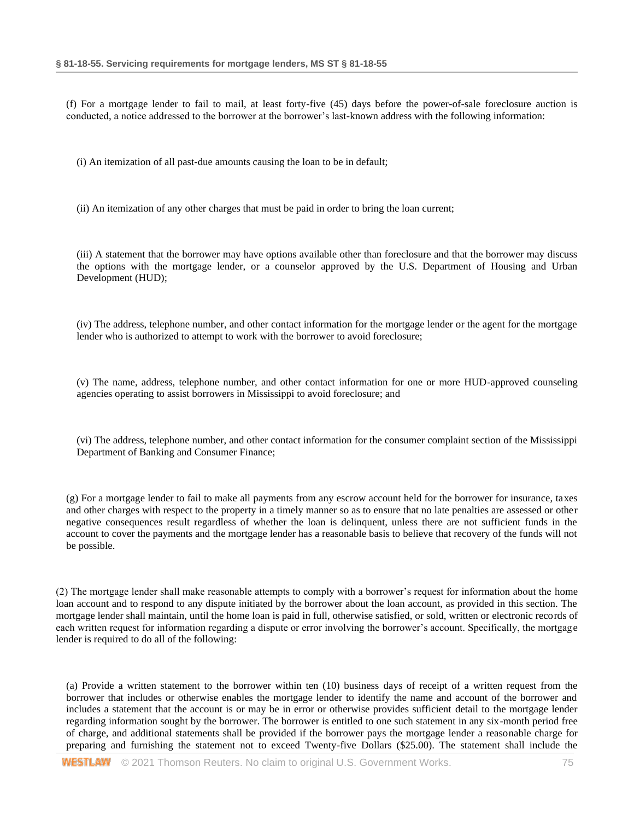(f) For a mortgage lender to fail to mail, at least forty-five (45) days before the power-of-sale foreclosure auction is conducted, a notice addressed to the borrower at the borrower's last-known address with the following information:

(i) An itemization of all past-due amounts causing the loan to be in default;

(ii) An itemization of any other charges that must be paid in order to bring the loan current;

(iii) A statement that the borrower may have options available other than foreclosure and that the borrower may discuss the options with the mortgage lender, or a counselor approved by the U.S. Department of Housing and Urban Development (HUD);

(iv) The address, telephone number, and other contact information for the mortgage lender or the agent for the mortgage lender who is authorized to attempt to work with the borrower to avoid foreclosure;

(v) The name, address, telephone number, and other contact information for one or more HUD-approved counseling agencies operating to assist borrowers in Mississippi to avoid foreclosure; and

(vi) The address, telephone number, and other contact information for the consumer complaint section of the Mississippi Department of Banking and Consumer Finance;

(g) For a mortgage lender to fail to make all payments from any escrow account held for the borrower for insurance, taxes and other charges with respect to the property in a timely manner so as to ensure that no late penalties are assessed or other negative consequences result regardless of whether the loan is delinquent, unless there are not sufficient funds in the account to cover the payments and the mortgage lender has a reasonable basis to believe that recovery of the funds will not be possible.

(2) The mortgage lender shall make reasonable attempts to comply with a borrower's request for information about the home loan account and to respond to any dispute initiated by the borrower about the loan account, as provided in this section. The mortgage lender shall maintain, until the home loan is paid in full, otherwise satisfied, or sold, written or electronic records of each written request for information regarding a dispute or error involving the borrower's account. Specifically, the mortgage lender is required to do all of the following:

(a) Provide a written statement to the borrower within ten (10) business days of receipt of a written request from the borrower that includes or otherwise enables the mortgage lender to identify the name and account of the borrower and includes a statement that the account is or may be in error or otherwise provides sufficient detail to the mortgage lender regarding information sought by the borrower. The borrower is entitled to one such statement in any six-month period free of charge, and additional statements shall be provided if the borrower pays the mortgage lender a reasonable charge for preparing and furnishing the statement not to exceed Twenty-five Dollars (\$25.00). The statement shall include the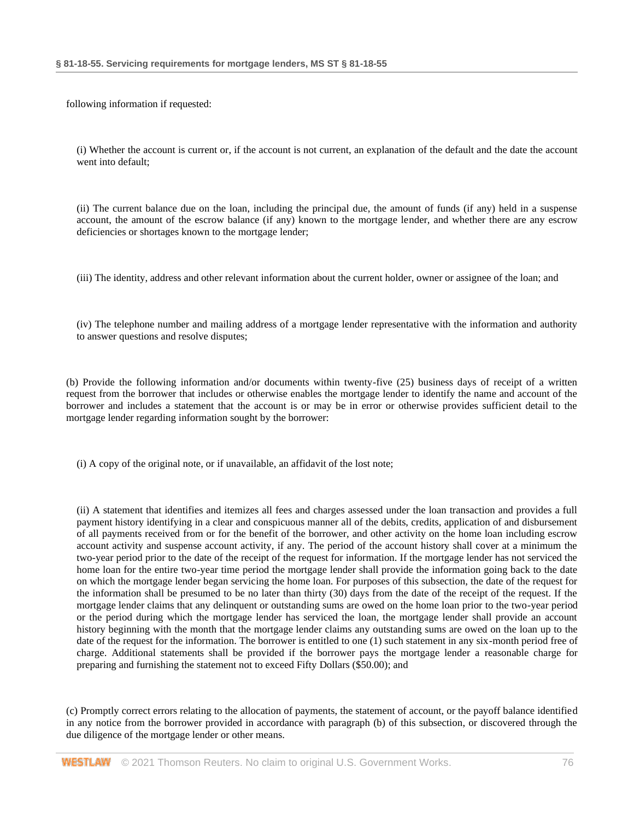following information if requested:

(i) Whether the account is current or, if the account is not current, an explanation of the default and the date the account went into default;

(ii) The current balance due on the loan, including the principal due, the amount of funds (if any) held in a suspense account, the amount of the escrow balance (if any) known to the mortgage lender, and whether there are any escrow deficiencies or shortages known to the mortgage lender;

(iii) The identity, address and other relevant information about the current holder, owner or assignee of the loan; and

(iv) The telephone number and mailing address of a mortgage lender representative with the information and authority to answer questions and resolve disputes;

(b) Provide the following information and/or documents within twenty-five (25) business days of receipt of a written request from the borrower that includes or otherwise enables the mortgage lender to identify the name and account of the borrower and includes a statement that the account is or may be in error or otherwise provides sufficient detail to the mortgage lender regarding information sought by the borrower:

(i) A copy of the original note, or if unavailable, an affidavit of the lost note;

(ii) A statement that identifies and itemizes all fees and charges assessed under the loan transaction and provides a full payment history identifying in a clear and conspicuous manner all of the debits, credits, application of and disbursement of all payments received from or for the benefit of the borrower, and other activity on the home loan including escrow account activity and suspense account activity, if any. The period of the account history shall cover at a minimum the two-year period prior to the date of the receipt of the request for information. If the mortgage lender has not serviced the home loan for the entire two-year time period the mortgage lender shall provide the information going back to the date on which the mortgage lender began servicing the home loan. For purposes of this subsection, the date of the request for the information shall be presumed to be no later than thirty (30) days from the date of the receipt of the request. If the mortgage lender claims that any delinquent or outstanding sums are owed on the home loan prior to the two-year period or the period during which the mortgage lender has serviced the loan, the mortgage lender shall provide an account history beginning with the month that the mortgage lender claims any outstanding sums are owed on the loan up to the date of the request for the information. The borrower is entitled to one (1) such statement in any six-month period free of charge. Additional statements shall be provided if the borrower pays the mortgage lender a reasonable charge for preparing and furnishing the statement not to exceed Fifty Dollars (\$50.00); and

(c) Promptly correct errors relating to the allocation of payments, the statement of account, or the payoff balance identified in any notice from the borrower provided in accordance with paragraph (b) of this subsection, or discovered through the due diligence of the mortgage lender or other means.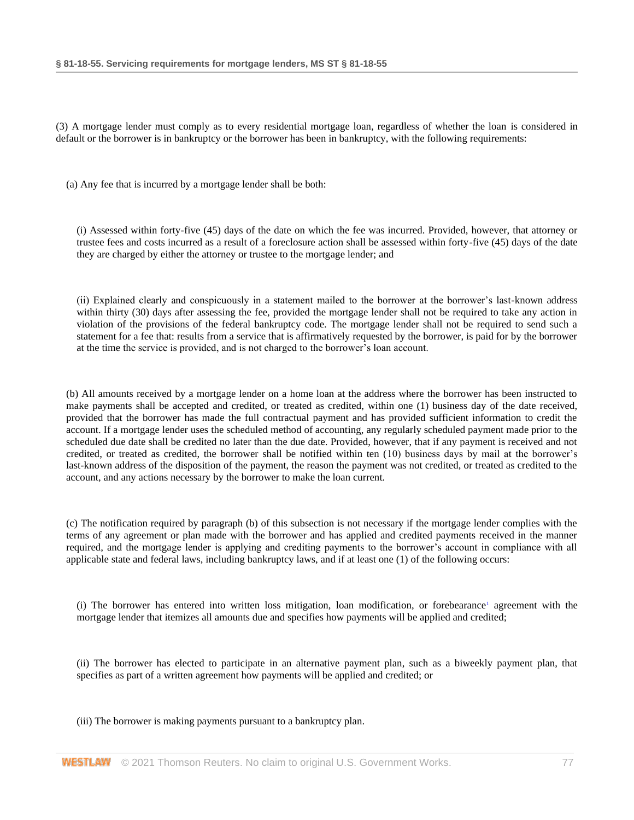(3) A mortgage lender must comply as to every residential mortgage loan, regardless of whether the loan is considered in default or the borrower is in bankruptcy or the borrower has been in bankruptcy, with the following requirements:

(a) Any fee that is incurred by a mortgage lender shall be both:

(i) Assessed within forty-five (45) days of the date on which the fee was incurred. Provided, however, that attorney or trustee fees and costs incurred as a result of a foreclosure action shall be assessed within forty-five (45) days of the date they are charged by either the attorney or trustee to the mortgage lender; and

(ii) Explained clearly and conspicuously in a statement mailed to the borrower at the borrower's last-known address within thirty (30) days after assessing the fee, provided the mortgage lender shall not be required to take any action in violation of the provisions of the federal bankruptcy code. The mortgage lender shall not be required to send such a statement for a fee that: results from a service that is affirmatively requested by the borrower, is paid for by the borrower at the time the service is provided, and is not charged to the borrower's loan account.

(b) All amounts received by a mortgage lender on a home loan at the address where the borrower has been instructed to make payments shall be accepted and credited, or treated as credited, within one (1) business day of the date received, provided that the borrower has made the full contractual payment and has provided sufficient information to credit the account. If a mortgage lender uses the scheduled method of accounting, any regularly scheduled payment made prior to the scheduled due date shall be credited no later than the due date. Provided, however, that if any payment is received and not credited, or treated as credited, the borrower shall be notified within ten (10) business days by mail at the borrower's last-known address of the disposition of the payment, the reason the payment was not credited, or treated as credited to the account, and any actions necessary by the borrower to make the loan current.

(c) The notification required by paragraph (b) of this subsection is not necessary if the mortgage lender complies with the terms of any agreement or plan made with the borrower and has applied and credited payments received in the manner required, and the mortgage lender is applying and crediting payments to the borrower's account in compliance with all applicable state and federal laws, including bankruptcy laws, and if at least one (1) of the following occurs:

<span id="page-76-0"></span>(i) Th[e](#page-77-1) borrower has entered into written loss mitigation, loan modification, or forebearance<sup>1</sup> agreement with the mortgage lender that itemizes all amounts due and specifies how payments will be applied and credited;

(ii) The borrower has elected to participate in an alternative payment plan, such as a biweekly payment plan, that specifies as part of a written agreement how payments will be applied and credited; or

(iii) The borrower is making payments pursuant to a bankruptcy plan.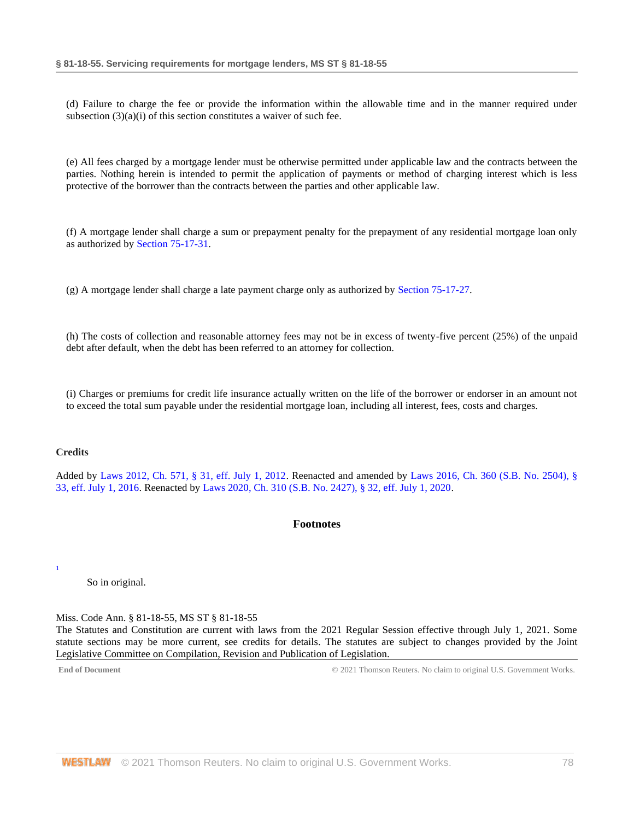(d) Failure to charge the fee or provide the information within the allowable time and in the manner required under subsection (3)(a)(i) of this section constitutes a waiver of such fee.

(e) All fees charged by a mortgage lender must be otherwise permitted under applicable law and the contracts between the parties. Nothing herein is intended to permit the application of payments or method of charging interest which is less protective of the borrower than the contracts between the parties and other applicable law.

(f) A mortgage lender shall charge a sum or prepayment penalty for the prepayment of any residential mortgage loan only as authorized by [Section 75-17-31.](http://www.westlaw.com/Link/Document/FullText?findType=L&pubNum=1000933&cite=MSSTS75-17-31&originatingDoc=N69CD1D10B68F11EA8025DD4A6D9396B9&refType=LQ&originationContext=document&vr=3.0&rs=cblt1.0&transitionType=DocumentItem&contextData=(sc.DocLink))

(g) A mortgage lender shall charge a late payment charge only as authorized by [Section 75-17-27.](http://www.westlaw.com/Link/Document/FullText?findType=L&pubNum=1000933&cite=MSSTS75-17-27&originatingDoc=N69CD1D10B68F11EA8025DD4A6D9396B9&refType=LQ&originationContext=document&vr=3.0&rs=cblt1.0&transitionType=DocumentItem&contextData=(sc.DocLink))

(h) The costs of collection and reasonable attorney fees may not be in excess of twenty-five percent (25%) of the unpaid debt after default, when the debt has been referred to an attorney for collection.

(i) Charges or premiums for credit life insurance actually written on the life of the borrower or endorser in an amount not to exceed the total sum payable under the residential mortgage loan, including all interest, fees, costs and charges.

### **Credits**

<span id="page-77-0"></span>Added by [Laws 2012, Ch. 571, § 31, eff. July 1, 2012.](http://www.westlaw.com/Link/Document/FullText?findType=l&pubNum=1077005&cite=UUID(I164C6DB0A6-6911E18520C-4BFF71C7E68)&originatingDoc=N69CD1D10B68F11EA8025DD4A6D9396B9&refType=SL&originationContext=document&vr=3.0&rs=cblt1.0&transitionType=DocumentItem&contextData=(sc.DocLink)) Reenacted and amended by [Laws 2016, Ch. 360 \(S.B. No. 2504\), §](http://www.westlaw.com/Link/Document/FullText?findType=l&pubNum=1077005&cite=UUID(ICC55B560FC-D911E580D7A-145FA49B0D0)&originatingDoc=N69CD1D10B68F11EA8025DD4A6D9396B9&refType=SL&originationContext=document&vr=3.0&rs=cblt1.0&transitionType=DocumentItem&contextData=(sc.DocLink))  [33, eff. July 1, 2016.](http://www.westlaw.com/Link/Document/FullText?findType=l&pubNum=1077005&cite=UUID(ICC55B560FC-D911E580D7A-145FA49B0D0)&originatingDoc=N69CD1D10B68F11EA8025DD4A6D9396B9&refType=SL&originationContext=document&vr=3.0&rs=cblt1.0&transitionType=DocumentItem&contextData=(sc.DocLink)) Reenacted by [Laws 2020, Ch. 310 \(S.B. No. 2427\), § 32, eff. July 1, 2020.](http://www.westlaw.com/Link/Document/FullText?findType=l&pubNum=1077005&cite=UUID(I1D2E4B20AF-C611EABCEF8-D197FAE2E99)&originatingDoc=N69CD1D10B68F11EA8025DD4A6D9396B9&refType=SL&originationContext=document&vr=3.0&rs=cblt1.0&transitionType=DocumentItem&contextData=(sc.DocLink))

# **Footnotes**

<span id="page-77-1"></span>[1](#page-76-0)

So in original.

Miss. Code Ann. § 81-18-55, MS ST § 81-18-55

The Statutes and Constitution are current with laws from the 2021 Regular Session effective through July 1, 2021. Some statute sections may be more current, see credits for details. The statutes are subject to changes provided by the Joint Legislative Committee on Compilation, Revision and Publication of Legislation.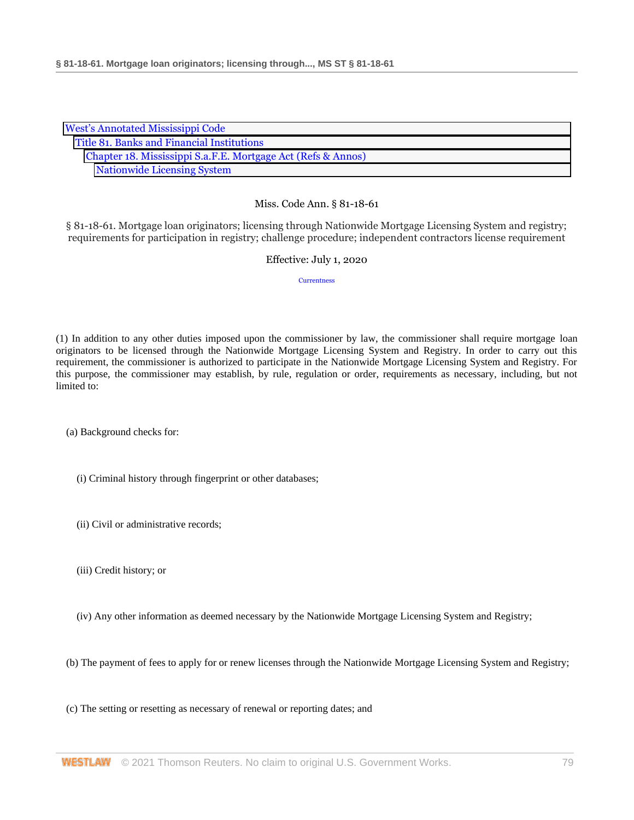| <b>West's Annotated Mississippi Code</b>                     |
|--------------------------------------------------------------|
| Title 81. Banks and Financial Institutions                   |
| Chapter 18. Mississippi S.a.F.E. Mortgage Act (Refs & Annos) |
| <b>Nationwide Licensing System</b>                           |

§ 81-18-61. Mortgage loan originators; licensing through Nationwide Mortgage Licensing System and registry; requirements for participation in registry; challenge procedure; independent contractors license requirement

### Effective: July 1, 2020

**[Currentness](#page-79-0)** 

(1) In addition to any other duties imposed upon the commissioner by law, the commissioner shall require mortgage loan originators to be licensed through the Nationwide Mortgage Licensing System and Registry. In order to carry out this requirement, the commissioner is authorized to participate in the Nationwide Mortgage Licensing System and Registry. For this purpose, the commissioner may establish, by rule, regulation or order, requirements as necessary, including, but not limited to:

(a) Background checks for:

- (i) Criminal history through fingerprint or other databases;
- (ii) Civil or administrative records;
- (iii) Credit history; or
- (iv) Any other information as deemed necessary by the Nationwide Mortgage Licensing System and Registry;

(b) The payment of fees to apply for or renew licenses through the Nationwide Mortgage Licensing System and Registry;

(c) The setting or resetting as necessary of renewal or reporting dates; and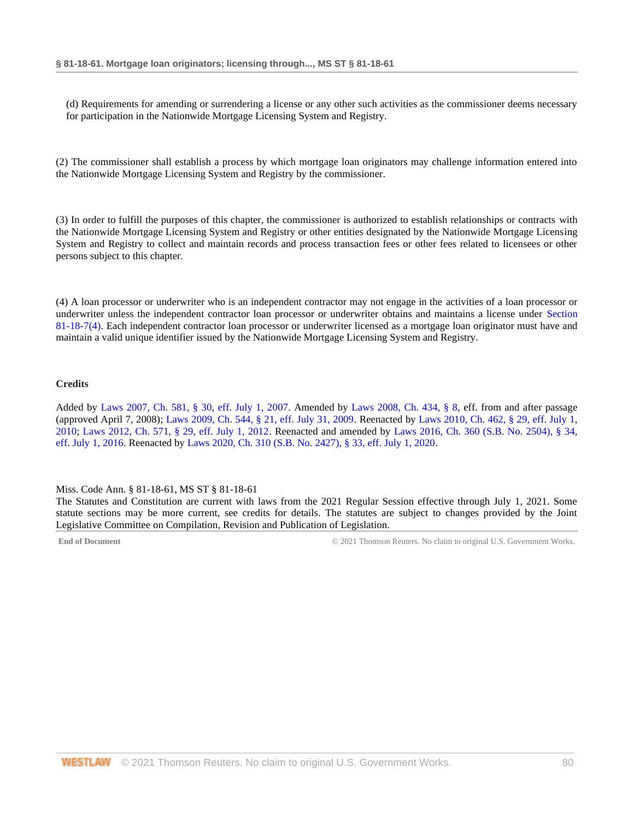(d) Requirements for amending or surrendering a license or any other such activities as the commissioner deems necessary for participation in the Nationwide Mortgage Licensing System and Registry.

(2) The commissioner shall establish a process by which mortgage loan originators may challenge information entered into the Nationwide Mortgage Licensing System and Registry by the commissioner.

(3) In order to fulfill the purposes of this chapter, the commissioner is authorized to establish relationships or contracts with the Nationwide Mortgage Licensing System and Registry or other entities designated by the Nationwide Mortgage Licensing System and Registry to collect and maintain records and process transaction fees or other fees related to licensees or other persons subject to this chapter.

(4) A loan processor or underwriter who is an independent contractor may not engage in the activities of a loan processor or underwriter unless the independent contractor loan processor or underwriter obtains and maintains a license under [Section](http://www.westlaw.com/Link/Document/FullText?findType=L&pubNum=1000933&cite=MSSTS81-18-7&originatingDoc=N699E44E0B68F11EA8981875C7C0D3914&refType=SP&originationContext=document&vr=3.0&rs=cblt1.0&transitionType=DocumentItem&contextData=(sc.DocLink)#co_pp_0bd500007a412)  [81-18-7\(4\).](http://www.westlaw.com/Link/Document/FullText?findType=L&pubNum=1000933&cite=MSSTS81-18-7&originatingDoc=N699E44E0B68F11EA8981875C7C0D3914&refType=SP&originationContext=document&vr=3.0&rs=cblt1.0&transitionType=DocumentItem&contextData=(sc.DocLink)#co_pp_0bd500007a412) Each independent contractor loan processor or underwriter licensed as a mortgage loan originator must have and maintain a valid unique identifier issued by the Nationwide Mortgage Licensing System and Registry.

### **Credits**

Added by [Laws 2007, Ch. 581, § 30, eff. July 1, 2007.](http://www.westlaw.com/Link/Document/FullText?findType=l&pubNum=1077005&cite=UUID(I23A0B94005-5F11DC8554E-A5201DEAAD3)&originatingDoc=N699E44E0B68F11EA8981875C7C0D3914&refType=SL&originationContext=document&vr=3.0&rs=cblt1.0&transitionType=DocumentItem&contextData=(sc.DocLink)) Amended by [Laws 2008, Ch. 434, § 8, e](http://www.westlaw.com/Link/Document/FullText?findType=l&pubNum=1077005&cite=UUID(I09A0DBB013-1911DD9225D-723D81EADB4)&originatingDoc=N699E44E0B68F11EA8981875C7C0D3914&refType=SL&originationContext=document&vr=3.0&rs=cblt1.0&transitionType=DocumentItem&contextData=(sc.DocLink))ff. from and after passage (approved April 7, 2008); [Laws 2009, Ch. 544, § 21, eff. July 31, 2009.](http://www.westlaw.com/Link/Document/FullText?findType=l&pubNum=1077005&cite=UUID(I757F0D3033-2911DE82ACD-E6A56952C30)&originatingDoc=N699E44E0B68F11EA8981875C7C0D3914&refType=SL&originationContext=document&vr=3.0&rs=cblt1.0&transitionType=DocumentItem&contextData=(sc.DocLink)) Reenacted by [Laws 2010, Ch. 462, § 29, eff. July 1,](http://www.westlaw.com/Link/Document/FullText?findType=l&pubNum=1077005&cite=UUID(IC5DE906042-3D11DFAFC4E-5BB03694993)&originatingDoc=N699E44E0B68F11EA8981875C7C0D3914&refType=SL&originationContext=document&vr=3.0&rs=cblt1.0&transitionType=DocumentItem&contextData=(sc.DocLink))  [2010;](http://www.westlaw.com/Link/Document/FullText?findType=l&pubNum=1077005&cite=UUID(IC5DE906042-3D11DFAFC4E-5BB03694993)&originatingDoc=N699E44E0B68F11EA8981875C7C0D3914&refType=SL&originationContext=document&vr=3.0&rs=cblt1.0&transitionType=DocumentItem&contextData=(sc.DocLink)) [Laws 2012, Ch. 571, § 29, eff. July 1, 2012.](http://www.westlaw.com/Link/Document/FullText?findType=l&pubNum=1077005&cite=UUID(I164C6DB0A6-6911E18520C-4BFF71C7E68)&originatingDoc=N699E44E0B68F11EA8981875C7C0D3914&refType=SL&originationContext=document&vr=3.0&rs=cblt1.0&transitionType=DocumentItem&contextData=(sc.DocLink)) Reenacted and amended by [Laws 2016, Ch. 360 \(S.B. No. 2504\), § 34,](http://www.westlaw.com/Link/Document/FullText?findType=l&pubNum=1077005&cite=UUID(ICC55B560FC-D911E580D7A-145FA49B0D0)&originatingDoc=N699E44E0B68F11EA8981875C7C0D3914&refType=SL&originationContext=document&vr=3.0&rs=cblt1.0&transitionType=DocumentItem&contextData=(sc.DocLink))  [eff. July 1, 2016.](http://www.westlaw.com/Link/Document/FullText?findType=l&pubNum=1077005&cite=UUID(ICC55B560FC-D911E580D7A-145FA49B0D0)&originatingDoc=N699E44E0B68F11EA8981875C7C0D3914&refType=SL&originationContext=document&vr=3.0&rs=cblt1.0&transitionType=DocumentItem&contextData=(sc.DocLink)) Reenacted by [Laws 2020, Ch. 310 \(S.B. No. 2427\), § 33, eff. July 1, 2020.](http://www.westlaw.com/Link/Document/FullText?findType=l&pubNum=1077005&cite=UUID(I1D2E4B20AF-C611EABCEF8-D197FAE2E99)&originatingDoc=N699E44E0B68F11EA8981875C7C0D3914&refType=SL&originationContext=document&vr=3.0&rs=cblt1.0&transitionType=DocumentItem&contextData=(sc.DocLink))

<span id="page-79-0"></span>Miss. Code Ann. § 81-18-61, MS ST § 81-18-61

The Statutes and Constitution are current with laws from the 2021 Regular Session effective through July 1, 2021. Some statute sections may be more current, see credits for details. The statutes are subject to changes provided by the Joint Legislative Committee on Compilation, Revision and Publication of Legislation.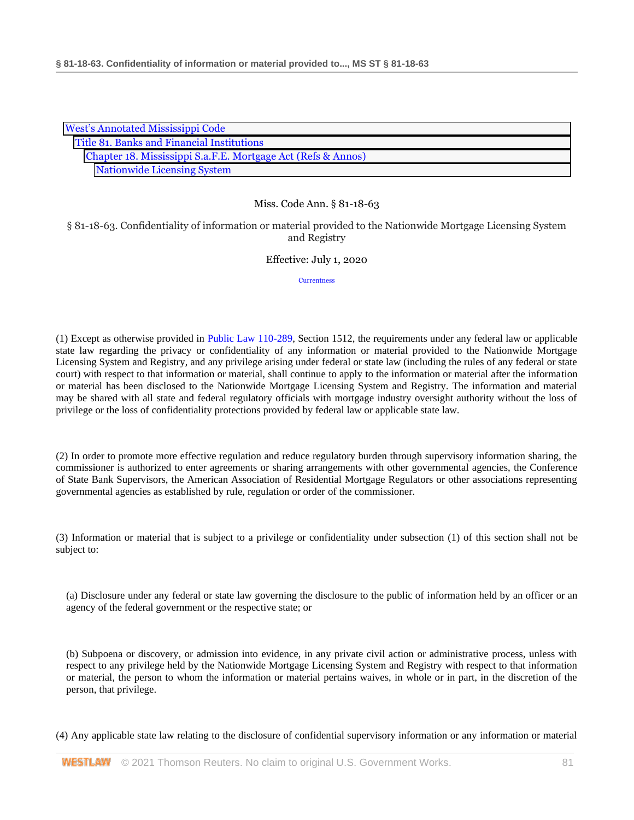| <b>West's Annotated Mississippi Code</b>                     |  |
|--------------------------------------------------------------|--|
| Title 81. Banks and Financial Institutions                   |  |
| Chapter 18. Mississippi S.a.F.E. Mortgage Act (Refs & Annos) |  |
| <b>Nationwide Licensing System</b>                           |  |

§ 81-18-63. Confidentiality of information or material provided to the Nationwide Mortgage Licensing System and Registry

### Effective: July 1, 2020

**[Currentness](#page-81-0)** 

(1) Except as otherwise provided in [Public Law 110-289,](http://www.westlaw.com/Link/Document/FullText?findType=l&pubNum=1077005&cite=UUID(I1CF0A6205E-F311DDA059D-0DABD4D37C3)&originatingDoc=N690F9970B68F11EA8981875C7C0D3914&refType=SL&originationContext=document&vr=3.0&rs=cblt1.0&transitionType=DocumentItem&contextData=(sc.DocLink)) Section 1512, the requirements under any federal law or applicable state law regarding the privacy or confidentiality of any information or material provided to the Nationwide Mortgage Licensing System and Registry, and any privilege arising under federal or state law (including the rules of any federal or state court) with respect to that information or material, shall continue to apply to the information or material after the information or material has been disclosed to the Nationwide Mortgage Licensing System and Registry. The information and material may be shared with all state and federal regulatory officials with mortgage industry oversight authority without the loss of privilege or the loss of confidentiality protections provided by federal law or applicable state law.

(2) In order to promote more effective regulation and reduce regulatory burden through supervisory information sharing, the commissioner is authorized to enter agreements or sharing arrangements with other governmental agencies, the Conference of State Bank Supervisors, the American Association of Residential Mortgage Regulators or other associations representing governmental agencies as established by rule, regulation or order of the commissioner.

(3) Information or material that is subject to a privilege or confidentiality under subsection (1) of this section shall not be subject to:

(a) Disclosure under any federal or state law governing the disclosure to the public of information held by an officer or an agency of the federal government or the respective state; or

(b) Subpoena or discovery, or admission into evidence, in any private civil action or administrative process, unless with respect to any privilege held by the Nationwide Mortgage Licensing System and Registry with respect to that information or material, the person to whom the information or material pertains waives, in whole or in part, in the discretion of the person, that privilege.

(4) Any applicable state law relating to the disclosure of confidential supervisory information or any information or material